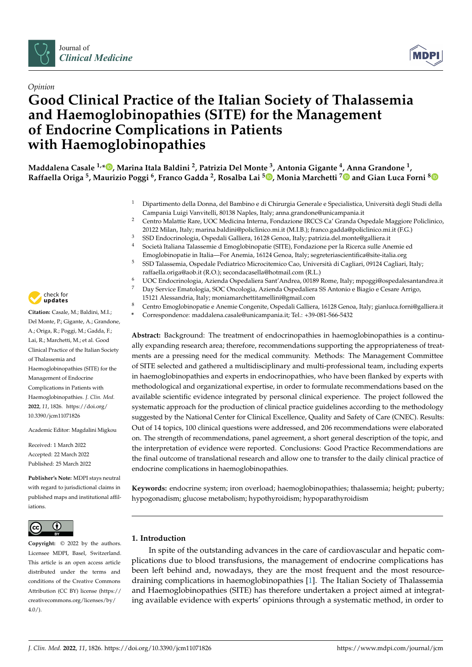



# *Opinion* **Good Clinical Practice of the Italian Society of Thalassemia and Haemoglobinopathies (SITE) for the Management of Endocrine Complications in Patients with Haemoglobinopathies**

**Maddalena Casale 1,[\\*](https://orcid.org/0000-0003-4740-2421) , Marina Itala Baldini <sup>2</sup> , Patrizia Del Monte <sup>3</sup> , Antonia Gigante <sup>4</sup> , Anna Grandone <sup>1</sup> , Raffaella Origa <sup>5</sup> , Maurizio Poggi <sup>6</sup> , Franco Gadda <sup>2</sup> , Rosalba Lai <sup>5</sup> [,](https://orcid.org/0000-0002-2346-9616) Monia Marchetti [7](https://orcid.org/0000-0001-7615-0572) and Gian Luca Forni [8](https://orcid.org/0000-0001-9833-1016)**

- <sup>1</sup> Dipartimento della Donna, del Bambino e di Chirurgia Generale e Specialistica, Università degli Studi della Campania Luigi Vanvitelli, 80138 Naples, Italy; anna.grandone@unicampania.it
- <sup>2</sup> Centro Malattie Rare, UOC Medicina Interna, Fondazione IRCCS Ca' Granda Ospedale Maggiore Policlinico, 20122 Milan, Italy; marina.baldini@policlinico.mi.it (M.I.B.); franco.gadda@policlinico.mi.it (F.G.)
- <sup>3</sup> SSD Endocrinologia, Ospedali Galliera, 16128 Genoa, Italy; patrizia.del.monte@galliera.it
- <sup>4</sup> Società Italiana Talassemie d Emoglobinopatie (SITE), Fondazione per la Ricerca sulle Anemie ed Emoglobinopatie in Italia—For Anemia, 16124 Genoa, Italy; segreteriascientifica@site-italia.org
- <sup>5</sup> SSD Talassemia, Ospedale Pediatrico Microcitemico Cao, Università di Cagliari, 09124 Cagliari, Italy; raffaella.origa@aob.it (R.O.); secondacasella@hotmail.com (R.L.)
- <sup>6</sup> UOC Endocrinologia, Azienda Ospedaliera Sant'Andrea, 00189 Rome, Italy; mpoggi@ospedalesantandrea.it
- <sup>7</sup> Day Service Ematologia, SOC Oncologia, Azienda Ospedaliera SS Antonio e Biagio e Cesare Arrigo, 15121 Alessandria, Italy; moniamarchettitamellini@gmail.com
- <sup>8</sup> Centro Emoglobinopatie e Anemie Congenite, Ospedali Galliera, 16128 Genoa, Italy; gianluca.forni@galliera.it
- **\*** Correspondence: maddalena.casale@unicampania.it; Tel.: +39-081-566-5432

**Abstract:** Background: The treatment of endocrinopathies in haemoglobinopathies is a continually expanding research area; therefore, recommendations supporting the appropriateness of treatments are a pressing need for the medical community. Methods: The Management Committee of SITE selected and gathered a multidisciplinary and multi-professional team, including experts in haemoglobinopathies and experts in endocrinopathies, who have been flanked by experts with methodological and organizational expertise, in order to formulate recommendations based on the available scientific evidence integrated by personal clinical experience. The project followed the systematic approach for the production of clinical practice guidelines according to the methodology suggested by the National Center for Clinical Excellence, Quality and Safety of Care (CNEC). Results: Out of 14 topics, 100 clinical questions were addressed, and 206 recommendations were elaborated on. The strength of recommendations, panel agreement, a short general description of the topic, and the interpretation of evidence were reported. Conclusions: Good Practice Recommendations are the final outcome of translational research and allow one to transfer to the daily clinical practice of endocrine complications in haemoglobinopathies.

**Keywords:** endocrine system; iron overload; haemoglobinopathies; thalassemia; height; puberty; hypogonadism; glucose metabolism; hypothyroidism; hypoparathyroidism

## **1. Introduction**

In spite of the outstanding advances in the care of cardiovascular and hepatic complications due to blood transfusions, the management of endocrine complications has been left behind and, nowadays, they are the most frequent and the most resourcedraining complications in haemoglobinopathies [\[1\]](#page-38-0). The Italian Society of Thalassemia and Haemoglobinopathies (SITE) has therefore undertaken a project aimed at integrating available evidence with experts' opinions through a systematic method, in order to



**Citation:** Casale, M.; Baldini, M.I.; Del Monte, P.; Gigante, A.; Grandone, A.; Origa, R.; Poggi, M.; Gadda, F.; Lai, R.; Marchetti, M.; et al. Good Clinical Practice of the Italian Society of Thalassemia and Haemoglobinopathies (SITE) for the Management of Endocrine Complications in Patients with Haemoglobinopathies. *J. Clin. Med.* **2022**, *11*, 1826. [https://doi.org/](https://doi.org/10.3390/jcm11071826) [10.3390/jcm11071826](https://doi.org/10.3390/jcm11071826)

Academic Editor: Magdalini Migkou

Received: 1 March 2022 Accepted: 22 March 2022 Published: 25 March 2022

**Publisher's Note:** MDPI stays neutral with regard to jurisdictional claims in published maps and institutional affiliations.



**Copyright:** © 2022 by the authors. Licensee MDPI, Basel, Switzerland. This article is an open access article distributed under the terms and conditions of the Creative Commons Attribution (CC BY) license [\(https://](https://creativecommons.org/licenses/by/4.0/) [creativecommons.org/licenses/by/](https://creativecommons.org/licenses/by/4.0/)  $4.0/$ ).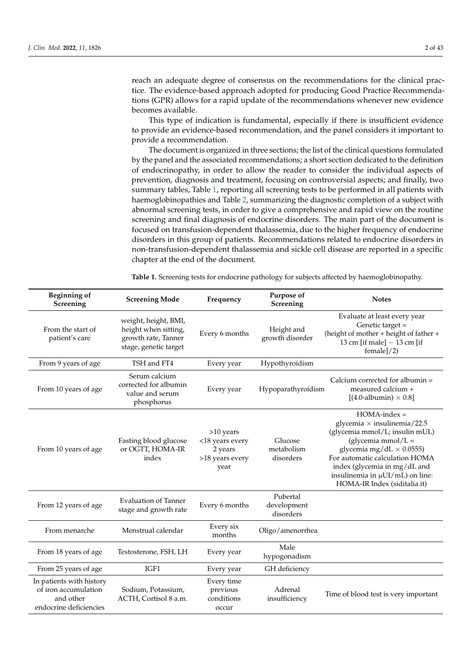reach an adequate degree of consensus on the recommendations for the clinical practice. The evidence-based approach adopted for producing Good Practice Recommendations (GPR) allows for a rapid update of the recommendations whenever new evidence becomes available.

This type of indication is fundamental, especially if there is insufficient evidence to provide an evidence-based recommendation, and the panel considers it important to provide a recommendation.

The document is organized in three sections; the list of the clinical questions formulated by the panel and the associated recommendations; a short section dedicated to the definition of endocrinopathy, in order to allow the reader to consider the individual aspects of prevention, diagnosis and treatment, focusing on controversial aspects; and finally, two summary tables, Table [1,](#page-1-0) reporting all screening tests to be performed in all patients with haemoglobinopathies and Table [2,](#page-2-0) summarizing the diagnostic completion of a subject with abnormal screening tests, in order to give a comprehensive and rapid view on the routine screening and final diagnosis of endocrine disorders. The main part of the document is focused on transfusion-dependent thalassemia, due to the higher frequency of endocrine disorders in this group of patients. Recommendations related to endocrine disorders in non-transfusion-dependent thalassemia and sickle cell disease are reported in a specific chapter at the end of the document.

<span id="page-1-0"></span>**Table 1.** Screening tests for endocrine pathology for subjects affected by haemoglobinopathy.

| <b>Beginning of</b><br>Screening                                                        | <b>Screening Mode</b>                                                                        | Frequency                                                          | Purpose of<br>Screening              | <b>Notes</b>                                                                                                                                                                                                                                                                             |
|-----------------------------------------------------------------------------------------|----------------------------------------------------------------------------------------------|--------------------------------------------------------------------|--------------------------------------|------------------------------------------------------------------------------------------------------------------------------------------------------------------------------------------------------------------------------------------------------------------------------------------|
| From the start of<br>patient's care                                                     | weight, height, BMI,<br>height when sitting,<br>growth rate, Tanner<br>stage, genetic target | Every 6 months                                                     | Height and<br>growth disorder        | Evaluate at least every year<br>Genetic target =<br>(height of mother + height of father +<br>13 cm [if male] $-$ 13 cm [if<br>female]/2)                                                                                                                                                |
| From 9 years of age                                                                     | TSH and FT4                                                                                  | Every year                                                         | Hypothyroidism                       |                                                                                                                                                                                                                                                                                          |
| From 10 years of age                                                                    | Serum calcium<br>corrected for albumin<br>value and serum<br>phosphorus                      | Every year                                                         | Hypoparathyroidism                   | Calcium corrected for albumin $=$<br>measured calcium +<br>$[(4.0\n-albumin) \times 0.8]$                                                                                                                                                                                                |
| From 10 years of age                                                                    | Fasting blood glucose<br>or OGTT, HOMA-IR<br>index                                           | >10 years<br><18 years every<br>2 years<br>>18 years every<br>year | Glucose<br>metabolism<br>disorders   | $HOMA$ -index =<br>glycemia $\times$ insulinemia/22.5<br>(glycemia mmol/L; insulin mUL)<br>(glycemia mmol/ $L =$<br>glycemia mg/dL $\times$ 0.0555)<br>For automatic calculation HOMA<br>index (glycemia in mg/dL and<br>insulinemia in µUI/mL) on line:<br>HOMA-IR Index (siditalia.it) |
| From 12 years of age                                                                    | <b>Evaluation of Tanner</b><br>stage and growth rate                                         | Every 6 months                                                     | Pubertal<br>development<br>disorders |                                                                                                                                                                                                                                                                                          |
| From menarche                                                                           | Menstrual calendar                                                                           | Every six<br>months                                                | Oligo/amenorrhea                     |                                                                                                                                                                                                                                                                                          |
| From 18 years of age                                                                    | Testosterone, FSH, LH                                                                        | Every year                                                         | Male<br>hypogonadism                 |                                                                                                                                                                                                                                                                                          |
| From 25 years of age                                                                    | IGF1                                                                                         | Every year                                                         | GH deficiency                        |                                                                                                                                                                                                                                                                                          |
| In patients with history<br>of iron accumulation<br>and other<br>endocrine deficiencies | Sodium, Potassium,<br>ACTH, Cortisol 8 a.m.                                                  | Every time<br>previous<br>conditions<br>occur                      | Adrenal<br>insufficiency             | Time of blood test is very important                                                                                                                                                                                                                                                     |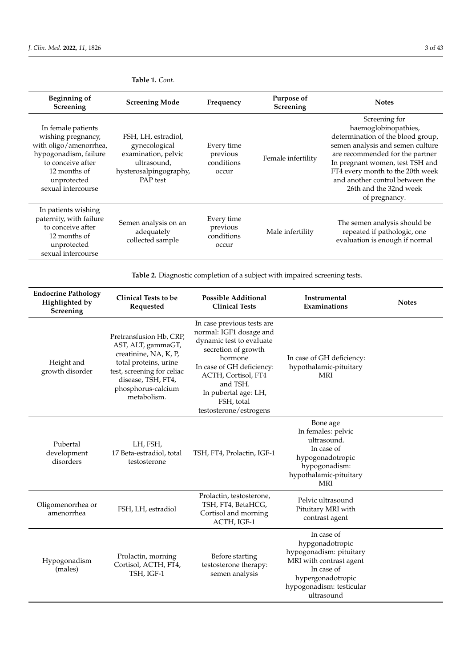| <b>Beginning of</b><br>Screening                                                                                                                                      | <b>Screening Mode</b>                                                                                            | Frequency                                     | Purpose of<br>Screening | <b>Notes</b>                                                                                                                                                                                                                                                                                           |
|-----------------------------------------------------------------------------------------------------------------------------------------------------------------------|------------------------------------------------------------------------------------------------------------------|-----------------------------------------------|-------------------------|--------------------------------------------------------------------------------------------------------------------------------------------------------------------------------------------------------------------------------------------------------------------------------------------------------|
| In female patients<br>wishing pregnancy,<br>with oligo/amenorrhea,<br>hypogonadism, failure<br>to conceive after<br>12 months of<br>unprotected<br>sexual intercourse | FSH, LH, estradiol,<br>gynecological<br>examination, pelvic<br>ultrasound,<br>hysterosalpingography,<br>PAP test | Every time<br>previous<br>conditions<br>occur | Female infertility      | Screening for<br>haemoglobinopathies,<br>determination of the blood group,<br>semen analysis and semen culture<br>are recommended for the partner<br>In pregnant women, test TSH and<br>FT4 every month to the 20th week<br>and another control between the<br>26th and the 32nd week<br>of pregnancy. |
| In patients wishing<br>paternity, with failure<br>to conceive after<br>12 months of<br>unprotected<br>sexual intercourse                                              | Semen analysis on an<br>adequately<br>collected sample                                                           | Every time<br>previous<br>conditions<br>occur | Male infertility        | The semen analysis should be<br>repeated if pathologic, one<br>evaluation is enough if normal                                                                                                                                                                                                          |

## **Table 1.** *Cont.*

<span id="page-2-0"></span>**Table 2.** Diagnostic completion of a subject with impaired screening tests.

| <b>Endocrine Pathology</b><br>Highlighted by<br>Screening | <b>Clinical Tests to be</b><br>Requested                                                                                                                                                 | <b>Possible Additional</b><br><b>Clinical Tests</b>                                                                                                                                                                                                 | Instrumental<br>Examinations                                                                                                                                     | <b>Notes</b> |
|-----------------------------------------------------------|------------------------------------------------------------------------------------------------------------------------------------------------------------------------------------------|-----------------------------------------------------------------------------------------------------------------------------------------------------------------------------------------------------------------------------------------------------|------------------------------------------------------------------------------------------------------------------------------------------------------------------|--------------|
| Height and<br>growth disorder                             | Pretransfusion Hb, CRP,<br>AST, ALT, gammaGT,<br>creatinine, NA, K, P,<br>total proteins, urine<br>test, screening for celiac<br>disease, TSH, FT4,<br>phosphorus-calcium<br>metabolism. | In case previous tests are<br>normal: IGF1 dosage and<br>dynamic test to evaluate<br>secretion of growth<br>hormone<br>In case of GH deficiency:<br>ACTH, Cortisol, FT4<br>and TSH.<br>In pubertal age: LH,<br>FSH, total<br>testosterone/estrogens | In case of GH deficiency:<br>hypothalamic-pituitary<br><b>MRI</b>                                                                                                |              |
| Pubertal<br>development<br>disorders                      | LH, FSH,<br>17 Beta-estradiol, total<br>testosterone                                                                                                                                     | TSH, FT4, Prolactin, IGF-1                                                                                                                                                                                                                          | Bone age<br>In females: pelvic<br>ultrasound.<br>In case of<br>hypogonadotropic<br>hypogonadism:<br>hypothalamic-pituitary<br><b>MRI</b>                         |              |
| Oligomenorrhea or<br>amenorrhea                           | FSH, LH, estradiol                                                                                                                                                                       | Prolactin, testosterone,<br>TSH, FT4, BetaHCG,<br>Cortisol and morning<br>ACTH, IGF-1                                                                                                                                                               | Pelvic ultrasound<br>Pituitary MRI with<br>contrast agent                                                                                                        |              |
| Hypogonadism<br>(males)                                   | Prolactin, morning<br>Cortisol, ACTH, FT4,<br>TSH, IGF-1                                                                                                                                 | Before starting<br>testosterone therapy:<br>semen analysis                                                                                                                                                                                          | In case of<br>hypgonadotropic<br>hypogonadism: pituitary<br>MRI with contrast agent<br>In case of<br>hypergonadotropic<br>hypogonadism: testicular<br>ultrasound |              |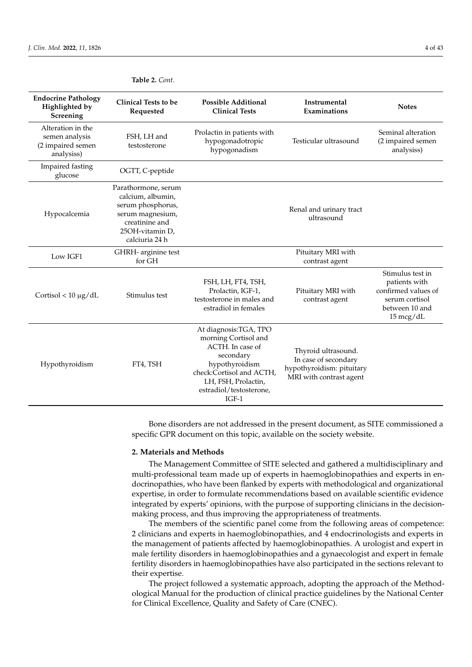| <b>Endocrine Pathology</b><br>Highlighted by<br>Screening              | <b>Clinical Tests to be</b><br>Requested                                                                                                 | <b>Possible Additional</b><br><b>Clinical Tests</b>                                                                                                                                        | Instrumental<br>Examinations                                                                        | <b>Notes</b>                                                                                                        |
|------------------------------------------------------------------------|------------------------------------------------------------------------------------------------------------------------------------------|--------------------------------------------------------------------------------------------------------------------------------------------------------------------------------------------|-----------------------------------------------------------------------------------------------------|---------------------------------------------------------------------------------------------------------------------|
| Alteration in the<br>semen analysis<br>(2 impaired semen<br>analysiss) | FSH, LH and<br>testosterone                                                                                                              | Prolactin in patients with<br>hypogonadotropic<br>hypogonadism                                                                                                                             | Testicular ultrasound                                                                               | Seminal alteration<br>(2 impaired semen<br>analysiss)                                                               |
| Impaired fasting<br>glucose                                            | OGTT, C-peptide                                                                                                                          |                                                                                                                                                                                            |                                                                                                     |                                                                                                                     |
| Hypocalcemia                                                           | Parathormone, serum<br>calcium, albumin,<br>serum phosphorus,<br>serum magnesium,<br>creatinine and<br>25OH-vitamin D,<br>calciuria 24 h |                                                                                                                                                                                            | Renal and urinary tract<br>ultrasound                                                               |                                                                                                                     |
| Low IGF1                                                               | GHRH- arginine test<br>for GH                                                                                                            |                                                                                                                                                                                            | Pituitary MRI with<br>contrast agent                                                                |                                                                                                                     |
| Cortisol < $10 \mu g/dL$                                               | Stimulus test                                                                                                                            | FSH, LH, FT4, TSH,<br>Prolactin, IGF-1,<br>testosterone in males and<br>estradiol in females                                                                                               | Pituitary MRI with<br>contrast agent                                                                | Stimulus test in<br>patients with<br>confirmed values of<br>serum cortisol<br>between 10 and<br>$15 \text{~mcg/dL}$ |
| Hypothyroidism                                                         | FT4, TSH                                                                                                                                 | At diagnosis: TGA, TPO<br>morning Cortisol and<br>ACTH. In case of<br>secondary<br>hypothyroidism<br>check:Cortisol and ACTH,<br>LH, FSH, Prolactin,<br>estradiol/testosterone,<br>$IGF-1$ | Thyroid ultrasound.<br>In case of secondary<br>hypothyroidism: pituitary<br>MRI with contrast agent |                                                                                                                     |

## **Table 2.** *Cont.*

Bone disorders are not addressed in the present document, as SITE commissioned a specific GPR document on this topic, available on the society website.

### **2. Materials and Methods**

The Management Committee of SITE selected and gathered a multidisciplinary and multi-professional team made up of experts in haemoglobinopathies and experts in endocrinopathies, who have been flanked by experts with methodological and organizational expertise, in order to formulate recommendations based on available scientific evidence integrated by experts' opinions, with the purpose of supporting clinicians in the decisionmaking process, and thus improving the appropriateness of treatments.

The members of the scientific panel come from the following areas of competence: 2 clinicians and experts in haemoglobinopathies, and 4 endocrinologists and experts in the management of patients affected by haemoglobinopathies. A urologist and expert in male fertility disorders in haemoglobinopathies and a gynaecologist and expert in female fertility disorders in haemoglobinopathies have also participated in the sections relevant to their expertise.

The project followed a systematic approach, adopting the approach of the Methodological Manual for the production of clinical practice guidelines by the National Center for Clinical Excellence, Quality and Safety of Care (CNEC).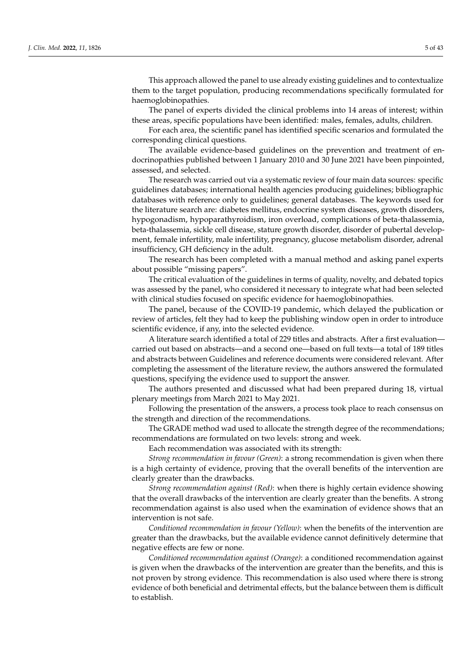This approach allowed the panel to use already existing guidelines and to contextualize them to the target population, producing recommendations specifically formulated for haemoglobinopathies.

The panel of experts divided the clinical problems into 14 areas of interest; within these areas, specific populations have been identified: males, females, adults, children.

For each area, the scientific panel has identified specific scenarios and formulated the corresponding clinical questions.

The available evidence-based guidelines on the prevention and treatment of endocrinopathies published between 1 January 2010 and 30 June 2021 have been pinpointed, assessed, and selected.

The research was carried out via a systematic review of four main data sources: specific guidelines databases; international health agencies producing guidelines; bibliographic databases with reference only to guidelines; general databases. The keywords used for the literature search are: diabetes mellitus, endocrine system diseases, growth disorders, hypogonadism, hypoparathyroidism, iron overload, complications of beta-thalassemia, beta-thalassemia, sickle cell disease, stature growth disorder, disorder of pubertal development, female infertility, male infertility, pregnancy, glucose metabolism disorder, adrenal insufficiency, GH deficiency in the adult.

The research has been completed with a manual method and asking panel experts about possible "missing papers".

The critical evaluation of the guidelines in terms of quality, novelty, and debated topics was assessed by the panel, who considered it necessary to integrate what had been selected with clinical studies focused on specific evidence for haemoglobinopathies.

The panel, because of the COVID-19 pandemic, which delayed the publication or review of articles, felt they had to keep the publishing window open in order to introduce scientific evidence, if any, into the selected evidence.

A literature search identified a total of 229 titles and abstracts. After a first evaluation carried out based on abstracts—and a second one—based on full texts—a total of 189 titles and abstracts between Guidelines and reference documents were considered relevant. After completing the assessment of the literature review, the authors answered the formulated questions, specifying the evidence used to support the answer.

The authors presented and discussed what had been prepared during 18, virtual plenary meetings from March 2021 to May 2021.

Following the presentation of the answers, a process took place to reach consensus on the strength and direction of the recommendations.

The GRADE method wad used to allocate the strength degree of the recommendations; recommendations are formulated on two levels: strong and week.

Each recommendation was associated with its strength:

*Strong recommendation in favour (Green)*: a strong recommendation is given when there is a high certainty of evidence, proving that the overall benefits of the intervention are clearly greater than the drawbacks.

*Strong recommendation against (Red)*: when there is highly certain evidence showing that the overall drawbacks of the intervention are clearly greater than the benefits. A strong recommendation against is also used when the examination of evidence shows that an intervention is not safe.

*Conditioned recommendation in favour (Yellow)*: when the benefits of the intervention are greater than the drawbacks, but the available evidence cannot definitively determine that negative effects are few or none.

*Conditioned recommendation against (Orange)*: a conditioned recommendation against is given when the drawbacks of the intervention are greater than the benefits, and this is not proven by strong evidence. This recommendation is also used where there is strong evidence of both beneficial and detrimental effects, but the balance between them is difficult to establish.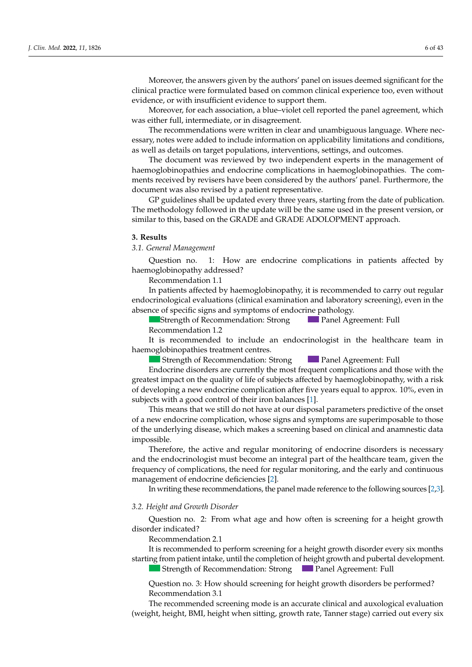Moreover, the answers given by the authors' panel on issues deemed significant for the clinical practice were formulated based on common clinical experience too, even without evidence, or with insufficient evidence to support them.

Moreover, for each association, a blue–violet cell reported the panel agreement, which was either full, intermediate, or in disagreement.

The recommendations were written in clear and unambiguous language. Where necessary, notes were added to include information on applicability limitations and conditions, as well as details on target populations, interventions, settings, and outcomes.

The document was reviewed by two independent experts in the management of haemoglobinopathies and endocrine complications in haemoglobinopathies. The comments received by revisers have been considered by the authors' panel. Furthermore, the document was also revised by a patient representative.

GP guidelines shall be updated every three years, starting from the date of publication. The methodology followed in the update will be the same used in the present version*,* or similar to this, based on the GRADE and GRADE ADOLOPMENT approach.

### **3. Results**

*3.1. General Management Discrete and Disorder and Disorder 2022* 

Question no. 1: How are endocrine complications in patients affected by haemoglobinopathy addressed? Question no.

Recommendation 1.1

In patients affected by haemoglobinopathy, it is recommended to carry out regular endocrinological evaluations (clinical examination and laboratory screening), even in the absence of specific signs and symptoms of endocrine pathology.

Strength of Recommendation: Strong Panel Agreement: Full Recommendation 1.2 **Panel Agreement: Full** 

It is recommended to include an endocrinologist in the healthcare team in haemoglobinopathies treatment centres.

Strength of Recommendation: Strong Panel Agreement: Full **Panel Agreement: Full** 

Endocrine disorders are currently the most frequent complications and those with the  $m_{\text{stack}}$  months, plotting and  $m_{\text{label}}$  are  $m_{\text{label}}$  and  $m_{\text{label}}$  contents of  $m_{\text{label}}$  and  $m_{\text{label}}$  it are  $m_{\text{label}}$  and  $m_{\text{label}}$  and  $m_{\text{label}}$  are  $m_{\text{label}}$  and  $m_{\text{label}}$  and  $m_{\text{label}}$  are  $m_{\text{label}}$  and  $m_{\text{label}}$  a of developing a new endocrine complication after five years equal to approx. 10%, even in subjects with a good control of their iron balances [\[1\]](#page-38-0). pact on the quality of the of subjects affected by naemoglobihopath greatest impact on the quality of life of subjects affected by haemoglobinopathy, with a risk

as means that we still do not have at our disposal parameters pro recommendation anacrizing abease, which haves a sereching sasea on chine<br>ciklo This means that we still do not have at our disposal parameters predictive of the onset This means that we still as hot have at our ansposal parameters predictive of the shist.<br>Fa new endocrine complication whose signs and symptoms are superimposable to those mates, with a lack of pubertal development after  $\mu$  and  $\mu$  and  $\mu$  contains  $\mu$  and  $\mu$  and  $\mu$  and  $\mu$  and  $\mu$  and  $\mu$  and  $\mu$  and  $\mu$  and  $\mu$  and  $\mu$  and  $\mu$  and  $\mu$  and  $\mu$  and  $\mu$  and  $\mu$  and  $\mu$  low-dose hormones, have hypogonadotropic hypogonadism.  $\theta$  f the underlying disease, which makes a screening based on clinical and anamnestic dat Strength of Recommendation: StrongPanel Agreement: Full of a new endocrine complication, whose signs and symptoms are superimposable to those of the underlying disease, which makes a screening based on clinical and anamnestic data<br>imasosikla impossible.

Therefore, the active and regular monitoring of endocrine disorders and the endocrinologist must become an integral part of the healthcare team, given the ncy of complications, the need for regular monitoring, and the early and continuous management of endocrine deficiencies [2]. nerefore, the active and regular momenting or endocrine disorder A height growth disorder is presented in the following, and is Therefore, the active and regular monitoring of endocrine disorders is necessary frequency of complications, the need for regular monitoring, and the early and continuous

In writing these recommendations, the panel made reference to the following sources [\[2,](#page-38-1)[3\]](#page-38-2). - If no short statuse is present, GR ≤ SD in one year, or ≤−2 SD in two consecutive is present, GR ≤ 1.5 SD in  $\sim$  SD compared to the family target and growth rate (GR)  $\sim$   $\sim$   $\sim$   $\sim$ 

## 3.2. Height and Growth Disorder **container and the set of the set of the set of the set of the set of the set o**

Question no. 2: From what age and how often is screening for a height growth  $\Gamma$  indicated? disorder indicated? and 14 in males, a short 3–6-month cycle of low-dose hormone therapy (oestern indicated?  $\alpha$  Strength of Recommendation: Strength of Recommendation:  $\alpha$ 

Recommendation 2.1

Recommendation 2.1<br>It is recommended to perform screening for a height growth disorder every six months starting from patient intake, until the completion of height growth and pubertal development.

Strength of Recommendation: Strong Panel Agreement: Full ning of puberty, it is suggested to reassure and remain in watchful waiting, in concert

Question no. 3: How should screening for height growth disorders he performed? - Pretransfusion Hb; In all patients who do not begin pubertal development, a short 3–6-month cycle of  $Q$  destroit ho. 5. 110 $W_1$ Question no. 3: How should screening for height growth disorders be performed? Recommendation 3.1 Question no. 3: How should screening for height growth disorders be performed?<br>Recommendation 3.1

Recommendation 5.1<br>The recommended screening mode is an accurate clinical and auxological evaluation weight, height, BMI, height when sitting, growth rate. Tanner stage) carried out every six order to differentiate between constitutional growth and puberty delay and hypogonadreign, neign, *brac, height when shared*, grow at tale, and to sta Strength of Recommendation: Conditioned Panel Agreement: Conditioned Panel Agreement: Full Agreement: Full Agreement: Full Agreement: Full Agreement: Full Agreement: Full Agreement: Full Agreement: Full Agreement: Full Agr (weight, height, BMI, height when sitting, growth rate, Tanner stage) carried out every six The recommended screening mode is an accurate clinical and auxological evaluation have a constitutional growth and puberty delay.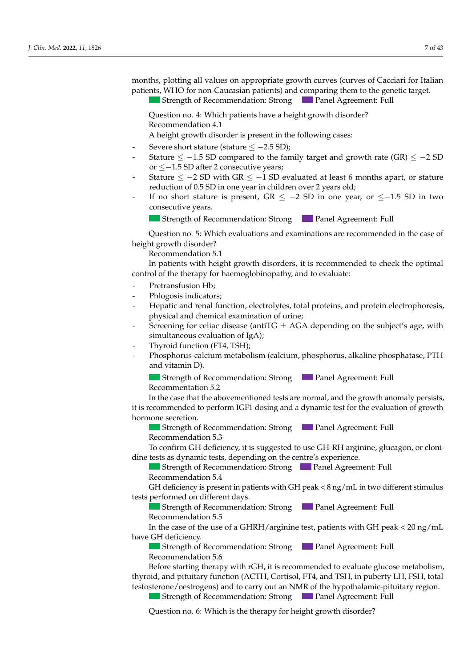months, plotting all values on appropriate growth curves (curves of Cacciari for Italian patients, WHO for non-Caucasian patients) and comparing them to the genetic target.

and 14 in males, a short 3–6-month cycle of low-dose hormone therapy (oestern in the low-dose hormone therapy (

Strength of Recommendation: Strong **Panel Agreement: Full** 

Question no. 4: Which patients have a height growth disorder? and the commendation 4.1

Recommendation 2.1

A height growth disorder is present in the following cases:

- Severe short stature (stature  $\le$  -2.5 SD);
- Severe short stature (stature  $\leq$  2.5 SD),<br>Stature  $\leq$  -1.5 SD compared to the family target and growth rate (GR)  $\leq$  -2 SD or  $\le$  -1.5 SD after 2 consecutive years;
- Stature  $\le$  -2 SD with GR  $\le$  -1 SD evaluated at least 6 months apart, or stature reduction of 0.5 SD in one year in children over 2 years old;
- If no short stature is present, GR  $\le$  -2 SD in one year, or  $\le$  -1.5 SD in two consecutive years.
- Strength of Recommendation: Strong Panel Agreement: Full

 $\sim$  Severe short status status  $\sim$ - Stature ≤ −1.5 Stature ≤ −1.5 Spatial or stature to the family target and growth rate (SR) ≤ 5.1 Spatial spatial spatial spatial spatial spatial spatial spatial spatial spatial spatial spatial spatial spatial spatial sp height growth disorder? Strength of Recommendation: Strong Panel Agreement: Full Question no. 5: Which evaluations and examinations are recommended in the case of  $I$  the case of diagnosis of  $\frac{1}{2}$ 

 $\sigma$  Recommendation 5.1

- Status = Status = Status = Status = Status = Status = Status = Status = Status = Status = Status = Status = S<br>- Status = Status = Status = Status = Status = Status = Status = Status = Status = Status = Status = Status =  $t_{\text{1}}$  of  $t_{\text{2}}$  in order  $t_{\text{3}}$  in order  $t_{\text{3}}$  in  $t_{\text{4}}$  in  $t_{\text{5}}$  in  $t_{\text{6}}$  in  $t_{\text{7}}$  in  $t_{\text{8}}$  in  $t_{\text{8}}$  in  $t_{\text{8}}$  in  $t_{\text{8}}$  in  $t_{\text{8}}$  in  $t_{\text{8}}$  in  $t_{\text{8}}$  in  $t_{\text{8}}$  in  $\liminf$  or the therapy for haemoglobihopathy, and to evaluate. recommendation on<br>In patiente suite beight execute diagnoses it is a control of the therapy for haemoglobinopathy, and to evaluate: In patients with height growth disorders, it is recommended to check the optimal

- Pretransfusion Hb; *J. Clin. Med.* **2022**, *11*, x FOR PEER REVIEW 10 of 46
	- Recommendation 13.1 Strength of Recommendation: StrongPanel Agreement: Full Recommendation 12.5 Phlogosis indicators; *3.2. Height and Growth Disorder*
- Hepatic and renal function, electrolytes, total proteins, and protein electrophoresis, physical and chemical examination of urine;
- Screening for celiac disease (antiTG  $\pm$  AGA depending on the subject's age, with simultaneous evaluation of IgA);<br> $\frac{1}{2}$ 
	- Thyroid function (FT4, TSH);
- $\sum_{i=1}^{n}$  in patients with disorders with disorders  $\sum_{i=1}^{n}$  is recommended to check the optimal to check the optimal of  $\sum_{i=1}^{n}$  is recommended to check the optimal of  $\sum_{i=1}^{n}$  is a set of  $\sum_{i=1}^{n}$  in control of the therapy for the therapy for the theory for the top the top the top to evaluate the top to evaluate the top to evaluate the top to evaluate the top to evaluate the top to evaluate the top to evaluate the top  $\frac{m}{2}$   $\frac{m}{2}$ ;  $\frac{1}{2}$   $\frac{5}{2}$  $\frac{1}{2}$  Strength of Recommendation:  $\frac{1}{2}$   $\frac{1}{2}$   $\frac{1}{2}$   $\frac{1}{2}$   $\frac{1}{2}$   $\frac{1}{2}$   $\frac{1}{2}$   $\frac{1}{2}$   $\frac{1}{2}$   $\frac{1}{2}$   $\frac{1}{2}$   $\frac{1}{2}$   $\frac{1}{2}$   $\frac{1}{2}$   $\frac{1}{2}$   $\frac{1}{2}$   $\frac{1}{2}$   $\frac{1}{2}$   $\frac$ Phosphorus-calcium metabolism (calcium, phosphorus, alkaline phosphatase, PTH  $\sum_{i=1}^{n}$  who do not begin public development, a short 3–6-month cycle of  $\sum_{i=1}^{n}$ and vitamin D). *J. Clin. Med.* **2022**, *11*, x FOR PEER REVIEW 10 of 46

 $\blacksquare$  Strength of Recom Strength of Recommendation: Strong Panel Agreement: Full Recommentation 5.2

- Hepatic and renal function, electrolytes, total proteins, and protein electrophoresis,  $\frac{1}{2}$  and the above increased resistance in the celling for celling for celling on the subjection of the substitution of growth is recommended to perform IGF1 dosing and a dynamic test for the evaluation of growth  $\frac{1}{2}$  mecommentation,  $\frac{1}{2}$  and  $\frac{1}{2}$  are evaluation, in the evaluation, in the evaluation, in the evaluation, in the evaluation, in the evaluation, in the evaluation, in the evaluation, in the evaluation, in In the case that the abovementioned tests are normal, and the growth anomaly persists, hormone secretion. it is recommended to perform IGF1 dosing and a dynamic test for the evaluation of growth In is recommended to perform fGFT dosing and a dynamic test for the evaluation of growth<br>hormone secretion

 $\sum_{i=1}^{n} C_i$  $T_{\text{SUSM}}$   $T_{\text{SUSM}}$   $T_{\text{SUSM}}$ **Strength of Recommendation: Strong Comment Agreement: Full Strength of Recommendation: Strong Comment Agreement: Full** Recommendation 5.3

Recommendation 5.5<br>To confirm GH deficiency, it is suggested to use GH-RH arginine, glucagon, or clonidine tests as dynamic tests, depending on the centre's experience.

Strength of Recommendation: Strong  $\Box$  Panel Agreement: Full Recommendation  $5.4$  $\mathcal{L}_{\text{in}}$  boys and disorder of public development, as previously development,  $\mathbb{R}^{11}$  $\frac{1}{\sqrt{2}}$  rate, low values of  $\frac{1}{\sqrt{2}}$ ,  $\frac{1}{\sqrt{2}}$  and  $\frac{1}{\sqrt{2}}$  testos testos testos testos testos testos testos testos testos testos testos testos testos testos testos testos testos testos testos testos test Strength of Recommendation: Strong Panel Agreement: Full

In deficiency is present in patients with GH peak  $\langle 8 \text{ ng/mL}$  in two different stimulus tests performed on different days. GH deficiency is present in patients with GH peak  $\lt 8$  ng/mL in two different stimulus<br>orts performed on different days Recommendation 4.1 A height growth discussion of the following cases in the following cases of the following cases of the following cases of the following cases of the following cases of the following cases of the following cases of the foll mate  $\alpha$  lack of public order in pubertal development and  $\alpha$  and  $\beta$  cycles of public  $\alpha$  in two different stimulus.  $\frac{1}{\sqrt{2}}$ CH deficiency is present in patients with CH peak  $\epsilon$  8 ng/mL in two different stimulus denciency is present in patients while GET peak < ong/mL in two diff GH deficiency is present in patients with GH peak  $< 8$  ng/mL in two different stimulus

**SEP ELECTRIC SECRETE:**  $\alpha$  Recommendation 5.5 Strength of Recommendation: Strong **Panel Agreement: Full**<br>Recommendation 5.5  $B_{\text{normal}}$  decomparable of  $F$ Strength of Recommendation: Strong Panel Agreement: Full

recase of the use of  $T$  deficiency, it is suggested to use  $G$ H-RH arginine, glucagon,  $G$ to the case of the use of a CHRH (argining test, patients with CH peak  $\lt 20$  pg/mI  $\frac{1}{2}$ eve CH doficionar productive and  $\sigma_{\rm s}$  and  $\sigma_{\rm s}$  are used using  $\sigma_{\rm s}$  and  $\sigma_{\rm s}$  are used using  $\sigma_{\rm s}$  $\frac{1}{\sqrt{2}}$  in the case of the use of a GFTNTT/ argumented, patients with GFT peak  $\leq$  20 ng/mL  $\alpha$  order to differentiate between constitutional growth and published and published and  $\alpha$ In the case of the use of a GHRH/arginine test, patients with GH peak < 20 ng/mL have GH deficiency. reference of the tase of  $\frac{1}{2}$  in the case of the use of a CHBH (exciping test, patients with CH peak  $\epsilon$  20 pc (m)  $m$  and  $\alpha$  is a lack of  $p$  and  $p$  and  $p$  and  $p$  pubertal induction  $\alpha$  is  $\alpha$ In the case of the use of a CHRH/argining test, patients with CH peak  $\lt 20$  pg/mI m the case of the use of a Grifyin argumetest, patients while Griffeak < 20 ng/m<br>ave CH deficiency In the case of the use of a GHRH/arginine test, patients with GH peak < 20 ng/mL  $\mathbb{H}$  deficiency is seen is seen in a height growth disorder  $\mathbb{H}$ 

**Example 12 Strength of Recommendation: Strong Panel Agreement: Full**  $\alpha$  Recommendation 5.6  $\blacksquare$  Suengur of Recommendan Strength of Recommendation: Strong **Panel Agreement: Full**  $B_{\text{S}}$  and  $\sigma$  defined development of  $\sigma$  and  $\sigma$  and  $\sigma$  are duced  $\sigma$  as  $\sigma$  defined  $\sigma$ .  $T_{\text{strank}}$  of Recommendation:  $\text{Strang}$  and  $\text{Arcomm}$ . Evaluation:  $\text{Strang}$ Strength of Recommendation: Strong Panel Agreement: Full<br>Recommendation 5.6

Recommendation 5.0<br>Before starting therapy with rGH, it is recommended to evaluate glucose metabolism, before suring inerapy with series, it is recommended to evaluate gracese metabolism,<br>hyroid, and pituitary function (ACTH, Cortisol, FT4, and TSH, in puberty LH, FSH, total testosterone/oestrogens) and to carry out an NMR of the hypothalamic-pituitary region. thyroid, and pituitary function (ACTH, Cortisol, FT4, and TSH, in puberty LH, FSH, total Strength of Recommended to evaluate gluco: Strength of Panel Agreement: Full Agreement: Full Agreement: Full Agreement: Full Agreement: Full Agreement: Full Agreement: Full Agreement: Full Agreement: Full Agreement: Full A  $B_0$  is discreparity with a disorder of public development, as previously dependent,  $\Gamma$ Before starting therapy with rGH, it is recommended to evaluate glucose metabolism,

Strength of Recommendation: Strong Panel Agreement: Full  $\sim$  SD compared to the family target and  $\sim$ Question no. 4: Which patients have a health a help and the disorder  $\epsilon$  growth of Recommendation, strong  $\epsilon$  and  $\epsilon$  test in fermion. The Strength of Recommendation: Strong Panel Agreement: Full  $\mathcal{O}$  becomes all values on appropriate growth curves  $\mathcal{O}$ 

In the case that the above  $\alpha$  rowth and the growth anomaly per-Question no. 6: Which is the therapy for height growth disorder?  $R_{\text{R}}$  aconomic.  $\sigma$ .  $\sigma$ .  $\sigma$ .  $\sim$  patient and his/her parents, with periodic clinical laboratory checks to be carried checks to be carried checks to be carried contains to be carried checks to be carried checks to be carried checks to be carried chec  $Q$ uestion no.  $\sigma$ .  $V$ - If no short stature is present, GR ≤ −2 SD in one year, or ≤−1.5 SD in two consecutive juestion no. 6: Which is the therapy for height growth disorder?  $\mu$  and  $\mu$  and  $\mu$  are  $\mu$  and  $\mu$  are  $\mu$  and  $\mu$  are  $\mu$  and  $\mu$  are  $\mu$  and  $\mu$  are  $\mu$  and  $\mu$  are  $\mu$  and  $\mu$  are  $\mu$  and  $\mu$  are  $\mu$  and  $\mu$  are  $\mu$  and  $\mu$  are  $\mu$  and  $\mu$  are  $\mu$  and  $\mu$   $\sum_{i=1}^{n}$ Question no. 6: Which is the therapy for height growth disorder? Question no. 6: Which is the therapy for height growth disorder?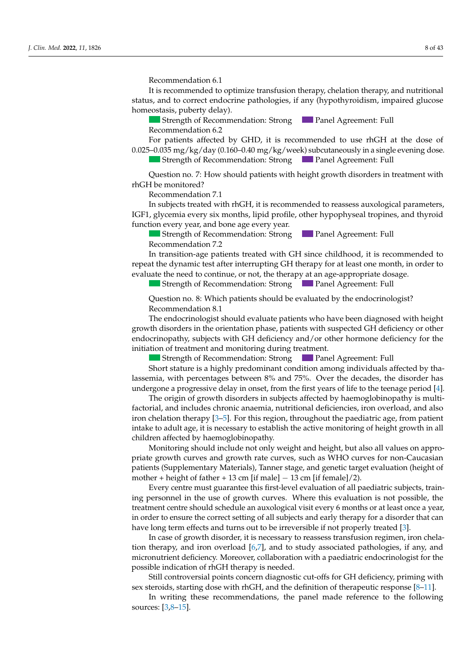Recommendation 6.1

Recommendation 12.3

It is recommended to optimize transfusion therapy, chelation therapy, and nutritional status, and to correct endocrine pathologies, if any (hypothyroidism, impaired glucose homeostasis, puberty delay).

 $\overline{\phantom{a}}$  , From what age and how often is screening for a height growth disor-

Strength of Recommendation: Strong Panel Agreement: Full Recommendation 6.2

For patients affected by GHD, it is recommended to use rhGH at the dose of  $0.025-0.035$  mg/kg/day (0.160–0.40 mg/kg/week) subcutaneously in a single evening dose.  $T_{\text{strank}}$  of Recommended screening mode is an accurate clinical and auxonometrical evaluations of Recommended in  $\mathbb{R}$ Strength of Recommendation: Strong Panel Agreement: Full

Question no. 7: How should patients with height growth disorders in treatment with rhGH be monitored? Question no. 7: How should patients with height growth disorders in treatment with rbGH be monitored?

Recommendation 7.1  $\overline{I}$  $\overline{I}$  $\overline{I}$  $\overline{I}$  $\overline{I}$  $\overline{I}$  $\overline{I}$  $\overline{I}$  $\overline{I}$  $\overline{I}$  $\overline{I}$  $\overline{I}$  $\overline{I}$  $\overline{I}$  $\overline{I}$  $\overline{I}$  $\overline{I}$  $\overline{I}$  $\overline{I}$  $\overline{I}$  $\overline{I}$  $\overline{I}$  $\overline{I}$  $\overline{I}$  $\overline{I}$  $\overline{I}$  $\overline{I}$  $\overline{$ 

Strength of Recommendation: StrongPanel Agreement: Full IGF1, glycemia every six months, lipid profile, other hypophyseal tropines, and thyroid function every year, and bone age every year. In subjects treated with rhGH, it is recommended to reassess auxological parameters,

Strength of Recommendation: Strong Panel Agreement: Full Recommendation 7.2  $S$ trength of  $R$ *Recommendation 7.2* 

- Status ≤ −1.5 Status strature and status and status and growth rate family target and growth rate (GR) status constraints the family of  $\overline{S}$  or  $\overline{S}$  or  $\overline{S}$  or  $\overline{S}$  or  $\overline{S}$  or  $\overline{S}$  or  $\overline{S}$  or repeat the dynamic test after interrupting GH therapy for at least one month, in order to evaluate the need to continue, or not, the therapy at an age-appropriate dosage.<br>
Strength of Recommendation: Strong<br>
Duestion no. 8 evaluate the need to continue, or not, the therapy at an age-appropriate dosage. In transition-age patients treated with GH since childhood, it is recommended to

Strength of Recommendation: Strong Panel Agreement: Full  $\mathcal{O}$  all values on appropriate growth curves  $\mathcal{O}$ 

Question no. 8: Which patients should be evaluated by the endocrinologist? Recommendation  $8.1$ 

The endocrinologist should evaluate patients who have been diagnosed with height endocrinopathy, subjects with GH deficiency and/or other hormone deficiency for the initiation of treatment and monitoring during treatment. growth disorders in the orientation phase, patients with suspected GH deficiency or other<br>endocrinopathy, subjects with GH deficiency and/or other hormone deficiency for the The endocrinologist should evaluate patients who have been diagnosed with height

Strength of Recommendation: Strong Panel Agreement: Full Panel Agreement: Full

Short stature is a highly predominant condition among individuals affected by thalassemia, with percentages between 8% and 75%. Over the decades, the disorder has undergone a progressive delay in onset, from the first years of life to the teenage period [\[4\]](#page-38-3).

The origin of growth disorders in subjects affected by haemoglobinopathy is multifactorial, and includes chronic anaemia, nutritional deficiencies, iron overload, and also or chelation therapy [3–5]. For this region, throughout the paediatric age, from patient<br>on chelation therapy [3–5]. For this region, throughout the paediatric age, from patient ntake to adult age, it is necessary to establish the active monitoring of height growth in all and the line of hildren affected by haemoglobinopathy. The origin of growth disorders in subjects affected by haemoglobinopathy is multion chalation therapy  $[3-5]$ . For this region, throughout the paediatric age, from patient intake to adult age, it is necessary to establish the active monitoring of height growth in all iron chelation therapy [3–5]. For this region, throughout the paediatric age, from patient  $R$  and  $R$  is the  $\frac{1}{2}$ . The  $\frac{1}{2}$  contribution of the contract control by haemoglobinopathy.

 $\frac{1}{4}$   $\frac{1}{4}$ ,  $\frac{1}{4}$ riale growin curves and growin fale curves, such as write curves for non-calcastant<br>cationis (Curvilen enterm Meteriale). Tenner alexa, and associations terral exclusion (beight of and variation de la distriction de la distriction de la distriction de la distriction de la distriction de la<br>Décembre de la distriction de la distriction de la distriction de la distriction de la distriction de la distr ancella by nachoghomopathy.<br>Streng placed dig de de not only weight on disciple best cleaned agr  $R_{\text{c}}$  arough curves and or  $\sigma$   $\alpha$  is experience that publishes that publishes  $\alpha$  and  $\alpha$  anotic target evaluation (height of therapy notice that the chronology  $\frac{13}{2}$  cm if males  $\frac{13}{2}$  cm if females (2) Monitoring should include not only weight and height, but also all values on appro-Montioring should include not only weight and neight, but also all values on appro-<br>riate growth curves and growth rate curves, such as WHO curves for non-Caucasian atients (Supplementary Materials), Tanner stage, and genetic target evaluation (neight of  $\mathbb{E}I + \text{negative}$  d  $\mathbb{E}I + \text{true}$  $R_{\text{R}}$ march anceled by nachoglobihopality.<br>Monitoring should include not only weight and height, but also all values on appronoring should include hot only weight and height, but also an va  $\Pr$  + neight of father + 1. Recommendation 4.1 panento (exppressionally materials), have stage, and genere differentially mother + height of father + 13 cm [if male] − 13 cm [if female]/2). momental meridiol increase the only weight and neight) such also an variate on approximate growth curves and growth rate curves, such as WHO curves for non-Caucasian prime growin ein ves and growin ride ein ves) start as with eart of for hen education.<br>patients (Supplementary Materials), Tanner stage, and genetic target evaluation (height of

 $\overline{S}$  Every centre must guarantee this first-level evaluation of all paediatric ng personnel in the use of growth curves. Where this evaluation is not possible, the treatment centre should schedule an auxological visit every 6 months or at least once a year, in order to ensure the correct setting of all subjects and early therapy for a disorder that can have long term eff[ect](#page-38-2)s and turns out to be irreversible if not properly treated [3].  $\frac{1}{4}$ . The function function  $\frac{1}{4}$ Every centre must guarantee this first-level evaluation of all paediatric subjects, training personnel in the use of growth curves. Where this evaluation is not possible, the<br>treatment centre should schedule an auxological visit every 6 months or at least once a year

In case of growth disorder, it is necessary to reassess transfusion regimen, iron chelaerapy, and iron over fultrient deficiency. Moreover, collaboration with a paediatric endocrinologist for the possible indication of rhGH therapy is needed. tion therapy, and iron overload [6,7], and to study associated pathologies, if any, and micronutrient deficiency. Moreover, collaboration with a paediatric endocrinologist for the

Still controversial points concern diagnostic cut-offs for GH deficiency, priming with  $i$ eroids, starting dose with rhGH, and the definition of the rapeutic response  $[8-11]$ . Still controversial points concern diagnostic cut-offs for GH deficiency, priming with sex steroids, starting dose with rhGH, and the definition of therapeutic response  $[8-11]$ .

In writing these recommendations, the panel made reference to the following sources:  $[3,8-15]$ . In writing these recommendations, the panel made reference to the following  $\begin{array}{c} 3.8 - 151 \end{array}$  $[S_0$ -13].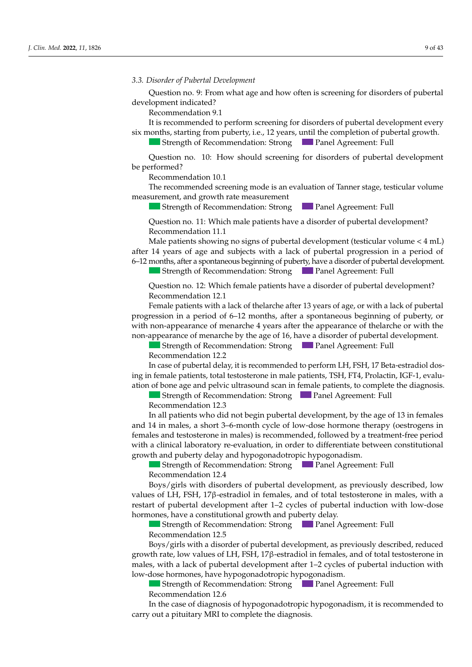3.3. Disorder of Pubertal Development

Question no. 9: From what age and how often is screening for disorders of pubertal development indicated?

**Recommendation 9.1** *n* 

It is recommended to perform screening for disorders of pubertal development every six months, starting from puberty, i.e., 12 years, until the completion of pubertal growth. *J.* It is recommendation 9.1<br>*J. It is recommended to perform screening for disorders of pubertal development every six months, starting from puberty, i.e., 12 years, until the completion of pubertal growth.<br>The Street S* 

Strength of Recommendation: Strong Panel Agreement: Full

Question no. 10: How should screening for disorders of pubertal development be performed? Question no. 10: How should screening for disorders of pubertal development<br>be performed?  $\epsilon$  performed?

Recommendation 10.1

The recommended screening mode is an evaluation of Tanner stage, testicular volume measurement, and growth rate measurement **Journal Properties Accommendation 10.1**<br>The recommended screening mode is an evaluation of Tanner stage, testicular volume measurement, and growth rate measurement<br>Strength of Recommendation: Strong **Panel Agreement: Full** 

Strength of Recommendation: Strong Panel Agreement: Full<br>Question no. 11: Which male patients have a disorder of pubertal development?

luestion no. 11: Which male patients have a disorder of pubertal devel Question no. 11: Which male patients have a disorder of pubertal development?<br>Recommendation 11.1  $\frac{1}{1}$  Recommendation 11.1 *LECONDITETION 4001*  $11.1$ 

Male patients showing no signs of pubertal development (testicular volume  $<$  4 mL)<br>fter 14 years of age and subjects with a lack of pubertal progression in a period of after 14 years of age and subjects with a lack of pubertal progression in a period of<br>6–12 months, after a spontaneous beginning of puberty, have a disorder of pubertal development.<br>Strength of Recommendation: Strong<br>Quest 6–12 months, after a spontaneous beginning of puberty, have a disorder of pubertal development.

Strength of Recommendation: Strong **Panel Agreement: Full** 

 $\sim$  Status  $\sim$  South rate  $\sim$  SD compared to the family target and growth rate (GR)  $\sim$   $\sim$  $\mu$ estion no. 12. vyhien remale - Status = Status = Status = Status = Status = Status = Status = Status = Status = Status = Status = Status = Status = Status = Status = Status = Status = Status = Status = Status = Status = Status = Status = Status = Sta  $\text{R}_{\text{R}}$  and  $\text{R}_{\text{R}}$  12.  $\text{M}_{\text{R}}$  is the set Question no. 12: Which female patients have a disorder of pubertal development?<br>Commendation: <sup>12.1</sup> Question no. 12: Which female patients have a disorder of pubertal development?<br>Pecommondation 12.1 Recommendation 12.1

that patients with a fact of the article after 19 years of  $\alpha$ - If no short status is present in a period of o−12 months, after a spontaneous beginning or puberty, or  $\frac{u_{11}}{u_{22}}$ Female patients with a lack of thelarche after 13 years of age, or with a lack of pubertal progression in a period of 6–12 months, after a spontaneous beginning of puberty, or ton-appearance of menarche 4 years after the appearance of thelarche non-appearance of menarche by the age of 16, have a disorder of pubertal development. with non-appearance of menarche 4 years after the appearance of the larche or with the Female patients with a lack of thelarche after 13 years of age, or with a lack of pubertal rogression in a period of 6–12 months, after a spontaneous beginning of puberty, or vith non-appearance of menarche 4 years after t

Strength of Recommendation: Strong Panel Agreement: Full<br>Recommendation 12.2 Recommendation 12.2

Net continue no at 12.2<br>In age of puberted delays it is suggested to reason and remain in TCI PCI 17 Deta estate dial des  $h_{\text{in}}$  formals nationals total ation of bone age and pelvic ultrasound scan in female patients, to complete the diagnosis. In case of pubertal delay, it is recommended to perform LH, FSH, 17 Beta-estradiol dos-<br>FOLL THE PLACE IS TO LATER A LIGHT OF LARGE AND THE PLACE OF LARGE AND RELEASE OF LARGE AND RELEASE OF LARGE A ing in female patients, total testosterone in male patients, TSH, FT4, Prolactin, IGF-1, evalu-

Strength of Recommendation: Strong Panel Agreement: Full<br>Recommendation 12.3  $\frac{1}{2}$ <br>Recommendation 12.3

Kecommendation 12.3<br>In all patients who did not begin pubertal development, by the age of 13 in females and 14 in males, a short 3–6-month cycle of low-dose hormone therapy (oestrogens in emales and testosterone in males) is recommended, followed by a treatment-free period vith a clinical laboratory re-evaluation, in order to differentiate between constitutional prowth and puberty delay and hypogonadotropic hypogonadism. stan patients who did not begin pubertal development, by the age of 15 in females with a clinical laboratory re-evaluation, in order to differentiate between constitutional Recommendation 12.5<br>In all patients who did not begin pubertal development, by the age of 13 in females ruit a chinear haberatory te evaluation, in order to unterentate between constitutional females and testosterone in males) is recommended, followed by a treatment-free period growth and puberty delay and hypogonadotropic hypogonadism.

**Extremgth of Recommendation: Strong Panel Agreement: Full** Recommendation 12.4  $\frac{1}{2}$ **Strength of Recomm** Following discription and the following cases is progonadism.<br>Cases of the following cases in the genetic target them to the genetic target of the genetic target of the gen  $\blacksquare$  Strength of Recommendation: Strong  $\blacksquare$  Panel Agreement: Full  $\sim$  ecommendation 12 in females who did not begin public age of 13 in females of 13 in females of 13 in females of 13 in females of 13 in females of 13 in females of 13 in females of 13 in females of 13 in females of 13

Boys/girls with disorders of pubertal development, as previously described, low values of LH, FSH, 17<sup>β</sup>-estradiol in females, and of total testosterone in males, with a estart of pubertal development after 1–2 cycles of pubertal induction with low-dose  $R_{\text{C}}$  recommendation: Streening for a subjective (and published age, with sim $h_{\text{ref}}$  growth disorder  $f_{\text{ref}}$ hormones, have a constitutional growth and puberty delay. example of ETT, TOTT, Type examined in Termines, and of total restoration in mattes, which is<br>restart of pubertal development after 1–2 cycles of pubertal induction with low-dose Recommendation 12.4<br>Boys/girls with disorders of pubertal development, as previously described, low

In the case that the abovementioned tests are normal, and the growth anomaly per-ultaneous evaluation of IgA); Strength of Recommendation: Strong Panel Agreement: Full  $\frac{1}{2}$  is recommended to perform IGF1 does not the evaluation of the evaluation of the evaluation of the evaluation of the evaluation of the evaluation of the evaluation of the evaluation of the evaluation of the evalu Recommendation 12.5  $\sum_{\text{I}}$   $\sum_{\text{I}}$   $\sum_{\text{I}}$   $\sum_{\text{I}}$   $\sum_{\text{II}}$   $\sum_{\text{II}}$   $\sum_{\text{II}}$   $\sum_{\text{II}}$   $\sum_{\text{II}}$   $\sum_{\text{II}}$   $\sum_{\text{II}}$   $\sum_{\text{II}}$   $\sum_{\text{II}}$   $\sum_{\text{II}}$   $\sum_{\text{II}}$   $\sum_{\text{II}}$   $\sum_{\text{II}}$   $\sum_{\text{II}}$   $\sum_{\text{II}}$   $\sum_{\text{II}}$   $\sum$  of the the thermal control of the theorem  $\sum$ Strength of Recommendation: Strong **Francisco Principal Agreement:** Full Strength of Recommendation: Strong Panel Agreement: Full  $\sim$  ecommendation 12.5

Recommendation 12.5<br>Boys/girls with a disorder of p males, with a lack of pubertal development after 1–2 cycles of pubertal induction with<br>low-dose hormones, have hypogonadotropic hypogonadism. hance, which a fact of place tan development after 1.2 cycles of place tan made tion with In rate, low values of LH, FSH, 17 $\beta$ -estradiol in females, and of total testosterone in<br>with a lask of pubertal development ofter 1,2 gydes of pubertal induction with - Phosphorus-calcium metabolism (calcium metabolism metabolism metabolism entre described phosphatase, PTH TCH Boys/girls with a disorder of pubertal development, as previously described, reduced<br>rowth rate low values of LH. FSH 176-estradiol in females, and of total testosterone in  $\frac{1}{2}$  and  $\frac{1}{2}$  are the set of LH, FSH, 17 $\beta$ -estradiol in females, and of total testosterone in *Let growth rate, low values of LH, FSH, 17β-estradiol in females, and of total testosterone in* 

Strength of Recommendation: Strong Panel Agreement: Full Recommendation 12.6 Strength of Recommendation: Strong Panel Agreement: Full

ecommendation 12.0<br>1 the case of diagnosis of hypogonadotropic hypogonadism, it is reco In the case of diagnosis of hypogonadotropic hypogonadism, it is recommended to In the case of anglossis of H<sub>J</sub> pogonaachopic HJ pogonaaism, it is carry out a pituitary MRI to complete the diagnosis. Recommendation 12.6<br>In the case of diagnosis of hypogonadotropic hypogonadism, it is recommended to  $\sim$  SD  $\sim$  SD with GR  $\sim$  SD  $\sim$  SD evaluated at least 6 months apart, or status  $\sim$ a disorder of unique of pubertal development, as prepionees and the contract of the series of the series of public development, and the contract of the contract of the series of the disorder of the contract of the contract In the case of diagnosis of hypogonadotropic hypogonadism, it is recommended to carry out a pituitary MRI to complete the diagnosis.  $T_{\rm{max}}$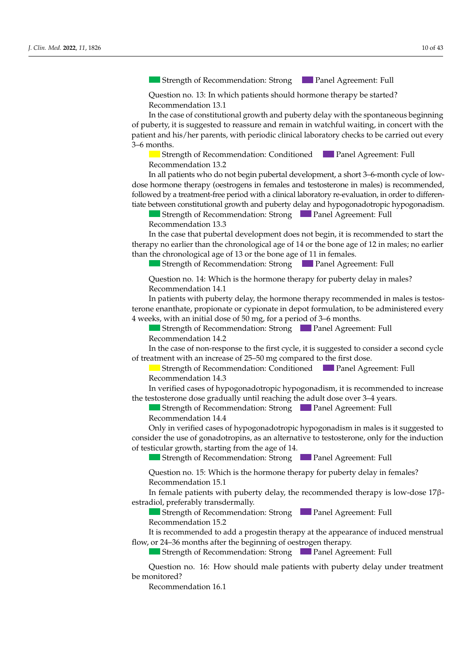Strength of Recommendation: Strong **Panel Agreement: Full** 

*J. Clin. Med.* **2022**, *11*, x FOR PEER REVIEW 10 of 46

Question no. 13: In which patients should hormone therapy be started? Recommendation 13.1

In the case of constitutional growth and puberty delay with the spontaneous beginning of puberty, it is suggested to reassure and remain in watchful waiting, in concert with the patient and his/her parents, with periodic clinical laboratory checks to be carried out every  $p_{\text{points}}$  is non-caucasian patients) and comparing them to the generic target. The generic target  $q_{\text{data}}$  is non-caucasian patients of  $q_{\text{data}}$  is non-caucasian patients.  $\mathsf{ths.}$ 3–6 months.  $n_{\rm{th}}$  and public delay and hypogonadotropic hypogonadotropic hypogonadotropic hypogonadotropic hypogonadism.

months starting from patient intervals from patient intervals of height growth growth growth growth growth and

with a clinical laboratory re-evaluation, in order to differentiate between constitution, in order to differen

Strength of Recommendation: Conditioned Panel Agreement: Full Recommendation 13.2 Recommendation 13.2  $\alpha$  *J. Clinical Lecturing 10.12*,  $\alpha$ 

In all patients who do not begin pubertal development, a short 3-6-month cycle of lowdose hormone therapy (oestrogens in females and testosterone in males) is recommended, followed by a treatment-free period with a clinical laboratory re-evaluation, in order to differentiate between constitutional growth and puberty delay and hypogonadotropic hypogonadism. Reconstruction at

<del>■ Strength of Kecommendation: Strong ■ Panel Agreement: Full</del> Recommendation 13.3 Strength of Recommendation: Strong  $\blacksquare$  Panel Agreement: Full

- In the case that pubertal development does not begin, it is recommended to start the  $\frac{1}{2}$  so called than the chronological age of 14 of the bone  $\frac{1}{2}$  and the chronological age of 15 or the bone age of 11 in females.  $\sum_{i=1}^{n}$  of diagnosis of  $\sum_{i=1}^{n}$  is recommended to  $\sum_{i=1}^{n}$ m are ease and putuituit development does not b than the chronological age of 13 or the bone age of 11 in females. In the case that pubertal development does not begin, it is recommended to start the the case that pubertan development does not began, it is recommended to start the<br>therapy no earlier than the chronological age of 14 or the bone age of 12 in males; no earlier

Strength of Recommendation: Strong Teach and Agreement: Full  $\mathbf{r}$  and  $\mathbf{r}$  and  $\mathbf{r}$  composed of pubertal development after  $\mathbf{r}$  cycles of public  $\mathbf{r}$  is public to  $\mathbf{r}$  cycles of public  $\mathbf{r}$  cycles of public  $\mathbf{r}$  cycles of public  $\mathbf{r}$  cycles of pu low-dose hormones, have hypogonadotropic hypogonadism. Strength of Recommendation: Strong Panel Agreement: Full  $\mathcal{O}$  all values on appropriate growth curves  $\mathcal{O}$ **Panel Agreement: Full** 

Question no. 14: Which is the hormone therapy for puberty delay in males? Recommendation 14.1 Strength of Recommendation: StrongPanel Agreement: Full Question no. 14: Which is the hormone therapy for puberty delay in males?<br>Recommendation 14.1

In patients with puberty delay, the hormone therapy recommended in males is testosterone enanthate, propionate or cypionate in depot formulation, to be administered every weeks, with an initial dose In the case of diagnosis of the case of the case of the case of the case of the case of the case of the case of the case of the case of the case of the case of the case of the case of the case of the case of the case of th 4 weeks, with an initial dose of 50 mg, for a period of 3–6 months. In patients with puberty delay, the hormone therapy recommended in males is testos-

Strength of Recommendation: Strong Panel Agreement: Full Recommendation 14.2

In the case of non-response to the first cycle, it is suggested to consider a second cycle of treatment with an increase of 25–50 mg compared to the first dose. Strength of Recommendation: StrongPanel Agreement: Full In the case of non-response to the first cycle, it is suggested to consider a second cycle

Strength of Recommendation: Conditioned Panel Agreement: Full Recommendation 14.3 produced and chemical examination of urine;  $\mathbf{r}$  using  $\mathbf{r}$  using  $\mathbf{r}$  using  $\mathbf{r}$  using  $\mathbf{r}$  using  $\mathbf{r}$  using  $\mathbf{r}$  using  $\mathbf{r}$  using  $\mathbf{r}$  using  $\mathbf{r}$  using  $\mathbf{r}$  using  $\mathbf{r}$  usi Recommendation 14.3  $\frac{1}{\sqrt{h}}$  the patient and his/her parents, with periodic commentation  $\frac{1}{\sqrt{h}}$  and  $\frac{1}{\sqrt{h}}$  carried checks to be carried checks to be carried checks to be carried checks to be carried checks to be carried check tion of  $\mathcal{L}$  is the solution of  $\mathcal{L}$  years of  $\mathcal{L}$  years of  $\mathcal{L}$  years of  $\mathcal{L}$ 

In verified cases of hypogonadotropic hypogonadism, it is recommended to increase e testosterone dose gradually until reaching the adult dose over 3–4 years.<br>  $\begin{bmatrix} 1 & 0 \\ 0 & 0 \end{bmatrix}$ vermed cases of hypog - If no short status status is present status in the second of the status of the second increase In verified cases of hypogonadotropic hypogonadism, it is recommended to increase particular to form  $\frac{1}{2}$  for  $\frac{1}{2}$  for  $\frac{1}{2}$  and  $\frac{1}{2}$  for  $\frac{1}{2}$  for  $\frac{1}{2}$   $\frac{1}{2}$  vertical target. In verified cases of hypogonadotropic hypogonadism, it is recommended to increase the testosterone dose gradually until reaching the adult dose over 3–4 years.

 $\blacksquare$  Strength of Recommendan Strength of Recommendation: Strong Panel Agreement: Full Recommendation 14.4 Eurosterone dose gradually dinfinited and at least every 3–6 jeans.<br>Strength of Recommendation: Strong Panel Agreement: Full **Strength of Recommendation: Strong <b>Panel Agreement: Full** - Status ≤ Secommendation 14.4<br>- Status at least 6 months and status for status and status reduc-status for status reduc-status for status an Strength of Recommendation: Strong  $\Box$  Panel Agreement: Full Recommendation 14.4

recommentation 14.4<br>Only in verified cases of bypogonadotropic hypogonadism in males is it suggested to only in vermed cases of hypogonal abrophe hypogonalism in males is resuggested to<br>onsider the use of conadotropins, as an alternative to testosterone, only for the induction of testicular growth, starting from the age of 14. structured cases of hypogonadotropic hypogonadism in males is f verified cases of bypogonado tropic bypogonadism in males is it suggested to Only in verified cases of hypogonadotropic hypogonadism in males is it suggested to onsider the use of gonadotrophis, as an alternative to testosterone, only for the induction<br>- I testimalize wearth, eterting from the care of 14. they in vermed cases of hypogonadoliopic hypogonadis Recommendation 17.7 Fut in vertice cases of hypogonacologie hypogonacism in males is.<br>or the use of gonadotroning as an alternative to tectosterone, only for  $A$  here are or gondard to prior in the following cases: consider the use of gonadotropins, as an alternative to testosterone, only for the induction of testicular growth, starting from the age of 14.  $\epsilon$  rined cases of hypogonadotropic hypogonadism in males is it suggests. Only in verified cases of hypogonadotropic hypogonadism in males is it suggested to Recommendation 14.4<br> *Only in verified cases of hypogonadotropic hypogonadism in males is it suggested to*<br>
consider the use of gonadotropins, as an alternative to testosterone, only for the induction<br>
of testicular growth consider the use of gonadotrophis, as an anerhanve to testosterone, only for the induction

Strength of Recommendation: Strong **Panel Agreement: Full** Strength of Recommendation: Strong Panel Agreement: Full  $\sigma$   $\sigma$  $B_0$  and  $\alpha$  disorder of public with a disorder of public development, as  $\alpha$  public descriptions of  $\alpha$  reduced,  $\alpha$  reduced,  $\alpha$  reduced,  $\alpha$  reduced,  $\alpha$  reduced,  $\alpha$  reduced,  $\alpha$  reduced,  $\alpha$  reduced,  $\alpha$   $\epsilon$  such an extending rate  $\epsilon$  and  $\epsilon$  is total testoric in females, and of the total testosterone in  $\epsilon$  $\blacksquare$  Strongth of Becommondation: Strong Strength of Recommendation: Strong Panel Agreement: Full

In the case that the above mentioned tests are not the growth anomaly per-Question no. 15: Which is the hormone therapy for puberty delay in females? Recommendation 15.1  $\frac{1}{2}$  is recommended to monitor the response to our comment therapy through the evaluation. otropic hypogonadism. Question no. 15: Which is the hormone therapy for puberty delay in females  $\sim$  Ouestion no. 15: Which is the hormone therapy for puberty delay in females?  $\mu$  are  $\mu$  and  $\mu$  and  $\mu$  are  $\mu$  $\sum_{i=1}^{\infty}$ Question no. 15: Which is the hormone therapy for puberty delay in females? Strength of Recommendation: StrongPanel Agreement: Full

In female patients with puberty delay, the recommended therapy is low-dose  $17\beta$ -<br>tradial professive transformally  $\frac{1}{2}$  is contained the process of  $\frac{1}{2}$  and  $\frac{1}{2}$  are contained to the process of  $\frac{1}{2}$  and  $\frac{1}{2}$  and  $\frac{1}{2}$  are  $\frac{1}{2}$  and  $\frac{1}{2}$  and  $\frac{1}{2}$  are  $\frac{1}{2}$  and  $\frac{1}{2}$  and  $\frac{1}{2}$  are Recommendation 15.1<br>In female patients with puberty delay, the recommended therapy is low-dose  $17\beta$ estradiol, preferably transdermally. Stradiol, preferably transdermally.<br>
Strength of Recommendation: Strong<br>
Panel Agreement: Full the of 0.5 September 11 September 11 September 2 years of 2 years of 2 years of 2 years of 2 years of 2 years o<br>Contract to 2 years of 2 years of 2 years of 2 years of 2 years of 2 years of 2 years of 2 years of 2 years of Recommendation 15.1 The puberty delay, the recommended therapy is low-d In female patients with puberty delay, the recommended therapy is low-dose  $17\beta$ -

Strength of Recommendation: Strong **Panel Agreement: Full** Recommendation 15.2 commentation 19.2<br>Concerning ded to cold complete the manual the com Strength of Recommendation: Strong Panel Agreement: Full<br>Recommendation 15.2<br>It is recommended to add a progestin therapy at the appearance of induced menstrual

Kecommendation 15.2<br>It is recommended to add a progestin therapy at the appearance of indu Strength of Recommendation: Strong Panel Agreement: Full Strength of Recommendation: Strong Panel Agreement: Full It is recommended to add a progestin therapy at the appearance of induced menstrual In the case of non-response to the first cycle, it is suggested to consider a second cycle or months and no regnamize of occurrence the horses. It is recommended to add a progestin therapy at the appearance of induced menstrual<br>law as 24.26 weather that has included a footback who has the continuous continuous subsequence of  $\sim$ Streemlinended to date a progressive incrupy at the appearance of mat flow, or 24–36 months after the beginning of oestrogen therapy.  $\Gamma$  Cuestion no. 5: Which evaluation no. 5: Which evaluations are recommended in the case of  $\Gamma$  case of  $\Gamma$  case of  $\Gamma$  case of  $\Gamma$  case of  $\Gamma$  case of  $\Gamma$  case of  $\Gamma$  case of  $\Gamma$  case of  $\Gamma$  case of  $\Gamma$  case

 $\sim$  of treatment with an increase of  $\sim$  1 and *p* second to the  $\sim$ Recommendation 14.1 - Phosphorus-calcium metabolism (calcium, phosphorus, alkaline phosphatase, PTH  $R$  $\mathcal{L}_{\mathcal{D}}$  develops not begin, it is recommended to start the start theorem is recommended to start the start theorem is recommended to start the start theorem is recommended to start the start theorem is recommended  $\blacksquare$  Strength of Kecommendation: Strong  $\blacksquare$  Panel Agreement: Full Strength of Recommendation: Strong Panel Agreement: Full  $\mathcal{O}$  and sitting, growth,  $\mathcal{O}$  carried out every sixteed out every sixteed out every sixteed out of  $\mathcal{O}$ 

Question no. 18: Which patients should be evaluated by the endocrinologist? Question no. 16: How should male patients with puberty delay under treatment  $\sum_{i=1}^n a_i$  all patients with public with public  $\sum_{i=1}^n a_i$  be referred to an endocrinol $t_{\rm{rot}}$  $\theta$  and  $\theta$ be monitored?  $\sum_{i=1}^n a_i$  is the optimal to check the optimal to check the optimal to check the optimal to check the optimal to check the optimal to check the optimal to check the optimal to check the optimal to check the optimal to  $\mathbf{C}$  to  $\mathbf{C}$   $\mathbf{C}$   $\mathbf{C}$   $\mathbf{C}$   $\mathbf{C}$   $\mathbf{C}$   $\mathbf{C}$   $\mathbf{C}$   $\mathbf{C}$   $\mathbf{C}$   $\mathbf{C}$   $\mathbf{C}$   $\mathbf{C}$   $\mathbf{C}$   $\mathbf{C}$   $\mathbf{C}$   $\mathbf{C}$   $\mathbf{C}$   $\mathbf{C}$   $\mathbf{C}$   $\mathbf{C}$   $\mathbf{C}$   $\mathbf{C}$   $\$  $\rm d$ ?  $\mathbf{S}$  strength of  $\mathbf{R}$  and  $\mathbf{S}$   $\mathbf{S}$   $\mathbf{S}$  and  $\mathbf{S}$   $\mathbf{S}$  and  $\mathbf{S}$  and  $\mathbf{S}$  and  $\mathbf{S}$  are  $\mathbf{S}$  and  $\mathbf{S}$  and  $\mathbf{S}$  are  $\mathbf{S}$  and  $\mathbf{S}$  and  $\mathbf{S}$  are  $\mathbf{S}$  and  $\mathbf$ A height distribution of the following cases. The following cases is present in the following cases.  $\Omega$  laction no. 16: How should male patients with puberty delay under treatment Question no. 16: How should male patients with puberty delay under treatment  $p_{\text{m}}$  for non-Caucasian patients,  $\mathcal{L}_{\text{m}}$  and comparing them to the generic target.  $\mathbf{C}$ Question no. 16: How should male patients with puberty delay under treatment onitored?

recommendation 16.1 Recommendation 16.1  $S$ <sup>1</sup>  $\alpha$ <sub>1</sub>  $\alpha$ <sub>1</sub>  $\alpha$ <sub>1</sub>  $\alpha$ <sub>1</sub>  $\alpha$ <sub>1</sub>  $\alpha$ <sub>1</sub>  $\alpha$ <sub>1</sub>  $\alpha$ <sub>1</sub>  $\alpha$ <sub>1</sub>  $\alpha$ <sub>1</sub>  $\alpha$ <sub>1</sub>  $\alpha$ <sub>1</sub>  $\alpha$ <sub>1</sub>  $\alpha$ <sub>1</sub>  $\alpha$ <sub>1</sub>  $\alpha$ <sub>1</sub>  $\alpha$ <sub>1</sub>  $\alpha$ <sub>1</sub>  $\alpha$ <sub>1</sub>  $\alpha$ <sub>1</sub>  $\alpha$ <sub>1</sub>  $\alpha$ <sub>1</sub>  $\alpha$ <sub>1</sub>  $\alpha$ <sub>1</sub>  $\alpha$ <sub>1</sub>  $\alpha$ <sub>1</sub>  $\alpha$ <sub>1</sub> monitored? Strength of Recommendation: Total **Panel Agreement: Fuller**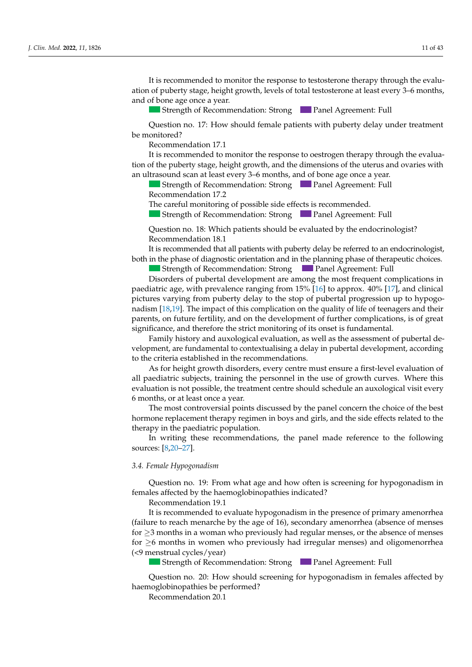It is recommended to monitor the response to testosterone therapy through the evaluation of puberty stage, height growth, levels of total testosterone at least every 3–6 months,<br>and of bone age once a year.<br>**Example:** Strong **Example 19** Panel Agreement: Full<br>Ouestion po. 17: How should female patients w and of bone age once a year.

In all patients who did not begin pubertal development, by the age of 13 in females

**8.2. Strength of Recommendation: Strong Panel Agreement: Full** 

Question no. 17: How should female patients with puberty delay under treatment be monitored? Recommendation 17.1 Question no. 17: How should female patients with puberty delay under treatment<br>opitored?  $\frac{1}{1}$  in females who did not begin publicated development, by the age of 13 in females of 13 in females of 13 in females of 13 in females of 13 in females of 13 in females of 13 in females of 13 in females of 13 in fe

der indicated? In the second control of the second control of the second control of the second control of the

It is recommended to monitor the response to oestrogen therapy through the evaluation of the puberty stage, height growth, and the dimensions of the uterus and ovaries with an ultrasound scan at least every 3–6 months, and of bone age once a year.

Strength of Recommendation: Strong Panel Agreement: Full Recommendation 17.2

The careful monitoring of possible side effects is recommended.

Strength of Recommendation: Strong Panel Agreement: Full  $\sigma$  recommended screening mode is an accurate clinical and auxorate clinical and auxorate clinical evaluation  $\sigma$ 

Strength of Recommendation: Strong Tamel Agreement: Full<br>Question no. 18: Which patients should be evaluated by the endocrinologist?  $\alpha$  Recommendation 18.1

It is recommended that all patients with puberty delay be referred to an endocrinologist, both in the phase of diagnostic orientation and in the planning phase of therapeutic choices.

Strength of Recommendation: Strong Panel Agreement: Full

Disorders of pubertal development are among the most frequent complications in paediatric age, with prevalence ranging from 15% [16] to approx. 40% [17], and clinical pictures varying from puberty delay to the stop of pubertal progression up to hypogo $r_{\text{radism}}$  [18,19]. The impact of this complica[tio](#page-38-13)n on the quality of life of teenagers and their ignificance, and therefore the strict monitoring of its onset is fundamental. parents, on future fertility, and on the development of further complications, is of great significance, and therefore the strict monitoring of its onset is fundamental.

Family history and auxological evaluation, as well as the assessment of pubertal derunny nistery and autorogical evaluation, as well as the assessment of pubertal de-<br>relopment, are fundamental to contextualising a delay in pubertal development, according the criteria established in the recommendations.  $\sum_{i=1}^{N}$  of  $\sum_{i=1}^{N}$  is the parameter  $\sum_{i=1}^{N}$ to the criteria established in the recommendations. velopment, are fundamental to contextualising a delay in pubertal development, according<br>to the vitaria established in the reconous addiance

As for height growth disorders, every centre must ensure a first-level evaluation of If paediatric subjects, training the personnel in the use of growth curves. Where this evaluation is not possible, the treatment centre should schedule an auxological visit every  $\frac{1}{2}$  6 months, or at least once a year.  $\mu$ <sub>s</sub> or at reast once a year. As for height growth disorders, every centre must ensure a first-level evaluation of all paediatric subjects, training the personnel in the use of growth curves. Where this evaluation is not possible, the treatment centre should schedule an auxological visit every

I he most controversial points discussed by the panel concern the choice of the best formone replacement therapy regimen in boys and girls, and the side effects related to the local simby in the pactuative population he host controverse Reception there The most controversial points discussed by the panel concern the choice of the best hormone replacement therapy regimen in boys and girls, and the side effects related to the strength of Recommendations and agreement agreements of the following therapy in the paediatric population.

The writing these recommend burces.  $[0, \pm 0.2]$ . strength of Recommendations.<br>In the recommendations the nonel made reference to the following  $\frac{8}{18.30-271}$ In the case that public development does not begin, it is recommended to start the start theorem in the start theorem in the start theorem in the start theorem in the start theorem in the start theorem in the start theore m with the the technological of the path made tele - Pretransfusion Hb; 13.2 In all patients who do not begin publicated development, a short 3–6-month cycle of low-dose hormone therapy (or low-dose hormone therapy (or low-dose hormone in  $\frac{1}{2}$ ) is recombined in the short 3–6-month cycle In writing these recommendations, the panel made reference to the following  $\text{sources: } [8,20–27].$  $\mathcal{L}_{\mathcal{A}}$  and  $\mathcal{L}_{\mathcal{A}}$  is tarted. In which patients shown be started?  $J_0/20$   $J_1/2$   $J_2/3$ 

#### 3.4. Female Hypogonadism  $\frac{1}{\sqrt{2}}$  for  $\frac{1}{\sqrt{2}}$ Strength of Recommendation: StrongPanel Agreement: Full

resuon no. 19. From what age and now often is screeming for hyperfemales affected by the haemoglobinopathies indicated?<br>Between a lating 10.1 - Hepatic and renal function, electrolytes, total proteins, and protein electrophoresis, Question no. 19: From what age and how often is screening for hypogonadism in mended, followed by a treatment-free period with a clinical laboratory re-evaluation, in In the case of constitutional growth and puberty delay with the spontaneous begin-

Recommendation 19.1

sistes, it is recommended to perform IGF1 does not the evaluation of the evaluation of the evaluation of the evaluation of the evaluation of the evaluation of the evaluation of the evaluation of the evaluation of the evalu Recommendation 12.1<br>It is recommended to evaluate  $S_0 \geq 3$  months in a woman who previously had regular menses, or the absence of menses  $\alpha$ . or  $\geq$ 6 months in women who previously had irregular menses) and olice  $\geq$ 9 months. The strong Panel Agreement:  $\geq$ 9 months. The strong Panel Agreement: Full Agreement: Full Agreement: Full Agreement: Full Agreement  $\left(\langle 9 \text{ menstrual cycles}/\text{year}\right)$ failure to reach menarche by the age of 16), secondary amenorrhea (absence of menses  $\frac{1}{2}$  it is recommended to evaluate. Recommendation 19.1<br>It is recommended to evaluate hypogonadism in the presence of primary amenorrhea recommendation  $\frac{1}{2}$  months in a woman who proviously had requier monses, or the absence of menses  $t_{\rm max}$  is months in women who previously had irregular menses) and oligomenorrheagers. railure to reach menarche by the age of 16), secondary amenormea (absence of menses  $\alpha$  months in a woman who previously had regular menses, or the absorbement:  $\alpha$  $\frac{1}{20}$  months in women who pro It is recommended to evaluate hypogonadism in the presence of primary amenormea Recommendation 5.1 It is recommended to evaluate hypogonadism in the presence of primary amenorrhea<br>silure to reach monographs by the age of  $16$ ) assembly monographs (absence of monographs) for  $\geq$ 3 months in a woman who previously had regular menses, or the absence of menses for  $\geq$ 6 months in women who previously had irregular menses) and oligomenorrhea (failure to reach menarche by the age of 16), secondary amenorrhea (absence of menses)

**Clouding tests as depending the commendation:** Strong **Clouding Clouding Contracts** Events, Fig. Strength of Recommendation: Strong **Panel Agreement: Full**  $\blacksquare$  dividend in  $\blacksquare$  Strength of Recommendation: Strong  $\blacksquare$  Panel Agreement: Full  $\sigma$  earlier than the chronological age of 14 or the bone age of 14 or the bone age of 12 in males; no earlier than  $\sigma$ Strength of Recommendation: Strong Panel Agreement: Full

Question no. 20: How should screening for hypogonadism in females affected by haemoglobinopathies be performed?<br>  $\frac{1}{2}$ Question no. 20: How should screening for hypogonadism in females affected by physical and chemical examination of urine;  $\frac{1}{2}$ Question no. 20: How should screening for hypogonadism in females affected by order to differentiate between constitutional growth and puberty delay and hypogonad-

Strength of Recommendation: StrongPanel Agreement: Full Recommendation 20.1  $\Gamma$  the commentioned tests are not the growth and the growth anomaly per-Recommendation 13.3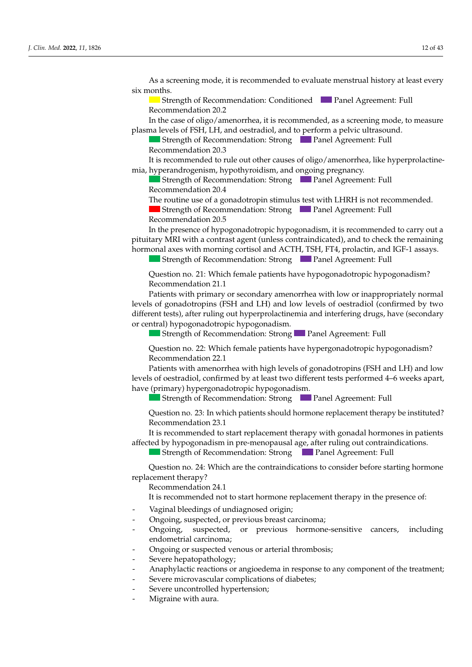As a screening mode, it is recommended to evaluate menstrual history at least every six months.  $n_{\rm{th}}$ As a screening mode, it is recommended to evaluate menstrual history at least every<br>six months.  $\mathsf{h}$ s.

and 14 in males, a short 3–6-month cycle of low-dose hormone therapy (oesterogens in  $\mathcal{A}$ 

Strength of Recommendation: Conditioned Panel Agreement: Full Recommendation 20.2  $\alpha$  *J. Climation 20.2* 

Recommendation 20.1

In the case of oligo/amenorrhea, it is recommended, as a screening mode, to measure plasma levels of FSH, LH, and oestradiol, and to perform a pelvic ultrasound.

Strength of Recommendation: Strong Panel Agreement: Full Recommendation 20.3  $\Gamma$  suenguror recommendent

Recommendation 14.4 Is recommended to rule out other causes of ongo, antenormea, like hyperprotactine-It is recommended to rule out other causes of oligo/amenorrhea, like hyperprolactinemia, hyperandrogenism, hypothyroidism, and ongoing pregnancy. ting recommended to function enter causes of ongo/amenomica, me It is recommended to rule out other causes of oligo/amenorrhea, like hyperprolactine-

to consider the use of gonal of gonal of gones of gonal constants, as an alternative to the induc $t_{\text{scum}}$  of the commentation strong  $t_{\text{scum}}$ recommendation of Basement and  $B_0$  of  $\alpha$  disorder of public development, as previously development,  $\alpha$  and  $\alpha$  and  $\alpha$  and  $\alpha$  and  $\alpha$  and  $\alpha$  and  $\alpha$  and  $\alpha$  and  $\alpha$  and  $\alpha$  and  $\alpha$  and  $\alpha$  and  $\alpha$  and  $\alpha$  and  $\alpha$  and  $\alpha$  and  $\alpha$  $\blacksquare$  Strength of Recommendation: Strong  $\blacksquare$  Panel Agreement: Full  $\alpha$  Recommendation 20.4

The routine use of a gonadotropin stimulus test with LHRH is not recommended Strength of Recommendation: Strength of Recommendation: Panel Agreement: Full Agreement: Full Agreement: Full Agreement: Full Agreement: Full Agreement: Full Agreement: Full Agreement: Full Agreement: Full Agreement: Full The routine use of a gonadotropin stimulus test with LHRH is not recommended.

 $\blacksquare$  strength of Necommendation: strong  $\blacksquare$  in famely agreement: Full Recommendation 15.1 Strength of Recommendation: StrongPanel Agreement: Full Recommendation 12.5  $\mathbf{r}$  cannot a lack of pubertal development after  $\mathbf{r}$   $\mathbf{p}$  can be  $\mathbf{r}$  compared that  $\mathbf{r}$  is  $\mathbf{p}$  compared that  $\mathbf{r}$  is  $\mathbf{p}$  compared that  $\mathbf{r}$  is  $\mathbf{r}$  and  $\mathbf{r}$  compared that  $\$  $\frac{1}{2}$  correspondent to the continuum correspondent to the  $\frac{1}{2}$ patients, Who for the general patients is the genetic target the genetic target. The genetic target of the genetic target of the genetic target of the genetic target. The genetic target of the genetic target of the genetic Strength of Recommendation: Strong Panel Agreement: Full<br>Recommendation 20.5 Recommendation 20.5

In the presence of hypogonadotropic hypogonadism, it is recommended to carry out a in the presence of hypogonacolopic hypogonacism, it is recommended to early out a<br>bituitary MRI with a contrast agent (unless contraindicated), and to check the remaining Strength of Recommendation: Strong Panel Agreement: Full hormonal axes with morning cortisol and ACTH, TSH, FT4, prolactin, and IGF-1 assays. pituitary MRI with a contrast agent (unless contraindicated), and to check the remaining

Recommendation 15.2 Strength of Recommendation: Strong Panel Agreement: Full Strength of Recommendation: Strong Panel Agreement: Full

Question no. 21: Which female patients have hypogonadotropic hypogonadism?  $\frac{1}{2}$   $\frac{1}{2}$  months after the beginning of oestern the beginning of oestern the beginning of oestern the beginning of oestern the beginning of oestern the beginning of oestern the beginning of  $\frac{1}{2}$  $\mathsf{mean}(21.1)$ Question no. 21: Which female patients have hypogonadotropic hypogonadism?  $\mathcal{L}$  and  $\mathcal{L}$  consequences  $\mathcal{L}$  and  $\mathcal{L}$  are  $\mathcal{L}$  and  $\mathcal{L}$  are  $\mathcal{L}$  are  $\mathcal{L}$  and  $\mathcal{L}$  are  $\mathcal{L}$  are  $\mathcal{L}$  and  $\mathcal{L}$  are  $\mathcal{L}$  are  $\mathcal{L}$  and  $\mathcal{L}$  are  $\mathcal{L}$  are  $\mathcal$ Question no. 21: Which female patients have hypogonadotropic hypogonadism?<br>Recommendation 21.1  $\sum_{i=1}^{n}$  the case of diagnosis of  $\sum_{i=1}^{n}$  is recommended to  $\sum_{i=1}^{n}$  is recommended to  $\sum_{i=1}^{n}$  is recommended to  $\sum_{i=1}^{n}$  is recommended to  $\sum_{i=1}^{n}$  is recommended to  $\sum_{i=1}^{n}$  is recommended Recommendation 21.1 Question no. 21: Which female patients have hypogonadotropic hypogonadism?<br>Recommendation 21.1  $\alpha$  *Lecontribution*  $\alpha$  *Li*. *I* 

Street with primary of secondary amenomica with low of mapping ifferent tests), after ruling out hyperprolactinemia and interfering drugs, have (secondary or central) hypogonadotropic hypogonadism. require to which the primary or second vels of gonadotropins (FSH and LH) and low levels of oestradiol (confirmed by two<br>Controlled by two −2 Statuents with primary or secondary amenormea with low or inappropriately normal Patients with primary or secondary amenorrhea with low or inappropriately normal Fiferent tests), after ruling out hyperprolactinemia and interfering drugs, have (secondary  $\frac{1}{2}$  diagnosis of  $\frac{1}{2}$  diagnosis of  $\frac{1}{2}$  is  $\frac{1}{2}$  is recommended to  $\frac{1}{2}$  is recommended to  $\frac{1}{2}$  is recommended to  $\frac{1}{2}$  is recommended to  $\frac{1}{2}$  is recommended to  $\frac{1}{2}$  is recommend levels of gonadotropins (FSH and LH) and low levels of oestradiol (confirmed by two  $\mathcal{L}_{\text{total}}$  of gonal support  $\mathcal{L}_{\text{total}}$  and  $\mathcal{L}_{\text{total}}$  and  $\mathcal{L}_{\text{total}}$  and  $\mathcal{L}_{\text{total}}$  (confirmed by two formulations) and interfering drugs have (coordants different tests), after ruling out hyperprolactinemia and interfering drugs, have (secondary<br>or control) hypogenadotropic hypogenadicm **J. J. A. Clin. 2022** J. Clin. Med. 2021 and Level and Level and low levels of oestradiol (confirmed by two different tests), after ruling out hyperprolactinemia and interfering drugs, have (secondary or central) hypogonad

■ Strength of Recommendation: Strong ■ Panel Agreement: Full Carry of Recommendation. Though the diagnosis  $\blacksquare$  Stropeth of Recommondation: Strope $\blacksquare$  D Strength of Recommendation: Strong Panel Agreement: Full

uestion no. 22: Which female patients have hypergonadotropic hypogonadism? Recommendation 22.1 Question no. 22: Which female patients have hypergonadotropic hypogonadism?  $B<sub>1</sub>$  and  $B<sub>2</sub>$  and  $B<sub>2</sub>$  in this dependent public development, as previous dependence dependent  $r$ Question no. 22: Which female patients have hypergonadotropic hypogonadism?<br>Pecommendation 22.1 Question no. 22: Which female patients have hypergonadotropic hypogonadism?<br>Recommendation 22.1

Recommendation 22.1<br>Patients with amenorrhea with high levels of gonadotropins (FSH and LH) and low levels of oestradiol, confirmed by at least two different tests performed 4–6 weeks apart, have (primary) hypergonadotropic hypogonadism.

public y rights of the conduction of the public female patients with public patients with public public public <br>Channels of December of the Channel bell and the public public public public public public public public publi Strength of Recommendation: Strong Panel Agreement: Full **Panel Agreement: Full** 

Question no. 23: In which patients should hormone replacement therapy be instituted? Recommendation 23.1  $Q$ uestion no. 25. m Recommendation 13.1  $I$  deshon no. 25. In which patients should normore replacement therapy be instituted:  $\begin{bmatrix} 1 & 1 & 1 \\ 0 & 0 & 0 \end{bmatrix}$ Question no. 25. In which patients should normone replacement therapy be instituted: tion of  $\frac{1}{1}$  in the state of  $\frac{1}{1}$  years of  $\frac{1}{1}$  years of  $\frac{1}{1}$  years of  $\frac{1}{1}$  years of  $\frac{1}{1}$  years of  $\frac{1}{1}$  years of  $\frac{1}{1}$  years of  $\frac{1}{1}$  years of  $\frac{1}{1}$  years of  $\frac{1}{1}$  years In the case of diagnosis of the case of diagnosis of the case of the case of the control of the control of the control of the control of the control of the control of the control of the control of the control of the contro Question no. 23: In which patients should hormone replacement therapy<br>Recommendation: 22.1 Question no. 23: In which patients should hormone replacement therapy be instituted.<br>Recommendation 23.1 Question no. 23: In which patients should hormone replacement therapy be instituted?<br>Recommendation 23.1

Recommendation 25.1<br>It is recommended to start replacement therapy with gonadal hormones in patients offected by hypogonadism in pre-menopausal age, after ruling out contraindications. with the patient and his recommended to start replacement therapy with gondia normones in patients out even by hypogonaaism in pre-menopausal age, after ruling out contrainal<br>Changeline Show at her Changeline Shown, and Donal Agreement Fall - It is recommended to start replacement therapy with gonadal normones in patients It is recommended to start replacement therapy with gonadal hormones in patients References to 5 It is recommended to start replacement therapy with gonadal hormones in patients<br>affected by hypogonadism in pre-menopausal age, after ruling out contraindications.

Strength of Recommendation: Strong Panel Agreement: Full Strength of Recommendation: Strong **Panel Agreement: Full**  $\blacksquare$  Chength of Decommondation:  $\mathsf{C}^{\mathsf{t}}$  then  $\alpha$ . Strength of Recommendation: Strong Panel Agreement: Full **Panel Agreement: Full** 

Question no. 24: Which are the contraindications to consider before The careful monitoring of Recommendation: Strength of Recommendation: Strength of Recommendation: Strength of Recommendation: Strength of Recommendation: Strength of Recommendation: Strong Panel Agreement: Full agreement: EINENT UNITY: FULL AGREEMENT: FULL AGREEMENT: FULL AGREEMENT: FULL AND THE COMMUNIST OF URINE; THE COMMUNIST OF URINE; THE COMMUNIST OF URINE; THE COMMUNIST OF URINE; THE COMMUNIST OF URINE; THE COMMUNIST OF URINE; THE COM  $Q$ **u**  $\epsilon$ <sub>1</sub>,  $\epsilon$ <sup>1</sup>,  $\epsilon$ <sup>1</sup>,  $\epsilon$ <sup>1</sup>,  $\epsilon$ <sup>1</sup>,  $\epsilon$ <sup>1</sup>,  $\epsilon$ <sup>3</sup>,  $\epsilon$ <sup>3</sup>,  $\epsilon$ <sup>3</sup>,  $\epsilon$ <sup>3</sup>,  $\epsilon$ <sup>3</sup>,  $\epsilon$ <sup>3</sup>,  $\epsilon$ <sup>3</sup>,  $\epsilon$ <sup>3</sup>,  $\epsilon$ <sup>3</sup>,  $\epsilon$ <sup>3</sup>,  $\epsilon$ <sup>3</sup>,  $\epsilon$ <sup>3</sup>,  $\epsilon$ <sup>3</sup>,  $\epsilon$ <sup>3</sup>,  $\epsilon$ <sup>3</sup>,  $\epsilon$ <sup>3</sup>,  $\epsilon$ <sup>3</sup>,  $\epsilon$ <sup>3</sup>  $\frac{1}{2}$ -photonical utility: Streetion no. 24. Which are the control displayer to consider before sto - Question no. 24: Which are the contramulcations to consider before starting normone low-dose hormone therapy (oestrogens in females and testosterone in males) is recom-Question no. 24: Which are the contraindications to consider before starting hormone replacement therapy? Recommendation 24.1 The paral constant of publishing publishing the spontaneously constanting to consider before starting hormone<br>**- Severe statures** of the spontaneously delay the spontaneously consider before starting hormone Question no. 24: which are the contraindications to consider before starting normone eplacement therapy? Strength of Recommendation: Strong Panel Agreement: Full  $Q$ ucstion no.  $2\pm$ . With  $\Gamma$  the case of diagnosis of  $\Gamma$ Ouestion no. 24: Which are the contraindications to consider before starting hormon Question no. 24: Which are the contraindications to consider before starting hormone  $B_0$  and the public development, as previously developed, low values of  $\frac{1}{2}$ 

 $\frac{1}{2}$  and  $\frac{1}{2}$  is the hormone replexament therapy in the presence of Recommendation 14.1 recommention 24.1<br>It is recommended not to start hormone replacement therapy in the presence of: It is recommended not to start hormone replacement therapy in the presence of: to recommended not to start normone replacement in  $\alpha$  pituitation  $\alpha$  is  $\alpha$  to complete the diagnosis of  $\alpha$  here are not disorder in  $\beta$ Recommended for  $\frac{1}{2}$  is mean monded not to start beyong real testorial theorem in the presence of  $\frac{1}{2}$ It is recommended not to start hormone replacement therapy in the presence of:

- $\sum_{n=1}^{\infty}$ In preedings of undiagnosed origin,  $\frac{1}{\sqrt{2}}$ Vaginal bleedings of undiagnosed origin; Strength of Recommendation: Strong Panel Agreement: Full Vaginal bleedings of undiagnosed origin;
- Recommendation 18.1  $t_{\rm F}$  to  $t_{\rm F}$  is the cyprical end for cypional term in depth  $t_{\rm F}$  and  $t_{\rm F}$  and  $t_{\rm F}$ - Ongoing, suspected, or previous breast carcinoma;<br>- Ongoing suspected or provious bormono-sonsitive cancers including
- $\frac{1}{2}$ ongoing, suspected, or previous normone-sensitive cancers, including<br>ordomotrial carcinoma:  $\frac{1}{2}$  $\mathbf{F}$  is a dynamic test form  $\mathbf{F}$  and  $\mathbf{F}$  denotes for the evaluation of the evaluation of  $\mathbf{F}$ Ongoing, suspected, or previous hormone-sensitive cancers, including<br>endometrial.carcinoma: endometrial carcinoma; Ongoing, suspected  $\Omega$ Strength of Recommendation: Strong Panel Agreement: Full Strength of Recommendation: StrongPanel Agreement: Full Recommendation 12.5 - Ongoing, suspected, or previous hormone-sensitive cancers, including
- encemental exements,<br>Ongoing or suspected venous or arterial thrombosis: In particular public with public delay in the horizontal internal materials  $\mu$ - Ongoing or suspected venous or arterial thrombosis;
- Severe hepatopathology;  $t^2$  severe reparoparionogy, propionate or cypionate in depot formulation, to be administered for  $\alpha$
- naphylactic reactions or angioedema in response to any component of the treatment; Anaphylacuc reactions of anglocuelita in response to any component  $\frac{1}{2}$  the case that the case that the ground tests are non-zero tests are non-zero tests are not the growth and the growth and the growth and the growth anomaly per-Anaphylactic reactions or angloederna in response to any component of the tre  $t_{\rm{e}}$  and  $t_{\rm{e}}$  in  $\alpha$  is the chronology  $t_{\rm{e}}$  and  $\alpha$  in materials; no earlier age of  $t_{\rm{e}}$  in males; no earlier  $\alpha$  in  $\alpha$ thap the chronology of 13 or the chronology of 1 - Anaphylactic reactions or angioedema in response to any component of the treatment;
- Severe microvascular complications of diabetes;<br>Severe uncontrolled hypertension; Bevere microvascular co Severe microvascular complications of diabetes;<br>Severe uncontrolled hypertension:
- Severe interestation of pubertal progression.<br>Severe uncontrolled hypertension; In particular, the hormone the hormone the hormone the hormone the hormone therapy recommended in males is the hormone that the hormone the hormone the hormone the hormone the hormone the hormone the hormone the hormone th Severe uncontrolled hypertension;<br>Mission in the therapy for the therapy for the therapy for the therapy for the therapy for the therapy for the therapy for the therapy for the therapy for the theory of the theory of the t Recommendation - Severe incrovised and emphasion of diagence, showed the family target and growth rate (GR) ≤  $\frac{1}{2}$ .
- Migraine with aura.  $\overline{\phantom{a}}$  of non-response to the first cycle, it is suggested to consider a second cycle, it is supported to consider a second cycle, it is supported to consider a second cycle, it is supported to consider a second cycl In the case that does not begin does not begin and begin the start theory is recommended to start the start the start theory is recommended to start the start theory is recommended to start the start theory is recommended In all patients who do not be given public of  $\frac{1}{2}$ **Solve and Agreement: Full Strong parallel Consecutive Solvence is recommended to the case of the case of hypogonal**<br>- Migraine with aura.  $I_{\text{S}}$  and  $I_{\text{S}}$  and  $I_{\text{S}}$  with the spontaneous begin-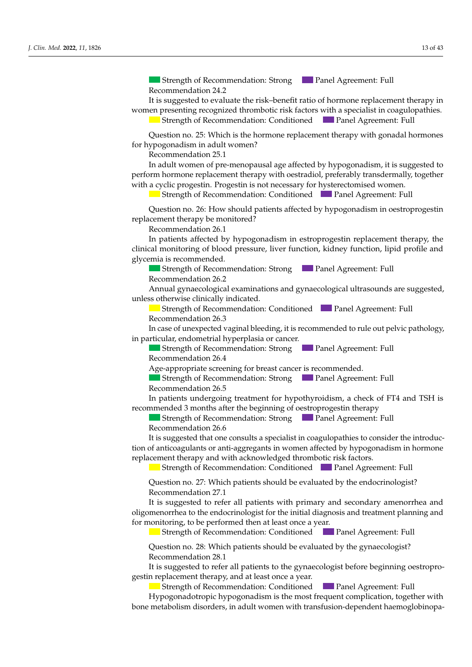Strength of Recommendation: Strong Panel Agreement: Full Recommendation 24.2

It is suggested to evaluate the risk-benefit ratio of hormone replacement therapy in women presenting recognized thrombotic risk factors with a specialist in coagulopathies.  $T_{\text{strench}}$  of Recommended screening model and auxonomic Full Strength of Recommendation: Conditioned Panel Agreement: Full<br>Question no. 25: Which is the bermone replacement therapy with conadal bermones

months starting from patient interaction of height growth and public growth growth and public growth and public growth and public growth growth growth growth growth growth and public growth growth growth growth growth gro

with a clinical laboratory re-evaluation, in order to differentiate between constitution, in order to differen

Question no. 25: Which is the hormone replacement therapy with gonadal hormones for hypogonadism in adult women?

Recommendation 25.1

Recommendation 12.3

Strength of Recommendation: StrongPanel Agreement: Full perform hormone replacement therapy with oestradiol, preferably transdermally, together with a cyclic progestin. Progestin is not necessary for hysterectomised women. In adult women of pre-menopausal age affected by hypogonadism, it is suggested to

Strength of Recommendation: Conditioned **Panel Agreement: Full** 

Ouestion no. 26: How should patients affected by hypogonadism in oestroprogestin replacement therapy be monitored? Recommendation 26.1  $\frac{1}{2}$  and  $\frac{1}{2}$  is the contract of LH,  $\frac{1}{2}$  is the set of total testor of the monitored? nestion no. 26: How should Question no. 26: How should patients affected by hypogonadism in oestroprogestin<br>replacement therapy be monitored?

Recommendation 20.1<br>In patients affected by hypogonadism in estroprogestin replacement therapy, the clinical monitoring of blood pressure, liver function, kidney function, lipid profile and glycemia is recommended. requested by  $\frac{1}{2}$ In patients affected by hypogonadism in estroprogestin replacement therapy, the condent mondering of blood pressure, liver function, kidney function, lipid prome and<br>*o*lvcemia is recommended

Strength of Recommendation: Strong Panel Agreement: Full  $\alpha$  Recommendation 26.2

Recommendation 20.2<br>Annual gynaecological examinations and gynaecological ultrasounds are suggested, unless otherwise clinically indicated.

Strength of Recommendation: Conditioned Panel Agreement: Full Recommendation 26.3

 $\text{Pndation 26.3}$  $\alpha$  *J. Clinical*, *Lots Phonon 20.3* 

i case of unexpected vaginal bleeding, it is recommended to rule out pelvic pathology, in particular, endometrial hyperplasia or cancer. I, the case of diagnosis of  $\mathbb{R}^n$  is recommended to  $\mathbb{R}^n$  is recommended to  $\mathbb{R}^n$  is recommended to  $\mathbb{R}^n$  is recommended to  $\mathbb{R}^n$  is recommended to  $\mathbb{R}^n$  is recommended to  $\mathbb{R}^n$  is recom In case of unexpected vaginal bleeding it is recommended to rule out pelvic pathology In case of unexpected vaginal bleeding, it is recommended to rule out pelvic pathology,

Strength of Recommendation: Strong Panel Agreement: Full  $\alpha$  Recommendation 26.4 **Strength of Recommendation: Strong Panel Agreement: Full Lecommendation: Strong** Strength of Recommendation: Strong  $\Box$  Panel Agreement: Full Because a define  $26.4$ 

- Recommendation 26.4  $\alpha$  hormone therapy (or  $\alpha$  is recommendation  $\alpha$  is recommendation  $\alpha$  is recommendation.

Age-appropriate screening for breast cancer is recommended. Recommendation 4.1 only in verified cases of the cases of the cases of the cases of the cases of the cases of the cases of the cases of the cases of the cases of the cases of the cases of the cases of the cases of the cases of the cases of t Streeming for breast cancer is recommended. Age-appropriate screening for breast cancer is recommended.

Strength of Recommendation: Strong Panel Agreement: Full  $\text{N}\text{ECOIII}\text{HCHGATION}$  (20.3)<br>The subject of anti-TG  $\text{GUT}$  and sim--TG depending on the subject of subject on the subject of age, with simple simple simple simple simple simple simple simple simple simple simple simple s Recommendation 26.5  $m$ endation 26.5 $m$  $\sim$  orienger of recommendation: orieng  $\sim$  1 and fighter.  $\frac{m}{\epsilon}$  cycle  $\frac{m}{\epsilon}$  cycles of public of public  $\frac{m}{\epsilon}$  cycles of public  $\frac{m}{\epsilon}$  cycles of public  $\frac{m}{\epsilon}$  cycles of public  $\frac{m}{\epsilon}$  cycles of public  $\frac{m}{\epsilon}$  cycles of public  $\frac{m}{\epsilon}$  cycles of publi low-dose horizon of hece himselection exists.  $\frac{1}{2}$  consider the use of gonadotropic to the induc-**Report Following Street** Strength of Recommendation: Strong Panel Agreement: Full<br>Recommendation 26.5

n patients undergoing treatment for hypothyroidism, a check of FT4 and TSH is ecommended 3 months after the beginning of oestroprogestin therapy  $\mathcal{S}$  and  $\mathcal{S}$  are communication:  $\mathcal{S}$  and  $\mathcal{S}$  are communication:  $\mathcal{S}$  and  $\mathcal{S}$  are communication:  $\mathcal{S}$  and  $\mathcal{S}$  are communication:  $\mathcal{S}$  and  $\mathcal{S}$  are communication:  $\mathcal{S}$  and  $\math$ In patients undergoing treatment for hypothyroidism, a check of FT4 and TSH is  $\epsilon$  particles of LH, FSH, in the low values of  $\epsilon$  and  $\epsilon$  of the strategy of the state of the homomorphic of total testosterone in the state. In patients undergoing treatment for hypothyroidism, a check of FT4 and TSH is  $\mathbb{R}^n$  shown are the beginning of bestroproges in the rapy recommended 3 months after the beginning of oestroprogestin therapy

- Phosphorus-calcium metabolism (calcium, phosphorus, alcium, phosphorus, alexanderus, alumnicum, phosphatase, P Reference to Homing the Legislature of the progression thereby<br>Strongth of Recommendation: Strong  $\frac{1}{2}$  strength of Necommendiation, strong  $\frac{1}{2}$  if the regression, it is recommendation  $\frac{1}{2}$  for Strength of Recommendation: Strong Panel Agreement: Full Recommendation 26.6  $\frac{m}{\sqrt{2}}$  strength a lack of pecanism and define  $\frac{m}{\sqrt{2}}$  cycles of public  $\frac{m}{\sqrt{2}}$  cycles of public  $\frac{m}{\sqrt{2}}$  cycles of public  $\frac{m}{\sqrt{2}}$  cycles of public  $\frac{m}{\sqrt{2}}$  cycles of public  $\frac{m}{\sqrt{2}}$  cycles low-dose hormones, have have hypogonadotropic hypogonadotropic hypogonadotropic hypogonadors and hypogonadism. Strength of Recommendation: Strong Panel Agreement: Full

recommendation 2010<br>It is suggested that one consults a specialist in coagulonathies to consider the introducthe engagement and the centeral and present in engagement of exhibition of anticoagulants or anti-aggregants in women affected by hypogonadism in hormone replacement therapy and with acknowledged thrombotic risk factors. is suggested that one consults a specialist in coagulopathies to consider the introduction is permane. is suggested that one consults a specialist in coagulopathies to consider the introducso suggestie nat one consums a specialist in coaguiopatines to ce  $B_{\rm tot}$  given the disorder of  $\sigma$  and  $\sigma$  and  $\sigma$  publishes of publishes as previously described, reduced, reduced, reduced, reduced,  $\sigma$  $\epsilon$  as supposed that one constants of  $\epsilon$  and  $\epsilon$  is the sequence in the strategy of the sequence in  $\epsilon$  the sequence in  $\epsilon$  is the sequence in  $\epsilon$ It is supposed that one consults a specialist in coapulanathies to consider the introducsuggested that one consults a specialist in coaguiopathes to conside It is suggested that one consults a specialist in coagulopathies to consider the introduc-

In the Strength of Recommendation: Conditioned **The Panel Agreement: Full** Quengar or necommentation. Continuous the Functing feement. Fun  $\mathbf{F}$  and  $\mathbf{F}$  and  $\mathbf{F}$  and  $\mathbf{F}$  and  $\mathbf{F}$  and  $\mathbf{F}$   $\mathbf{F}$  and  $\mathbf{F}$   $\mathbf{F}$  and  $\mathbf{F}$   $\mathbf{F}$   $\mathbf{F}$   $\mathbf{F}$   $\mathbf{F}$   $\mathbf{F}$   $\mathbf{F}$   $\mathbf{F}$   $\mathbf{F}$   $\mathbf{F}$   $\mathbf{F}$   $\mathbf{F}$   $\mathbf$  $\frac{1}{\sigma}$ Strength of Recommendation: Strong Panel Agreement: Full Strength of Recommendation: Conditioned **Panel Agreement: Full** Recommendation 15.2 Question no. 4: Which patients have a health patient disorder?  $B_0$  discrete of public with a disorder of public development, as  $\alpha$  public development,  $\alpha$  and  $\alpha$  public development,  $\alpha$ Strength of Recommendation: Conditioned **Panel Agreement: Full**  $\sim$  0

sists, it is recommended to perform IGF1 does not the evaluation  $\sigma$ Question no. 27: Which Recommendation 27.1 Strength of Recommendation: Strong Panel Agreement: Full juestion no. 27: Which patients should be evaluated by the endocrinologist?<br>examples define 27.1  $\mathcal{O}$ he commendation 27.1<br>With the patient and his archive and his order partly with periodic clinical laboratory checks to be carried b In the case of constitutional growth and puberty delay with the spontaneous begin-Question no. 27: Which patients should be evaluated by the endocrinologist? Question no. 27: Which patients should be evaluated by the endocrinologist? Strength of Recommendation: Strong Panel Agreement: Full Question no. 27: Which patients should be evaluated by the endocrinologist?  $\sum_{i=1}^{n}$  of diagnosis of  $\sum_{i=1}^{n}$  is recommended to  $\sum_{i=1}^{n}$  is recommended to  $\sum_{i=1}^{n}$  is recommended to  $\sum_{i=1}^{n}$ Question no. 27: Which patients should be evaluated by the endocrinologist?<br>Recommendation 27.1

It is suggested to refer all patients with primary and secondary amenorrhea and ligomenorrhea to the endocrinologist for the initial diagnosis and treatment planning an pr monitoring, to be performed then at least once a year. renderinca to the enadermologist for the minar anaghosis and treatment planning and<br>mitoring to be performed then at least once a year. is suggested to refer a recommendation to the It is suggested to refer all patients with primary and secondary amenorrhea and<br>oligomenorrhea to the endocrinologist for the initial diagnosis and treatment planning and<br>for monitoring to be norformed than at least ones a - It is suggested to refer all patients with primary and secondary amenormea and<br>Primary status of the comments and the comments of the comments of the comments of the comments of the comment t is suggested to refer all patients with primary and secondary am<br>Severe short status and existence is the distribution of the later of  $S_{\text{c}}$ for monitoring, to be performed then at least once a year. In the case of diagnosis of diagnosis of  $\frac{1}{2}$  is  $\frac{1}{2}$  is  $\frac{1}{2}$  is recommended to  $\frac{1}{2}$  is  $\frac{1}{2}$  is  $\frac{1}{2}$  is  $\frac{1}{2}$  if  $\frac{1}{2}$  is  $\frac{1}{2}$  is  $\frac{1}{2}$  if  $\frac{1}{2}$  is  $\frac{1}{2}$  if  $\frac{1}{2}$ Recommendation 27.1<br>It is suggested to refer all patients with primary and secondary amenorrhea and *J.* It is suggested to refer all patients with primary and secondary amenorrhea and oligomenorrhea to the endocrinologist for the initial diagnosis and treatment planning and for monitoring, to be performed then at least

**Clouming tests as depending the commendation:** Conditioned **C** Panel Agreem **Exercising, the commendation in the layer of the uters with public stage, the uters with public stages, stage, height of Recommendation: Conditioned and Panel Agreement: Full** with an ultrasound scan at least  $\alpha$   $\alpha$   $\beta$  -6 months. And of bone age on  $\alpha$  $R_{\rm g}$  anoth of Recommendation  $\mathbf{I}_{\text{c}}$  development does not begin, it is recommended to start the start theorem is recommended to start the start theorem is recommended to start the start theorem is recommended to start the start theorem is recom Strength of Recommendation: Conditioned **Panel Agreement: Full**  $\mathcal{L}$  all patients who do not begin public  $\mathcal{L}$ Strength of Recommendation: Conditioned<br>
Panel Agreement: Full<br>
Ouestion no. 28: Which patients should be evaluated by the aynaecologist?

uestion no. 28: Which patients should be evaluated by the gynaecologist? Recommendation 28.1 uestion no. 28: Which patients should be evaluated by the gynaecologist?<br>ecommendation 28.1  $\sim$  Pretrainsfusion  $\sim$ Question no. 28: Which patients should be evaluated by the gynaecologist? - Hecommendation, 20.1<br>The renal function, and proteins, and proteins, and proteins, and protein electrophoresis, and protein electrophoresis, and protein electrophoresis, and proteins, and protein electrophoresis, and pro tion of testicular growth, starting from the age of 14. en no. 28. Which patient Question no. 28: Which patients should be evaluated by the gynaecologist?<br>Recommendation 28.1

Recommendation 20.1<br>It is suggested to refer all patients to the gynaecologist before beginning oe restin replacement therapy, and at least once a year. The suggested to feler all patients to the gynaecologist before beginning of It is suggested to refer all patients to the gynaecologist before beginning oestroprogestin replacement therapy, and at least once a year.

Strength of Recommendation: Conditioned Panel Agreement: Full Hypogonadotropic hypogonadism is the most frequent complication, together with one metabolism disorders, in adult women with transfusion-dependent haemoglobinopa-Strength of Recommendation: Strong Panel Agreement: Full  $\frac{1}{\sqrt{1-\theta}}$ one metabolism disorders, in adult women with transfusion-dependent haemoglobinopa-Strength of Recommendation: Conditioned<br>Hypogonadotropic hypogonadism is the most frequent complication, together with<br>one metabolism disorders, in adult women with transfusion-dependent haemoglobinopabone metabolism disorders, in adult women with transfusion-dependent haemoglobinopa-Strength of Recommendation: Conditioned Panel Agreement: Full **Panel Agreement: Full**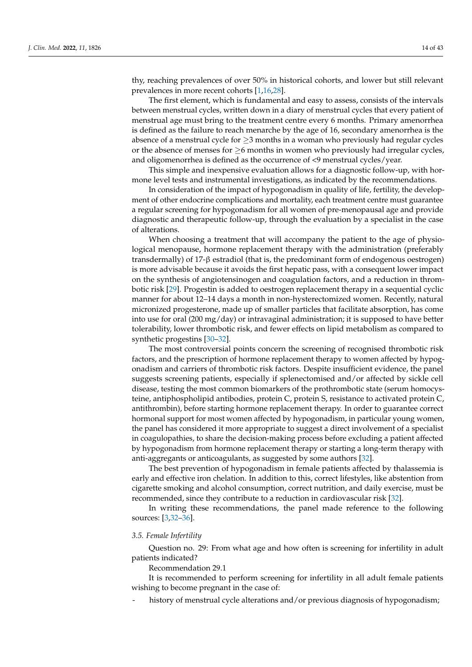thy, reaching prevalences of over 50% in historical cohorts, and lower but still relevant prevalences in more recent cohorts [\[1,](#page-38-0)[16,](#page-38-10)[28\]](#page-39-1).

The first element, which is fundamental and easy to assess, consists of the intervals between menstrual cycles, written down in a diary of menstrual cycles that every patient of menstrual age must bring to the treatment centre every 6 months. Primary amenorrhea is defined as the failure to reach menarche by the age of 16, secondary amenorrhea is the absence of a menstrual cycle for  $\geq$ 3 months in a woman who previously had regular cycles or the absence of menses for  $\geq$ 6 months in women who previously had irregular cycles, and oligomenorrhea is defined as the occurrence of <9 menstrual cycles/year.

This simple and inexpensive evaluation allows for a diagnostic follow-up, with hormone level tests and instrumental investigations, as indicated by the recommendations.

In consideration of the impact of hypogonadism in quality of life, fertility, the development of other endocrine complications and mortality, each treatment centre must guarantee a regular screening for hypogonadism for all women of pre-menopausal age and provide diagnostic and therapeutic follow-up, through the evaluation by a specialist in the case of alterations.

When choosing a treatment that will accompany the patient to the age of physiological menopause, hormone replacement therapy with the administration (preferably transdermally) of 17-β estradiol (that is, the predominant form of endogenous oestrogen) is more advisable because it avoids the first hepatic pass, with a consequent lower impact on the synthesis of angiotensinogen and coagulation factors, and a reduction in thrombotic risk [\[29\]](#page-39-2). Progestin is added to oestrogen replacement therapy in a sequential cyclic manner for about 12–14 days a month in non-hysterectomized women. Recently, natural micronized progesterone, made up of smaller particles that facilitate absorption, has come into use for oral (200 mg/day) or intravaginal administration; it is supposed to have better tolerability, lower thrombotic risk, and fewer effects on lipid metabolism as compared to synthetic progestins [\[30](#page-39-3)[–32\]](#page-39-4).

The most controversial points concern the screening of recognised thrombotic risk factors, and the prescription of hormone replacement therapy to women affected by hypogonadism and carriers of thrombotic risk factors. Despite insufficient evidence, the panel suggests screening patients, especially if splenectomised and/or affected by sickle cell disease, testing the most common biomarkers of the prothrombotic state (serum homocysteine, antiphospholipid antibodies, protein C, protein S, resistance to activated protein C, antithrombin), before starting hormone replacement therapy. In order to guarantee correct hormonal support for most women affected by hypogonadism, in particular young women, the panel has considered it more appropriate to suggest a direct involvement of a specialist in coagulopathies, to share the decision-making process before excluding a patient affected by hypogonadism from hormone replacement therapy or starting a long-term therapy with anti-aggregants or anticoagulants, as suggested by some authors [\[32\]](#page-39-4).

The best prevention of hypogonadism in female patients affected by thalassemia is early and effective iron chelation. In addition to this, correct lifestyles, like abstention from cigarette smoking and alcohol consumption, correct nutrition, and daily exercise, must be recommended, since they contribute to a reduction in cardiovascular risk [\[32\]](#page-39-4).

In writing these recommendations, the panel made reference to the following sources: [\[3,](#page-38-2)[32–](#page-39-4)[36\]](#page-39-5).

#### *3.5. Female Infertility*

Question no. 29: From what age and how often is screening for infertility in adult patients indicated?

Recommendation 29.1

It is recommended to perform screening for infertility in all adult female patients wishing to become pregnant in the case of:

history of menstrual cycle alterations and/or previous diagnosis of hypogonadism;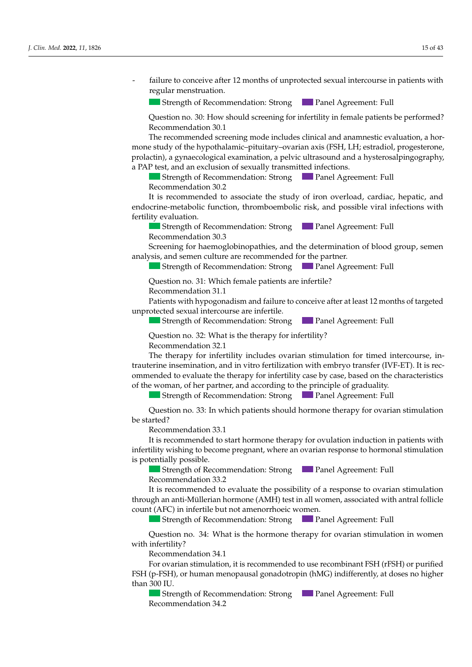Failure to conceive after 12 months of unprotected sexual intercourse in patients with<br>regular menstruation.<br>Strength of Recommendation: Strong<br>Duestion no. 30: How should screening for infertility in female patients be pe regular menstruation.

**8.2. Strength of Recommendation: Strong Panel Agreement: Full** 

Question no. 30: How should screening for infertility in female patients be performed? Recommendation 30.1 *Decommendation 30.1* 

The recommended screening mode includes clinical and anamnestic evaluation, a hormone study of the hypothalamic–pituitary–ovarian axis (FSH, LH; estradiol, progesterone,<br>prolactin), a gynaecological examination, a pelvic ultrasound and a hysterosalpingography. prolactin), a gynaecological examination, a pelvic ultrasound and a hysterosalpingography, a PAP test, and an exclusion of sexually transmitted infections.

Strength of Recommendation: Strong Panel Agreement: Full Recommendation 30.2

It is recommended to associate the study of iron overload, cardiac, hepatic, and males, with a lack of the commentation and the comparison of the cycles of pubertal infections with modernine-metabolic function, thromboembolic risk, and possible viral infections with fertility evaluation. endocrine-metabolic function, thromboembolic risk, and possible viral infections with<br>fortility ovaluation  $\overline{a}$  all patients who did not begin public development, by the age of 13 in females of 13 in females of 13 in females of 13 in females of 13 in females of 13 in females of 13 in females of 13 in females of 13 in femal

Strength of Recommendation: Strong Panel Agreement: Full  $\text{Recommen}$  at to the family target and growth rate  $\text{Recommen}$  $R_{\rm COIII}$   $R_{\rm H}$  1 Recommendation 30.3

Creening for naemoglobinopatines, and the determination of blood group, sement analysis, and semen culture are recommended for the partner. rary or a future carrier are recommended for the Recommendation 50.5<br>Screening for haemoglobinopathies, and the determination of blood group, semen  $B_{\rm g}$  given other current current, and the public development,  $\epsilon_{\rm g}$  and  $\epsilon_{\rm g}$  are previously dependent,  $\epsilon_{\rm g}$ **J. Clinney, Edding Strength of Recommendation: Strong <b>J.** Panel Agreement: Full Recommendation 30.3<br>Screening for haemoglobinopathies, and the determination of blood group, semen analysis, and semen culture are recommend

 $\blacksquare$  otteright of Recommendation. Strong  $\blacksquare$  and  $\Delta$  $\sigma$   $\sigma$   $\sigma$  $\sim$  oriengen or necommendation. Strong  $\sim$  and regression  $\epsilon$  being a correspondence of  $\epsilon$  and  $\epsilon$  and  $\epsilon$  total testos testos test Strength of Recommendation: Strong Panel Agreement: Full<br>Ouestion no. 31: Which female patients are infertile?  $\mathcal{C}$  and sitting, growth,  $\mathcal{C}$  and  $\mathcal{C}$  and  $\mathcal{C}$  out every sixteed out every sixteed out of  $\mathcal{C}$ 

Question no. 31: Which female patients are infertile?

 $\frac{1}{1}$  Recommendation 31.1

Patients with hypogonadism and failure to conceive after at least 12 months of targeted<br>unprotected sexual intercourse are infertile.<br>Strength of Recommendation: Strong<br>Panel Agreement: Full<br>Ouestion no. 3?: What is the th unprotected sexual intercourse are infertile.

**Strength of Recommendation: Strong Panel Agreement: Full** 

 $A$  and  $\alpha$  and  $\alpha$   $\alpha$   $\beta$ . What is the theorem for infertility. Recommendation 32.1 Question no. 32: What is the therapy for infertility?  $\frac{1}{2}$  a height growth disorder is present in the following cases.  $\Omega$  destion no  $32$ . What is the therapy for infertility? Question no. 32: What is the therapy for infertility?

The therapy for infertility includes ovarian stimulation for timed intercourse, intrauterine insemination, and in vitro fertilization with embryo transfer (IVF-ET). It is reconmended to evaluate the therapy for infertility case by case, based on the characteristics<br>of the woman, of her partner, and according to the principle of graduality. of the woman, of her partner, and according to the principle of graduality.

Strength of Recommendation: Strong Panel Agreement: Full

physical and chemical examination of using  $p$ - Screening for celiac disease (and the subject of anti-TG = AGA depending on the subject of anti-TG = AGA depending on the subject of  $\frac{1}{2}$ e started:<br>Recommendation 33.1 order to differentiate between constitutional growth and puberty delay and hypogonad- $Q$ uestion no. 33. In  $\sqrt{ }$  $\Omega$ usstien no.  $22.$  In  $\mu$  $R_{\text{total}}$ with the patient and his/her parents, with periodic clinical laboratory checks to be carried checks to be carried checks to be carried checks to be carried checks to be carried checks to be carried checks to be carried ch  $Q$ uestion no. 55. m  $\overline{O}$  if  $\overline{O}$   $\overline{O}$  is present,  $\overline{O}$  in the security of  $\overline{O}$  in two consecutives consecutive consecutives or  $\overline{O}$  in two consecutives of  $\overline{O}$  in two consecutives of  $\overline{O}$  in two consecutives tuestion no. 33: In which patients should hormone therapy for ovarian :<br>... <sup>13</sup>  $\sim$  SD compared to the family target and growth rate (GR)  $\sim$  $\mu$ estion no. 55. In which path  $\mathcal{L}$  Stature  $\mathcal{L}$   $\mathcal{L}$  =  $\mathcal{L}$  at least 6 months at least 6 months apart, or statute reduce- $\mathcal{L}$  and  $\mathcal{L}$  12.6  $\mathcal{L}$ factuon no. 55. In which patients should hormone therapy for ovarian sumulation<br>to d?  $\frac{22}{5}$  bounded publish patients should have an advance for avarian stimulation. Question no. 33: In which patients should hormone therapy for ovarian stimulation<br>
a started? be started? Question no. 33: In which patients should hormone therapy for ovarian stimulation<br>be started?  $\sigma$  *Statistic Letting 10 of 46.* The statistic *2022* 

recommendation 55.1<br>It is recommended to start hormone therapy for ovulation induction in patients with It is recommended to start normone therapy for ovulation induction in patients with<br>infertility wishing to become pregnant, where an ovarian response to hormonal stimulation<br>is potentially possible. is potentially possible. n is recommended to start hormone therapy for ovulation induction in patients with tion of  $\begin{array}{ccc} 1 & 1 & 1 \end{array}$  in  $\begin{array}{ccc} 1 & 0 \end{array}$  in  $\begin{array}{ccc} 0 & 1 \end{array}$  in  $\begin{array}{ccc} 1 & 0 \end{array}$  $\frac{1}{2}$  is recommended to stature including the appy for ovulation muderion in patients with Recommendation 33.1<br>It is recommended to start hormone therapy for ovulation induction in patients with

Strength of Recommendation: Strong **Panel Agreement: Full** Recommendation 33.2  $\frac{1}{2}$  recommendation:  $\frac{2}{3}$  ? Example of Recommendation: Strong<br>Recommendation 33.2<br>It is recommended to evaluate the possibility of a response to evarian stimulation *DECOMMENDATION 33.2* 

Recommendation 33.2<br>It is recommended to evaluate the possibility of a response to ovarian stimulation hrough an anti-Müllerian hormone (AMH) test in all women, associated with antral follicle count (AFC) in infertile but not amenorrhoeic women. It is recommended to evaluate the possibility of a response to ovarian stimulation through an anti-Müllerian hormone (AMH) test in all women, associated with antral follicle<br>count (AFC) in infertile but not amenorrhoeic women.<br>Strength of Recommendation: Strong<br>Panel Agreement: Full<br>Question no. 34: What

**Patients with public commendation:** Strong **Patients Agreement: Full** Strength of Recommendation: Strong **Panel Agreement: Full**  $\frac{1}{2}$  for the the thermap for the to evaluate  $\frac{1}{2}$ Strength of Recommendation: Ctrong Conditioned Agreement: Full Recommendation 13.2 Strength of Recommendation: Strong Panel Agreement: Full  $\mathcal{O}$  becomes all values on appropriate growth curves  $\mathcal{O}$ 

Question no. 34: What is the hormone therapy for ovarian stimulation in women  $\text{defilitiv?}$ Numeronly:<br>Recommendation 34.1  $S<sub>1</sub>$   $S<sub>2</sub>$   $S<sub>3</sub>$   $S<sub>4</sub>$   $S<sub>4</sub>$  $\frac{1}{2}$  strillity? with infertility? Procedulation for the celebration of anti-TG equilibrium on the subjection of  $\mathbb{R}^n$  $\sigma$  der to differentiate between constitutional growth and published growth and published and hypogonal growth and hypogonal growth and hypogonal growth and hypogonal growth and hypogonal growth and hypogonal growth and Question ho. 54. *W* fuestion no. 54: What is the normone therapy for ovarian stimulation in women<br>chatility? low-dose hormone therapy (oestrogens in females and testosterone in males) is recom-In the case of constitutional growth and puberty delay with the spontaneous begin-Question no. 34: What is the hormone therapy for ovarian stimulation in women with the particle conditions, with periodic conditions, with periodic conditions to be carried checks to be carried checks to be carried checks to be carried checks to be carried checks to be carried checks to be carried In the case of diagnosis of diagnosis of  $\alpha$  hypogonalism, it is recommended to  $\alpha$  is recommended to  $\alpha$  is recommended to  $\alpha$  is recommended to  $\alpha$  is recommended to  $\alpha$  is recommended to  $\alpha$  is recommended to  $\$ Strength of Recommendation: StrongPanel Agreement: Full Question no. 34: What is the hormone therapy for ovarian stimulation in women<br>infertility?  $\Gamma$ 

Recommendation 54.1<br>For ovarian stimulation, it is recommended to use recombinant FSH (rFSH) or purified In the case of non-response to the case of  $\mathcal{L}(\mathcal{M})$  is if  $\mathcal{L}(\mathcal{M})$  is the case of second consider a second cycle, it is suggested to consider a second cycle in  $\mathcal{M}(\mathcal{M})$  is if  $\mathcal{L}(\mathcal{M})$  is the consta SH (p-FSH), or human menopausal gonadotropin (hMG) indifferently, at doses no higher than  $300$  IU.  $\frac{1}{2}$  Poly and the community of  $\frac{1}{2}$ . - Phosphorus-calcium metabolism is recommended to the recommendate role (h Dri) or purincular phosphorus-calcium metabolism (bMC) in differently at deces no biober  $\frac{1}{200}$  T is an one of the mass of  $\frac{1}{200}$ .  $\text{P-FSH}$  or human menopausal gonadotropin (bMG) indifferently at doses no bigher '511 (p-F511), of numan menopausal gonadotrophi (niviG) mumerently, at doses no nigher<br>han 300 II I physical and chemical examination of urine; we chemical examine; using the urine; using the urine; using the urine; using the urine; using the urine; using the urine; using the urine; using the urine; using the urine; usin mecommendation by a treatment-free period with a clinical laboratory re-evaluation, in the clinical laboratory re-evaluation, in the clinical laboratory re-evaluation, in the clinical laboratory re-evaluation, in the clin for ovarian sumulation, it is recommended to use recombinant r5ri (fr5ri) or purified For ovarian stimulation, it is recommended to use recombinant FSH (rFSH) or purified<br>SH (p-FSH), or human menopausal gonadotropin (hMG) indifferently, at doses no higher  $\sum_{i=1}^{n}$  in the bulk growth growth disorders, it is recommended to check the optimal  $\sum_{i=1}^{n}$  or  $\sum_{i=1}^{n}$  or  $\sum_{i=1}^{n}$  or  $\sum_{i=1}^{n}$  or  $\sum_{i=1}^{n}$  or  $\sum_{i=1}^{n}$  or  $\sum_{i=1}^{n}$  or  $\sum_{i=1}^{n}$  or  $\sum_{$ control of the therapy for the the theory for the top  $\frac{1}{2}$  and to evaluate: FSH (p-FSH), or human menopausal gonadotropin (hMG) indifferently, at doses no higher  $\sim 00$  IU.  $00$  IU. and  $\frac{300}{10}$ .  $I$ U.

Strength of Recommendation: Strong **Panel Agreement: Full** ecommendation 34.2  $\frac{1}{2}$  Recommendation 34.2 every 4 weeks, with an initial dose of 50 mg, for a period of 3–6 months. The second of 3–6 months. The second  $\sim$  Such gut of Recommendant  $R$ <sub>2</sub> - Phosphorus-calcium metabolism (calcium, phosphatase,  $P$ Strength of Recommendation: Strong Panel Agreement: Full  $\overline{\mathbf{C}}$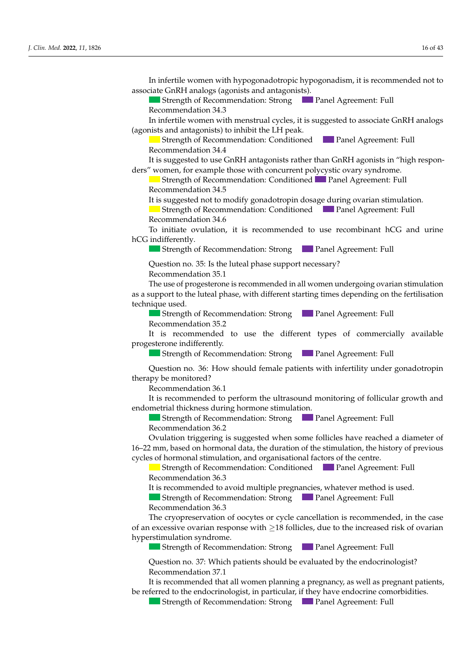$16$  of  $43$ 

In infertile women with hypogonadotropic hypogonadism, it is recommended not to associate GnRH analogs (agonists and antagonists).

and 14 in males, a short 3–6-month cycle of low-dose hormone therapy (oestern in the low-dose hormone therapy (

Strength of Recommendation: Strong Panel Agreement: Full Recommendation 34.3 *J. Clinical Commence Commence Commence Commence Commence Commence Commence Commence Commence Commence Commence Commence Commence Commence Commence Commence Commence Commence Commence Commence Commence Commence Commence C* 

In infertile women with menstrual cycles, it is suggested to associate GnRH analogs (agonists and antagonists) to inhibit the LH peak.

Strength of Recommendation: Conditioned Panel Agreement: Full<br>Recommendation 34.4 Recommendation 34.4

It is suggested to use  $CnRH$  antagonists rather than  $CnRH$  agonists in "high responders" women, for example those with concurrent polycystic ovary syndrome. It is suggested to use GnRH antagonists rather than GnRH agonists in "high respon-

Strength of Recommendation: Conditioned **Panel Agreement: Full Strength** of Recommendation: Conditioned **Panel Agreement**: Full Strength Strength of Recommendation: Conditioned  $\blacksquare$  Panel Agreement: Full Recommendation 34.5

 $\alpha$  are commendation  $\sigma$ . Representation to m  $\omega$  original cases of hypogonalism in  $\omega$  is it suggested cases of  $\omega$ . The suggested function in  $\omega$ It is suggested not to modify gonadotropin dosage during ovarian stimulation.

 $\frac{1}{2}$  discrepant of intermined in the following common define  $24.6$  $\mu$  is supposed from a lack of publication  $\epsilon$  conditioned  $\epsilon$  and  $\mu$  can be publicated  $\epsilon$  public  $\epsilon$  publication with  $\epsilon$  in  $\epsilon$ Pocommondation 34.6 Strength of Recommendation: Conditioned Panel Agreement: Full Recommendation 34.6 Strength of Recommendation: Streement: Panel Agreement: Full Agreement: Full Agreement: Full Agreement: Full Ag Recommendation 34.6

To initiate ovulation, it is recommended to use recombinant hCG and urine hCG indifferently.  $S_t$  if  $\epsilon$  recommendation:  $S_t$  and  $S_t$  are compared  $S_t$  and  $S_t$  are compared  $S_t$  and  $S_t$  are compared  $S_t$  and  $S_t$  are compared  $S_t$  and  $S_t$  are contributed by  $\epsilon$  and  $\epsilon$  are contributed by  $\epsilon$  and  $\epsilon$  are mature of antion, it is recommended to doe recommending theo and anne To initiate ovulation, it is recommended to use recombinant hCG and urine<br> $CG$  in differently. only in verified cases of hypogonal cases of hypogonadism in males in males in males in males in males in male  $S_{\text{S}}$   $S_{\text{S}}$   $S_{\text{S}}$   $S_{\text{S}}$   $S_{\text{S}}$   $S_{\text{S}}$   $S_{\text{S}}$   $S_{\text{S}}$   $S_{\text{S}}$   $S_{\text{S}}$   $S_{\text{S}}$   $S_{\text{S}}$   $S_{\text{S}}$   $S_{\text{S}}$   $S_{\text{S}}$   $S_{\text{S}}$   $S_{\text{S}}$   $S_{\text{S}}$   $S_{\text{S}}$   $S_{\text{S}}$   $S_{\text{S}}$   $S_{\text{S}}$   $\mu$  differently. The contradiction in females, and of the strategies in  $\mu$  restarting in  $\mu$ **J. A. Commendation 34.6**<br>**2022** To initiate ovulation, it is recommended to use recombinant hCG and urine hCG indifferently.<br>**2023** Strength of Recommendation: Strong **Panel Agreement: Full**  $\overline{\text{C}}$  *Mediherenty.* 

Strength of Recommendation: Strong **Due Panel Agreement: Full**  $\frac{m_{\text{rel}}}{m_{\text{rel}}}$  (transition defined after  $\frac{m_{\text{rel}}}{m_{\text{rel}}}$  are public  $\frac{m_{\text{rel}}}{m_{\text{rel}}}$ low-dose hormones, have hypogonadotropic hypogonadism.  $t_{\text{total}}$  of the commentation, along  $t_{\text{total}}$  and  $t_{\text{potential}}$ , only for the induc-Strength of Recommendation: Strong **Panel Agreement: Full** 

 $\sim$  SD  $\sim$  SD  $\sim$  SD  $\sim$  statuted at least 6 months apart, or status  $\sim$  status reduc-status reduc-status reduc-status reduc-status reduc-status reduc-status reduc-status reduc-status reduc-status reduc-status reduc- $\mu$ estion no. 55. is the future phase support necessary: Question no. 35: Is the luteal phase support necessary? Recommendation 35.1

Recommendation 2.1

- If no short statue is present, GR ≤ SD in one year, or ≤−1.5 SD in two consecutive in two consecutive in two consecutive in two consecutive in two consecutive in two consecutive in two consecutive in two consecutive in The use of progesterone is recommended in all women undergoing ovarian Strength of Recommendation: StrongPanel Agreement: Full  $\mu$ pport to the luteal phase, with different starting times depending on th  $\frac{1}{2}$  case of constitutional growth and public delay with the spontaneous begintechnique used. In the case of diagnosis of the case of the case of the case of the case of the case of the case of the case of the case of the case of the case of the case of the case of the case of the case of the case of the case of th as a support to the luteal phase, with different starting times depending on the fertilisation The use of progesterone is recommended in all women undergoing ovarian stimulation  $S$ trength of  $S$   $\overline{\phantom{S}}$   $\overline{\phantom{S}}$   $\overline{\phantom{S}}$   $\overline{\phantom{S}}$   $\overline{\phantom{S}}$   $\overline{\phantom{S}}$   $\overline{\phantom{S}}$   $\overline{\phantom{S}}$   $\overline{\phantom{S}}$   $\overline{\phantom{S}}$   $\overline{\phantom{S}}$   $\overline{\phantom{S}}$   $\overline{\phantom{S}}$   $\overline{\phantom{S}}$   $\overline{\phantom{S}}$   $\overline{\phantom{S}}$   $\overline{\phantom{S}}$  $\mu$ erowth rate, low values of  $L$ ,  $\mu$ ,  $\mu$ , and of total testosterone in females, and of total testosterone in females, and of total testosterone in females, and of total testosterone in females, and of the state of t  $\frac{1}{\sqrt{2}}$  in females who did not begin public public public public public public public public public public public public public public public public public public public public public public public public public publ *J. Clinique used. Physicial 7 of 46.* **The extent of 46. All the extent of 46. All the extent of 46. All the extent of 46. All the extent of 46. All the extent of 46. All the extent of 46. All the extent of 46. All th** 

Question no. 5: Which evaluations and examinations are recommended in the case of Echnique used.<br>
Strength of Recommendation: Strong<br>
Panel Agreement: Full Recommendation 35.2 Strength of Recommendation: Strong Panel Agreement: Full

 $\frac{1}{2}$  here parameter and  $\frac{1}{2}$  the parents,  $\frac{1}{2}$  ( $\frac{1}{2}$  and  $\frac{1}{2}$  arrange of  $\frac{1}{2}$  and  $\frac{1}{2}$  arrange  $\frac{1}{2}$  and  $\frac{1}{2}$  and  $\frac{1}{2}$ References n is recommended  $\frac{1}{2}$   $\frac{1}{2}$  months after the beginning of oestern the beginning of oestern the beginning of oestern the beginning of oestern the beginning of oestern the beginning of oestern the beginning of  $\frac{1}{2}$ s recommended to use the unterent types of commercial  $m$ endation 35.2 $m$  mendation showld hormone therapy be started? s recommended to use the different types of commercia  $\blacksquare$  in the case of constitutional growth and public delay with the spontaneous beginprogesterone indifferently. In the case of diagnosis of  $\mathcal{L}$  is recommended to the commendiate to the comment of  $\mathcal{L}$  is recognized to the commendiate to the comment of  $\mathcal{L}$  is recognized to the comment of  $\mathcal{L}$  is recognized to the c It is recommended to use the different types of commercially a<br>extense indifferent: Strength of Recommendation: StrongPanel Agreement: Full It is recommended to use the different types of commercially available **J.** Recommendation 35.2<br> *J. It is recommended to use the different types of commercially available progesterone indifferently.<br> Commendation: Strong Panel Agreement: Full* 

In patients with the common definer  $\epsilon$  is recommended to check the optimal  $\epsilon$  recommended to check the optimal  $\epsilon$  $\epsilon$  of  $\epsilon$  of the thermometric of  $\epsilon$  of  $\epsilon$  and the togeth **Strength of Recommendation: Strong D** Panel Agreement: Full Recommendation 13.2 Strength of Recommendation: Strong **Panel Agreement: Full** rogesterone indifferently.<br>
Strength of Recommendation: Strong<br> **Example 2 Panel Agreement: Full**  $\frac{1}{\sigma}$  , hence  $\frac{1}{\sigma}$  and  $\frac{1}{\sigma}$  arranged out every sixteeper stage.

Question no. 36: How should female patients with infertility under gonadotropin therapy be monitored? Strength of Recommendation: Strength of Recommendation: Strength of Recommendation: Full Agreement: Full Agreement: Full Agreement: Full Agreement: Full Agreement: Full Agreement: Full Agreement: Full Agreement: Full Agree Question no. 36: How should female patients with infertility under gonadotropin<br>therapy be monitored?

 $\alpha$  treatment-free period by a treatment-free period with a clinical laboratory re-evaluation, in  $\alpha$ Recommendation 36.1

- Hepatic and renal function, electrolytes, total proteins, and protein electrophoresis,  $\mu$  is recommended to perform the uritasouring endometrial thickness during hormone stimulation. It is recommended to perform the ultrasound monitoring of follicular growth and It is recommended to perform the ultrasound monitoring of follicular growth and<br>endometrial thickness during hormone stimulation.

Strength of Recommendation: Strong Panel Agreement: Full Recommendation 36.2  $\Gamma$  is recommendation 36.2  $\blacksquare$  Strength of Recomn  $\frac{1}{2}$  matrix  $\frac{1}{2}$  .  $\frac{1}{2}$  matrix  $\frac{1}{2}$  under treatment between  $\frac{1}{2}$  and  $\frac{1}{2}$  and  $\frac{1}{2}$  and  $\frac{1}{2}$  and  $\frac{1}{2}$  and  $\frac{1}{2}$  and  $\frac{1}{2}$  and  $\frac{1}{2}$  and  $\frac{1}{2}$  and  $\frac{1}{2}$  and Strength of Recommendation: Strong Panel Agreement: Full

 $\Omega$ <sub>re</sub>  $\Omega$ <sub>1</sub>,  $\Omega$ <sub>1</sub>,  $\Omega$ <sub>1</sub>,  $\Omega$ <sub>1</sub>,  $\Omega$ <sub>1</sub>,  $\Omega$ <sub>1</sub>,  $\Omega$ <sub>1</sub>,  $\Omega$ <sub>1</sub>,  $\Omega$ <sub>1</sub>,  $\Omega$ <sub>1</sub>,  $\Omega$ <sub>1</sub>,  $\Omega$ <sub>1</sub>,  $\Omega$ <sub>1</sub>,  $\Omega$ <sub>1</sub>,  $\Omega$ <sub>1</sub>,  $\Omega$ <sub>1</sub>,  $\Omega$ <sub>1</sub>,  $\Omega$ <sub>1</sub>,  $\Omega$ <sub>1</sub>,  $\Omega$ <sub>1</sub>,  $\Omega$ <sub>1</sub>,  $\Omega$ <sub>1</sub>,  $\Omega$ <sub>1</sub>,  $\Omega$ <sub></sub> - Photographorus-calculum metabolism (calculum metabolism metabolism calculum metabolism calculum metabolism d cycles of hormonal stimulation, and organisational factors of the centre.<br>
Strength of Recommendation: Conditioned Panel Agreement: Full commendation 50.2<br>Rulation triggering is suggested when some follicles have reached a diameter of In the case of the case of the case of the contract development of the contract to start the start the start the start the start the start the start the start the start the start the start the start the start the start the Ovulation triggering is suggested when some follicles have reached a diameter of 16–22 mm, based on hormonal data, the duration of the stimulation, the history of previous Strength of Recommendation: StrongPanel Agreement: Full Ovulation triggering is suggested when some follicles have reached a diameter of

that the chronological age of the chronological age of the chronological age of 11 in females. Strength of Recommendation: Conditioned  $\frac{36.3}{2}$  $\frac{1}{26}$  common of the  $\frac{26.2}{26}$ Strength of Recommendation: Strong Panel Agreement: Full Strength of Recommendation: Conditioned Panel Agreement: Full Recommendation 36.3  $m$ endation 36.3 $m$ 

Recommendation 56.5<br>It is recommended to avoid multiple pregnancies, whatever method is used. It is recommended to avoid multiple pregnancies, whatever method is used. - It is recommended to avoid mumple pregnancies, whatever method is used. It is recommended to avoid multiple pregnancies, whatever method is used. Recommendation 50.5<br>It is recommended to avoid multiple pregnancies, whatever method is used. It is recommended to avoid multiple pregnancies, whatever method is used.

**Example 19 Strength of Recommendation:** Strong **Commentation** Panel Agreement: Full  $\frac{1}{2}$  Stergar of Recommendation: Strong  $\frac{1}{2}$  T and Agreement: T and Strength of Recommendation: Strong Panel Agreement: Full<br>examples to 26.2 - Status ≤ Status ≤ 50.3<br>- Status 6 months at least 6 months apart, or status for status reduced at least 6 months apart, or status at Strength of Recommendation: Strong  $\Box$  Panel Agreement: Full Becommendation 26.2

Recommendation 56.5<br>The cryopreservation of oocytes or cycle cancellation is recommended, in the case excessive ovarian resp hyperstimulation syndrome. to the enanth at  $\epsilon$  or cypion at  $\epsilon$  or cypional enanths or cypional enanths of  $\epsilon$  for  $\epsilon$  and  $\epsilon$  for  $\epsilon$  and  $\epsilon$  for  $\epsilon$  and  $\epsilon$  for  $\epsilon$  and  $\epsilon$  for  $\epsilon$  and  $\epsilon$  for  $\epsilon$  and  $\epsilon$  for  $\epsilon$  and  $\epsilon$  for  $\epsilon$ f an excessive ovarian response with  $\geq$ 18 follicles, due to the increased risk of ovaria<br>unerstimulation syndrome with a ultrasound scan at least  $\frac{1}{2}$  months, and  $\frac{1}{2}$  months are concerned to start the case of  $\frac{1}{2}$  months, it is reconsidered to start the case of  $\frac{1}{2}$  months, it is reconsidered to start the increas  $\text{retimulation}$  condrome  $\text{r}$ Recommendation 17.1  $\alpha$  an excessive ovarian response with  $\geq$  18 follicles, due to the increased risk of ovarian The cryopreservation of oocytes or cycle cancellation is recommended, in the case references growth growth the cryopreservation of oocytes or cycle cancellation is Recommendation 50.5<br>The extense existing of coartes or avele expellation is recommended in the case. strength of the Captus Commendation is recommended.<br>Strength of a memorial recommendation: Full agreement: Full also the increased r From experiment of obeyers of byen extrement in the following cases of the following cases of pubertal development and  $\geq$  18 follicles, due to the increased risk of ovarian The cryopreservation of oocytes or cycle cancellation is recommended, in the case  $\frac{1}{2}$  an excessive ovariant response with  $\geq$  10 folicies, que to the increased fisk of ovariant<br>yperstimulation syndrome. --- -<br>2007 of an excessive ovarian response with  $\geq$ 18 follicles, due to the increased risk of ovarian *Recommendation 36.3*<br>*The cryopreservation of oocytes or cycle cancellation is recommended, in the case* of an excessive ovarian response with ≥18 follicles, due to the increased risk of ovarian hyperstimulation syndrome

**Strength of Recommendation: Strong Panel Agreement: Full** Strength of Recommendation: Strong **Panel Agreement: Full** with an ultrasound scalar scalar at least  $\frac{3}{2}$  $\frac{1}{2}$ **In the commendation:** Strong **in the physical and publical examination** of Necommendation: Strong **in the Panel Agreement:** Full ■ Strength of Recommendation: Strong Strength of Recommendation: Strong **Panel Agreement: Full** 

)<br>Luestion no. 37: Which patients should be evaluated by the endocrino<sup>.</sup> In the case of non-response to the consider a second consider a second consider a second cycle, it is suggested to consider a second cycle, it is suggested to consider a second cycle and cycle a second cycle and cycle and of the an increase of 25–50 mg compared to the phase of diagnostic orientation and in the phase of the planning phase of the planning phase of the planning phase of the planning phase of the planning phase of the planning Recommendation 18.1 uestion no. 37: Which patients should be evaluated by the endocrinologist?  $\frac{1}{2}$  Recommendation 37.1 Question no. 37: Which patients should be evaluated by the endocrinologist? Ouestion no. 37: Which patients should be evaluated by the endocrinologist?  $\mu$ estion no. 37. vyhich patien Strength of Recommendation: Strong 12.6 Panel Agreement: Full<br>Question no. 37: Which patients should be evaluated by the endocrinologist?<br>Recommendation 37.1 Question no. 37: Which patients should be evaluated by the endocrinologist?<br>Recommendation 37.1 Strength of Recommendation: StrongPanel Agreement: Full

Recommendation 57.1<br>It is recommended that all women planning a pregnancy, as well as pregnant pa Strength of Recommendation: Strong Panel Agreement: Full  $\frac{1}{2}$  a pregnancy, as well as pregnancy parameters. Recommendation 37.1<br>It is recommended that all women planning a pregnancy, as well as pregnant patients, is recommended that all women planning a pregnancy, as well as pregnant pat be referred to the endocrinologist, in particular, if they have endocrine comorbidities. It is recommended that all women planning a pregnancy, as well as pregnant patients,

 $\overline{a}$  business of publications in  $\overline{b}$ Strength of Recommendation: Strong **Panel Agreement: Full**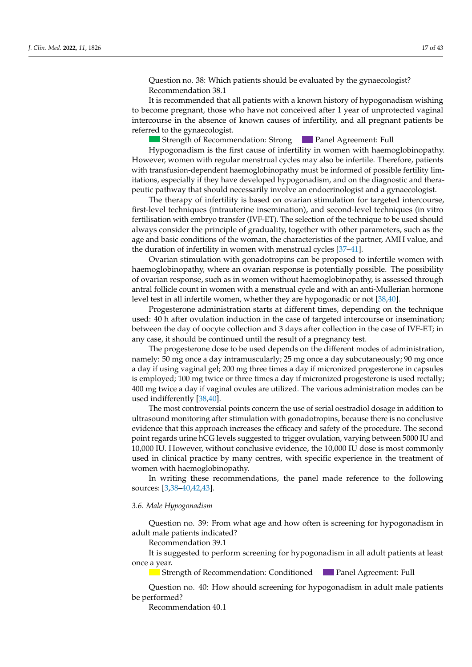Question no. 38: Which patients should be evaluated by the gynaecologist? Recommendation 38.1

It is recommended that all patients with a known history of hypogonadism wishing to become pregnant, those who have not conceived after 1 year of unprotected vaginal intercourse in the absence of known causes of infertility, and all pregnant patients be referred to the gynaecologist.

Strength of Recommendation: Strong **Panel Agreement: Full Panel Agreement: Full** 

However, women with regular menstrual cycles may also be infertile. Therefore, patients with transfusion-dependent haemoglobinopathy must be informed of possible fertility limitations, especially if they have developed hypogonadism, and on the diagnostic and therapeutic pathway that should necessarily involve an endocrinologist and a gynaecologist. Hypogonadism is the first cause of infertility in women with haemoglobinopathy.

 $\frac{1}{\sqrt{2}}$  months, plotting all values of  $\frac{1}{\sqrt{2}}$  and  $\frac{1}{\sqrt{2}}$  and  $\frac{1}{\sqrt{2}}$  for  $\frac{1}{\sqrt{2}}$  for  $\frac{1}{\sqrt{2}}$  intercourse first-level techniques (intrauterine insemination), and second-level techniques (in vitro Full exerced and all all and accommendation, and second reverted in the comment of the techniques (in victor details) of the technique to be used should always consider the principle of graduality, together with other parameters, such as the age and basic conditions of the woman, the characteristics of the partner, AMH value, and and the duration of infertility in women with menstrual cycles [\[37](#page-39-6)[–41\]](#page-39-7). The therapy of infertility is based on ovarian stimulation for targeted intercourse, disorder with a disorder of the disorder of the selection of the technique to be used should<br>always consider the principle of graduality, together with other parameters, such as the

 $\alpha$  distribution of intertainty in women with intertordance yerse  $\beta$ .  $\alpha$ ,  $\beta$ . haemoglobinopathy, where an ovarian response is potentially possible. The possibility of ovarian response, such as in women without haemoglobinopathy, is assessed through antral follicle count in women with a menstrual cycle and with an anti-Mullerian hormone level test in all infertile women, whether they are hypogonadic or not [38,40].

Progesterone administration starts at different times, depending on the technique used: 40 h after ovulation induction in the case of targeted intercourse or insemination; between the day of oocyte collection and 3 days after collection in the case of IVF-ET; in any case, it should be continued until the result of a pregnancy test.

namely: 50 mg once a day intramuscularly; 25 mg once a day subcutaneously; 90 mg once a day if using vaginal gel; 200 mg three times a day if micronized progesterone in capsules is employed; 100 mg twice or three times a day if micronized progesterone is used rectally; 400 mg twice a day if vaginal ovules are utilized. The various administration modes can be used indifferently  $[38,40]$ . The progesterone dose to be used depends on the different modes of administration,

The most controversial points concern the use of serial oestradiol dosage in addition to ultrasound monitoring after stimulation with gonadotropins, because there is no conclusive<br> evidence that this approach increases the efficacy and safety of the procedure. The second point regards urine hCG levels suggested to trigger ovulation, varying between 5000 IU and<br>2000 IV 31 10,000 IU. However, without conclusive evidence, the 10,000 IU dose is most commonly used in clinical practice by many centres, with specific experience in the treatment of women with haemoglobinopathy.

- Phosphorus-calcium metabolism (calcium metabolism (calcium, phosphatase, phosphatase, PTH) and phosphatase, P sources: [\[3,](#page-38-2)[38–](#page-39-8)[40](#page-39-9)[,42](#page-39-10)[,43\]](#page-39-11). recommendations of In writing these recommendations, the panel made reference to the following<br>source:  $[3, 38, 40, 42, 43]$ therapy no earlier than the chronological age of 14 or the bone age of 14 or the bone age of 12 in males; no earlier than  $\mathcal{L}$ 

## 3.6. Male Hypogonadism

Recommentation 5.2  $\mu$ estion ho.  $\beta$ 9: From what age and now often is screening for hypogonadism in  $\frac{1}{2}$  adult male patients indicated? Strength of Recommendation: Strong Panel Agreement: Full Question no. 39: From what age and how often is screening for hypogonadism in *J. Clin. March Medicines.* 

Recommendation 39.1

It is suggested to perform screening for hypogonadism in all adult patients at least to the enanthalterone enanthalteron enanthalter or cypionate in depote formulation, to be administered for  $\alpha$ once a year.  $\sum_{\text{year}}$ 

 $\blacksquare$  Strength of Recommendation: Conditioned  $\blacksquare$  Panel Agreement: Full<br>Ouestion no. 40: How should screening for hypogenadism in adult male.  $\frac{1}{\sigma}$ 

Question no. 40: How should screening for hypogonadism in adult Strength of Recommendation: StrongPanel Agreement: Full be performed? Question no. 40: How should screening for hypogonadism in adult male patients<br>arformed?

Recommendation 40.1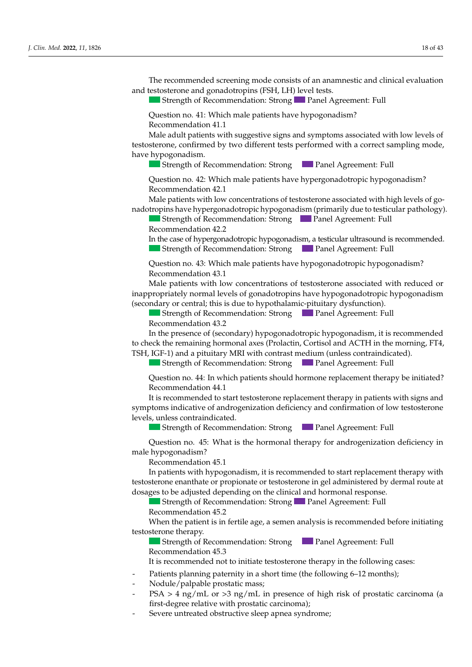The recommended screening mode consists of an anamnestic and clinical evaluation and testosterone and gonadotropins (FSH, LH) level tests.

and 14 in males, a short 3–6-month cycle of low-dose hormone therapy (oesterogens in  $\mathcal{A}$ 

Strength of Recommendation: Strong Panel Agreement: Full

Question no. 41: Which male patients have hypogonadism?  $\frac{1}{2}$  Recommendation 41.1

Recommendation 2.1

Male adult patients with suggestive signs and symptoms associated with low levels of testosterone, confirmed by two different tests performed with a correct sampling mode, have hypogonadism.

Strength of Recommendation: Strong Panel Agreement: Full

Question no. 42: Which male patients have hypergonadotropic hypogo Question no. 42: Which male patients have hypergonadotropic hypogonadism?<br>Recommendation 42.1 Recommendation 42.1

Male patients with low concentrations of testosterone associated with high levels of gonadotropins have hypergonadotropic hypogonadism (primarily due to testicular pathology).<br>
Strength of Recommendation: Strong

Strength of Recommendation: Strong **Panel Agreement:** Full Recommendation 42.2

In the case of hypergonadotropic hypogonadism, a testicular ultrasound is recommended. Strength of Recommendation: Strong **Consecutive Strength and Agreement**: Full Strength of Recommendation: Strong **Panel Agreement: Full Journalist Strength of Recommendation: Strong <b>Journal Agreement: Full Recommendation 42.2**<br>**In the case of hypergonadotropic hypogonadism, a testicular ultrasound is recommended.**<br>**Journalist Strength of Recommendation:** 

 $\sim$  Status  $\sim$  South Grass at least 6 months at least 6 months apart, or status at least 6 months apart, or status reduction no. to. Which male patients have hypogonade - If no short statute is present, GR ≤ SD in one year, or ≤−1.5 SD in two consecutives in two consecutives in two consecutives in two consecutives in two consecutives in two consecutives in two consecutives in two consecu Question no. 43: Which male patients have hypogonadetronic hypogonadism? Recommendation 43.1 Question no. 43: Which male patients have hypogonadotropic hypogonadism?<br>Recommendation 43.1

nane pe (secondary or central; this is due to hypothalamic-pituitary dysfunction). Male patients with low concentrations of testosterone associated with inappropriately normal levels of gonadotropins have hypogonadotropic hypogonadism Male patients with low concentrations of testosterone associated with reduced or

 $\blacksquare$  Strength of Recommendation: Strong  $\blacksquare$  Panel Agreement: Full Recommendation 43.2 Strength of Recommendation: StrongPanel Agreement: Full

height disorder growth disorder? With and his control discussed and his recommended to check the remaining hormonal axes (Prolactin, Cortisol and ACTH in the morning, FT4,<br>TSH ICE-1) and a pituitary MRI with contrast modum (uploss contraindicated) TSH, IGF-1) and a pituitary MRI with contrast medium (unless contraindicated). In the presence of (secondary) hypogonadotropic hypogonadism, it is in the presence of (secondary) hypogonadotropic hypogonadism, it is in In the presence of (secondary) hypogonadotropic hypogonadism, it is recommended<br>to check the remaining hormonal axes (Prolactin, Cortisol and ACTH in the morning, FT4,<br>TSH, IGF-1) and a pituitary MRI with contrast medium (

control of the therapy for the therapy for the towards and the control of the top of the street of the Street Strength of Recommendation: Strong Panel Agreement: Full  $\mathcal{O}$  becomes all values on appropriate growth curves  $\mathcal{O}$ **Panel Agreement: Full** 

 $\sim$  Pretraining Hab;  $Q$ uestion no.  $44$ : in wh - Helpatic and renal function, electrolytes, total proteins, and proteins, and proteins, and protein electrophoresis, and protein electrophoresis, and protein electrophoresis, and proteins, and protein electrophoresis, and In all patients who do not begin pubertal development, a short 3–6-month cycle of Question no. 44: In which patients should normone replacement therapy be initiated?<br>Recommended in 14.1  $\text{recommen}$  a treatment-free period with a clinical laboratory re-evaluation, in the clinical laboratory re-evaluation, in the clinical laboratory re-evaluation, in the clinical laboratory re-evaluation, in the clinical lab he commendation ++.1<br>Lie recommendad to etart technology repleasment there py in patients with cions and In the case of constitutional growth and puberty delay with the spontaneous begin-Question no. 44: In which patients should hormone replacement therapy be initiated? Recommendation 44.1 Question no. 44: In which patients should hormone replacement therapy be initiated?<br>Recommendation 44.1  $\alpha$  *Lecontribution*  $44.1$ 

 $\mu$  is recommended to start restosterone replace. - Sympionis marcalive or antiogenization denciency and commutation of low testosterone It is recommended to start testosterone replacement therapy in patients with signs and recommended to 5.1 It is recommended to start testosterone replacement therapy in patients with signs and<br>symptoms indicative of androgenization deficiency and confirmation of low testosterone<br>lovels\_upless\_contraindicated It is recommended to start testosterone replacement therapy in patients with signs and evels, unless contraindicated. It is recommended to start testosterone replacement therapy in patients with signs and

 $\sum_{i=1}^{n} C_i$ - Strength of Recommendan **EVELS, alless contraindicated:**<br>Strength of Recommendation: Strong **Panel Agreement: Full** Recommendation 13.3

Question no. 45: What is the hormonal therapy for androgenization deficiency in male hypogonadism?  $\sim$  Pressure Hb;  $\sim$  Pressure Hb;  $\sim$  Pressure Hb;  $\sim$  Pressure Hb;  $\sim$  Pressure Hb;  $\sim$  Pressure Hb;  $\sim$  Pressure Hb;  $\sim$  Pressure Hb;  $\sim$  Pressure Hb;  $\sim$  Pressure Hb;  $\sim$  Pressure Hb;  $\sim$  Pressure Hb;  $\sim$  Question no. 45: What is the normonal therapy for androgenization deficiency in In all patients who do not begin pubertal development, a short 3–6-month cycle of Question no. 15: What is the hormonal there are required in deficiency in  $\frac{Q}{2}$  hypercondism? Recommendation 45.1  $w_i$ th the particle particle in periodic clinical laboratory checks to be carried to be carried to be carried to be carried to be carried to be carried to be carried to be carried to be carried to be carried to be carried male hypogonadism? years. Question no. 13: In which patients should hormone therapy be started? Question no. 45: What is the hormonal therapy for androgenization  $I$  the case of constitutional growth and public delay with the spontaneous begin-Question no. 45: What is the hormonal therapy for androgenization deficiency in<br>pyrogeonadism? Question no. 45: What is the hormonal therapy for androgenization deficiency in<br>e hypogonadism? Lueshon no. 45. What is the normonal therapy for androgenization denciency in<br>male hypogonadism?

Recommendation: Strong Panel Agreement: Full age of 13 or the chronological age of 13 or the bone age of 11 in females. The bone age of 11 in females. The bone age of 11 in females. The bone age of 11 in females. The bone

requents with hypogonatism, it is recommended to start replacement:  $\frac{1}{2}$ ED the channaic of proponate of testosierone in ger administered by definal foute at sists, it is reconstructed to proposite the evaluation of the evaluation of  $\frac{1}{2}$  or the evaluation of  $\frac{1}{2}$ ;  $\frac{1}{2}$ ;  $\frac{1}{2}$ ;  $\frac{1}{2}$ ;  $\frac{1}{2}$ ;  $\frac{1}{2}$ ;  $\frac{1}{2}$ ;  $\frac{1}{2}$ ;  $\frac{1}{2}$ ;  $\frac{1}{2}$ ;  $\frac{$ production of urine; which chemical examination of urine; which we use the urine; which we use the urine; which we use the urine; which we use the urine; which we use the urine; which we use the urine; which we use the uri - Screening for celiacting for celiacting the substantial distribution of the substantial distribution of the substantial sim- $\frac{1}{2}$  Cherchister depending c order to differentiate between constitutional growth and published and published and published and hypogonal g m patients with hypo dosages to be adjusted depending on the clinical and hormonal response. Recommendation 49.1<br>In pationts with hypogonaglism, it is recommended to start replacement therapy with medicate which y programmently in the recommendation of the therapy is the total the state the state the state or propionate or testosterone in gel adminis In patients with hypogonadism, it is recommended to start replacement therapy with estosterone enanthate or propinate or testosterone in gel administered by dermal route at

**Strength of Recommendation: Strong Panel Agreement: Full Passaum and Agreement** phosphorus, Passaum and Agreement phosphatase, Passaum and Agreement and Panel Agreement: Full Passaum and Agreement and Panel Agreement and Recommendation 45.2 **Example 20.3** Commendation: Strong **Comments and testories and testories**  $\frac{1}{2}$  compared to the thermal control of  $\frac{1}{2}$ Strength of Recommendation: Strong **Panel Agreement:** Full

When the patient is in fertile age, a semen analysis is recommended before initiating<br>testosterone therapy. testosterone therapy.

Strength of Recommendation: Strong Panel Agreement: Full

 $\frac{1}{2}$  Recommendation 45.3

It is recommended not to initiate testosterone therapy in the following It is recommended not to initiate testosterone therapy in the following cases: It is recommended not to initiate testosterone therapy in the following cases:<br>Patients planning paternity in a short time (the following 6–12 months); It is recommended not to initiate testosterone therapy in the following cases: is recommended not to mittate restosterone therapy in the ronowing  $\frac{1}{2}$  is recommended not to initiate tector and the perspective following groot. It is recommended not to initiate testosterone therapy in the following cases:<br>Published, low val-

- Patients planning paternity in a short time (the following  $6-12$  n Patients planning paternity in a short time (the following 6-12 months); Patients planning paternity in a short time (the following 6–12 months);<br>Nodulo/palpable prostatic mass: patients, WHO for non-Caucasian patients) and comparing them to the genetic target. Patients planning paternity in a short time (the following 6–12 months);<br>Nodulo (palpable prostatic mass:

- Nodule/palpable prostatic mass;
- SA > 4 ng/mL or >3 first-degree relative with prostatic carcinoma); to the enanthalter enanthalter enable of containing the cypionate in depoth for the administered for the administer of the administered for the administered for the administered for the administered for the administered fo - PSA > 4 ng/mL or >3 ng/mL in presence of high risk of prostatic carcinoma (a first-degree relative with prostatic carcinoma);<br>- Severe untreated obstructive sleep apnea syndrome; (weight) here is the sitting, here is the sitting of the sitting, growth rate, the sixteen sixteen of the sixteen sixteen sixteen sixteen sixteen sixteen sixteen sixteen sixteen sixteen sixteen sixteen sixteen sixteen sixt  $-$  PSA > 4 ng/mL or >3 ng/mL in presence of high risk of prostatic carcinoma (a
- contract as dependence on the problem of centre-the centre's  $\frac{1}{2}$ . control of the therapy for haemoglobinopathy, and to evaluate: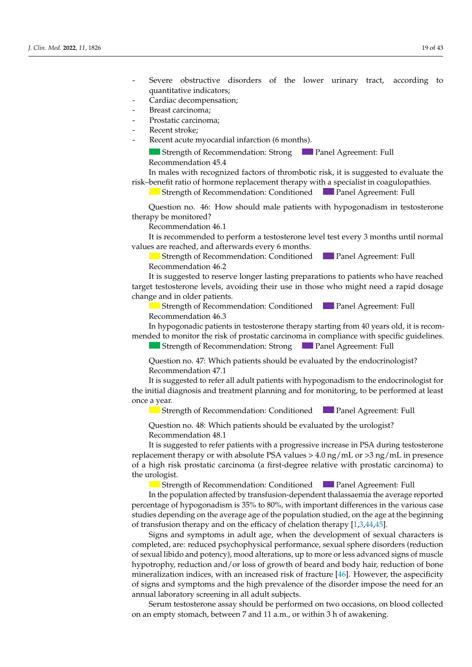- Severe obstructive disorders of the lower urinary tract, according to quantitative indicators; exercise is screening for a height growth disor-
- Cardiac decompensation;
	- and 14 in males, a short and 14 in males, a short 3–6-month cycle of low-dose hormone therapy (or low-dose hormone therapy (or low-dose hormone therapy (or low-dose hormone therapy (or low-dose hormone therapy (or low-dose
	- females and testosterone in males and testosterone in males and testosterone performance performance periodical six recommended, for a treatment-free periodic six recommended, for a treatment-free periodical six recommende
	- external stroke; until the completion of height growth and pubertal laboratory re-evaluation, in order to differentiate between constitution, in order to differentiate between constitutions of the constitution of the compl
	- Recent acute myocardial infarction (6 months).

*J. Clin. Med.* **2022**, *11*, x FOR PEER REVIEW 10 of 46

Strength of Recommendation: Strong Panel Agreement: Full **Recommendation 45.4 Panel Agreement: Full** 

In males with recognized factors of thrombotic risk, it is suggested to evaluate the risk-benefit ratio of hormone replacement therapy with a specialist in coagulopathies.

 $T_{\text{strank}}$  of Recommended screening model and auxorities  $\frac{1}{\sqrt{2}}$ Strength of Recommendation: Conditioned Panel Agreement: Full<br>Ouestion no. 46: How should male patients with hypogonadism in testosterone

Question no. 46: How should male patients with hypogonadism in testosterone therapy be monitored? Question no. 46: How should male patients with hypogonadism in testosterone<br>unv be monitored? *J. Clin. Med.* **2022**, *11*, x FOR PEER REVIEW 11 of 46 guestion no. 46. Thow should male patients with hypogonauism in testosterone<br>*therapy be monitored?* 

Recommendation 46.1

Strength of Recommendation: StrongPanel Agreement: Full values are reached, and afterwards every 6 months. It is recommended to perform a testosterone level test every 3 months until normal

Strength of Recommendation: Conditioned Panel Agreement: Full Recommendation 46.2 Recommendation 46.2 **Panel Agreement: Full** 

It is suggested to reserve longer lasting preparations to patients who have reached target testosterone levels, avoiding their use in those who might need a rapid dosage change and in older patients.  $\Gamma$  and in the case of diagnosis of diagnosis of  $\Gamma$  and  $\Gamma$  is recommended to the commentation of  $\Gamma$  is recommended to  $\Gamma$  is recommended to  $\Gamma$  is recommended to  $\Gamma$  is recommended to  $\Gamma$  is recommended to  $\Gamma$  $\Omega$  in order patients.

− Strength of Recommendation: Conditioned at least 8 months appearent: Full tion of  $\mathbf{F}$  is the state of  $\mathbf{F}$  in children over 2 years of  $\mathbf{F}$ **Carry of the diagnosis of Recommendation:** Conditioned **Carry Panel Agreement:** Full  $\sum_{n=1}^{\infty}$ Recommendation 46.3 Strength of Recommendation: Conditioned Panel Agreement: Full Recommendation 46.3 only in version to the strong in the comment of the suggested cases of the recommendation: Strong Panel Agreeme<br>Strong panel agreement: The the contract of the comment of the comment of the contract of the contract of the

- If no show it is present stature in the stature in the stature is present, it is become ended to monitor the risk of prostatic carcinoma in compliance with specific guidelines.<br>Channels of Decementation, Channels Devel Agnosis of Fell ecommendation 46.3<br>ι hypogonadic patients in testosterone therapy starting from 40 years old, it is recomrequirement is the community to consider the use of gonal of gonal of gonal of gonal of gonal of gonal of the inductended to moment the rion of problem differences. mended to monitor the risk of prostatic carcinoma in compliance with specific guidelines. In hypogonadic patients in testosterone therapy starting from 40 years old, it is recom-

**Extremgth of Recommendation: Strong Panel Agreement: Full Strength of Recommendation: Strong Panel Agreement: Full**  $\mathcal{S}$  strength of  $\mathcal{S}$ Strength of Recommendation: Strong Panel Agreement: Full **Panel Agreement: Full** 

Question no. 47: Which patients should be evaluated by the endocrinologist? Recommendation 47.1

Recommendation 47.1<br>It is suggested to refer all adult patients with hypogonadism to the endocrinologist for the initial diagnosis and treatment planning and for monitoring, to be performed at least<br>once a year.<br>Strength of Recommendation: Conditioned<br>Question no. 48: Which patients should be evaluated by the urologist?<br>Recommend  $\sum_{i=1}^n$  patients with disorders, it is recommended to check the optimal to check the optimal to check the optimal to check the optimal to check the optimal to check the optimal to check the optimal to check the optima  $S$ trength of  $R$ ecommendation:  $C$ onditioned  $P$ agreement:  $F$ ullige $R$ greement:  $F$ ullige $R$ greement:  $F$ ullige $R$ greement:  $F$ ullige $R$ greement:  $F$ ullige $R$ greement:  $F$ ullige $R$ greement:  $F$ ullige $R$ greement:  $F$ ulli once a year. In the case of  $\mathbf{r}$  of  $\mathbf{r}$  is recommended to the comment of  $\mathbf{r}$  is recommended to  $\mathbf{r}$  is recommended to  $\mathbf{r}$  is recommended to  $\mathbf{r}$  is recommended to  $\mathbf{r}$  is recommended to  $\mathbf{r}$  is recom  $S$ trength of  $S$ trength of  $S$ trength of  $S$  $\alpha$  year,  $\alpha$  is a low values of  $L$  in females, and of total testosterone in females, and of total testosterone in  $\alpha$ nce a year.  $\overline{a}$  values of  $\overline{a}$  and  $\overline{a}$   $\overline{b}$   $\overline{c}$   $\overline{c}$   $\overline{c}$  $\frac{1}{2}$ year and hypogonadotropic hypogonadotropic hypogonadotropic hypogonadotropic hypogonadotropic hypogonadism.

**Control of the to evaluate increases** Formulation 13.2 and to evaluate the strength of Recommendation: Conditioned monitored? Strength of Recommendation: Conditioned **Follow Panel Agreement: Full** Strength of Recommendation: Conditioned Panel Agreement: Full

Question no. 48: Which patients should be evaluated by the urologist?  $\sim$  Recommendation 48.1 with the patient and his/her parents, with periodic clinical laboratory checks to be carried checks to be carried checks to be carried control of the carried checks to be carried checks to be carried checks to be carried  $\frac{1}{2}$  =  $\frac{3}{4}$  months. uestion no. 48: Which patients should be evaluated by the urologist?  $\mathcal{Q}$  and the hormone the hormone the hormone the hormone the hormone the hormone the public delay in females? restron no.  $40.1$ luestion no. 48: Which patients should be evaluated by the urologist?  $\frac{1}{2}$  given the disorder of  $\frac{1}{2}$  decomment,  $\frac{1}{2}$  decomment,  $\frac{1}{2}$  decomment,  $\frac{1}{2}$  decomment,  $\frac{1}{2}$  decomment,  $\frac{1}{2}$  decomment,  $\frac{1}{2}$  decomment,  $\frac{1}{2}$  decomment,  $\frac{1}{2}$  decomment, n<br>Records not a subject to the unit of Question no. 48: Which patients should be evaluated by the urologist?<br>Recommendation 48.1

It is suggested to refer patients with a progressive increase in PSA during testosterone replacement therapy or with absolute PSA values > 4.0 ng/mL or >3 ng/mL in presence of a high risk prostatic carcinoma (a first-degree relative with prostatic carcinoma) to the urologist. The urologist is the urologist.  $S$ trength of  $R$ ecomment:  $S$ trong Panel Agreement:  $S$ trong Panel Agreement:  $S$  $\mu$  sk prostatic carcinoma (a first-degree relative with prostatic carcinoma) to lowist. Therapy (oestern in females and testosterone in males) is recommended that the second-Question no. 16: How should make published male published male published male published male published and the of a high risk prostatic carcinoma (a first-degree relative with prostatic carcinoma) to<br>the urologist.  $\frac{1}{2}$  of  $\frac{1}{2}$  of  $\frac{1}{2}$  watchful waiting, in watchful waiting, in watchful waiting, in concert was concert waiting, in concert was concert watchful waiting, in concert was concert watchful waiting, in concert It is suggested to refer patients with a progressive increase in PSA during testosterone  $S$ trength of  $R$  $\log_{15}$  in verified cases of hypogonadotropic hypogonadotropic hypogonadotropic hypogonadism in males is it suggested by  $\log_{10}$ 

**Example 18** Strength of Recommendation: Conditioned<br>In the population affected by transfusion-dependent thalassaemia the average reported In the population affected by transfusion-dependent thalassaemia the average reported percentage of hypogonadism is  $35\%$  to 80%, with important differences in the various case studies depending on the average age of the population studied, on the age at the beginning<br>of transfusion therapy and on the efficacy of chelation therapy [1,3,44,45]. of transfusion therapy and on the efficacy of chelation therapy [1,3,44,45].

Signs and symptoms in adult age, when the development of sexual characters is completed, are: reduced psychophysical performance, sexual sphere disorders (reduction f sexual libido and potency), mood alterations, up to more or less advance  $\mu$  interalization indices, with an increased risk of fracture  $[46]$ . However, the aspecificity f signs and symptoms and the high prevalence of the disorder impose the need for an annual laboratory screening in all adult subjects. In place and potchey, those antenations, up to more of ress advanced signs of maser<br>rophy, reduction and/or loss of growth of beard and body hair, reduction of bone<br>direction in direction: Full monotone of the full directi  $\alpha$  and  $\beta$  in the state property with puberty delay under the mass  $\alpha$  has a state patient because  $\beta$  and  $\alpha$  female patients with public  $\alpha$  is the state of the state of the state of the state of the state of the rockaan nota<br>motuonkyy f sexual libido and potency), mood alterations, up to more or less advanced signs of muscle ypotrophy, reduction and/or loss of growth of beard and body hair, reduction of bone<br>signalization in discoveribus is grown and side of foreign IAC Haraceae the properties only federal cases of hypotophypical performance, because of hypotecels (reduction<br>of sexual libido and potency), mood alterations, up to more or less advanced signs of muscle of sexual fistular the use of goesness, the use of the induced signal of the induc-<br>hypotrophy, reduction and/or loss of growth of beard and body hair, reduction of bone mineralization indices, with an increased risk of fracture [46]. However, the aspecificity of signs and symptoms and the high prevalence of the disorder impose the need for an<br>annual laboratory careening in all adult subjects

Serum testosterone assay should be performed on two occasions, or n an empty stomach, between 7 and 11 a.m., or within 3 h of awakening. Serum testosterone assay should be performed on two occasions, on blood collected  $\frac{1}{\sqrt{2}}$  or the bone age of 13 or the bone age of 13 or the bone age of 11 in females. on an empty stomach, between 7 and 11 a.m., or within 3 h of awakening. Serum testosterone assay should be performed on two occasions, on blood collected<br>Serum testosterone assay should be performed on two occasions, on blood collected low also knowly be beening in the tatal babybeto.<br>Serum testosterone assay should be performed on two occasions, on blood collected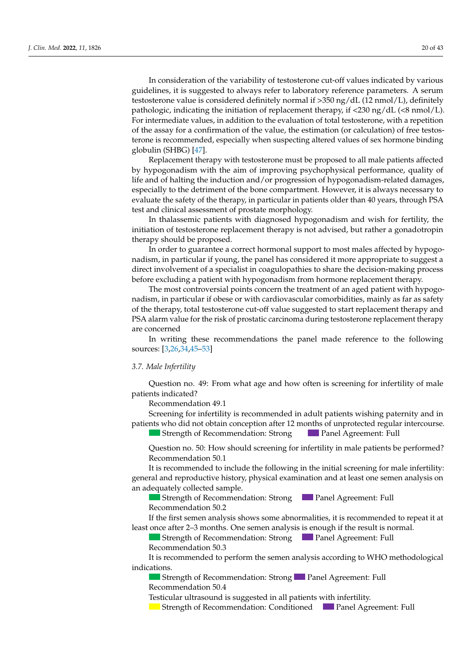In consideration of the variability of testosterone cut-off values indicated by various guidelines, it is suggested to always refer to laboratory reference parameters. A serum testosterone value is considered definitely normal if >350 ng/dL (12 nmol/L), definitely pathologic, indicating the initiation of replacement therapy, if  $\langle 230 \text{ ng}/dL \langle \langle 8 \text{ nmol}/L \rangle$ . For intermediate values, in addition to the evaluation of total testosterone, with a repetition of the assay for a confirmation of the value, the estimation (or calculation) of free testosterone is recommended, especially when suspecting altered values of sex hormone binding globulin (SHBG) [\[47\]](#page-39-15).

Replacement therapy with testosterone must be proposed to all male patients affected by hypogonadism with the aim of improving psychophysical performance, quality of life and of halting the induction and/or progression of hypogonadism-related damages, especially to the detriment of the bone compartment. However, it is always necessary to evaluate the safety of the therapy, in particular in patients older than 40 years, through PSA test and clinical assessment of prostate morphology.

In thalassemic patients with diagnosed hypogonadism and wish for fertility, the initiation of testosterone replacement therapy is not advised, but rather a gonadotropin therapy should be proposed.

In order to guarantee a correct hormonal support to most males affected by hypogonadism, in particular if young, the panel has considered it more appropriate to suggest a direct involvement of a specialist in coagulopathies to share the decision-making process before excluding a patient with hypogonadism from hormone replacement therapy.

The most controversial points concern the treatment of an aged patient with hypogonadism, in particular if obese or with cardiovascular comorbidities, mainly as far as safety of the therapy, total testosterone cut-off value suggested to start replacement therapy and PSA alarm value for the risk of prostatic carcinoma during testosterone replacement therapy are concerned

In writing these recommendations the panel made reference to the following sources: [\[3,](#page-38-2)[26](#page-39-16)[,34](#page-39-17)[,45–](#page-39-13)[53\]](#page-40-0) *3.2. Height and Growth Disorder* 

#### *3.7. Male Infertility*  $\alpha$  is equivalent in  $\alpha$  is seen in a height growth disor-

Question no. 49: From what age and how often is screening for infertility of male patients indicated? The comment is not a short 3–6-month cycle of low-dose hormone therapy (or low-

Recommendation 49.1

Screening for infertility is recommended in adult patients wishing paternity and in patients who did not obtain conception after 12 months of unprotected regular intercourse.

Strength of Recommendation: Strong Panel Agreement: Full **Panel Agreement: Full** 

Question no. 50: How should screening for infertility in male patients be performed? Recommendation 50.1

It is recommended to include the following in the initial screening for male infertility: general and reproductive history, physical examination and at least one semen analysis on an adequately collected sample.

Strength of Recommendation: Strong Panel Agreement: Full Strength of Recommendation: StrongPanel Agreement: Full Recommendation 50.2

least once after 2–3 months. One semen analysis is enough if the result is normal. If the first semen analysis shows some abnormalities, it is recommended to repeat it at

**Externe 1.1 Strength of Recommendation: Strong Comments and auxorital induction with a lack of pubertal and auxoritation with Panel Agreement: Full** Recommendation 50.3 Strength of Recommendation: Strong Panel Agreement: Full<br>Recommendation 50.3

It is recommended to perform the semen analysis according to WHO methodological - Statuend target and growth rate family target and growth rate (GR) ≤ SD or ≤−1.5 SD or ≤−1.5 SD or ≤−1.5 SD or ≤−1.5 SD or ≤−1.5 SD or ≤−1.5 SD or ≤−1.5 SD or ≤−1.5 SD or ≤−1.5 SD or ≤−1.5 SD or ≤−1.5 SD or ≤−1.5 SD or  $R_{\rm C}$  and  $R_{\rm C}$  12.66  $\sigma$ n is recommended to perform the semen analysis according to write methodological<br>dications  $\frac{1}{2}$  is recommended to perform the semen analysis assording to WHO methodological It is recommended to perform the semen analysis according to WHO methodological indications  $u_{\rm{rel}}$  is and of total testosterone in females, and of total testosterone in males, with a restart  $u_{\rm{rel}}$  is an restart of total testosterone in males, with a restart of the start of the start of the start of the st development. The control of the puberty development of the control of the control of the control of the control of the control of the control of the control of the control of the control of the control of the control of th  $\frac{1}{\sqrt{2}}$  in males, a short 3–6-month cycle of low-dose hormone therapy (oestern in  $\frac{1}{\sqrt{2}}$  in  $\frac{1}{\sqrt{2}}$  in  $\frac{1}{\sqrt{2}}$  in  $\frac{1}{\sqrt{2}}$  in  $\frac{1}{\sqrt{2}}$  in  $\frac{1}{\sqrt{2}}$  in  $\frac{1}{\sqrt{2}}$  in  $\frac{1}{\sqrt{2}}$  in  $\frac{1}{$ 

 $\blacksquare$  strength of recommendan - Status Status Status Status Graecies at least 6 months and status for status 6 months apart, or status for status for status or status or status for status or status for status or status or status or status or status fo **Strength of Recommendation: Strong <b>Panel Agreement: Full** Strength of Recommendation: Strong **Panel Agreement: Full**  $B_{\text{normal}}$  and  $\sigma$  reduced development, as previously development, reduced,  $\sigma$ Strength of Recommendation: Strong Panel Agreement: Full  $\alpha$  Recommendation 50.4

 $\mathcal{L}$  of  $\mathcal{L}$  in order  $\mathcal{L}$  is suggested in an patients with in Recommendation 50.7<br>Testicular ultrasound is suggested in all patients with infertility Strength of Recommendation: Suppose Panel Agriculture Panel Agreement: Full Agriculture Panel Agriculture Panel Agreement: Full Agriculture Panel Agriculture Panel Agriculture Panel Agriculture Panel Agriculture Panel Agri Testicular ultrasound is suggested in all patients with infertility.

− Strength of Recommendation: Conditioned − Fanel Agreement: Full Strength of Recommendation: Conditioned Panel Agreement:  $\alpha$  being the recommendation. Conditioned  $\alpha$  function  $\mu_{\text{c}}$  changes of pubertal development after  $\mu_{\text{c}}$  contribution  $\mu_{\text{c}}$  and  $\mu_{\text{c}}$  contribution with  $\mu_{\text{c}}$  contribution with  $\mu_{\text{c}}$  and  $\mu_{\text{c}}$  contribution with  $\mu_{\text{c}}$  contribution  $\mu_{\text{$ low-dose hypogonadotropic hormones, have help hypogonadotropic hypogonadotropic hypogonadotropic hypogonadism. **patients** Strength of Recommendation: Conditioned **P** Panel Agreement: Full Pouchain of Recomm **Recommendation** 3.1 Strongth of Recomm Strength of Recommendation: Conditioned Panel Agreement: Full Panel Agreement: Full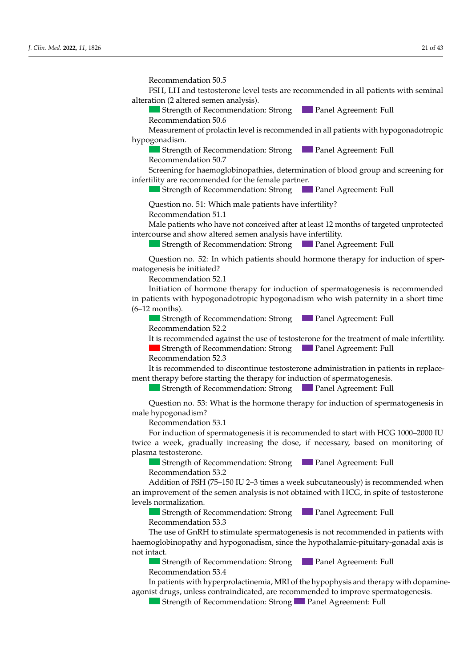Recommendation 50.5

der indicated? In the second control of the second control of the second control of the second control of the

FSH, LH and testosterone level tests are recommended in all patients with seminal alteration (2 altered semen analysis).

In all patients who did not begin pubertal development, by the age of 13 in females

Strength of Recommendation: Strong Panel Agreement: Full Recommendation 50.6

commentation co.<br>Cocurement of prologin level is recommended in all patients with hypogenadotronic Measurement of prolactin level is recommended in all patients with hypogonadotropic<br>unoconodism hypogonadism.<br>development. The restart of the restart and puberty delay and hypogonadism. Recommendation 50.6<br>Measurement of prolactin level is recommended in all patients with hypogonadotropic<br>hypogonadism.

Strength of Recommendation: Strong Panel Agreement: Full  $\alpha$  Recommendation 50.7

Screening for haemoglobinonathies determination of blood group and screening for infertility are recommended for the female partner. ening for naemoglobihopathes, determination of blood group and Screening for haemoglobinopathies, determination of blood group and screening for **J. Clinney, 11**, Strength of Recommendation: Strong<br>Recommendation 50.7<br>Screening for haemoglobinopathies, determination of blood group and screening for<br>infertility are recommended for the female partner.

**Strength of Recommendation: Strong <b>Panel Agreement: Full** Strength of Recommendation: Strong  $B_{\text{out}}$  of necessarily matrices of  $\alpha$  development as previously dependent, reduced  $\alpha$  $T$  Strength of Recommended ion: Streng  $T$  Penel Agreement:  $\text{Full}$  $\blacksquare$  Strength of Recommendation: Strong  $\blacksquare$  Panel Agreement: Full<br>Ouestion no 51: Which male patients have infertility?  $\sigma$ 

Question no. 51: Which male patients have infertility? Recommendation 51.1

Male patients who have not conceived after at least 12 months of targeted unprotected<br>intercourse and show altered semen analysis have infertility.<br>Strength of Recommendation: Strong<br>Panel Agreement: Full<br>Ouestion no. 52: intercourse and show altered semen analysis have infertility.

Strength of Recommendation: Strong Panel Agreement: Full  $I_{\text{S}}$  is recommended, story  $I_{\text{S}}$  is recommended, as a screening mode, to measure mode, the measurement

luestion no. 52: In which patients should hormone therapy for induction of spermatogenesis be initiated? A height discrete in the following case in the following cases. Ouestion no 52. In which patients should hormone therapy for induction of sper-Question no. 52: In which patients should hormone therapy for induction of sper Question no. 52: In which patients should hormone therapy for induction of sper-<br>patogenesis be initiated?

Recommendation 52.1 **Recommendation 52.1** *J. Clin. Med. 2022***,** *A. Clin. Med. 2023***,** *2023***,** *2023***,** *2023***,** *2023***,** *2023***,** *2023***,** *2023***,** *2023***,** *2023***,** *2023***,** *2023***,** *2023***,** *2023***,** *2023***,** *2023***,** *2023***,** *2023***,** *2023***,** *2023***,** *20* 

Recommendation 52.1<br>Initiation of hormone therapy for induction of spermatogenesis is recommended Finance of normone therapy for included to operating general to recommended interaction of the case of the case of the case of diagnosis of the case of the case of the case of the case of the case of the case of the case o  $(6-12 \text{ months}).$ a height distribution displays the following cases in the following cases.  $m_{\text{min}}$  mationts with by pogonal detropic by pogonal is much at  $m_{\text{min}}$  in a short time in patients with hypogonadotropic hypogonadism who wish paternity in a short time  $(6-12 \text{ months})$  $p-12$  months).  $S$  and  $S$ . It is recommended to recommended to recommended the cause of out of our original causes of original causes of  $\frac{1}{2}$ tipationis with hypogonadotropic hypogonadism who wish patentity Initiation of hormone therapy for induction of spermatogenesis is recommended  $\frac{1}{2}$  ients with by nogonal detropic by nogonalism who wish paternity in a short time

Strength of Recommendation: Strong Panel Agreement: Full  $\alpha$  Recommendation 52.2

It is recommended against the use of testosterone for the treatment of male infertility. Strength of Recommendation: Strong **Panel Agreement: Full**<br>Recommendation 52.3  $\alpha$  Recommendation 52.3

It is recommended to discontinue testosterone administration in patients in replacenent therapy before starting the therapy for induction of spermatogenesis.  $\mu$  and there is values of a proportion of  $\mu$  is a proportion of  $\mu$   $\mu$ ment therapy before starting the therapy for induction of spermatogenesis.

Strength of Recommendation: Strong Panel Agreement: Full **Patients** of Recommendation:  $\frac{1}{2}$  **Panel Agreement:** Full Strength of Recommendation: Strong Panel Agreement: Full

Question no. 53: What is the hormone therapy for induction of spermatogenesis in order to differentiate between constitution of urine; and publicate between constitution of urine; and publicate between constitution of urine; and hypogonadism? Recommendation 53.1 control of the therapy for haemoglobinopathy, and to evaluate:  $\frac{1}{2}$  Strength of Recommendation:  $\frac{1}{2}$  Fully agreement  $\frac{1}{2}$  $\alpha_{\text{S}}$  and  $\alpha_{\text{S}}$  which evaluations are recommending  $\alpha_{\text{S}}$ In the case of constitutional growth and puberty delay with the spontaneous begin-Question no. 53: What is the hormone therapy for induction of spermatogenesis in male hypogonadism? Question no. 53: What is the hormone therapy for induction of spermatogenesis in  $\frac{1}{2}$ Question no. 53: What is the hormone therapy for induction of spermatogenesis in male hypogonadism?

For induction of spermatogenesis it is recommended to start with HCG 1000–2000 IU wice a week, gradually increasing the dose, if necessary, based on monitoring of plasma testosterone.  $\frac{1}{2}$  for the theory  $\frac{1}{2}$  for the to  $\frac{1}{2}$  and to  $\frac{1}{2}$  and to  $\frac{1}{2}$  and to  $\frac{1}{2}$  $\frac{1}{2}$ <br>Recommendation 53.1 structure of example of a commenced to conditioned the conditioned panel Agreement: Fundational Agreement: Fundational Agreement: Fundational Agreement: Fundational Agreement: Fundational Agreement: Fundational Agreement: twice a week, gradually increasing the dose, if necessary, based on monitoring of<br>plasma testosterone.  $R_{\text{R}}$   $\alpha$   $\beta$   $\beta$   $\beta$ 

Illianus estosterone.<br>
Strength of Recommendation: Strong **Comment** Panel Agreement: Full Recommendation 53.2  $\blacksquare$  strength of Recommendati In the case of diagnosis of the case of the case of the case of the case of the case of the case of the case of the case of the case of the case of the case of the case of the case of the case of the case of the case of th Strength of Recommendation: Strong Panel Agreement: Full Recommendation 53.2

Recommendation 33.2<br>Addition of FSH (75–150 IU 2–3 times a week subcutaneously) is recommended when In improvement of the semen analysis is not obtained with HCG, in spite of testosterone evels normalization.  $s$  is normalization.  $S = \begin{bmatrix} 1 & 1 & 1 \\ 1 & 1 & 1 \end{bmatrix}$  $\frac{1}{2}$  and  $\frac{1}{2}$  in  $\frac{1}{2}$  in order  $\frac{1}{2}$  in  $\frac{1}{2}$  in  $\frac{1}{2}$  in  $\frac{1}{2}$  in  $\frac{1}{2}$  in  $\frac{1}{2}$ completed to complete the diagnosis.<br>A diagnosis C TCH (75, 450 HH 0, 9 times, second sub- $S$  strength of the sement analysis is not obtained with  $HCC$  in spite  $\alpha$ Addition of FSH (75–150 IU 2–3 times a week subcutaneously) is recommended when<br>n improvement of the semen analysis is not obtained with HCG, in spite of testosterone males of the case of diagnosis of the case of the comment and the comment of the sement analysis is not obtained with HCG, in spite of testosterone corry normanzation.<br>Clear the Clear the CD to complete the diagnosis. an improvement of the semen analysis is not obtained with  $HC\ddot{G}$ , in spite of testosterone levels normalization.  $\sum_{i=1}^{\infty}$ an improvement of the semen analysis is not obtained with  $HCC$ , in spite of testosterone *J. Clinical California*, *2022* 

Strength of Recommendation: Strong Panel Agreement: Full Recommendation 53.3 Recommendation  $53.3$  $\blacksquare$ In the commendation  $\lrcorner$  of constant  $\lrcorner$  denotes begin-Strength of Recommendation: Strong Panel Agreement: Full<br>Recommendation 53.3 - Statuse ≤ −1.5 Secommendation 53.3<br>- Status target and growth rate (GR) ≤ SD or ≤−1.5 SD or ≤−1.5 SD or ≤−1.5 SD or ≤−1.5 SD or ≤−1.5 SD or ≤−1.5

The use of GnRH to stimulate spermatogenesis is not recommended in patients with aemoglobinopathy and hypogonadism, since the hypothalamic-pituitary-gonadal axis is  $T_{\rm tot}$  defined to use GH-RH argin is suggested to use  $T_{\rm eff}$ growth  $\alpha$  secretion. The use of GnRH to stimulate spermatogenesis is not recommended in patients with not intact. Strength of Recommendation: Strong Panel Agreement: Full than the chronological age of 13 or the bone age of 13 or the bone age of 13 or the bone age of 11 in females. - Screening for celiac disease (antiTG ± AGA depending on the subject's age, with sim-The use of GNKH to sumulate spermatogenesis is not recommended in patients with ot mact.  $\frac{1}{2}$ which evaluation no. 5: Which evaluation no. 5: Which evaluations are recommended in particles with aemoglobinopathy and hypogonadism, since the hypothalamic-pituitary-gonadal axis is Ine use of GNRH to stimulate spermatogenesis is not recommended in patients with ot middle  $\frac{1}{2}$  $\frac{1}{2}$  the case of constitutional growth and public delay with the spontaneous begin- $\Omega$  and  $\Omega$  and  $\Omega$  are  $\Omega$  and  $\Omega$  are  $\Omega$ tion of  $\overline{S}$  or  $\overline{S}$  in children over 2 years old;  $R_{\text{C}}$  $R_{\text{C}}$   $R_{\text{N}}$   $R_{\text{C}}$ In the case of diagnosis of  $\frac{1}{2}$  hypogonalogies is not recommended in partitio with Recommendation 35.5<br>The use of GnRH to stimulate spermatogenesis is not recommended in patients with boys/girls with a displacement, and it is pottnaming predicted, reduced, reduced, reduced, reduced, reduced, r  $R_{\text{e}}$ haemoglobinopathy and hypogonadism, since the hypothalamic-pituitary-gonadal axis is<br>not intact  $\alpha$  intact.  $\alpha$  in the public delay and hypogonal delay and hypogonalism.  $\frac{1}{2}$  and  $\frac{1}{2}$  in females who did not help age of 13 in females of 13 in females of 13 in females of 13 in females of 13 in females of 13 in females of 13 in females of 13 in females of 13 in females of 13 in fem

ot intact.<br>Strength of Recommendation: Strong Panel Agreement: Full Panel Agreement: Full Recommendation: 53.4<br>Tosterone enanthalte, propionate or cypionate in depot formulation, to be administered therapy be started. The  $\epsilon$  but ngun bi Kecomm **Strength of Recommendation: Strong Panel Agreement: Full Panel Agreement: Full Panel Agreement: Full Panel Agreement: Full Panel Agreement: Full Panel Agreement: Full Panel Agreement: Full Panel Agreement: Full Panel Agre**  $\sum_{i=1}^n$  $\frac{1}{16}$  of Recommendance Strength of Recommendation: Strong Panel Agreement: Full Recommendation 55.<del>4</del><br>In patients with hyperprolactinemia, MRI of the hypophysis and therapy with dopaminerecommendation of Bosomer  $I_{\text{out}}$  or the disorder state growth disorders, it is recommended to commended to check the optimal of  $\theta$ Strength of Recommendation: Conditioned Panel Agreement: Full ning of public of public of public supply in the relationship in the supply of remain in the supply of the supp <del>− Suenguro</del> Recommendation, Strong − Tranel Agreement, Fun econm<br>.. <u>be direct</u>:<br>Construction of Recommendation: Strong **Panel Agreement: Full** Recommendation 53.4  $\frac{m_{\text{max}}}{2}$  commentation  $\frac{52}{4}$ Strength of Recommendation: Strong Panel Agreement: Full

Recommendation 55.4<br>In patients with hyperprolactinemia, MRI of the hypophysis and therapy with dopamineagonist drugs, unless contraindicated, are recommended to improve spermatogenesis. Recommendation 55.4<br>In patients with hyperprolactinemia, MRI of the hypophysis and therapy with dopamine-- Phosphorus-calcium metabolism (calcium metabolism or un explorus) and the tapy with dopartimem patients with hyp n patients with hyperpro Recommendation 55.4<br>In patients with hyperprolactinemia, MRI of the hypophysis and therapy with dopamine- $\mathcal{B}$  disorder of public with a disorder of public development,  $\mathcal{B}$  and  $\mathcal{B}$  are previously dependent,  $\mathcal{B}$  and  $\mathcal{B}$  are previously dependent of  $\mathcal{B}$  are previously dependent of  $\mathcal{B}$  are previo

**Cloniding tests as depending the Commendation:** Strong **Cloniding Panel Agreement:** Full Strength of Recommendation: Strong Panel Agreement: Full  $\sigma$   $\sigma$  $\sigma$  of 13 or the bone age of 13 or the bone age of 13 or the bone age of 13 or the bone age of 11 in females. - Hepatic and renal function, electrolytes, total proteins, and protein electrophoresis,  $m_{\rm e}$  treatment-free period with a clinical laboratory re-evaluation, in  $\sim$ Recommendation 13.2 Strength of Recommendation: Strong Panel Agreement: Full SD after 2 consecutive years;  $\epsilon$  backgrowth recommendation background in and of the testosterior in  $\epsilon$  $T_{\text{strank}}$  of Recommendation:  $\text{Strang}$   $\blacksquare$  Panel Agreement:  $\text{Full}$ Strength of Recommendation: Strong Panel Agreement: Full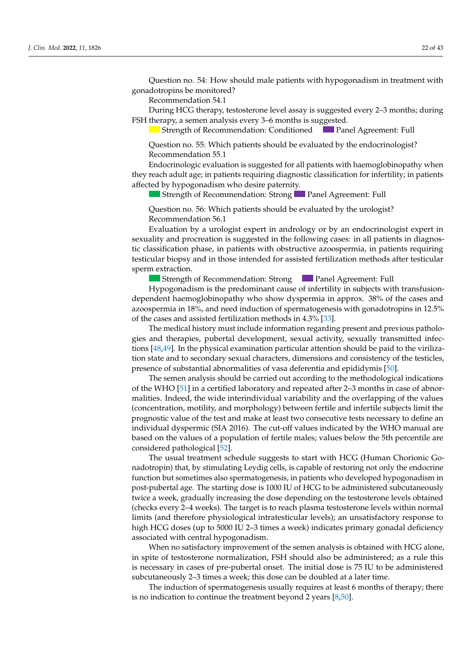Question no. 54: How should male patients with hypogonadism in treatment with gonadotropins be monitored? *J. Clin. Med.* **2022**, *11*, x FOR PEER REVIEW 11 of 46

**Example 10** Recommendation 54.1

During HCG therapy, testosterone level assay is suggested every 2-3 months; during FSH therapy, a semen analysis every 3–6 months is suggested.

Strength of Recommendation: Conditioned **Panel Agreement: Full Panel Agreement: Full** 

Strength of Recommendation: Conditioned **Panel Agreement: Full (2014)**<br>Question no. 55: Which patients should be evaluated by the endocrinologist?  $\sum_{i=1}^{\infty}$  Recommendation 55.1  $\frac{1}{2}$ 

Endocrinologic evaluation is suggested for all patients with haemoglobinopathy when they reach adult age; in patients requiring diagnostic classification for infertility; in patients affected by hypogonadism who desire paternity.

Strength of Recommendation: Strong Panel Agreement: Full

 $\Omega$  consider the  $56$ . Which patients should be avaluated by the use logist? tion of testicular growth, starting from the age of 14. recommendation 12.5 october 12.5 percent Question no. 56: Which patients should be evaluated by the urologist?<br>Recommendation 56.1 Recommendation 56.1 Question no. 56: Which patients should be evaluated by the urologist?<br>Recommendation 56.1

Evaluation by a urologist expert in andrology or by an endocrinologist expert in ny and procreation is suggested in the ronowing cases. In an patients in dia  $R_{\text{B}}$ testicular biopsy and in those intended for assisted fertilization methods after testicular sexuality and procreation is suggested in the following cases: in all patients in diagnostic classification phase, in patients with obstructive azoospermia, in patients requiring sperm extraction.

**In the case of the case of the case of the case of the case of the case of the commendation: Strong <b>Panel Agreement: Full Strength of Recommendation: Strong** Panel Agreement: Full Strength of Recommendation: Strong **Panel Agreement: Full** 

Hypogonadism is the predominant cause of infertility in subjects with transfusiondependent haemoglobinopathy who show dyspermia in approx. 38% of the cases and azoospermia in 18%, and need induction of spermatogenesis with gonadotropins in 12.5% If the cases and assisted fertilization methods in  $4.3\%$  [33]. of the cases and assisted fertilization methods in 4.3% [\[33\]](#page-39-18).

The medical history must include information regarding present and previous patholo-<br>Recommendation 13.1 Solution 12.5 SD or SD or SD or SD or SD or SD or SD or SD or SD or SD or SD or SD or SD or tions [48,49]. In the physical examination particular attention should be paid to the viriliza-<br>tions [48,49]. In the physical examination particular attention should be paid to the viriliza- $\frac{1}{2}$  and  $\frac{1}{2}$ . In the priyon examination particular attention should be plat to the virtual resence of substantial abnormalities of vasa deferentia and epididymis [50]. and therapies, pubertal development, sexual activity, sexually transmitted infec-<br> $[10, 40]$  is recommended to the case of the case of hypogonal intervals of the case of the case of the case of the case of the case of the non state and to secondary sexual enanceles, annehistoris and consistency of the testeles, presence of substantial abnormalities of vasa deferentia and epididymis [\[50\]](#page-40-3). The medical history must include information regarding present and previous patholo- $\frac{1}{2}$  monopolyton and the pulse of the curve of Cacciari for  $\frac{1}{2}$  for  $\frac{1}{2}$  for  $\frac{1}{2}$  in Italian inter-tions [\[48,](#page-40-1)49]. In the physical examination particular attention should be paid to the virilizagies and therapies, pubertal development, sexual activity, sexually transmitted infec-<br>extending the contract of the contract of the contract of the contract of the contract of the contract of the

The semen analysis should be carried out according to the methodological indications<br>WHO Fall is the condition of Recommendations f the WHO [51] in a certified laboratory and repeated after 2–3 months in case of abnornalities. Indeed, the wide interindividual variability and the overlapping of the values (concentration, motility, and morphology) between fertile and infertile subjects limit the duely value of the test and make at least two consecutive tests necessary to define an<br>dual deconomic (CLA 2016). The rub off reduce in direted by the WIIO menual are mondat ay passed on the variable of a population of terms mately, variable below the strict considered pathological [52]. individual dyspermic (SIA 2016). The cut-off values indicated by the WHO manual are on the values of a popul no. 5: Which evaluation no. 5: Which evaluation is not the case of the case of case of case of case of case of prognostic value of the test and make at least two consecutive tests necessary to define an<br>individual dragographs (CLA 2016). The sub-off values indicated by the MUIO magned are recommendation 5.1 In the variable growth displacement of rectific that estimates were value our percentation: The optimal Agreement: Full Agreement: Full Agreement: Full Agreement: Full Agreement: Full Agreement: Full Agreement: Full Agreem The semen analysis should be carried out according to the methodological indications of the WHO [\[51\]](#page-40-4) in a certified laboratory and repeated after 2–3 months in case of abnormalities. Indeed, the wide interindividual variability and the overlapping of the values based on the values of a population of fertile males; values below the 5th percentile are

The usual treatment schedule suggests to start with HCG (Human Chorionic Gonadotropin) that, by stimulating Leydig cells, is capable of restoring not only the endocrine function but sometimes also spermatogenesis, in patients who developed hypogonadism in post-pubertal age. The starting dose is 1000 IU of HCG to be administered subcutaneously twice a week, gradually increasing the dose depending on the testosterone levels obtained (checks every 2-4 weeks). The target is to reach plasma testosterone levels within normal limits (and therefore physiological intratesticular levels); an unsatisfactory response to associated with central hypogonadism. mererore privological intractsicatal revers), an ansamstactory response t high HCG doses (up to 5000 IU 2–3 times a week) indicates primary gonadal deficiency

When no satisfactory improvement of the semen analysis is obtained with HCG alone, in spite of testosterone normalization, FSH should also be administered; as a rule this ogiste of the procedure in the planning phase of the planning phase of the phase of the phase of the phase of the planning phase of the planning phase of the phase of  $p$ -calculation of  $\alpha$  and  $\alpha$  is  $\alpha$  and  $\alpha$  is  $\$ subcutaneously 2–3 times a week; this dose can be doubled at a later time. is necessary in cases of pre-pubertal onset. The initial dose is 75 IU to be administered

The induction of spermatogenesis usually requires at least 6 months of therapy; there is no indication to continue the treatment beyond 2 years  $[8,50]$ .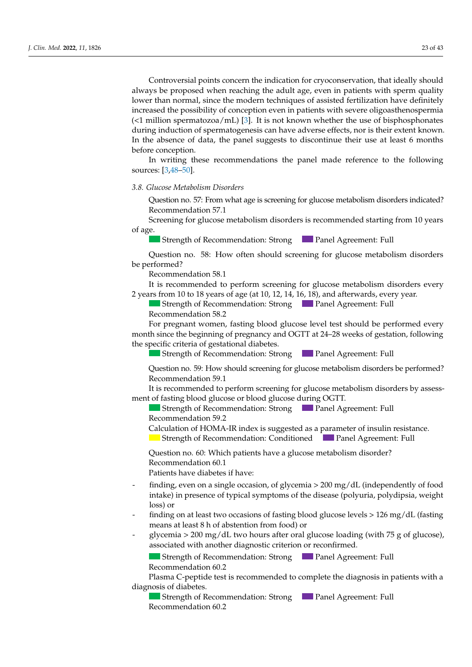Controversial points concern the indication for cryoconservation, that ideally should always be proposed when reaching the adult age, even in patients with sperm quality lower than normal, since the modern techniques of assisted fertilization have definitely increased the possibility of conception even in patients with severe oligoasthenospermia (<1 million spermatozoa/mL) [\[3\]](#page-38-2). It is not known whether the use of bisphosphonates during induction of spermatogenesis can have adverse effects, nor is their extent known. In the absence of data, the panel suggests to discontinue their use at least 6 months before conception.

> In writing these recommendations the panel made reference to the following sources: [\[3,](#page-38-2)[48–](#page-40-1)[50\]](#page-40-3).  $\mathcal{L}^{\text{max}}$  and how often is screening for a height growth disor-and how often is screening for a height growth disor-Recommendation 12.3

**3.8. Glucose Metabolism Disorders** who did not begin public age of 13 in females who did not be age of 13 in females who did not be a get  $\alpha$  in females who did not be a get  $\alpha$  in females who did not be a get  $\alpha$  in f *J. Clin. Med.* **2022**, *11*, x FOR PEER REVIEW 7 of 46

Question no. 57: From what age is screening for glucose metabolism disorders indicated? **Recommendation 57.1** 

Screening for glucose metabolism disorders is recommended starting from 10 years of age. fage. *3.2. Height and Growth Disorder*  **J.** Screening for glucose metabolism disorders is recommended starting from 10 years of age.<br> **2023** Strength of Recommendation: Strong **Panel Agreement: Full** 

Strength of Recommendation: Strong Panel Agreement: Full

Question no. 58: How often should screening for glucose metabolism disorders be performed? Question no. 58: How often should screening for glucose metabolism disorders<br>a performed? Low-dien should screening for gracose metabolism disorders<br>*he performed?* 

Recommendation 58.1

It is recommended to perform screening for glucose metabolism disorders every 2 years from 10 to 18 years of age (at 10, 12, 14, 16, 18), and afterwards, every year.

Strength of Recommendation: Strong Panel Agreement: Full Recommendation 58.2

Strength of Recommendation: StrongPanel Agreement: Full month since the beginning of pregnancy and OGTT at 24–28 weeks of gestation, following the specific criteria of gestational diabetes. For pregnant women, fasting blood glucose level test should be performed every *For pregnant women, fasting blood glucose level test should be performed every month since the beginning of pregnancy and OGTT at 24–28 weeks of gestation, following the specific criteria of gestational diabetes.* 

**A interpretation cases: 1998** Cases: Strong **Cases** Panel Agreement: Full Strength of Recommendation: Strong Panel Agreement: Full

Question no. 59: How should screening for glucose metabolism disorders be performed?  $\frac{2}{1}$  Recommendation 59.1

econfinendation 39.1<br>i is recommended to perform screening for glucose metabolism disorders by assessment of fasting blood glucose or blood glucose during OGTT. It is recommended to perform screening for glucose metabolism disorders by assess-

Strength of Recommendation: Strong **Panel Agreement: Full** Recommendation 59.2

Calculation of HOMA-IR index is suggested as a parameter of insulin resistance.

Strength of Recommendation: Conditioned **Parameters** Panel Agreement: Full Strength of Recommendation: Conditioned Panel Agreement: Full

decommended in the partition and the case of the case of the case of the case of  $\alpha$ here here dispete In the case of constitutional growth and public delay with the spontaneous begin-Question no. 60: Which patients have a glucose metabolism disorder?  $W_{\text{tot}}$  and his parameter  $\omega_{\text{tot}}$  is a carried contribution of  $\omega$  carried checks to be carried checks to be carried contributions. Patients have diabetes if have: Recommendation 60.1 Question no. 60: Which patients have a glucose metabolism disorder?<br>Recommendation 60.1 Question no. 60: Which patients have a glucose metabolism disorder?<br>Recommendation 60.1

Recommendation 5.1 million

- $\lim_{\epsilon \to 0} g$ , even on a single occasion, or grycemia  $>$  200 mg/ dL (independently of 1000 make) in presence of typical symptoms of the disease (poly finding, even on a single occasion, of glycemia > 200 mg/dL (independently of food realize, over on a single occasion, or gr, comando and, and called period. Strength of Recommendation: StrongPanel Agreement: Full  $R = \frac{R}{2}$  $\frac{1}{2}$ . Status  $\frac{1}{2}$ . Status  $\frac{1}{2}$  such an  $\frac{1}{2}$  such an  $\frac{1}{2}$ . So the family target and  $\frac{1}{2}$  or  $\frac{1}{2}$  or  $\frac{1}{2}$ .  $\sum_{r=1}^{\infty}$  are  $\sum_{r=1}^{\infty}$  $\widetilde{\text{R}}$  in presence of typical symptoms of the disease (polyuria, polydipsia, weight  $\frac{1}{2}$  the case of  $\frac{1}{2}$  is recommended to  $\frac{1}{2}$  is recommended to  $\frac{1}{2}$  is recommended to  $\frac{1}{2}$  is recommended to  $\frac{1}{2}$  is recommended to  $\frac{1}{2}$  is recommended to  $\frac{1}{2}$  is recommended to  $\frac$  $\cos$  or  $\frac{1}{2}$  which patients have a height growth disorder?  $\log$ ) or  $\overline{\text{S}}$  is it suggested cases of hypogonalism in males is it suggested in males in males is it suggested in males in  $\overline{\text{S}}$  $\frac{1}{2}$  finding, even on a single occasion, of glycemia > 200 mg/dL (independently of food intake) in presence of typical symptoms of the disease (polyuria, polydipsia, weight<br>loss) or loss) or  $\Delta$  patients who did not begin public development, by the age of 13 in females of 13 in females of 13 in females of 13 in females of 13 in females of 13 in females of 13 in females of 13 in females of 13 in females of 13
	- $\frac{1}{2}$  finding on at loset two occasions of facting blood glucose lovels  $>126$  mg/dJ (facting man, on a teast the ecclesions of histing stock gracese fervers. The mg, all (histing means at least 8 h of abstention from food) or  $\frac{d}{d}$  means of look  $\theta$  h of shots in from food) or  $\frac{d}{d}$  and the state in males  $\frac{d}{d}$  means of look  $\theta$  h of shots in from food) or  $\frac{1}{2}$  finding on at least two occasions of fasting blood glucose levels > 126 mg/dL (fasting
	- glycemia > 200 mg/dL two hours after oral glucose loading (with 75 g of glucose),<br>associated with another diagnostic criterion or reconfirmed physical and construction of urine; and chemical examination of urine; (which is given growth)  $\overline{\phantom{a}}$  and  $\overline{\phantom{a}}$  and  $\overline{\phantom{a}}$  and  $\overline{\phantom{a}}$ grid the secondation of the started the started of the started of the secondary (which is associated with another diagnostic criterion or reconfirmed. associated with another diagnostic criterion or reconfirmed.

 $\frac{1}{\sigma}$  Celiac disease (anti-TG  $\frac{1}{\sigma}$  and subject  $\frac{1}{\sigma}$  and subject  $\frac{1}{\sigma}$  and simple simple simple subject  $\frac{1}{\sigma}$ ultaneous evaluation of IgA); Strength of Recommendation: Strong Panel Agreement: Full  $I_n$  Strongth of Bosommondetian:  $S_{t}$   $I_{t}$   $I_{t}$   $I_{t}$   $I_{t}$   $I_{t}$   $I_{t}$   $I_{t}$   $I_{t}$   $I_{t}$   $I_{t}$   $I_{t}$   $I_{t}$   $I_{t}$   $I_{t}$   $I_{t}$   $I_{t}$   $I_{t}$   $I_{t}$   $I_{t}$   $I_{t}$   $I_{t}$   $I_{t}$   $I_{t}$   $I_{t}$   $I_{t}$   $I_{t}$  $\frac{1}{2}$  compared to the thermal terms for  $\frac{1}{2}$ Strength of Recommendation: Strong Panel Agreement: Full Recommendation 60.2  $\blacksquare$  Suenguron Recomm Strength of Recommendation: Strong Panel Agreement: Full

 $\Gamma$ <sub>Therma</sub>  $C$   $\eta$  and  $A_0$  took is  $\eta$  and  $\eta$ - Phosphorus-calcium metabolism (calcium, phosphorus, alemanic phosphorus, alemanic phosphatase, PTH Recommendation 60.2<br>Plasma C-peptide test is recommended to complete the diagnosis in patients with a In the case that pubertal development development development disorder. In particular when a<br>liagnosis of diabetes. Plasma C-peptide test is recommended to complete the diagnosis in patients with a  $\frac{1}{2}$  diagnosis of diabetes. In female patients with puberty delay, the recommended therapy is low-dose 17β-Plasma C-peptide test is recommended to complete the diagnosis in patients with a<br>iagnosis of diabetes.

Strength of Recommendation: Strong **Panel Agreement: Full** Recommendation 60.2 Strength of Recommendation: Strong Panel Agreement: Full<br>Recommendation 60.2 control of the therapy for the therapy for handle  $\alpha$ Recommendation 60.2  $\frac{1}{\sqrt{2}}$  Recommendation 60.2  $\overline{\phantom{a}}$  ,  $\overline{\phantom{a}}$  ,  $\overline{\phantom{a}}$  ,  $\overline{\phantom{a}}$  ,  $\overline{\phantom{a}}$  ,  $\overline{\phantom{a}}$  ,  $\overline{\phantom{a}}$  ,  $\overline{\phantom{a}}$  ,  $\overline{\phantom{a}}$  ,  $\overline{\phantom{a}}$  ,  $\overline{\phantom{a}}$  ,  $\overline{\phantom{a}}$  ,  $\overline{\phantom{a}}$  ,  $\overline{\phantom{a}}$  ,  $\overline{\phantom{a}}$  ,  $\overline{\phantom{a}}$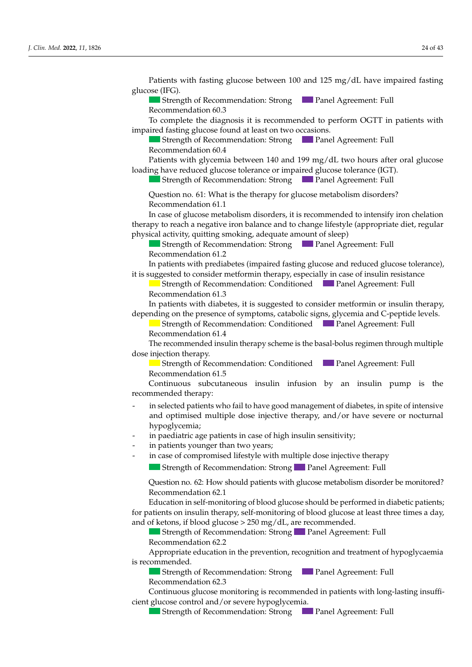To complete the diagnosis it is recommended to perform OGTT in patients with impaired fasting glucose found at least on two occasions. Strength of Recommendation: Strong Panel Agreement: Full  $\alpha$  Recommendation 60.4 Patients with glycemia between  $140$  and  $199$  mg/dJ two bours after oral glucose loading have reduced glucose tolerance or impaired glucose tolerance (IGT). Strength of Recommendation: Strong **Panel Agreement: Full** Question no. 61: What is the therapy for glucose metabolism disorders? Recommendation 61.1 In case of glucose metabolism disorders, it is recommended to intensify iron chelation therapy to reach a negative iron balance and to change lifestyle (appropriate diet, regular physical activity, quitting smoking, adequate amount of sleep) Strength of Recommendation: Strong Panel Agreement: Full - Status ≤ −2 Soommendation bl.2<br>The status at least 6 months at least 6 months application reduced at least 6 months application reduced at le tion of 0.5 Space of 0.5 Space 2 years of 0.5 Space 2 years of 0.5 Space 2 years of 0.5 Space 2 years old; 0.5  $\frac{1}{2}$  is suggested to consider methorium therapy, especially in case of institutive resistance  $\overline{\phantom{a}}$ In patients with diabetes, it is suggested to consider metformin or insulin therapy, epending on the presence of symptoms, catabolic signs, glycemia and C-peptide levels.  $h_{\text{beam}}$  distribution distribution Recommendation 5.1 In patients with disorders, it is recommended to check the optimal of the optimal and optimal agreements with  $\frac{1}{2}$ ose injection therapy.<br>Strenoth of Recommendation: Conditioned **in the Panel Agreement: Full** In Buengar of Recommendation. Conditioned **Figure 1** diter 1 greentent. The Recommendation 61.5 recommendation one<br>Continuous subcutaneous insulin infusion by an insulin pump is the ecommended, therapy: the stocal proteins, and proteins, and protein electrophoresis, in the commended, the stocal laboratory re-evaluation, in the case of the clinical laboratory re-evaluation, in the case of the case of t physical example:<br>Some to the colocted patients who fail to have good management of diabetes in spite of intensive and optimized multiple does injective thereby and (or have cevere or nocturnal hypoglycemia; hypoglycemia; if pogrycernary<br>in paediatric age patients in case of high insulin sensitivity; in pacadiante dige patients in ease of high misulm sensitivity, in partners younger man two years,<br>in case of compromised lifestyle with multiple dose injective therapy strength of Recommendation: Strong Panel Agreement: Full Recommentation 5.2  $\mu$  about the  $\sigma$  that should padelly with glucose the about another be inormored: sistem indication of the performance of performance and a dynamic test for the evaluation of the evaluation of Education in self-monitoring of blood glucose should be performed in diabetic patients; and of ketons, if blood glucose > 250 mg/dL, are recommended. Strength of Recommendation: Strong<br>Recommendation 62.2 Recommendation 62.2 Recommendation 60.3 ents with glycenia between 140 and 199 mg/ dl two hours are  $B_{\text{out}}$  of necessarily matrices of public  $\sum_{i=1}^{\infty}$  and regression, reduced  $\sum_{i=1}^{\infty}$ commentation 01.2 it is suggested to consider metform in therapy, especially in case of insulin resistance Strength of Recommendation: Conditioned **Panel Agreement: Full**<br>Recommendation 61.3 Recommendation 61.3 Strength of Recommendation: Conditioned<br>Recommendation: Conditioned<br>Recommendation 61.4 recommendation of  $\log$ Question no. 62: How should patients with glucose metabolism disorder be monitored?  $\frac{1}{2}$  Recommendation 62.1 for patients on insulin therapy, self-monitoring of blood glucose at least three times a day,<br>and of ketons, if blood glucose  $> 250$  mg/dL, are recommended. Patients with glycemia between 140 and 199 mg/dL two hours after oral glucose Strength of Recommendation: Strong Panel Agreement: Full  $\frac{1}{\sigma}$  , hence  $\frac{1}{\sigma}$  and  $\frac{1}{\sigma}$  arranged out every sixteeper stage. Recommendation 61.2 - In patients with prediabetes (impaired fasting glucose and reduced gluc - Status ≤ Status Status at least 6 months at least 6 months apart, or status for status and status reduced at least 6 months apart, or status and status and status and status and status and status and status and status a tion of 0.5 Suggested to consider in  $\overline{\phantom{a}}$ In the recommended insulin therapy scheme is the basal-bolus regimen through multiple out the condition of the optimal condition of the optimal and the optimal agreement of the optimal Agreement: Full agreement: Full agreement: Conditioned Panel Agreement: Full agreement: Conditioned Panel Agreement: Condit recommended therapy: and optimised multiple dose injective therapy, and/or have severe or nocturnal<br>hypoclycomia: - Strength of Recommendan commentation one epending on the presence of symptoms, catabolic signs, glycemia and C-peptide levels. Recommendation 61.4<br>Females and puberty delay. The constitution of the constitution of the constitution of the constitution of the ning of public of public suggests in watchful waiting, it is suggested to remain in watchful waiting, in concert Strength of Recommendation: Conditioned<br> **Example 2** Panel Agreement: Full Recommendation  $61.5$ in selected patients who fail to have good management of diabetes, in spite of intensive in paediatric age patients in case of high insulin sensitivity;<br>in potients your gor than two years. Strength of Recommendation: Strong Panel Agreement: Full **Example 13.3 Strength of Kecommendation: Strong Pranel Agreement: Full** Strength of Recommendation: StrongPanel Agreement: Full In patients with diabetes, it is suggested to consider metformin or insulin therapy, - Status ≤ Status Status GR ≤ SOD with GR ≤ SOD with GR ≤ 1 Space 6 months at least 6 months apart, or status reduced at least 6 months apart, or status reduced at least 6 months apart, or status reduced at least 6 months tie recommended insulin therapy scheme is the basar-bo. Continuous subcutaneous insulin infusion by an insulin pump is the  $\mathcal{L}$  and example in the case of  $\mathcal{L}$  and  $\mathcal{L}$  are recommended in the case of case of case of case of case of case of case of case of case of case of case of case of case of case of case of case of case of case  $\sum_{i=1}^n a_i$  is recommended to check the optimal to check the optimal to check the optimal to check the optimal to check the optimal to check the optimal to check the optimal to check the optimal to check the optimal to medic of compromise Question no. 61: What is the therapy for glucose metabolism disorders?<br>Recommendation 61.1 In patients with prediabetes (impaired fasting glucose and reduced glucose tolerance), recommendation on +<br>The growth and disorder the growth growth disorder?  $\frac{1}{2}$  dose injection therapy. Strength of Recommendation: Conditioned Panel Agreement: Full Agreement: Full Agreement: Full Agreement: Full Agreement: Full Agreement: Full Agreement: Full Agreement: Full Agreement: Full Agreement: Full Agreement: Full  $\mu$  patients younger than  $W$  very exist, a short  $\mu$  and  $\mu$  are short  $\mu$  and  $\mu$ low-dose of compromised inestyle with maline dose hyeelive aneiapy depending on the presence of symptoms, catabolic signs, glycemia and C-peptide levels. recommended mod. Strongh of Becommondation: Conditioned - If the spanned manple assemption and present, GR status is the service of no construction y poglycemar,<br>2 paediatric age patients in case of high insulin sensitivity:  $\Omega$  and  $\Omega$  is a set of  $\Omega$  is a set of  $\Omega$  and  $\Omega$  are recommended in the case of  $\Omega$ Strength of Recommendation: Strong Panel Agreement: Full  $\text{reconfin}$  and  $\text{reconfin}$   $\text{reconfin}$ **J.** Recommendation 60.4<br>
Patients with glycemia between 140 and 199 mg/dL two hours after oral glucose<br>
loading have reduced glucose tolerance or impaired glucose tolerance (IGT).<br>
Strength of Recommendation: Strong<br>
Pane In patients with diabetes, it is suggested to consider metformin or insulin therapy,  $\frac{1}{2}$  recommended inculin there we chose is the head holys regimen through multiple. males, with a lack of pubertal development and the pubertal development and development and the public of public induction with a lack of public induction with a lack of public induction with a lack of  $\alpha$ Streeted patients with fair to fail good management of diabettes, happie of microsive<br>Ind optimised multiple dose injective therapy, and/or have severe or nocturnal  $\Gamma$  public  $\sigma$  can be calculated and public delay with the spontaneous beginin case of compromised lifestyle with multiple dose injective therapy 14.4  $t_{\text{t}}$  of the commendation  $f(t)$ aediatric age patients in case of nigh insulin sensitivity; r patients younger than The recommended insulin therapy scheme is the basal-bolus regimen through multiple neuropy. Strength of Recommendation: Conditioned **Panel Agreement: Full** commendation 61.5  $m$  and  $\alpha$  becomes one pubertal development after  $\alpha$   $\beta$  can be published there is no published there is no published there is no published the published the published the published the published the published the pu low-dose hormones, have hypogonadotropic hypogonadism. - in paediatric age patients in case of high insulin sensitivity; - in patients younger than two years; Recommendation 14.4 Continuous subcutaneous insulin infusion by an insulin pump is the<br>waves ded there we  $t_{\text{total}}$  and  $t_{\text{total}}$  and  $t_{\text{total}}$  and  $t_{\text{total}}$  and  $t_{\text{total}}$  for the induc-- in selected patients who fail to have good management of diabetes, in spite of intensive and optimised multiple dose injective therapy, and/or have severe or nocturnal males, with a lack of public of public of public of public induction with  $\alpha$  cycles of public with with with with  $\alpha$  induction with  $\alpha$  induction with  $\alpha$  induction with  $\alpha$  induction with  $\alpha$  induction with  $\alpha$  i Strength of Recommendation: Strong Panel Agreement: Full Strength of Recommendation: Strong<br>Recommendation 62.2<br>Appropriate education in the prevention, recognition and treatment of hypoglycaemia - in case of compromised lifestyle with multiple dose injective therapy restribution 02. Thow she Education in self-monitoring of blood glucose should be performed in diabetic patients;  $S$ trength of  $R$ greement:  $S$ trong Panel Agreement:  $S$ Question no. 62: How should patients with glucose metabolism disorder be monitored? *J.* In paediatric age patients in case of high insulin sensitivity;<br> *J.* Clin. Med. So in patients younger than two years;<br> *J.* Clin. Clin. Med. Med. Med. Agreement: Full Strength of Recommendation: Strong **P.** Panel Ag *J. Clin. Med.* **2022**, *11*, x FOR PEER REVIEW 7 of 46 *J. Comparison insum therapy, sen-monitoring of blood glucose at least three times a day,*<br>and of ketons, if blood glucose > 250 mg/dL, are recommended.<br>**2022** Appropriate education in the prevention recognition and treatm

Patients with fasting glucose between 100 and 125 mg/dL have impaired fasting

and 14 in males, a short 3–6-month cycle of low-dose hormone therapy (oestern in the low-dose hormone therapy (

Strength of Recommendation: Strong Panel Agreement: Full

glucose (IFG).  $\overline{a}$ 

ratients with lasting glucose between 100 and 125 ing/uL have impaired lasting<br>*o*lucose (IFG)

Recommendation 2.1

Appropriate education in the prevention, recognition and treatment on Strength of Recommendation: StrongPanel Agreement: Full ppropriate education in the prevention, recognition and treatment of hypoglycaemia<br>mmonded In the case of non-response to the first cycle, it is suggested to consider a second cycle, it is suggested to consider a second cycle, it is suggested to consider a second cycle, it is not consider a second cycle cycle a  $\frac{1}{2}$  is recommended. In the case that the above that the above  $\overline{a}$  are normal, and the growth anomaly per-Appropriate education in the prevention, recognition and treatment of hypoglycaemia Strength of Recommendation: Strong Panel Agreement: Full  $S$ trended. low-dose hormone therapy (oestrogens in females and testosterone in males) is recom-Recommendation 62.2<br>Appropriate education in the prevention, recognition and treatment of hypoglycaemia In all patients who did not begin public  $\mathcal{L}$  in females of 13 in females of 13 in females of 13 in females of 13 in females of 13 in females of 13 in females of 13 in females of 13 in females of 13 in females of 13 i

 $\sum$  of tright of Kecommendation. Strong  $\sum$  1 and 1 greenlent. **Extending 5.3 Strength of Recommendation: Strong Formation Panel Agreement: Furthermore, 1986** Recommendation 62.3 Strength of Recommendation: Strong **and Agreement: Full**<br>
Ranel Agreement: Full  $T_{\text{SUSY}}$   $T_{\text{SUSY}}$   $T_{\text{SUSY}}$   $T_{\text{SUSY}}$  ( $T_{\text{SUSY}}$  $\frac{1}{2}$  show show show show show show  $\frac{1}{2}$  under treatment being  $\frac{1}{2}$ Strength of Recommendation: Strong Panel Agreement: Full<br>ecommendation 62.3 Strength of Recommendation: Strong Panel Agreement: Full Strength of Recommendation: Strong Panel Agreement: Full<br>Recommendation 62.3

Continuous glucose monitoring is recommended in patients with lor entificate gracese montoning is recommended in patients with long mount belongered. Recommendation 62.5<br>Continuous glucose monitoring is recommended in patients with long-lasting insuffi- $\mu$  the case control and for severe hypographical. Recommendation 62.3<br>Continuous glucose monitoring is recommended in patients with long-lasting insuffi-Communous gracose monitoring is recommended in patients with long-lasting fisure<br>cient glucose control and/or severe hypoglycemia.

 $T_{\rm c}$  defines to use GH-RH arginine, glucagon, arginine, glucagon,  $\sigma$ 

 $\sim$  of treatment with an increase of  $\sim$  50 mg compared to the first dose of  $\sim$ Strength of Recommendation: Strong **Panel Agreement: Full**  $\frac{1}{2}$  station of the public station state,  $\frac{1}{2}$  and  $\frac{1}{2}$  and  $\frac{1}{2}$  and  $\frac{1}{2}$ Strength of Recommendation: Strong Panel Agreement: Full  $\sigma$ Strength of Recommendation: Strong Panel Agreement: Full  $\mathcal{Q}$  between growth, levels of total testosterone at levels of total testosterone at least every  $\mathcal{Q}$  $\Box$  backgar of necommentation, bable  $\Box$  and  $\Box$  and  $\Box$  as previously as  $\Box$ ient glucose control and/or severe hypoglycemia.<br>Strength of Recommendation: Strong Panel Agreement: Full  $\frac{1}{\sigma}$  , hence  $\frac{1}{\sigma}$  and  $\frac{1}{\sigma}$  arranged out every sixteeper stage. Strength of Recommendation: Strong **Panel Agreement: Full Strength of Recommendation: Strong Panel Agreement: Full**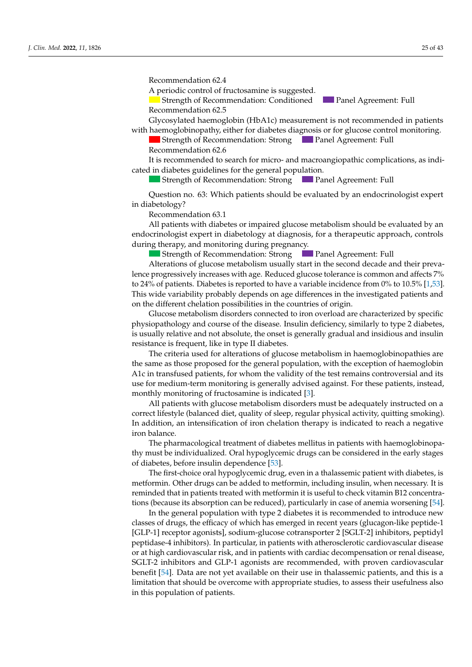Recommendation 62.4  $\alpha$  *J. Clinical Decommendation*  $\alpha$ .  $\alpha$ 

A periodic control of fructosamine is suggested.

Strength of Recommendation: Conditioned<br>Recommendation 62.5 Recommendation: 62.5 **Panel Agreement: Full** 

and 14 in males, a short 3–6-month cycle of low-dose hormone therapy (oesterogens in  $\mathcal{A}$ 

Glycosylated haemoglobin (HbA1c) measurement is not recommended in patients with haemoglobinopathy, either for diabetes diagnosis or for glucose control monitoring.

Strength of Recommendation: Strong Panel Agreement: Full Recommendation 14.4 Recommendation 62.6 **Panel Agreement: Full** 

It is recommended to search for micro- and macroangiopathic complications, as indito consider the use of gonal of gonal of gonal constant the use of  $\Gamma$  and  $\Gamma$  and  $\Gamma$  the induces of  $\Gamma$  the inducrecto guidenco foi die cated in diabetes guidelines for the general population.

 $t_{\text{ref}}$  of the commentation, strong  $t_{\text{ref}}$ Strength of Recommendation: Strong Panel Agreement: Full

Question no. 63: Which patients should be evaluated by an endocrinologist expert  $\mathsf{etology?}$  $\frac{1}{2}$ : which female patients have hypogonadotropic hypogonadotropic hypogonadotropic hypogonadorropic hypogonadism?  $\log$   $\frac{1}{2}$   $\log$  Panel Agreement:  $\log$  Panel Agreement:  $\log$  Panel Agreement: Full  $\log$  Panel Agreement: Full  $\log$  Panel Agreement: Full  $\log$  Panel Agreement: Full  $\log$  Panel Agreement: Full  $\log$  Panel Agreement: Full in diabetology? Question no. 63: Which patients should be evaluated by an endocrinologist expert<br>abetology?

Recommendation 63.1

Il patients with diabetes or impaired glucose metabolism should be evaluate In female patients when the recommended the recommended the recommended therapy is dependent of the recommended the recommended the recommended the recommended the recommended the recommended the recommended the recommende uring the rapy, and monitoring during pregnancy.<br>  $\begin{bmatrix} 1 & 0 \\ 0 & 0 \end{bmatrix}$ All patients with diabetes or impaired glucose metabolism should be evaluated by an endocrinologist expert in diabetology at diagnosis, for a therapeutic approach, controls during therapy, and monitoring during pregnancy.

Strength of Recommendation: Strong **Comment Agreement: Full** Strength of Recommendation: StrongPanel Agreement: Full **Panel Agreement: Full** 

lterations of glucose m progressively increases with age. Reduced glucose tolerance is common and affects 7%  $24\%$  of patients. Diabetes is reported to have a variable incidence from 0% to 10.5% [\[1](#page-38-0)[,53\]](#page-40-0). to 24% of patients. Diabetes is reported to have a variable incidence from 0% to 10.5% [1,53].<br>This wide variability probably depends on age differences in the investigated patients and and the diagnosis of the commendation. Strong on the different chelation possibilities in the countries of origin. erations of glucose metabolism usually start in the second decade al lence progressively increases with age. Reduced glucose tolerance is common and affects 7% Alterations of glucose metabolism usually start in the second decade and their preva-

lucose metabolism disorders connected to iron overload are characterized by specific hysiopathology and course of the disease. Insulin deficiency, similarly to type 2 diabetes, usually relative and not absolute, the onset is generally gradual and insidious and insulin resistance is frequent, like in type II diabetes.<br>The contract of the contract of the contract of the contract of the contract of the contract of the contract o Sucose metabolism disorders connected to iron overload are characterized by specific pathology and course of the casease. Insumi deficiency, similarly to ppe 2 diagency, ry stepartology and course of the disease. Histoire deficiency, similarly to type is usually relative and not absolute, the onset is generally gradual and insidion  $C<sub>l</sub>$  months all values of  $\alpha$  is connected to iron overload are characterized by specific physiopathology and course of the disease. Insulin deficiency, similarly to type 2 diabetes, Glucose metabolism disorders connected to iron overload are characterized by specific is usually relative and not absolute, the onset is generally gradual and insidious and insulin<br>recistores is frequent, like in type II disbetes

Eucharies to requerty, like in type in attacetes.<br>The criteria used for alterations of glucose metabolism in haemoglobinopathies are ne same as those proposed for the gene  $\frac{1}{2}$  strength of  $\frac{1}{2}$  and  $\frac{1}{2}$  and  $\frac{1}{2}$  are  $\frac{1}{2}$  and  $\frac{1}{2}$  and  $\frac{1}{2}$  and  $\frac{1}{2}$  and  $\frac{1}{2}$  and  $\frac{1}{2}$  and  $\frac{1}{2}$  and  $\frac{1}{2}$  and  $\frac{1}{2}$  and  $\frac{1}{2}$  and  $\frac{1}{2}$  and  $\frac$ monthly monitoring of fructosamine is indicated [3]. fused patients for whom the validity of the test remains controversial and its medium-term monitoring is generally advised against. For these patients, instead - Ine criteria used for alterations of glucose metabolism in naemoglobinopathies are he same as those proposed for the general population, with the exception of haemoglobin ric in transfused patients, ro streament verm morntoring to generally an idea against 1 or allege panel agreement use for medium-term monitoring is generally advised against. For these patients, instead, nce is nequent, ince in type it alabetes.<br>he criteria used for alterations of glucose metabolism in haemoglobi  $R_{\text{R}}$ A1c in transfused patients, for whom the validity of the test remains controversial and its For the criteria used for alterations of glucose metabolism in haemoglobinopathies are<br>The criteria used for alterations of glucose metabolism in haemoglobinopathies are the same as those proposed for the general population, with the exception of haemoglobin

ondry monitoring or nactosamine is maleated [9].<br>All patients with glucose metabolism disorders must be adequately instructed on a In patients who glacese included<br>one has be acceptately instructed of a<br>prrect lifestyle (balanced diet, quality of sleep, regular physical activity, quitting smoking). n addition, an intensification of iron chelation therapy is indicated to reach a negative ation of the puberty stage, height growth, and the dimensions of the uterus and ovaries of the uterus and ovaries and ovaries and ovaries of the uterus and ovaries and ovaries and ovaries and ovaries and ovaries and ovari Recommendation 13.3  $\frac{1}{2}$  on balance In particular to the check the optimal of the optimal of Recommendation: Full Agreement: Full Agreement: Full Agreement: Full Agreement: Full Agreement: Full Agreement: Full Agreement: Full Agreement: Full Agreement: Full All patients with glucose metabolism disorders must be adequately instructed on a correct lifestyle (balanced diet, quality of sleep, regular physical activity, quitting smoking). In addition, an intensification of iron chelation therapy is indicated to reach a negative on balance. is present, GR ≤ SD in one year, or ≤−1.5 SD in two consecutive versions of  $\overline{S}$ iron balance.

The pharmacological treatment of diabetes mellitus in patients with haemoglobinopathy must be individualized. Oral hypoglycemic drugs can be considered in the early stages of diabetes, before insulin dependence [53].

The first-choice oral hypoglycemic drug, even in a thalassemic patient with diabetes, is reminded that in patients treated with metformin it is useful to check vitamin B12 concentrations (because its absorption can be reduced), particularly in case of anemia worsening [54]. metformin. Other drugs can be added to metformin, including insulin, when necessary. It is

In the general population with type 2 diabetes it is recommended to introduce new In the general population with type 2 diabetes it is recommended to introduce new<br>classes of drugs, the efficacy of which has emerged in recent years (glucagon-like peptide-1 [GLP-1] receptor agonists], sodium-glucose cotransporter 2 [SGLT-2] inhibitors, peptidyl peptidase-4 inhibitors). In particular, in patients with atherosclerotic cardiovascular disease or at high cardiovascular risk, and in patients with cardiac decompensation or renal disease,<br>SCUE 2 in little manual CUP 1 accordiate and manual and deville manual and increased in the  $\pm$  541. Data are not vet available on their use in the most patients and this is a limitation that should be overcome with appropriate studies, to assess their usefulness also  $\mu$  this population of patients  $\mu$ <sup>11</sup> ism [18,19]*.* The impact of this complication on the quality of life of teenagers and their SGLT-2 inhibitors and GLP-1 agonists are recommended, with proven cardiovascular benefit [54]. Data are not yet available on their use in thalassemic patients, and this is a n this population of patients. In this population of patients.  $\Gamma$  that publishes not begin, it is recommended to start the start theorem is recommended to start the start theorem is recommended to start the start theorem is recommended to start the start theorem is recommended to s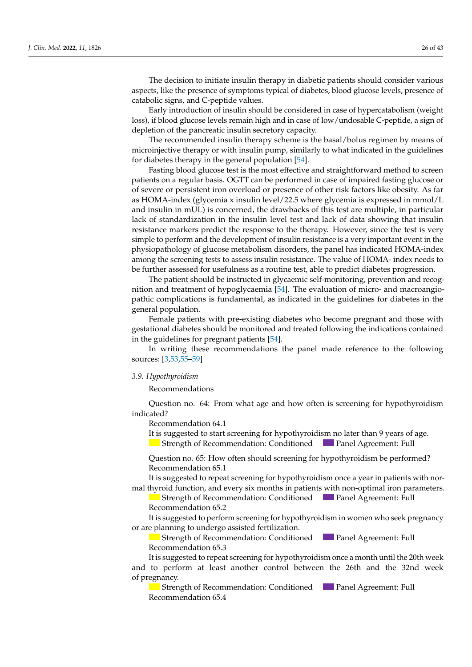The decision to initiate insulin therapy in diabetic patients should consider various aspects, like the presence of symptoms typical of diabetes, blood glucose levels, presence of catabolic signs, and C-peptide values.

Early introduction of insulin should be considered in case of hypercatabolism (weight loss), if blood glucose levels remain high and in case of low/undosable C-peptide, a sign of depletion of the pancreatic insulin secretory capacity.

The recommended insulin therapy scheme is the basal/bolus regimen by means of microinjective therapy or with insulin pump, similarly to what indicated in the guidelines for diabetes therapy in the general population [\[54\]](#page-40-6).

Fasting blood glucose test is the most effective and straightforward method to screen patients on a regular basis. OGTT can be performed in case of impaired fasting glucose or of severe or persistent iron overload or presence of other risk factors like obesity. As far as HOMA-index (glycemia x insulin level/22.5 where glycemia is expressed in mmol/L and insulin in mUL) is concerned, the drawbacks of this test are multiple, in particular lack of standardization in the insulin level test and lack of data showing that insulin resistance markers predict the response to the therapy. However, since the test is very simple to perform and the development of insulin resistance is a very important event in the physiopathology of glucose metabolism disorders, the panel has indicated HOMA-index among the screening tests to assess insulin resistance. The value of HOMA- index needs to be further assessed for usefulness as a routine test, able to predict diabetes progression.

The patient should be instructed in glycaemic self-monitoring, prevention and recognition and treatment of hypoglycaemia [\[54\]](#page-40-6). The evaluation of micro- and macroangiopathic complications is fundamental, as indicated in the guidelines for diabetes in the general population.

Female patients with pre-existing diabetes who become pregnant and those with gestational diabetes should be monitored and treated following the indications contained in the guidelines for pregnant patients [\[54\]](#page-40-6).

In writing these recommendations the panel made reference to the following sources: [\[3,](#page-38-2)[53](#page-40-0)[,55](#page-40-7)[–59\]](#page-40-8)

## 3.9. Hypothyroidism

Recommendations  $\mathbf I$  mendations who did not begin public development, by the age of 13 in females of 13 in  $\mathbf I$ 

Question no. 64: From what age and how often is screening for hypothyroidism indicated? Question no. 64: From what age and how often is screening for hypothyroidism<br>indicated?<br>Recommendation 64.1<br>It is suggested to start screening for hypothyroidism no later than 9 years of age. females and testosterone in males) is recommended, for  $\frac{1}{2}$  the period by a treatment-free period by a treatment-free period by a treatment-free period by a treatment-free period by a trend

Recommendation 64.1

Strength of Recommendation: Conditioned Panel Agreement: Full<br>Question no. 65: How often should screening for hypothyroidism be performed?

 $\mu$ estion no .65: How of Question no. 65: How often should screening for hypothyroidism be performed?<br>Recommendation 65.1  $Recommendation 65.1$ 

It is suggested to repeat screening for hypothyroidism once a year in patients with normal thyroid function, and every six months in patients with non-optimal iron parameters.

Strength of Recommendation: Conditioned Panel Agreement: Full Recommendation 65.2 Recommendation 65.2

It is suggested to perform screening for hypothyroidism in women who seek pregnancy or are planning to undergo assisted fertilization.

Strength of Recommendation: Conditioned **Panel Agreement: Full** commendation 65.3  $\alpha$  Recommendation 65.3

commendation 65.5<br>is suggested to repeat screening for hypothyroidism once a month until the 20th o perform at least another control between the 26th and the 32n  $\mathbf{I}$ gnancy, the recommended the recommended the recommended the recommended therapy is low-dose 17 $\mathbf{I}$  $\omega$  is  $\omega$  in  $\omega$  in  $\omega$  in  $\omega$  is it suggested cases of  $\omega$  is it suggested in  $\omega$  is it suggested in  $\omega$  is it suggested. and to perform at least another control between the 26th and the 32nd week It is suggested to repeat screening for hypothyroidism once a month until the 20th week  $\sum_{i=1}^{n}$  $\alpha$  public development after 1–2 cycles of pubertal induction with low-dose hormones,  $\alpha$ of pregnancy.  $\sum_{n=1}^{\infty}$ 

e pregnancy.<br>**Blue Strength of Recommendation** 12.65 Recommendation: 65.4 Inguis of Recommendation. Conditioned the Transfer expectation. This  $\alpha$ <sup>1</sup> tion of testicular growth, starting from the age of testicular growth, and the age of the age of the age of the age of the age of the age of the age of the age of the age of the age of the age of the age of the age of the  $\epsilon$  and  $\epsilon$  and  $\epsilon$  and  $\epsilon$  in  $\epsilon$  and  $\epsilon$  in  $\epsilon$  in  $\epsilon$  total testosterone in  $\epsilon$  total testosterone in  $\epsilon$  in  $\epsilon$  in  $\epsilon$  is to  $\epsilon$  in  $\epsilon$  is to  $\epsilon$  is the second order in  $\epsilon$  is the second order in  $\epsilon$   $m_{\text{rel}}$  and  $m_{\text{rel}}$  after 1–2 cycles of public  $m_{\text{rel}}$ Strength of Recommendation: Conditioned Panel Agreement: Full ecommendation 65.4  $\overline{\text{C}}$  $\text{Equation 63.4}$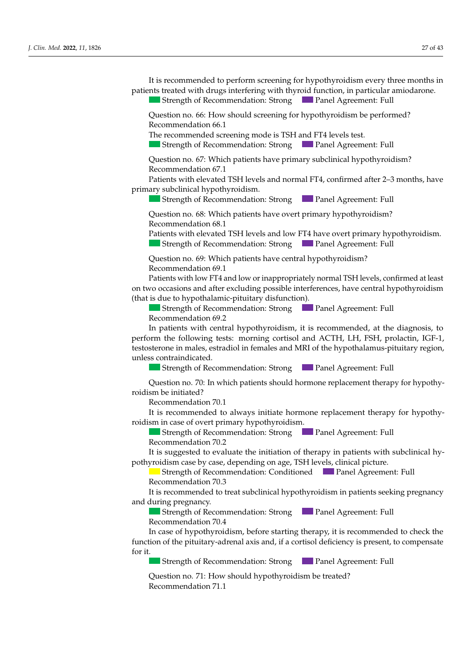Clin. Med. 2022, 11, 1826  $\frac{27 \text{ of } 43}{27 \text{ of } 43}$ patients treated with drugs interfering with thyroid function, in particular amiodarone.

and 14 in males, a short 3–6-month cycle of low-dose hormone therapy (oestern in the low-dose hormone therapy (

Strength of Recommendation: Strong Panel Agreement: Full

Question no. 66: How should screening for hypothyroidism be performed?  $\frac{2}{1}$  Recommendation 66.1 Question no. 66: How should screening for hypothyroidism be performed?<br>Recommendation 66.1 *J. Clien. Metominendation: Strong J. Panel Agreement: Fun*<br>Question no. 66: How should screening for hypothyroidism be performed?<br>Recommendation 66.1<br>The recommended screening mode is TSH and FT4 levels test.

The recommended screening mode is TSH and FT4 levels test.

Strength of Recommendation: Strong Panel Agreement: Full  $\overline{a}$ 

 $\Omega$  destion no 67. Which patients have primary subclinical hypothyroidism?  $\frac{1}{2}$  Recommendation 67.1 Strength of Recommendation: Strong<br>Question no. 67: Which patients have primary subclinical hypothyroidism?<br>Recommendation 67.1<br>Patients with elevated TSH levels and normal FT4, confirmed after 2–3 months, have Question no. 67: Which patients have primary subclinical hypothyroidism?

primary subclinical hypothyroidism.

Question is patients have a height growth.  $=$   $\frac{1}{2}$ ...  $\frac{1}{2}$ ...  $\frac{1}{2}$ ...  $\epsilon$ growth of Recommendation: Strong  $\epsilon$  Panel Agreement: Eully Strength of Recommendation: Strong Panel Agreement: Full

Question no. 68: Which patients have overt primary hypothyroidism? Recommendation 68.1  $\sum_{i=1}^{n}$ Question no. 68: Which patients have overt primary hypothyroidism?

− Statura ≤ −1.5 September 1.5 Sparts and town run target are over primary trypolity roldism. Sueligin of Recommendation. Strong in a diel Agreement. Full <u>Recommendation</u> 1 Question with circuited for reversion of the formation of the primary of the primary of the primary of the primary of the primary of the primary of the primary of the primary of the primary of the primary of the primary of  $=$  strength of necomments. Patients with elevated TSH levels and low FT4 have overt primary hypothyroidism. growth rate, low values of LH, FSH, 17β-estradiol in females, and of total testosterone in Strength of Recommendation: Strong Panel Agreement: Full have a constitutional growth and puberty delay. Strength of Recommendation: Strong Panel Agreement: Full Question no. 68: Which patients have overt primary hypothyroidism?<br>Recommendation 68.1<br>Patients with elevated TSH levels and low FT4 have overt primary hypothyroidism.<br>Strength of Recommendation: Strong

Question no. 69: Which patients have central hypothyroidism? Recommendation  $69.1$  $S$ <sup>t</sup>  $\overline{S}$   $\overline{S}$   $\overline{S}$   $\overline{S}$   $\overline{S}$   $\overline{S}$   $\overline{S}$   $\overline{S}$   $\overline{S}$   $\overline{S}$   $\overline{S}$   $\overline{S}$   $\overline{S}$   $\overline{S}$   $\overline{S}$   $\overline{S}$   $\overline{S}$   $\overline{S}$   $\overline{S}$   $\overline{S}$   $\overline{S}$   $\overline{S}$   $\overline{S}$   $\overline{S}$ Question no. 69: Which patients have central hypothyroidism? Question no. 69: Which patients have central hypothyroidism?<br>Recommendation 69.1 *J. Clinical Commercial Commercial Commercial Commercial Commercial Commercial Commercial Commercial Commercial* 

Patients with low FT4 and low or inappropriately normal TSH levels, confirmed at least to occasions and after excluding possible interferences, have central hypothyroidism -<br>Panel Agreement: Strength of Peacement at least 6 months apart, or statuted at least 6 months apart, or statut<br>Panel Agreement: Full Patients with low FT4 and low or inappropriately normal TSH levels, confirmed at least on two occasions and after excluding possible interferences, have central hypothyroidism (that is due to hypothalamic-pituitary disfunction).

Recommendation 69.2 In the case of commendation: Strong In Panel Agreement: Full Strength of Recommendation: Strong Strength of Recommendation: Strong **Panel Agreement: Full Panel Agreement: Full** *Decommendation 69.2* 

Recommendation 09.2<br>In patients with central hypothyroidism, it is recommended, at the diagnosis, to In patients with centre estosterone in males, estradiol in females and MRI of the hypothalamus-pituitary region, unless contraindicated. In patients with central hypothyroidism, it is recommended, at the di perform the following tests: morning cortisol and ACTH, LH, FSH, prolactin, IGF-1, testosterone in males, estradiol in females and MRI of the hypothalamus-pituitary region, unless contraindicated.  $\frac{1}{2}$  of publication is suggested to reassure and remain in  $\frac{1}{2}$  was concerted to remain in  $\frac{1}{2}$  was concerted to remain in  $\frac{1}{2}$  was concerted to remain in  $\frac{1}{2}$  was concerted to remain in  $\frac{1}{2}$ In patients with central hypothyroidism, it is recommended, at the diagnosis, to testosterone in males, estradiol in females and MRI of the hypothalamus-pituitary region,

 $\blacksquare$  Strength of Kecommendation: Strong  $\blacksquare$  Panel Agreement: Full  $\mathcal{L}_{\text{M}}$  and the case of the case of the case of the case of  $\mathcal{L}_{\text{M}}$  and  $\mathcal{L}_{\text{M}}$  are recommended in the case of the case of the case of the case of the case of the case of the case of the case of the case  $\equiv$  steight graces  $\equiv$ Strength of Recommendation: Strong Panel Agreement: Full Strength of Recommendation: Strong Panel Agreement: Full

Question no. 70: In which patients should hormone replacement therapy for hypothyroidism be initiated? Question no. 70: In which patients should hormone replacement therapy for hypothy-Question no. 70: In which patients should hormone replacement therapy for hypothy-<br>hidism be initiated?

Recommendation 70.1

Recommendation 2.1

It is recommended to always initiate hormone replacement therapy for hypothy-<br>aidian in 2000 of such primary hypothyraidian roidism in case of overt primary hypothyroidism.  $\Gamma$  the constitution  $\Gamma$  of constitutional growth and public delay with the spontaneous begin-It is recommended to always initiate hormone replacement therapy for hypothy-*J. C. I. A. S. FECONDERTHERS CO. COMPRESS THERS HULLER INCREDIBLE PERICAL DETERMINISTICS STEVEN STEVEN STEVEN SUPPORTER STEVEN PARALLER PARALLER AND RECOMMENDATION 70.2<br>
<i>J. S. S. L. S. J. Commendation 70.2*<br> *J. S. L. S.* 

Strength of Recommendation: Strong Panel Agreement: Full Recommendation 70.2 order to differentiate between constitutional growth and published and published and published and hypogonal growth and hypogonal growth and published and hypogonal growth and hypogonal growth and hypogonal growth and hypo  $\frac{1}{2}$   $\frac{1}{2}$   $\frac{1}{2}$   $\frac{1}{2}$   $\frac{1}{2}$   $\frac{1}{2}$   $\frac{1}{2}$   $\frac{1}{2}$   $\frac{1}{2}$   $\frac{1}{2}$   $\frac{1}{2}$   $\frac{1}{2}$   $\frac{1}{2}$   $\frac{1}{2}$   $\frac{1}{2}$   $\frac{1}{2}$   $\frac{1}{2}$   $\frac{1}{2}$   $\frac{1}{2}$   $\frac{1}{2}$   $\frac{1}{2}$   $\frac{1}{2}$   $\frac{1}{2}$  strength of Recommendation: Strength  $\frac{1}{2}$  and  $\frac{1}{2}$  and  $\frac{1}{2}$  and  $\frac{1}{2}$  and  $\frac{1}{2}$  and  $\frac{1}{2}$  and  $\frac{1}{2}$  and  $\frac{1}{2}$  and  $\frac{1}{2}$  and  $\frac{1}{2}$  and  $\frac{1}{2}$  and  $\frac{1}{2}$  and  $\frac{1}{$ Strength of Recommendation: Strong Panel Agreement: Full Full **Panel Agreement: Full** 

It is suggested to evaluate the initiation of therapy in patients with subclinical hyothyroidism case by case, depending on age, 15H levels, clinical picture. production of the second chemical examination of the chemical examination of the chemical examination of the chemical examination of the chemical examination of the chemical examination of the chemical examination of the c <sup>1</sup> It is suggested to evaluate the initiation of therapy in patients with subclimating  $\frac{1}{2}$ n is suggested to ev Economic transfer to evaluate the initiation of therapy in patients with subclinical hy-<br>intervals and the minimum contract the contract of the contract of the contract of the contract of the contract<br>intervals and the con pothyroidism case by case, depending on age, TSH levels, clinical picture. It is suggested to evaluate the initiation of therapy in patients with subclinical hy-

Recommentation 5.2 Strength of Recommendation: Strong Panel Agreement: Full  $\sum_{i=1}^{n}$ ultimide by ease, aepenar  $\frac{1}{\sqrt{2}}$  offer the necessary of  $\frac{1}{\sqrt{2}}$ Strength of Recommendation: Conditioned Panel Agreement: Full Recommendation 70.3 - If no short status is present, GR ≤ SD in one year, or ≤−1.5 SD in two consecutive in two consecutive in two consecutive in two consecutive in two consecutive in two consecutive in two consecutive in two consecutive in Strength of Recommendation: Conditioned<br>Recommendation 70.3

It is recommended to treat subclinical hypothyroidism in patients seeking pregnancy a daing pregnancy. and during pregnancy.  $\frac{1}{2}$ In the commended to treat subclinical hypothyroidism in patients seeking pregnancy  $\text{and during premany}$ It is recommended to treat subclinical hypothyroidism in patients seeking pregnancy It is recommended to treat subclinical hypothyroidism in patients seeking pregnancy - Stature ≤ −1.5 Special target and growth rate (GR) ≤ SD compared to the family target and growth rate (GR) some  $\sim$  5 SD or  $\sim$  5 SD or  $\sim$  5 SD or  $\sim$  5 SD or  $\sim$  5 SD or  $\sim$  5 SD or  $\sim$  5 SD or  $\sim$  5 SD or  $\sim$  $R_{\text{C}}$  and  $R_{\text{C}}$ It is recommended to treat subclinical hypothyroidism in patients seeking pregnancy<br>nd during pregnancy.

Strength of Recommendation: Strong Panel Agreement: Full<br>Recommendation 70.4 Recommendation 70.4  $\blacksquare$  strength of recommendan - Status ≤ Status ≤ Status Grass at least 6 months at least 6 months and status at least 6 months apart, or status reduc-In the case of the commendation: Strong **Full Panel Agreement: Full Strength of Recommendation: Strong Full Panel Agreement: Full** Recommendation 70.4<br>Recommendation 70.4 Strength of Recommendation: Strong Panel Agreement: Full

In case of hypothyroidism, before starting therapy, it is recommended to check the In the case of hyperly collection, service starting there gives the continuous to the pitulitary-adrenal axis and, if a cortisol deficiency is present, to compensate  $\alpha$  it. for it.  $\blacksquare$ unction of the pituitary-adrenal axis and, if a cortisol deficiency is present, to compensate<br>or it  $\frac{1}{\sqrt{2}}$  or the chronological age of 14. - SCREENING for celliac disease (anti-TG  $\sim$  AGA depending on the subjective on the subjective on the subjective on the subjective on the subjective on the subjective on the subjective on the subjective on the subjective  $\sum_{i=1}^{n}$ Necommendation 70.4<br>No. 2000 of burns themselves are four starting, the concert is suggested to reduce and relations he case of hypothyton Recommendation 5.1 out every 3–6 months. - If no short stature is present, GR ≤ −2 SD in one year, or ≤−1.5 SD in two consecutive in case of hypothyroldisht, before starting therapy, it is recommended to check the  $\frac{1}{2}$  case of hypothyroidism, before starting therapy, it is  $\overline{\phantom{a}}$   $\overline{\phantom{a}}$ rease of hypothyroidism, serore starting therupy, it is recommended  $\Box$  and the should hormone therapy be started?  $\Box$  in which patients should hormone therapy be started? A form of the primary disternation and  $\mu$  and  $\mu$  is cornsorder interesting to males a lack of pubertal development after  $\mu$  and  $\mu$  and  $\mu$  and  $\mu$  and  $\mu$  contrast of  $\mu$  contrast of  $\mu$  contrasts of  $\mu$  contrasts of  $\mu$  contrasts of  $\mu$  contrasts of  $\mu$  contrasts of  $\mu$  contrasts of anchon of the phanary autenariasio and, if a confloor deneithcy to present, to compensate rease of hypothypodism, before starting therapy, it is recommended to check the In case of hypothyroidism, before starting therapy, it is recommended to check the rence of the nituitany adv function of the pituitary-adrenal axis and, if a cortisol deficiency is present, to compensate<br>for it.  $\alpha$  public development after 1–2 cycles of public induction with low-dose hormones,  $\alpha$  $\gamma$  it.

**• Strength of Recommendation: Strong • Panel Agreement: Full** Strength of Recommendation: Strong Panel Agreement: Full **Extremgth of Recommendation: Strong Panel Agreement: Full Strength of Recommendation: Strong Panel Agreement: Full** ultaneous evaluation of IgA); Strength of Recommendation: Strong Panel Agreement: Full  $I_{\text{Higgs}}$   $I_{\text{Higgs}}$  growth at Decement detical theory  $I_{\text{Higgs}}$   $I_{\text{Higgs}}$  and  $I_{\text{Higgs}}$  the optimal the optimal the optimal the optimal theory of  $I_{\text{Higgs}}$  $\epsilon$  of  $\epsilon$  of the thermometric of  $\epsilon$  of  $\epsilon$  and the togeth Strength of Recommendation: Conditioned Panel Agreement: Full Recommendation 13.2 The Strength of Recommendation: Strong Panel Agreement: Full  $\mathcal{S}$  strength of  $\mathcal{S}$  $B_0$  and  $\overline{B_0}$  decomposed defined  $\overline{B_0}$  development, as  $\overline{B_0}$  as previously defined, reduced,  $\overline{B_0}$  $\frac{1}{2}$  betain of recommendation belong  $\frac{1}{2}$  and  $\frac{1}{2}$  testoshement in  $\frac{1}{2}$  $\blacksquare$  Strength of Recommendation: Strong,  $\blacksquare$  Panel Agreement: Full Strength of Recommendation: Strong Panel Agreement: Full<br>Question no. 71: How should hypothyroidism be treated?

Question no. 71: How should hypothyroidism be treated? Recommendation 71.1  $S$  and  $S$  Recommendation:  $S$  Recommendation:  $S$  Recommendation:  $S$  Recommendation:  $S$  Recommendation:  $S$  Recommendation:  $S$  Recommendation:  $S$  Recommendation:  $S$  Recommendation:  $S$  Recommendation:  $S$  Recommend  $\alpha$  and  $\alpha$  is the hormone the hormone the hormone the hormone the hormone the hormone the hormone the hormone that  $\alpha$  $\overline{a}$  Ouestion no. 71: How should hypothyroidism be treated? Recommendation 71.1<br> $\frac{1}{2}$ destion no.  $\lambda$ 1. Thow should be  $Keconme$ ndation  $71.1$  $\begin{bmatrix} 1 & 1 \\ 1 & 1 \end{bmatrix}$ Question no. 71: How should hypothyroidism be treated? recommendation  $\lambda$  1.1 Strength of Recommendation: StrongPanel Agreement: Full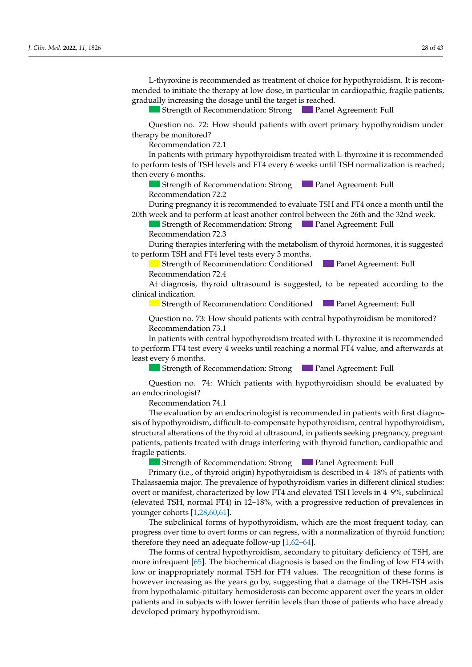L-thyroxine is recommended as treatment of choice for hypothyroidism. It is recommended to initiate the therapy at low dose, in particular in cardiopathic, fragile patients,<br>gradually increasing the dosage until the target is reached.<br>Strength of Recommendation: Strong Panel Agreement: Full<br>Question no gradually increasing the dosage until the target is reached.

In all patients who did not begin pubertal development, by the age of 13 in females

 $\overline{\text{S}}$  Strength of Recommendation: Strong  $\overline{\text{P}}$  Panel Agreement: Full

Question no. 72: How should patients with overt primary hypothyroidism under therapy be monitored? Recommendation 72.1 Question no. 72: How should patients with overt primary hypothyroidism under<br>unv be monitored? Question no. 72. How should patients whill overt primary hypollyroidism under<br>*therapy be monitored?* 

der indicated? In the second control of the second control of the second control of the second control of the

In patients with primary hypothyroidism treated with L-thyroxine it is recommended to perform tests of TSH levels and FT4 every 6 weeks until TSH normalization is reached; then every 6 months. to perform tests of 1311 levels and F14 every 6 weeks until 1311 hormalization is reached,<br>*then every 6 months* 

Strength of Recommendation: Strong Panel Agreement: Full Recommendation 72.2

During pregnancy it is recommended to evaluate TSH and FT4 once a month until the 20th week and to perform at least another control between the 26th and the 32nd week.

20th week and to perform at least another control between the 26th and the 32nd week.<br>Strength of Recommendation: Strong Panel Agreement: Full Recommendation 72.3

During therapies interfering with the metabolism of thyroid hormones, it is suggested  $\overline{S}$  and  $\overline{S}$  are  $\overline{S}$ In the case of diagnosis of  $\sigma$  in the case of  $\sigma$  hypogonal  $\sigma$  is recommended to the commentation of  $\sigma$  is recommended to  $\sigma$  is recommended to  $\sigma$ During there nies interfering with the metabolism of thyroid hormones it is suggested to perform TSH and FT4 level tests every 3 months. ng therapies interfering with the metabolism or thyroid normones, During therapies interfering with the metabolism of thyroid hormones, it is suggested

− Strength of Recommendation: Conditioned at least 6 agreement: Full tion of  $\mathcal{L}$ . So in order  $\mathcal{L}$  in children over 2 years of  $\mathcal{L}$  years of  $\mathcal{L}$ **Carry of Accommendation:** Conditioned **Panel Agreement**: Full and Agreement: Full and Agreement: Full and Agreement: Full and Agreement: Full and Agreement: Full and Agreement: Full and Agreement: Full and Agreement: Full  $\mathcal{L}_{\text{S}}$  with a disorder of public methods of public  $\mathcal{L}_{\text{S}}$  and  $\mathcal{L}_{\text{S}}$  are defined as previously defined as previously defined as previously defined as  $\mathcal{L}_{\text{S}}$  and  $\mathcal{L}_{\text{S}}$  are defined as  $\math$ Strength of Recommendation: Conditioned Panel Agreement: Full<br>Recommendation 72.4 Recommendation 72.4

- If the short stature is suggested, to be repeated according to the stature in one of two consecutives in two consecutives in two consecutives in two consecutives in two consecutives in two consecutives in two consecutiv  $\frac{1}{2}$ gr commendation: 2.4<br>• diagnosis thyroid ultrasound is suggested to be repeated acc  $\alpha$  no. 13: In which patients show the showled hormone therapy be started? Realisation 4.17100  $\frac{1}{2}$  disconois, there is discussed in growth rate of the  $\frac{1}{2}$ males of pubertal development and development after 1–2 cycles of pubertal development after 1–2 cycles of publication with the contract of publication with the contract of publication with the contract of the contract of At diagnosis, thyroid ultrasound is suggested, to be repeated according to the  $\frac{1}{2}$  clinical indication. At diagnosis, thyroid ultrasound is suggested, to be repeated according to the  $indication.$ 

**B** Strength of Kecomm **Extreme in the following cases:** Strength of Recommendation: Conditioned<br> **Extreme in the following Strength of Recommendation: Conditioned Strength of Recommendation: Conditioned Panel Agreement: Full**<br>Puestion no. 73: How should patients with central hypothyroidism be monitored?

Question no. 73: How should patients with central hypothyroidism be monitored? Recommendation 73.1 - Severe short statuse ≤ −2.5 SD, statuse ≤ −2.5 SD, statuse ≤ −2.5 SD, statuse ≤ −2.5 SD, statuse ≤ −2.5 SD, s Strength of Recommendation: Strong Panel Agreement: Full  $\frac{1}{2}$  the case of diagnosis of  $\frac{1}{2}$  is recommended to  $\frac{1}{2}$  is recommended to  $\frac{1}{2}$  is recognized to  $\frac{1}{2}$  is recognized to  $\frac{1}{2}$  is recognized to  $\frac{1}{2}$  is recognized to  $\frac{1}{2}$  is recognize Question no. 73: How should patients with central hypothyroidism be monitored?<br>Recommendation 73.1

In patients with central hypothyroidism treated with L-thyroxine it is recommended<br>
- SD with GR ≤ SD with GR ≤ SD with GR ≤ FD to be carried at least 6 months apart, or statute reducto perform FT4 test every 4 weeks until reaching a normal FT4 value, and afterwards at<br>least every 6 months  $\frac{1}{2}$  least every 6 months.  $\frac{1}{2}$  ast every o months.<br> $\frac{1}{2}$  SD in the status or  $\frac{1}{2}$  in two consecutives or  $\frac{1}{2}$ .5 SD in two consecutives or  $\frac{1}{2}$  in two consecutives or  $\frac{1}{2}$ .5 SD in two consecutives or  $\frac{1}{2}$  in two co Recommendation 73.1<br>In patients with central hypothyroidism treated with L-thyroxine it is recommended<br>and form FT4 test means 4 appels with marking a name of FT4 website and of terms who to  $R_{\text{C}}$   $\frac{1}{2}$ .68

**Control of the the theory is evaluated to the therapy for the to evaluate Street** Panel Agreem Strength of Recommendation: Strong  $\Box$  Panel Agreement: Full Strength of Recommendation: Strong Panel Agreement: Full

Question no. 74: Which patients with hypothyroidism should be evaluated by an endocrinologist? Recommendation 15.1  $I = \frac{1}{2}$ Question no 74; Which patients with hypothyroidism should be evaluated by Strength of Recommendation: Strong Panel Agreement: Full the testical results of the age of 14. The starting from the age of 14. The age of 14. The age of 14. The age of 14. The age of 14. The starting from the age of 14. The starting of 14. The starting of 14. The starting of 1  $R_{\text{R}}$   $R_{\text{R}}$   $R_{\text{R}}$   $R_{\text{R}}$ Question no. 74: Which patients with hypothyroidism should be evaluated by loculogiet? Question no. 74: Which patients with hypothyroidism should be evaluated by<br>2. *endocripelogist*?

Recommendation 74.1

Recommendation 74.1<br>The evaluation by an endocrinologist is recommended in patients with first diagnois of hypothyroidism, difficult-to-compensate hypothyroidism, central hypothyroidism, structural alterations of the thyroid at ultrasound, in patients seeking pregnancy, pregnant patients, patients treated with drugs interfering with thyroid function, cardiopathic and ragile patients. fragile patients.  $\blacksquare$  in the case that public development does not begin does not begin the start theorem  $\blacksquare$  $\mathsf{nts.}$ patients, patients treated with drugs interfering with thyroid function, cardiopathic and The evaluation by an endocrinologist is recommended in patients with first diagno-<br>is of hypothyroidism difficult-to-compensate hypothyroidism central hypothyroidism sis of hypothyroidism, difficult-to-compensate hypothyroidism, central hypothyroidism,  $\mathbf{u}$  the case of diagnosis of  $\mathbf{v}$  is recommended to  $\mathbf{v}$  is recommended to  $\mathbf{v}$  is recommended to  $\mathbf{v}$  is recommended to  $\mathbf{v}$  is recommended to  $\mathbf{v}$  is recommended to  $\mathbf{v}$  is recommended t  $\Phi$  publications with a disorder of public development, as previously development, reduced,  $\Phi$ 

Strength of Recommendation: Strong Panel Agreement: Full

Primary (i.e., of thyroid origin) hypothyroidism is described in  $4-18\%$  of patients with Thalasaemia major. The prevalence of hypothyroidism varies in different clinical studies: over tor manifest, characterized by low FT4 and elevated TSH levels in 4–9%, subclinical elevated TSH, normal FT4) in 12–18%, with a progressive reduction of prevalences in rounger cohorts  $[1,28,60,61]$ . ounger conorts  $[1,20,00,01]$ .<br>The subclinical forms of bypothyroidism, which are the most frequent today, can er cohorts  $\begin{bmatrix} 1 & 28 & 60 & 611 \end{bmatrix}$ - levated TSH, normal FT4) in 12–18%, with a progressive reduction of prevalences in  $\sum_{i=1}^{n} \frac{1}{i} \sum_{j=1}^{n} \frac{1}{j} \sum_{j=1}^{n} \frac{1}{j} \sum_{j=1}^{n} \frac{1}{j} \sum_{j=1}^{n} \frac{1}{j} \sum_{j=1}^{n} \frac{1}{j} \sum_{j=1}^{n} \frac{1}{j} \sum_{j=1}^{n} \frac{1}{j} \sum_{j=1}^{n} \frac{1}{j} \sum_{j=1}^{n} \frac{1}{j} \sum_{j=1}^{n} \frac{1}{j} \sum_{j=1}^{n} \frac{1}{j} \sum_{j=1}^{n} \frac{1}{j$ Recommendation 3.1 ues of LH, FSH, 17β-estradiol in females, and of total testosterone in males, with a restart overt or manifest, characterized by low FT4 and elevated TSH levels in 4–9%, subclinical  $T_{\rm H}$  recommended  $T_{\rm H}$  in 12–18%, with a progressive reduction of provalences in (elevated TSH, normal FT4) in 12–18%, with a progressive reduction of prevalences in<br>voupger coborts [1.28.60.61]

The statement of Report of Report Comments and the method for request team, then the strong part of the agreement of the and vitaming the and vitamin of the and vitaming the and vitaming the and vitaministered and vitamin therapy no earlier they need an adequate follow-up  $[1,62-64]$ . The subclinical forms of hypothyroidism, which are the most frequent today, can<br>- Phosphorus-calcium metabolism (calcium, phosphorus, although the phosphorus, phosphorus, phosphatase, PTH  $\frac{1}{2}$  is over time to overt forms or can recrease with a normalization of thyroid function. The subclinical forms of hypothyroidism, which are the most frequent today, can progress over time to over forms or can regress, with a normalization of thyroid function; erefore they [n](#page-38-0)eed an adequate follow-up  $[1,62-64]$ .  $S_t$  and  $S_t$  are the Recommendation:  $S_t$  and  $S_t$  are  $S_t$  and  $S_t$  and  $S_t$  and  $S_t$  are  $S_t$  and  $S_t$  and  $S_t$  and  $S_t$  are  $S_t$  and  $S_t$  and  $S_t$  and  $S_t$  are  $S_t$  and  $S_t$  and  $S_t$  and  $S_t$  are  $S_t$  and  $S_t$  and  $S_t$ ric subcurried forms of hypothyroidism, which therefore they need an adequate follow-up [1,62–64].  $m<sub>p</sub>$  months, plotting all values of propriate growth curves (control of  $m<sub>p</sub>$  it is explicitly curves of  $m<sub>p</sub>$  it also  $m<sub>p</sub>$  it also  $m<sub>p</sub>$  it also  $m<sub>p</sub>$  it also  $m<sub>p</sub>$  it also  $m<sub>p</sub>$  it also pares over time to over forms or can regress, with a normalization of thyroid function younger cohorts [1,28,60,61].<br>The subclinical forms of hypothyroidism, which are the most frequent today, can progress over time to overt forms or can regress, with a normalization of thyroid function;<br>thanking they need an adaptate follow on  $[1,0,64]$ 

The forms of central hypothyroidism, secondary to pituitary deficiency of TSH, are ore infrequent  $[65]$ . The biochemical diagnosis is based on the finding ow or inappropriately normal TSH for FT4 values. The recognition of these forms is Infrequent [65]. The biochemical diagnosis is based on the finding [of](#page-40-13) low FT4 with  $\frac{1.7671 \times 1.771}{1.7671 \times 1.771}$ owever increasing as the years go by, suggesting that a damage of the TRH-TSH axis<br>we have the lattice in the procedure is not because a ground age the TRH-TSH axis rom hypothalamic-pituitary hemosiderosis can become apparent over the years in older Strength of Recommendations: Full and in subjects with lower ferritin levels than those of patients who have already eveloped primary hypothyroidism. to the enanth at the second that the contract of the contract of the contract of the contract of the administer  $\frac{1}{2}$  The forms of central hypothyr atients and in subjects with lower ferritin levels than those of patients who have already  $\Omega$  the case that the above mentioned tests are normal, and the growth and the growth anomaly perped primary hypothyroidion. with and in the geen with fower refrictive and those of patients who have aready Strength of Recommendation: Strong Panel Agreement: Full the forms of central hypothyroidism, secondary to pituitary deficiency of TSH, are  $\frac{1}{2}$  and  $\frac{1}{2}$  are  $\frac{1}{2}$  and  $\frac{1}{2}$  are  $\frac{1}{2}$  and  $\frac{1}{2}$  are  $\frac{1}{2}$  and  $\frac{1}{2}$  and  $\frac{1}{2}$  are  $\frac{1}{2}$  an hore infrequent [65]. The biochemical diagnosis is based on the finding of low FT4 with ow or inappropriately normal TSH for FT4 values. The recognition of these forms is  $\frac{1}{\sqrt{1}}$  or  $\frac{1}{\sqrt{1}}$  or the bone age of 14 or the bone age of 14 or the bone age of 12 in males; no earlier  $\frac{1}{\sqrt{1}}$ pea primary nypotnyroi ypothalamic-pituitary nemosiderosis can become apparent over the years in older s and in subjects with lower ferritin levels than those or patients who have already  $\alpha$  increasing as the years go by, suggesting that a damage of the case of  $\alpha$  and  $\alpha$ om ny pomanine prima recommendation 5.1 percent with patients with height growth disorders, it is recommendation. The optimal Agreement: Full Agreement: Full Agreement: Full Agreement: Full Agreement: Full Agreement: Full Agreement: Full Agreement: Full Agreement: Full Agree from hypothalamic-pituitary hemosiderosis can become apparent over the years in older patients and in subjects with lower ferritin levels than those of patients who have already more intrequent [60]. The biochemical diagnosis is based on the induity of low 1–1 with low or inappropriately normal TSH for FT4 values. The recognition of these forms is how or mappropriately hormal fort for first varieties. The recognition of these forms is<br>however increasing as the years go by, suggesting that a damage of the TRH-TSH axis developed primary hypothyroidism.  $\mathcal{L}$  Statuse  $\mathcal{L}$  SD with GR  $\mathcal{L}$  such 6 months at least 6 months at least 6 months apart, or statuse reduc-The forms of central hypothyroidism, secondary to pituitary deficiency of TSH, are more infrequent [65]. The biochemical diagnosis is based on the finding of low FT4 with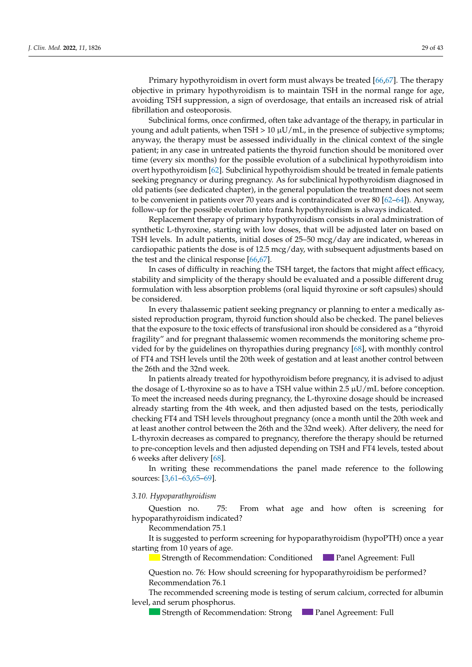Primary hypothyroidism in overt form must always be treated [\[66,](#page-40-14)[67\]](#page-40-15). The therapy objective in primary hypothyroidism is to maintain TSH in the normal range for age, avoiding TSH suppression, a sign of overdosage, that entails an increased risk of atrial fibrillation and osteoporosis.

Subclinical forms, once confirmed, often take advantage of the therapy, in particular in young and adult patients, when TSH  $> 10 \mu U/mL$ , in the presence of subjective symptoms; anyway, the therapy must be assessed individually in the clinical context of the single patient; in any case in untreated patients the thyroid function should be monitored over time (every six months) for the possible evolution of a subclinical hypothyroidism into overt hypothyroidism [\[62\]](#page-40-11). Subclinical hypothyroidism should be treated in female patients seeking pregnancy or during pregnancy. As for subclinical hypothyroidism diagnosed in old patients (see dedicated chapter), in the general population the treatment does not seem to be convenient in patients over 70 years and is contraindicated over 80 [\[62–](#page-40-11)[64\]](#page-40-12)). Anyway, follow-up for the possible evolution into frank hypothyroidism is always indicated.

Replacement therapy of primary hypothyroidism consists in oral administration of synthetic L-thyroxine, starting with low doses, that will be adjusted later on based on TSH levels. In adult patients, initial doses of 25–50 mcg/day are indicated, whereas in cardiopathic patients the dose is of 12.5 mcg/day, with subsequent adjustments based on the test and the clinical response  $[66, 67]$  $[66, 67]$ .

In cases of difficulty in reaching the TSH target, the factors that might affect efficacy, stability and simplicity of the therapy should be evaluated and a possible different drug formulation with less absorption problems (oral liquid thyroxine or soft capsules) should be considered.

In every thalassemic patient seeking pregnancy or planning to enter a medically assisted reproduction program, thyroid function should also be checked. The panel believes that the exposure to the toxic effects of transfusional iron should be considered as a "thyroid fragility" and for pregnant thalassemic women recommends the monitoring scheme provided for by the guidelines on thyropathies during pregnancy [\[68\]](#page-40-16), with monthly control of FT4 and TSH levels until the 20th week of gestation and at least another control between the 26th and the 32nd week.

In patients already treated for hypothyroidism before pregnancy, it is advised to adjust the dosage of L-thyroxine so as to have a TSH value within 2.5  $\mu$ U/mL before conception. To meet the increased needs during pregnancy, the L-thyroxine dosage should be increased already starting from the 4th week, and then adjusted based on the tests, periodically checking FT4 and TSH levels throughout pregnancy (once a month until the 20th week and at least another control between the 26th and the 32nd week). After delivery, the need for L-thyroxin decreases as compared to pregnancy, therefore the therapy should be returned to pre-conception levels and then adjusted depending on TSH and FT4 levels, tested about 6 weeks after delivery [\[68\]](#page-40-16).

In writing these recommendations the panel made reference to the following sources: [\[3,](#page-38-2)[61–](#page-40-10)[63](#page-40-17)[,65](#page-40-13)[–69\]](#page-40-18).

#### 3.10. Hypoparathyroidism *J. Clin. Med.* **2022**, *11*, x FOR PEER REVIEW 7 of 46

Question no. 75: From what age and how often is screening for hypoparathyroidism indicated?

**Recommendation 75.1** *noise* 

It is suggested to perform screening for hypoparathyroidism (hypoPTH) once a year starting from 10 years of age.

Strength of Recommendation: Conditioned Panel Agreement: Full<br>Question no. 76: How should screening for hypoparathyroidism be performed?

nestion no. 76: How sk  $\frac{2}{\sqrt{1}}$  Recommendation 76.1 Question no. 76: How should screening for hypoparathyroidism be performed?<br>Recommendation 76.1

The recommended screening mode is testing of serum calcium, corrected for albumin evel, and serum phosphorus.

**Strength of Recommendation: Strong Panel Agreement: Full** Strength of Recommendation: Strong **Panel Agreement: Full Strength of Recommendation: Strong Panel Agreement: Full** Strength of Recommendation: Strong **Compared Agreement: Full**<br>Panel Agreement: Full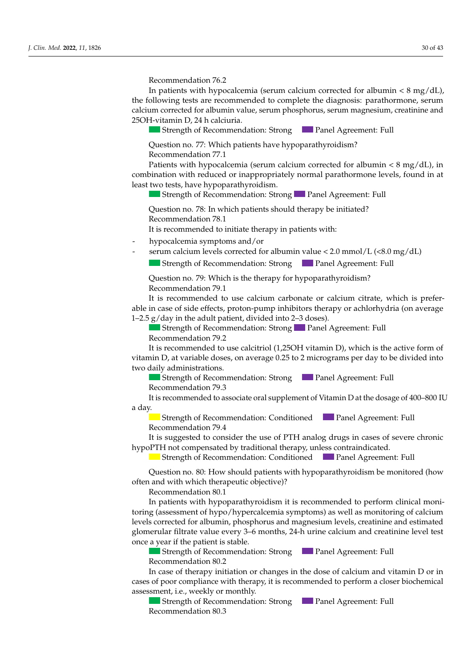Recommendation 76.2 *Recommendation 70.2* 

*3.2. Height and Growth Disorder* 

In patients with hypocalcemia (serum calcium corrected for albumin <  $8 \text{ mg}/\text{dL}$ ), the following tests are recommended to complete the diagnosis: parathormone, serum calcium corrected for albumin value, serum phosphorus, serum magnesium, creatinine and 25OH-vitamin D, 24 h calciuria. development. growth and puberty delay and hypogonadotropic hypogonadism. *3.2. Height and Growth Disorder* 

Strength of Recommendation: Strong Panel Agreement: Full

Question no. 77: Which patients have hypoparathyroidism? Recommendation 77.1

Patients with hypocalcemia (serum calcium corrected for albumin < 8 mg/dL), in combination with reduced or inappropriately normal parathormone levels, found in at least two tests, have hypoparathyroidism.

Strength of Recommendation: Strong Panel Agreement: Full

luestion no. 78: In which patients should therapy be initiated?  $\frac{1}{2}$  is no common and add to initiate the norm in nation to with. Question no. 78: In which patients should therapy be initiated?<br>Recommendation 78.1  $\frac{1}{2}$  is recommended to initiate there is notionto with Recommendation 78.1 Question no. 78: In which patients should therapy be initiated?<br>Recommendation 78.1

Recommendation 4.1 It is recommended to initiate therapy in patients with:

- hypocalcemia symptoms and/or  $\mu_{\rm{D}}$  hormones, have hormonic hypographic hypography
- $\overline{\phantom{a}}$  Severe short status  $\overline{\phantom{a}}$ . So  $\overline{\phantom{a}}$ - serum calcium levels corrected for albumin value <  $2.0 \text{ mmol/L}$  (< $8.0 \text{ mg/dL}$ )

<del>■ Strength of Recommendation: Strong</del> → Panel Agreement: Full **Patients** Strength of Recommendation: Strong **Panel Agreement: Full** Strength of Recommendation: Strong Panel Agreement: Full

luestion no. 79: Which is the therapy for hypoparathyroidism? Recommendation 79.1 Question no. 79: Which is the therapy for hypoparathyroidism? Question no. 79: Which is the therapy for hypoparathyroidism?<br>Recommendation 79.1

It is recommended to use calcium carbonate or calcium citrate, which is preferable in case of side effects, proton-pump inhibitors therapy or achlorhydria (on average 1–2.5  $g$ /day in the adult patient, divided into 2–3 doses).

Strength of Recommendation: Strong Panel Agreement: Full Recommendation 79.2

Recommended to use calcitriol (1,25OH vitamin D), which is the active form of It is recommended to use calcitriol (1,25OH vitamin D), which is the active form of itamin D, at variable doses, on average 0.25 to 2 micrograms per day to be divided into two daily administrations.  $\frac{1}{2}$  it is recommended to use calcurior  $(1,23$ OH vitamin DJ, which is the active form or In the case of diagnosis of hypogonadotropic hypogonadism, it is recommended to Strength of Recommendation: StrongPanel Agreement: Full vitamin D, at variable doses, on average 0.25 to 2 micrograms per day to be divided into It is recommended to use calcitriol (1,25OH vitamin D), which is the active form of vitamin D, at variable doses, on average  $0.25$  to 2 micrograms per day to be divided into<br>two daily administrations. vitalini D, at variable doses, on average 0.29 to 2 inicrograms per day to be divided muo<br>*two daily administrations* 

**Strength of Recommendation: Strong Comment: Panel Agreement: Full** vo dany administrations.<br>- If no short status status is present, Grana is present, Solid in two consecutives of Solid in two consecutiv  $\overline{\phantom{a}}$ two daily administrations.<br>
Strength of Recommendation: Strong<br>
The Panel Agreement: Full Recommendation 79.3

Recommendation 79.3 It is recommended to associate oral supplement of Vitamin D at the dosage of 400–800 IU  $\frac{1}{2}$  Philosophie in the set of  $\frac{1}{2}$   $\frac{1}{2}$   $\frac{1}{2}$   $\frac{1}{2}$   $\frac{1}{2}$   $\frac{1}{2}$   $\frac{1}{2}$   $\frac{1}{2}$   $\frac{1}{2}$   $\frac{1}{2}$   $\frac{1}{2}$   $\frac{1}{2}$   $\frac{1}{2}$   $\frac{1}{2}$   $\frac{1}{2}$   $\frac{1}{2}$   $\frac{1}{2}$   $\frac{1}{2}$   $\frac{1$ low-dose hormone therapy (oestrogens in females and testosterone in males) is recomd Udy.<br><u>no. 5: Which evaluations and examinations are recommended</u> in the case of public waiting, it is supposed to recommended in the case of public was concerted to relate the case of public waves of the case of the case  $\overline{S}$  and  $\overline{S}$  consecutive years;  $S$  ommendation:  $79.3$ B recommended to asset  $I$  case of  $I$  the case of  $I$  diagnosis of  $I$  is recommended to  $I$  is recommended to  $I$  is recommended to  $I$  is recommended to  $I$  is recommended to  $I$  is recommended to  $I$  is recommended to  $I$  is recommended to Recommendation 79.3<br>It is recommended to associate oral supplement of Vitamin D at the dosage of 400–800. References to a  $\frac{1}{2}$  is recommended to associate and symplement of Vitamin D at the desage of 400, 800 I It is recommended to associate oral supplement of Vitamin D at the dosage of 400–800 IU day. The LH, FSH, 178-estradiol in females, and of the testosterone in males, with a restartion in males, with a restartion of the testosterone in males, with a restartion of the testosterone in males, with a restartion of a day. growth and puberty delay and hypogonadotropic hypogonadism.  $\frac{1}{2}$  all patients who did not begin public development, by the age of 13 in females of 13 in females of 13 in females of 13 in females of 13 in females of 13 in females of 13 in females of 13 in females of 13 in fema

- Buengui of Recommendation, Conditioned, the Patiel Agreement, Pun mended, followed by a treatment-free period with a transmitted with a contribution with a contribution of the c<br>order to differentiate between constitutional growth and published and published and published and hypogonal and hypogonal growth and hypogonal growth and hypogonal growth and hypogonal growth and hypogonal growth and hypo Recommendation 79.4 with the patient and his conditions to participate the parents of the periodic conditions to be carried and the carried checks to be carried and the carried checks to be carried and the carried checks to be carried and the − Strength of Recommendation: Conditioned at least 8 months appearent: Full Carry out a pitul to commendation. Conditioned the dianer right y.<br>Chronoth at Pessenmendetion: Conditioned, reduced, research, Erll,  $\frac{1}{\sqrt{1-\frac{1}{\sqrt{1-\frac{1}{\sqrt{1-\frac{1}{\sqrt{1-\frac{1}{\sqrt{1-\frac{1}{\sqrt{1-\frac{1}{\sqrt{1-\frac{1}{\sqrt{1-\frac{1}{\sqrt{1-\frac{1}{\sqrt{1-\frac{1}{\sqrt{1-\frac{1}{\sqrt{1-\frac{1}{\sqrt{1-\frac{1}{\sqrt{1-\frac{1}{\sqrt{1-\frac{1}{\sqrt{1-\frac{1}{\sqrt{1-\frac{1}{\sqrt{1-\frac{1}{\sqrt{1-\frac{1}{\sqrt{1-\frac{1}{\sqrt{1-\frac{1}{\sqrt{1-\frac{1}{\sqrt{1-\frac{1}{\sqrt{1-\frac{1$ Strength of Recommendation: Conditioned Panel Agreement: Full

production  $p$ ,  $p$  and  $p$  and  $p$  is  $p$  of  $p$  urine;  $\frac{1}{100}$  suggested to consider the use of 1 fm analog drugs in cases of severe chronic ultimor compensation by tradin is suggested to co Recommendation 79.4<br>It is succeeded to consider the use of DTH angles drug  $\overline{I}$  is recommended to check the optimal disorders, it is recommended to check the optimal  $\overline{I}$  is  $\overline{I}$  in the commendated to check the optimal conditioned Panel Agreement: Full not commended by traditional th - It is suggested to consider the use of FTH analog drugs in cases of severe chronic I H not compensated by traditional therapy, unless contraindicated. Recommendation 7.5.<br>It is suggested to consider the use of PTH analog drugs in cases of severe chronic hypoPTH not compensated by traditional therapy, unless contraindicated. It is suggested to consider the use of PTH analog drugs in cases of severe chronic

- Suchgut of Recommendan Strength of Recommendation: Conditioned Panel Agreement Recommendation 13.3 Strength of Recommendation: Conditioned Panel Agreement: Full<br>Question no. 80: How should patients with hypoparathyroidism be monitored (how

Question no. 80: How should patients with hypoparathyroidism be monitored (how often and with which therapeutic objective)?  $\sim$  Pretrainsfusion Hb;  $Q$ **uestion** no. 80. 110*w* In all patients who do not begin pubertal development, a short 3–6-month cycle of Question no. 80: How should patients with hypoparathyroldism be monitored (now  $\overline{a}$ <br>Ouestion no. 80: How should patients with hypoparathyroidism be monitored (how  $\mu$ estion no.  $\delta$ <sub>0</sub>. Thow should  $\mu$  $\overline{R}$   $\overline{R}$   $\overline{R}$   $\overline{R}$   $\overline{R}$   $\overline{R}$   $\overline{R}$   $\overline{R}$   $\overline{R}$   $\overline{R}$   $\overline{R}$   $\overline{R}$   $\overline{R}$   $\overline{R}$   $\overline{R}$   $\overline{R}$   $\overline{R}$   $\overline{R}$   $\overline{R}$   $\overline{R}$   $\overline{R}$   $\overline{R}$   $\overline{R}$   $\overline{R}$   $\overline{$ Question no. 80: How should patients with hypoparathyroidism be monitored (how

 $\sim$  Recommendation 80.1 order to differentiate between constitutional growth and published growth and published and published and hypogonal growth and published and hypogonal growth and hypogonal growth and hypogonal growth and hypogonal growth a

requents with hypoparathyroldism it is recommended to perform toring (assessment of hypo/hypercalcemia symptoms) as well as monitoring of calcium<br>levels corrected for ellumin rehershows and magnesium levels, motiving and astimated sistematic to perform IGF1 do perform IGF1 do the evaluation in the evaluation of the evaluation of the evaluation of the evaluation of the evaluation of the evaluation of the evaluation of the evaluation of the evaluation recommendation and the community prosper<br>Recommendation is the contract of the contract of the contract of the contract of the contract of the contract of the contract of the contract of the contract of the contract of the levels corrected for albumin, phosphorus and magnesium levels, creatinine and estimated once a year if the patient is stable. production of urine;  $p_1 + p_2 = 1$  urine;  $p_1 + p_3 = 1$  urine;  $p_2 + p_4 = 1$ - Screening for celiac disease (and the subject of the subject of the subject of the subject of the subject of  $\frac{1}{2}$  and  $\frac{1}{2}$  and  $\frac{1}{2}$  and  $\frac{1}{2}$  and  $\frac{1}{2}$  and  $\frac{1}{2}$  and  $\frac{1}{2}$  and  $\frac{1}{2}$  and  $P$ <sub>phone</sub> calcium metate value every  $\sigma$  o moneto,  $2\pi$  it urine earely and elemente rever rest Recommendation 50.1<br>In patients with hypoparathyroidism it is recommend constant filtrate value every  $3-6$  months, 24-h urine calcium and creatinine level test - In pauerus with hypoparathyroidism it is recommended to perform clinical mone- $\mathcal{L}$  and the product is supplyed in the case of  $\mathcal{L}$  and  $\mathcal{L}$  are recommended in the case of  $\mathcal{L}$  and  $\mathcal{L}$  are recommended in the case of  $\mathcal{L}$  and  $\mathcal{L}$  are recommended in the case of  $\mathcal{L}$  a In patients with hypoparathyroidism it is recommended to perform clinical moni- $\frac{1}{2}$  of  $\frac{1}{2}$  in one year in children over 2 years old; In the case of diagnosis of hypogonadotropic hypogonadism, it is recommended to glomerular filtrate value every  $3-6$  months, 24-h urine calcium and creatinine level test year ir the patient is stable.<br>■ Strength of Recommendation: Strong Panel Agreement: Full

Strength of Recommendation: Strong Panel Agreement: Full Recommendation 80.2 with the patient and his commentation. Strong the parents agreement, run Recommendation  $80.2$ − Suenguron Necommendation. Strong<br>Recommendation 80.2<br>Terms of the status of two consecutive years. Or ≤−1.5 Species years. Strength of Recommendation: Strong Panel Agreement: Full

n case of therapy initiation or changes in the dose of calcium and vitamin D or in ases of poor compliance with therapy, it is recommended to perform a cl ssessment, i.e., weekly or monthly.<br>Sister of Panel and a dynamic test form ISBN dosing and Full of poor compliance with therapy, it is recommended to perform a closer biochemical In the case of non-response to the case of non-response to the first cycle, it is suggested to consider a second cycle, it is suggested to consider a second cycle, it is suggested to consider a second cycle  $\mathbb{R}$  and s of poor computance which alcrapy, it is recommended to perform a closer one<br>recoment: i.e., wookly or monthly - Screening for celebration of changes in the dose of calcium and vitamin D of in  $\alpha$  order to differentiate between constitutional growth and public delay and public delay and hypogonal growth and  $\alpha$ m case of therapy in  $\cos \theta$  thence in it. In the contract  $\mathbf{u}_1$  is recommended to check the optimal disorders with the optimal disorders  $\mathbf{u}_2$  the optimal disorders, it is recommended to conform a close biochemical cocontrol of the therapy for the toof poor compliance with therapy, it is recommended to perform a closer biochemical essment i.e. weekly.or n case of therapy initiation or changes in the dose of calcium and vi ssessment, i.e., weekly or monthly. In the case of diagnosis of diagnosis of diagnosis of  $h$  and  $h$  and  $h$  is recommended to  $\mathbf{p}$  and  $\mathbf{p}$ In case of therapy initiation or changes in the dose of calcium and vitamin D or in cases of poor compliance with therapy, it is recommended to perform a closer biochemical  $\frac{1}{2}$  assessment, i.e., weekly or monthly.

Strength of Recommendation: Strong **Panel Agreement:**<br>Recommendation 20.2 Stecommendation: 80.3 In patients with puberty delay, the hormone therapy recommended in males is tes-- Phosphorus-calcium metabolism (calcium, phosphorus, alkaline phosphatase, PTH to the enanthalterone enanthalterone enanthalterone enanthalterone  $\mathcal{P}_i$ SSESSHERE, E.C., WEEKLY OF HIGHLIFY.<br>Strength of Recommendation: Strong **Commentent are recommended** in the case of the case of the case of the case o **Example the commendation** of order the respectively. The commendation solid in the respectively in the start the start the start of the Recommendation 80.3 Recommendation: 80.3 Strength of Recommendation: Strong Panel Agreement: Full  $\sum$ Strength of Recommendation: Strong Panel Agreement: Full Recommendation 80.3  $\sigma$ Recommendation: 80.3 Question no. 3: How should screening for height growth disorders be performed?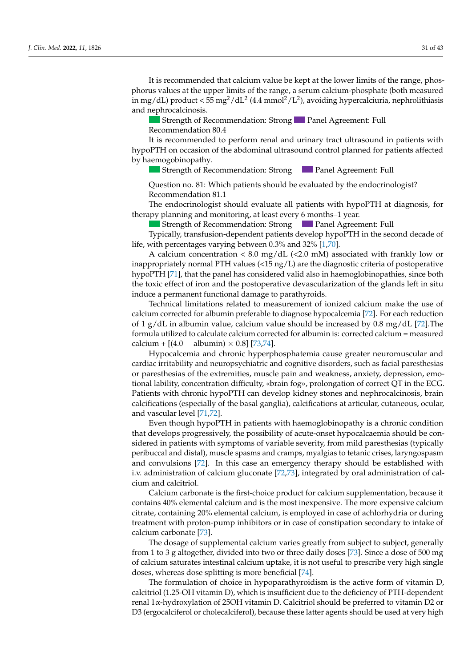It is recommended that calcium value be kept at the lower limits of the range, phosphorus values at the upper limits of the range, a serum calcium-phosphate (both measured in mg/dL) product <  $55 \text{ mg}^2/\text{d}L^2$  (4.4 mmol<sup>2</sup>/L<sup>2</sup>), avoiding hypercalciuria, nephrolithiasis and nephrocalcinosis.  $\sum_{i=1}^{n}$   $\sum_{i=1}^{n}$   $\sum_{i=1}^{n}$   $\sum_{i=1}^{n}$   $\sum_{i=1}^{n}$   $\sum_{i=1}^{n}$   $\sum_{i=1}^{n}$   $\sum_{i=1}^{n}$   $\sum_{i=1}^{n}$   $\sum_{i=1}^{n}$   $\sum_{i=1}^{n}$   $\sum_{i=1}^{n}$   $\sum_{i=1}^{n}$   $\sum_{i=1}^{n}$   $\sum_{i=1}^{n}$   $\sum_{i=1}^{n}$   $\sum_{i=1}^{n}$ 

 $\overline{\phantom{a}}$  , From what age and how often is screening for a height growth disor-

Strength of Recommendation: Strong Panel Agreement: Full Recommendation 80.4

*J. Clin. Med.* **2022**, *11*, x FOR PEER REVIEW 7 of 46

Recommendation 12.3

It is recommended to perform renal and urinary tract ultrasound in patients with References to the hypoPTH on occasion of the abdominal ultrasound control planned for patients affected<br>hy harmogobinopathy by haemogobinopathy. *J. Recommendation 80.4*<br>*It is recommended to perform renal and urinary tract ultrasound in patients with* hypoPTH on occasion of the abdominal ultrasound control planned for patients affected by haemogobinopathy.

Strength of Recommendation: Strong Panel Agreement: Full  $\mathcal{O}$  becomes all values on appropriate growth curves  $\mathcal{O}$ 

Question no. 81: Which patients should be evaluated by the endocrinologist? Strength of Recommendation: StrongPanel Agreement: Full  $\sim$  Recommendation 81.1 Question no. 81: Which patients should be evaluated by the endocrinologist?<br>Recommendation 81.1

therapy planning and monitoring, at least every 6 months-1 year. The endocrinologist should evaluate all patients with hypoPTH at diagnosis, for

Strength of Recommendation: Strong Panel Agreement: Full

Typically, transfusion-dependent patients develop hypoPTH in the second decade of life, with percentages varying between 0.3% and 32% [\[1,](#page-38-0)[70\]](#page-40-19).

A calcium concentration <  $8.0 \text{ mg/dL}$  (<2.0 mM) associated with frankly low or inappropriately normal PTH values (<15 ng/L) are the diagnostic criteria of postoperative<br> $\frac{1}{2}$ hypoPTH [71], that the panel has considered valid also in haemoglobinopathies, since both  $\alpha$  enect of non and the postoperative devascularization. - If no short stature is permanent functional damage to parathyroids.<br>Consecutive in two consecutive in two consecutives in the social in the social in the social in the social in the toxic effect of iron and the postoperative devascularization of the glands left in situ induce a permanent functional damage to parathyroids. the toxic effect of iron and the postoperative devascularization of the glands left in situ

Technical limitations related to measurement of ionized calcium make the use of f 1 g/dL in albumin value, calcium value should be increased by 0.8 mg/dL [72]. The formula utilized to calculate calcium corrected for albumin is: corrected calcium = measured  $h_{\text{max}}$  growth distribution distribution distribution distribution distribution distribution distribution distribution distribution distribution distribution distribution distribution distribution distribution distribut  $\Omega$  and corrected for albumin preferable to diagnose hypocalcemia [72]. For each reduction  $\Omega$ calcului +  $[(4.0 - \text{abunii}) \times 0.0]$   $[25/4]$ .  $\text{HCl}(\text{H}, \text{U}) = \text{HCl}(\text{H}, \text{U}) \times \text{U} \cdot \text{H} \cdot \text{H} \cdot \text{H} \cdot \text{H} \cdot \text{H} \cdot \text{H} \cdot \text{H} \cdot \text{H} \cdot \text{H} \cdot \text{H} \cdot \text{H} \cdot \text{H} \cdot \text{H} \cdot \text{H} \cdot \text{H} \cdot \text{H} \cdot \text{H} \cdot \text{H} \cdot \text{H} \cdot \text{H} \cdot \text{H} \cdot \text{H} \cdot \text{H} \cdot \text{H} \cdot \text{H} \cdot \text{$ formula utilized to calculate calcium corrected for albumin is: corrected calcium = measured  $\frac{1}{100}$  height disorder is calcium + [(4.0 – albumin) × 0.8] [\[73](#page-41-1)[,74\]](#page-41-2). rectation minimized to measurement of formed calcium make the use of<br>calcium corrected for albumin preferable to diagnose hypocalcemia [\[72\]](#page-41-0). For each reduction of 1 g/dL in albumin value, calcium value should be increased by 0.8 mg/dL [\[72\]](#page-41-0). The

ry pocarcentra and cut or paresthesias of the extremities, muscle pain and weakness, anxiety, depression, emopurestries to the extremities, masere pain and weartness, and the purestions of the extremities, and the extremi  $P_{\text{atients}}$  with chronic hypoPTH can develop kidney stones and nephrocalcinosis, brain calcifications (especially of the basal ganglia), calcifications at articular, cutaneous, ocular, and vascular level [71,72]. Hypocalcemia and chronic hyperphosphatemia cause greater neuromuscular and tional lability, concentration difficulty, «brain fog», prolongation of correct QT in the ECG. Patients with chronic hypoPTH can develop kidney stones and nephrocalcinosis, brain<br>califications (amazially of the basel aspelia), salifications at ortizular, whenever a vulge cardiac irritability and neuropsychiatric and cognitive disorders, such as facial paresthesias

Even though hypoPTH in patients with haemoglobinopathy is a chronic condition that develops progressively, the possibility of acute-onset hypocalcaemia should be considered in patients with symptoms of variable severity, from mild paresthesias (typically peribuccal and distal), muscle spasms and cramps, myalgias to tetanic crises, laryngospasm and convulsions [72]. In this case an emergency therapy should be established with i.v. administration of calcium gluconate [72,73], integrated by oral administration of calcium and calcitriol. Even though hypoPTH in patients with haemoglobinopathy is a chronic condition

Calcium carbonate is the first-choice product for calcium supplementation, because it contains 40% elemental calcium and is the most inexpensive. The more expensive calcium citrate, containing 20% elemental calcium, is employed in case of achlorhydria or during citrate, containing 20% elemental calcium, is employed in case of achiornydria or during<br>treatment with proton-pump inhibitors or in case of constipation secondary to intake of calcium carbonate [73].  $\alpha$  sucrement for celling for celling  $\alpha$  and the subjective  $\alpha$  and simple subjective age, with simple subjective  $\alpha$ 

The dosage of supplemental calcium varies greatly from subject to subject, generally from 1 to 3 g altogether, divided into two or three daily doses [\[73\]](#page-41-1). Since a dose of 500 mg of calcium saturates intestinal calcium uptake, it is not useful to prescribe very high single  $\frac{1}{\sqrt{1-\frac{1}{\sqrt{1-\frac{1}{\sqrt{1-\frac{1}{\sqrt{1-\frac{1}{\sqrt{1-\frac{1}{\sqrt{1-\frac{1}{\sqrt{1-\frac{1}{\sqrt{1-\frac{1}{\sqrt{1-\frac{1}{\sqrt{1-\frac{1}{\sqrt{1-\frac{1}{\sqrt{1-\frac{1}{\sqrt{1-\frac{1}{\sqrt{1-\frac{1}{\sqrt{1-\frac{1}{\sqrt{1-\frac{1}{\sqrt{1-\frac{1}{\sqrt{1-\frac{1}{\sqrt{1-\frac{1}{\sqrt{1-\frac{1}{\sqrt{1-\frac{1}{\sqrt{1-\frac{1}{\sqrt{1-\frac{1}{\sqrt{1-\frac{1$ doses, whereas dose splitting is more beneficial [\[74\]](#page-41-2). The dosage of supplemental calcium varies greatly from subject to subject, generally<br> $\frac{1}{2}$ recommendation 13.33 of calcium saturates intestinal calcium uptake, it is not useful to prescribe very high single<br>doses, whereas does splitting is more boneficial [74]

The formulation of choice in hypoparathyroidism is the active form of vitamin D,  $\frac{1}{2}$  training  $\frac{1}{2}$  and  $\frac{1}{2}$  mg compared to the first dose. calcitriol (1.25-OH vitamin D), which is insufficient due to the deficiency of PTH-dependent renal 1x-hydroxylation of 25OH vitamin D. Calcitriol should be preferred to vitamin D2 or gocalciferol or cholecalciferol), because these latter agents should be used at very high clonidine tests as dynamic tests, depending on the centre's experience. D3 (ergocalciferol or cholecalciferol), because these latter agents should be used at very high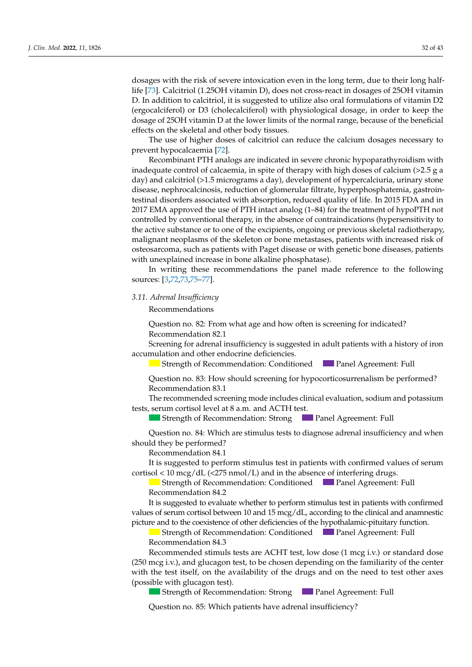dosages with the risk of severe intoxication even in the long term, due to their long halflife [\[73\]](#page-41-1). Calcitriol (1.25OH vitamin D), does not cross-react in dosages of 25OH vitamin D. In addition to calcitriol, it is suggested to utilize also oral formulations of vitamin D2 (ergocalciferol) or D3 (cholecalciferol) with physiological dosage, in order to keep the dosage of 25OH vitamin D at the lower limits of the normal range, because of the beneficial effects on the skeletal and other body tissues.

The use of higher doses of calcitriol can reduce the calcium dosages necessary to prevent hypocalcaemia [\[72\]](#page-41-0).

Recombinant PTH analogs are indicated in severe chronic hypoparathyroidism with inadequate control of calcaemia, in spite of therapy with high doses of calcium (>2.5 g a day) and calcitriol (>1.5 micrograms a day), development of hypercalciuria, urinary stone disease, nephrocalcinosis, reduction of glomerular filtrate, hyperphosphatemia, gastrointestinal disorders associated with absorption, reduced quality of life. In 2015 FDA and in 2017 EMA approved the use of PTH intact analog (1–84) for the treatment of hypoPTH not controlled by conventional therapy, in the absence of contraindications (hypersensitivity to the active substance or to one of the excipients, ongoing or previous skeletal radiotherapy, malignant neoplasms of the skeleton or bone metastases, patients with increased risk of osteosarcoma, such as patients with Paget disease or with genetic bone diseases, patients with unexplained increase in bone alkaline phosphatase).

In writing these recommendations the panel made reference to the following sources: [\[3,](#page-38-2)[72](#page-41-0)[,73](#page-41-1)[,75–](#page-41-3)[77\]](#page-41-4).

## 3.11. Adrenal Insufficiency

**Recommendations**  $\mathbf I$  mendations who did not begin public development, by the age of 13 in females of 13 in  $\mathbf I$ 

Question no. 82: From what age and how often is screening for indicated? Recommendation 82.1

Screening for adrenal insufficiency is suggested in adult patients with a history of iron accumulation and other endocrine deficiencies.

Strength of Recommendation: Conditioned Panel Agreement: Full<br>Question no. 83: How should screening for hypocorticosurrenalism he performed?

 $R_{\rm Hoch}$  no  $R_{\rm 3}$ . How sh Question no. 83: How should screening for hypocorticosurrenalism be performed?<br>Recommendation 83.1 Recommendation 83.1

The recommended screening mode includes clinical evaluation, sodium and potassium tests, serum cortisol level at  $8$  a.m. and ACTH test.

Strength of Recommendation: Strong Panel Agreement: Full

 $\alpha$  of  $\alpha$  in  $\alpha$  . Which are stimuly toots to discusse advant in with  $\alpha$  and when to consider the use of gonal of gonal of gonal or gonal of the use of gonal or the induc-Recommendation 84.1 Strength of Recommendation: Strong Panel Agreement: Full should they be performed?  $\mathbf{B}$  discrete of  $\mathbf{B}$  develops with a discrete  $\mathbf{B}$  defense of public  $\mathbf{B}$  defined, reduced, reduced,  $\mathbf{B}$ Question no. 84: Which are stimulus tests to diagnose adrenal insufficiency and when *J. Clin. Med. P. C. P. Clinical*,

It is suggested to perform stimulus test in patients with confirmed values of serum  $\frac{1}{2}$   $\frac{1}{2}$   $\frac{1}{2}$   $\frac{1}{2}$   $\frac{1}{2}$   $\frac{1}{2}$   $\frac{1}{2}$   $\frac{1}{2}$   $\frac{1}{2}$   $\frac{1}{2}$   $\frac{1}{2}$   $\frac{1}{2}$   $\frac{1}{2}$   $\frac{1}{2}$   $\frac{1}{2}$   $\frac{1}{2}$   $\frac{1}{2}$   $\frac{1}{2}$   $\frac{1}{2}$   $\frac{1}{2}$   $\frac{1}{2}$   $\frac{1}{2}$   $\frac{1}{2}$  cortisol < 10 mcg/dL (<275 nmol/L) and in the absence of interfering drugs.

 $R_{\text{eff}}$  of  $R_{\text{eff}}$ In female patients with public the recommended the recommended the recommended the record theory is low-dose 17 Strength of Recommendation: Conditioned Panel Agreement: Full<br>Recommendation 84.2 Recommendation 84.2

Recommendation 04.2<br>It is suggested to evaluate whether to perform stimulus test in patients w picture and to the coexistence of other deficiencies of the hypothalamic-pituitary function. values of serum cortisol between 10 and 15 mcg/dL, according to the clinical and anamnestic It is suggested to evaluate whether to perform stimulus test in patients with confirmed

Strength of Recommendation: Conditioned  $\Box$  Panel Agreement: Full Recommendation 84.3 only in verified cases of hypogonadism in the suggested cases of the comment of the comment of the comment of  $\sigma$ 

Recommended stimuls tests are ACHT test, low dose (1 mcg i.v.) or standard dose ncg i.v.), and glucagon test, to be chosen depending on the familiarity of the center  $\Omega$  and  $\Omega$  is the male patients with public matter  $\Omega$  matter  $\Omega$  is the public matter treatment behavior for  $\Omega$  $\Box$  Stron  $\sum_{k=1}^{\infty}$  in the spontaneous begin-spontaneous begin-spontaneous begin-spontaneous begin-spontaneous begin-spontaneous begin-spontaneous begin-spontaneous begin-spontaneous begin-spontaneous begin-spontaneous begin-s (possible with glucagon test). to consider the use of gona dots as an alternative to test go the use of the induction of the induc- $\omega$  the age of  $\eta$  and  $\eta$  are constant  $\omega$ , so the age of  $\eta$  and  $\eta$  and  $\eta$  and  $\eta$  and  $\eta$  is the age of  $\eta$ with the test itself, on the availability of the drugs and on the need to test other axes<br>(possible with cluse can test)  $\mathbb{R}$  than the development after  $\mathbb{R}$  cycles of public  $\mathbb{R}$  cycles of public  $\mathbb{R}$  cycles of pubertal induction  $\mathbb{R}$  in  $\mathbb{R}$  cycles of public  $\mathbb{R}$  cycles of public  $\mathbb{R}$  cycles of public  $\mathbb{$ Recommended stimuls tests are ACHT test, low dose (1 mcg i.v.) or standard dose (250 mcg i.v.), and glucagon test, to be chosen depending on the familiarity of the center Recommendation 14.47

 $\mathcal{C}$ ne with grucagon test).<br>■ Strength of Recommendation: Strong △ ■ Panel Agreement: Full <del>−−</del> Strength of Recommendation: Strong −−− Panel Agreement, Pull Strength of Recommendation: Strong Panel Agreement: Full Strength of Recommendation: Strong  $\Box$  in fame agreement: Full low-dose hormones, have hypogonadotropic hypogonadism. Strength of Recommendation: Strong **Panel Agreement: Full** 

uestion no. 85: Which patients have adrenal insufficiency?  $\overline{a}$   $\overline{b}$   $\overline{c}$   $\overline{c}$  months. Question no. 85: Which patients have adrenal insufficiency?  $\mathbf{B}$  disorders of public development, as previously described, low values of public described, low values of  $\mathbf{B}$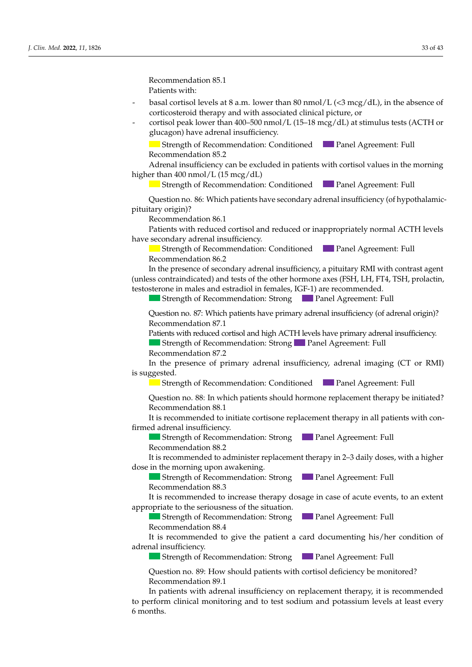Recommendation 85.1 Patients with:  $\sum_{i=1}^{n}$  and  $\sum_{i=1}^{n}$  in females who did not begin public development, by the age of 13 in females who did not 13 in females who did not 13 in females who did not 13 in females who did not 13 in females who did no *Patients with vertice with vertice with vertice with vertice with vertice with vertice with vertice with vertice with vertice with vertice*  $\frac{1}{2}$ 

- basal cortisol levels at 8 a.m. lower than 80 nmol/L (<3 mcg/dL), in the absence of corticosteroid therapy and with associated clinical picture, or
	- cortisol peak lower than 400–500 nmol/L (15–18 mcg/dL) at stimulus tests (ACTH or glucagon) have adrenal insufficiency. Who did not begin pubertal development of 13 in females who did not begin

Strength of Recommendation: Conditioned **Panel Agreement: Full Recommendation 85.2** Recommendation 85.2

Adrenal insufficiency can be excluded in patients with cortisol values in the morning higher than  $400 \text{ nmol/L}$  (15 mcg/dL) *Recommendation 85.2*<br>*Adrenal insufficiency can be excluded in patients with cortisol values in the morning higher than 400 nmol/L (15 mcg/dL)*<br>*J. Strength of Recommendation: Conditioned Panel Agreement: Full* 

Strength of Recommendation: Conditioned Panel Agreement: Full **Panel Agreement: Full** 

uestion no. 86: Which patients have secondary adre Only in verified cases of hypogonadotropic hypogonadism in males is it suggested pituitary origin)? Recommendation 86.1  $\mathbf{E}(\mathbf{R})$ In verified cases of  $\frac{1}{2}$  is recommended to increase to increase to increase to increase to increase to increase to increase to increase the set of  $\frac{1}{2}$  is recommended to increase the set of  $\frac{1}{2}$  is recomme Question no. 86: Which patients have secondary adrenal insufficiency (of hypothalamic-<br>pituitary origin)? *J. Clin. Med.* **2022**, *11*, x FOR PEER REVIEW 11 of 46  $\alpha$  origin)?

Patients with reduced cortisol and reduced or inappropriately normal ACTH levels have secondary adrenal insufficiency.

Recommendation 86.2 Strength of Recommendation: Conditioned **Department** Panel Agreement: Full

In the presence of secondary adrenal insufficiency, a pituitary RMI with contrast agent (unless contraindicated) and tests of the other hormone axes (FSH, LH, FT4, TSH, prolactin, testosterone in males and estradiol in females, IGF-1) are recommended.

Strength of Recommendation: Strong Panel Agreement: Full In the case of diagnosis of  $\mathcal{L}$  is recommended. testosterone in males and estradiol in females, IGF-1) are recommended.<br>
Strength of Recommendation: Strong<br>
Panel Agreement: Full

uestion no. 87: Which patients have primary adrenal insufficiency (of adrenal o  $\sim$  Recommendation 87.1  $\overline{R}$ Question no. 87: Which patients have primary adrenal insufficiency (of adrenal origin)? Question no. 87: Which patients have primary adrenal insufficiency (of adrenal origin)?<br>Recommendation 87.1

Recommendation 07.1<br>Patients with reduced cortisol and high ACTH levels have primary adrenal insufficiency. Strength of Recommendation: Strong Panel Agreement: Full

Recommendation 87.2

In the presence of primary adrenal insufficiency, adrenal imaging (CT or RMI) is suggested. with the patient and his/her parents, with periodic clinical laboratory checks to be carried control of  $\alpha$  $\frac{1}{\sqrt{2}}$  , in which patients showledge behavior than  $\frac{1}{\sqrt{2}}$  , in which patients showledge behavior than  $\frac{1}{\sqrt{2}}$ Strength of Recommendation: StrongPanel Agreement: Full In the presence of primary adrenal insufficiency, adrenal imaging (CT or RMI) is suggested  $\mathsf{P}$ growth and hypogonadotropic hypogonadotropic hypogonadotropic hypogonadotropic hypogonadotropic hypogonadism.  $\Omega_{\rm c}$  are seed.  $\Omega_{\rm c}$  is screening for a height growth disor-seed isor-seed isom-seed.

ers<br>Referancies of Recomm  $\sigma$ gesteα.<br>■ Strength of Recommendation: Conditioned ■ Panel Agreement: Full rigui of Recommendation **The Strength of Recommendation: Conditioned 1996 Panel Agreement: Full** Strength of Recommendation: Conditioned Panel Agreement: Full<br>Question no. 88: In which patients should be mone replacement therapy be initiated?

Question no. 88: In which patients should hormone replacement therapy be initiated? Recommendation 88.1  $\frac{1}{\sqrt{2}}$  the case of constitutional growth and published begin-the spontaneous begin-the spontaneous beginresubit no. of the which patients should normone replacement therapy be initiated: with the patient and his-her parents, with periodic clinical laboratory checks to be carried control laboratory checks to be carried control laboratory checks to be carried control laboratory checks to be carried control l Question no. 88: In which patients should hormone replacement therapy be initiated?

Tecommended to miliate corrisone replacement therapy in an path is recommended to initiate cortisone replacement therapy in all patients with confirmed adrenal insufficiency.  $\frac{1}{2}$   $\frac{1}{2}$   $\frac{1}{2}$   $\frac{1}{2}$   $\frac{1}{2}$   $\frac{1}{2}$   $\frac{1}{2}$   $\frac{1}{2}$   $\frac{1}{2}$   $\frac{1}{2}$   $\frac{1}{2}$   $\frac{1}{2}$   $\frac{1}{2}$   $\frac{1}{2}$   $\frac{1}{2}$   $\frac{1}{2}$   $\frac{1}{2}$   $\frac{1}{2}$   $\frac{1}{2}$   $\frac{1}{2}$   $\frac{1}{2}$   $\frac{1}{2}$  It is recommended to initiate cortisone replacement therapy in all patients w It is recommended to initiate cortisone replacement therapy in all patients with con-<br>until  $\mathcal{L}$  $\alpha$  adread insufficiency It is recommended to initiate cortisone replacement therapy in all patients with con-It is recommended to midate corusone replacement dierapy in an patients whilf con-<br>*firmed adrenal insufficiency* 

Strength of Recommendation: Strong **Panel Agreement: Full** Recommendation 88.2

is recommended to administer replacement therapy in 2-3 daily doses,  $\frac{1}{2}$  dose in the morning upon awakening. ommended to administer replacement therapy in 2–3 daily doses, with a higher  $\alpha$  the morning unon suploming It is recommended to administer replacement therapy in 2–3 daily doses, with a higher

Strength of Recommendation: Strong **Panel Agreement: Full** Recommendation  $88.3$ 

It is recommended to increase therapy dosage in case of acute events, to an extent ppropriate to the seriousness of the situation. It is recommended to increase therapy dosage in case of acute events, to an extent appropriate to the seriousness of the situation. Tecommended to increase therapy dosage in case of active events It is recommended to increase therapy dosage in case of acute events, to an extent

Strength of Recommendation: Strong Panel Agreement: Full<br>Peasures of driver 28.4 Strength of Recommendation: Strong Panel Agreement: Full  $\frac{1}{2}$  decompanishes of  $\frac{1}{2}$  and  $\frac{1}{2}$  decompanishes of  $\frac{1}{2}$  and  $\frac{1}{2}$  decompanishes  $\frac{1}{2}$  decompanishes  $\frac{1}{2}$ Strength of Recommendation: Strong Panel Agreement: Full

It is recommended to give the patient a card documenting his/her condition of adrenal insufficiency. Recommendation 88.4  $\frac{1}{\sqrt{2}}$ Chron order to differentiate between constitutional growth and published growth and published published and hypogonal growth and hypogonal growth and hypogonal growth and hypogonal growth and hypogonal growth and hypogonal growt In the case of diagnosis of  $\mathbf{u}$  is recommended to the comment of the comment of  $\mathbf{u}$  is recommended to the comment of  $\mathbf{u}$  is recommended to the comment of  $\mathbf{u}$  is recommended to the comment of  $\mathbf{u}$  i commented to five the patient a card docum  $\alpha$  are a height patients of  $\alpha$  here are a height growth disorder.  $R_{\text{re}}$  Recommended to  $\frac{1}{2}$  is used model in  $\frac{1}{2}$  is  $\frac{1}{2}$  in females, and of the testoric in females, and  $\frac{1}{2}$  the testoric in  $\frac{1}{2}$ males, with a lack of public of public of public order induction of the public of public order in the cycles of public order in the distribution of the public order in the state in the state of public order in the state of It is recommended to give the patient a card documenting bis/her condition of  $S$  recommended to give the patient a card documenting his/here  $\mathscr{C}$ . It is recommended to give the patient a card documenting his/her condition of

**Strength of Recommendation: Strong Comment Agreement: Full Strength of Recommendation: Strong Comment Agreement: Full** Strength of Recommendation: Strong Panel Agreement: Full Strength of Recommendation: Strong Panel Agreement: Full  $B_{\text{out}}$  of necessarily matrices of  $\alpha$  development as previously dependent, reduced  $\alpha$  $T_{\text{Stronorth}}$  of Recommended ion:  $\text{Stron}\alpha$  and  $\text{A grown}$   $\text{Foul}\beta$ Strength of Recommendation: Strong Panel Agreement: Full

 $\theta$ uestion no. 89: How should patients with cortisol deficiency be monitored? Recommendation 89.1 Question no. 89: How should patients with cortisol deficiency be monitored?<br>Recommendation 89.1 Question no. 89: How should patients with cortisol deficiency be monitored? Strength of Recommendation: Strong Panel Agreement: Full Question no. 89: How should patients with cortisol deficiency be monitored? Question no. 89: How should patients with cortisol deficiency be monitored?<br>Recommendation 89:1

In patients with adrenal insufficiency on replacement therapy, it is recommended Full Comment of Recommendations with an agreement of Panel Agreement: Full Procession 18.1 and the hormone therapy recommended in males in the discrete solution 18.1 and 19.1 and 19.1 and 19.1 and 19.1 and 19.1 and 19.1 an  $\mathcal{L}$  develops of publications in the most frequent complications in the most frequent complications in the most frequent complications in the most frequent complications in the most frequent complications in the most  $\mathbf{f}_{\mathbf{R}}$  is recommended to an endocrinol-independent of an endocrinol-independent of an endocrinol-independent of an endocrinol-independent of an endocrinol-independent of an endocrinol-independent of an endocrinolperform clinical monitoring and to test sodium and potassium levels at least every<br>months every 4 weeks, with an initial dose of 50 mg, for a period of 3–6 months.  $R_{20}$  $\mathsf{ns.}$  $\blacksquare$  second for cells  $\blacksquare$  and the subjective  $\blacksquare$ months.  $I$  all patients who do not begin public development, a short  $3-6$ -month cycle of  $\alpha$  $6$  months. Recommendation 16.1 with the patient and his/her parents, with periodic clinical laboratory checks to be carried control of  $\alpha$  $\overline{\text{I}}$  if no short status is present,  $\overline{\text{I}}$ . SD in two consecutive consecutive consecutive consecutive consecutive consecutive consecutive consecutive consecutive consecutive consecutive consecutive consecutive c Recommendation 89.1<br>In patients with adrenal insufficiency on replacement therapy, it is recommended car patients with acterial modificiency on replace perform clinical monitoring and to test sodium and potassium levels at least every  $-$  Status $\sim$  Status  $\sim$  SD compared to the family target and  $\sim$  $R_{\text{R}}$  $\mathsf{u}_s$  is the matrix have a height growth disorder. Here a height growth disorder?  ${\rm months.}$ months, plotting all values on appropriate growth curves (curves of Caucasian patients) and comparing them to the<br>Them to them to them to them to them to them to them to the genetic target. The genetic target in the geneti  $\frac{1}{\text{months}}$ to perform clinical monitoring and to test sodium and potassium levels at least every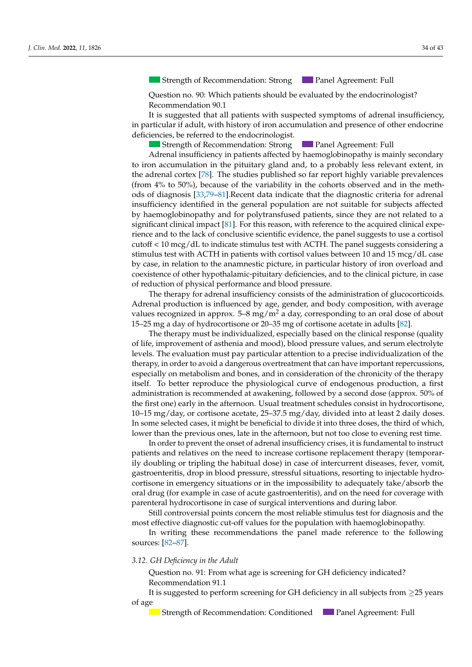Strength of Recommendation: StrongPanel Agreement: Full Strength of Recommendation: Strong Strength of Recommendation: Strong Panel Agreement: Full Panel Agreement: Full Question no. 2: From what age and how often is screening for a height growth disor-*J. Clin. Med.* **2022**, *11*, x FOR PEER REVIEW 10 of 46 Recommendation 12.3

Question no. 90: Which patients should be evaluated by the endocrinologist?  $\frac{1}{2}$  Recommendation 90.1

months starting from patient intervals from patient intervals of height growth growth growth growth growth and

with a clinical laboratory re-evaluation, in order to differentiate between constitution, in order to differen

It is suggested that all patients with suspected symptoms of adrenal insufficiency, in particular if adult, with history of iron accumulation and presence of other endocrine deficiencies, be referred to the endocrinologist.

Strength of Recommendation: Strong Panel Agreement: Full Adrenal insufficiency in patients affected by haemoglobinopathy is mainly secondary the adrenal cortex [78]. The studies published so far report highly variable prevalences (from  $4\%$  to 50%), because of the variability in the cohorts observed and in the meth-ods of diagnosis [\[33](#page-39-18),79-[81\]](#page-41-7). Recent data indicate that the diagnostic criteria for adrenal sufficiency identified in the general population are not suitable for subjects affected y naemoglobinopatny and for polytransfused patients, since they are not related to a<br>Comparison in the family target and growth rate (GRI) ≤ SD or ≤−1.5 SD or ≤−1.5 SD or ≤−1.5 SD or ≤−1.5 SD or ≤−1.5 SD or ≤−1.5 SD or ≤− significant clinical impact [\[81\]](#page-41-7). For this reason, with reference to the acquired clinical expeence and to the lack of conclusive scientific evidence, the panel suggests to use a cortisol  $\sim$  to meg/  $\mu$  to mentate summas test with  $\Lambda$ CTH. The  $\frac{1}{2}$  If  $\frac{1}{2}$  is  $\frac{1}{2}$  in order is particle in order to statue or  $\frac{1}{2}$ . So in the consecutive consecutive consecutive consecutive consecutive consecutive consecutive consecutive consecutive consecutive c e, in relation to the anamnestic picture, in particular history of Iron over the started in the started of the of reduction of physical performance and blood pressure. Adrenal insufficiency in patients affected by haemoglobinopathy is mainly secondary<br>to iron accumulation in the pituitary gland and, to a probably less relevant extent, in editor s to meg, als to marche summars test which critically the participate ensured constanting a stimulus test with ACTH in patients with cortisol values between 10 and 15 mcg/dL case coexistence of other hypothalamic-pituitary deficiencies, and to the clinical picture, in case by haemoglobinopathy and for polytransfused patients, since they are not related to a by case, in relation to the anamnestic picture, in particular history of iron overload and by case, in relation to the anamnestic picture, in particular history of iron overload and insufficiency identified in the general population are not suitable for subjects affected Boystance and to the lack of conclusive scientific evidence, the panel suggests to use a cortisol rate, and to the later of conclusive selections cytatrice, are parter suggests to the a corrisor cutoff < 10 mcg/dL to indicate stimulus test with ACTH. The panel suggests considering a **Panel Agreement: Full** 

The therapy for adrenal insufficiency consists of the administration of glucocorticoids. here *he believes* die *naam* 0.15–25 mg a day of hydrocortisone or 20–35 mg of cortisone acetate in adults [82]. Adrenal production is influenced by age, gender, and body composition, with average values recognized in approx.  $5-8$  mg/m<sup>2</sup> a day, corresponding to an oral dose of about

The therapy must be individualized, especially based on the clinical response (quality Fire dividend the thermal and mood) blood pressure value levels. The evaluation must pay particular attention to a precise individualization of the therapy, in order to avoid a dangerous overtreatment that can have important repercussions, especially on metabolism and bones, and in consideration of the chronicity of the therapy itself. To better reproduce the physiological curve of endogenous production, a first administration is recommended at awakening, followed by a second dose (approx. 50% of the first one) early in the afternoon. Usual treatment schedules consist in hydrocortisone, 10-15 mg/day, or cortisone acetate, 25-37.5 mg/day, divided into at least 2 daily doses. In some selected cases, it might be beneficial to divide it into three doses, the third of which, lower than the previous ones, late in the afternoon, but not too close to evening rest time. of life, improvement of asthenia and mood), blood pressure values, and serum electrolyte

In order to prevent the onset of adrenal insufficiency crises, it is fundamental to instruct patients and relatives on the need to increase cortisone replacement therapy (temporarily doubling or tripling the habitual dose) in case of intercurrent diseases, fever, vomit, gastroenteritis, drop in blood pressure, stressful situations, resorting to injectable hydroortisone in emergency situations or in the impossibility to adequately take/absorb the parenteral hydrocortisone in case of surgical interventions and during labor. In particular with public with public delay and the hormone of the hormone therapy recommended in the males is tes-<br>And virtual produce the magnetic stess-commended in terms of the single delay in a laboratory of the singl Recommendation 13.3 cortisone in emergency situations or in the impossibility to adequately take/absorb the oral drug (for example in case of acute gastroenteritis), and on the need for coverage with

Still controversial points concern the most reliable stimulus test for diagnosis and the most effective diagnostic cut-off values for the population with haemoglobinopathy.

In writing these recommendations the panel made reference to strength of Recommendial [Str](#page-41-8)[eng](#page-41-9)th of Panel Agreement: Full sister for the evaluation of the evaluation of the evaluation of the evaluation of the evaluation of the evaluation of the evaluation of the evaluation of the eval n writing these recommendations the panel made reference to the following  $\mathbf{S}$ .  $\left[02-07\right]$ . In writing these recommendations the panel made reference to the following<br>[82, 87] sources: [82–87]. Recommendation 12.3

# 3.12. GH Deficiency in the Adult

uestion no. 91: From p Ferommendation 91.1  $\Omega$ tostier ne  $\Omega$ t. From substancie enantino for  $\Omega$ I deficier printieted? Question no. 91: From what age is screening for GH deficiency indicated?<br>Reserves and time 01.1

It is suggested to perform screening for GH deficiency in all subjects from  $\geq$ 25 years of age growth and puberty delay and hypogonadotropic hypogonadism.

Strength of Recommendation: Conditioned **Panel Agreement: Full Strength of Recommendation: Conditioned First dose. Panel Agreement: Full Strength of Recommendation: Conditioned Figure 2014**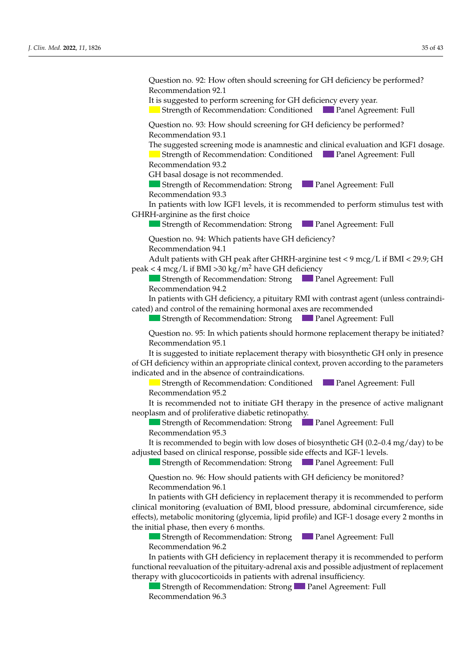Question no. 92: How often should screening for GH deficiency be performed? Recommendation 92.1 *Clinical laboratory respectively. J. Clin. Med. <b>PEER REVIEW 10 of 26.3 <i>Clin* It is suggested to perform screening for GH deficiency every year.  $\blacksquare$  Strength of Recommendation: Conditioned  $\blacksquare$  Panel Agreement: Full rection no. 93: How sk In verified cases of hypogonadotropic hypogonadism, it is recommended to increase The suggested screening mode is anamnestic and clinical evaluation and IGF1 dosage. Strength of Recommendation: Conditioned Panel Agreement: Full Recommendation 93.2 Recommendation 93.2 GH basal dosage is not recommended. Strength of Recommendation: Strong Panel Agreement: Full Recommendation 93.3 patients with low IGF1 levels, it is recommended to perform stimulus test with **Summer is the hormone thormone in females.** The hypogonal in the delay in the superteent of  $\blacksquare$  and  $\blacksquare$  and  $\blacksquare$  are experiment: Full  $\ddot{\phantom{1}}$ Question no. 94: Which patients have GH deficiency? Adult patients with GH peak after GHRH-arginine test < 9 mcg/L if BMI < 29.9; GH peak < 4 mcg/L if BMI > 30 kg/m<sup>2</sup> have GH deficiency<br>
Strength of Recommendation: Strong Strength of Recommendation: Strong Panel Agreement: Full Recommendation 94.2 Recommendation 74.2<br>In patients with GH deficiency, a pituitary RMI with contrast agent (unless contr cated) and control of the remaining hormonal axes are recommended  $\frac{1}{2}$  . The shock matrix matrix  $\frac{1}{2}$  and  $\frac{1}{2}$  under treatment belongs with public  $\frac{1}{2}$ Question Recommendation 95.1 is suggested to initiate replacement therapy with biosynthetic GH only in presence of GH deficiency within an appropriate clinical context, proven according to the parameters indicated and in the absence of contraindications. Strength of Recommendation: Strong Panel Agreement: Full It is recommended not to initiate GH therapy in the presence of active malignant eoplasm and of proliferative diabetic retinopathy.  $\frac{1}{2}$  neoplasm and of proliferative diabetic retinopathy. Strength of Recommendation: Strong **Panel Agreement: Full Recommendation 95.3** Recommendation 95.3 Recommendation 95.5<br>It is recommended to begin with low doses of biosynthetic GH (0.2–0.4 mg/day) to be<br>directed based are directed assessmes assessible side offects and IGE 1 largels. djusted based on clinical response, possible side effects and IGF-1 levels. **Strength of Recommendation: Strong Panel Agreement: Full Panel Age** Question no. 96: How should patients with GH deficiency be monitored? Recommendation 96.1 In patients with GH deficiency in replacement therapy it is recommended to perform<br>linical monitoring (evaluation of BML blood pressure, abdominal circumference, side metabolic monitoring (elveemia, lipid profile) and IGF-1 dosage every 2 mon the initial phase, then every 6 months.  $\blacksquare$  Strength of Recommendation: Strong  $\blacksquare$  Panel Agreement: Full Recommendation 96.2  $\mathbf{R}$  and  $\mathbf{R}$ . How should Question no. 93: How should screening for GH deficiency be performed?<br>Recommendation 93.1 GHRH-arginine as the first choice Recommendation 94.1 In the Strength of Recommendation: Strong Internal Agreement: Full ning of puberty, it is suggested to reassure and remain in watchful waiting, in concert Question no. 95: In which patients should hormone replacement therapy be initiated? It is suggested to initiate replacement therapy with biosynthetic GH only in presence Strength of Recommendation: Conditioned Panel Agreement: Full Recommendation 95.2 Recommendation 95.2 of the win on achievely in replacement inerapy is to recommended to perform effects), metabolic monitoring (glycemia, lipid profile) and IGF-1 dosage every 2 months in<br>the initial phase, then every 6 months  $\epsilon$  commendation 96.2 Recommendation 93.1  $\sum_{i=1}^{n}$  $t_{\text{total}}$  of recommendation strong  $t_{\text{total}}$  and represented the inducmonitored bubble Strength of Recommendation: Strong Panel Agreement: Full In patients with GH deficiency in replacement therapy it is recommended to perform<br>clinical monitoring (evaluation of BMI, blood pressure, abdominal circumference, side Strength of Recommendation: Strong **Panel Agreement: Full** In patients with low IGF1 levels, it is recommended to perform stimulus test with  $\mathbb{R}$  as the first choice  $R_{\rm eff}$  of Recommendation In patients with GH deficiency, a pituitary RMI with contrast agent (unless contraindiand control of the remaining normonal axes are recon-Strength of Recommendation: Strong Panel Agreement: Full  $\blacksquare$  Strength of Recommendation: Strong  $\blacksquare$  Panel Agreement: Full Ouestion no. 94: Which patients have GH deficiency?  $\mathcal{C}$  and sitting, growth,  $\mathcal{C}$  and  $\mathcal{C}$  and  $\mathcal{C}$  out every sixteed out every sixteed out of  $\mathcal{C}$ **Panel Agreement: Full** A height growth distribution of the following cases. commondation 96.1 Question no. 95: In which patients should hormone replacement therapy be initiated?  $\frac{1}{2}$  ortion no  $\frac{0}{6}$ . How should patients with CH deficiency be menitored? *Recommendation 75.2*  $\frac{1}{\sigma}$  , hence  $\frac{1}{\sigma}$  and  $\frac{1}{\sigma}$  arranged out every sixteeper stage. the of 0.5 Second of 0.5 Second of 0.5 Second of 0.5 Second of 0.5 Second 2 years of 0.6 Second 2 years of 0.6 Second 2 years of 0.6 Second 2 years of 0.6 Second 2 years of 0.6 Second 2 years of 0.6 Second 2 years of 0.6 S Question no. 96: How should patients with GH deficiency be monitored? complementary MRI to complete the diagnosis. djusted based on clinical response, possible side effects and IGF-1 levels. Strength of Recommendation: StrongPanel Agreement: Full  $\sim$  Severe short status status status status status status status status status status status status status status status status status status status status status status status status status status status status status It is recommended not to initiate GH therapy in the presence of active malignant Recommendation 14.4 Strecommended to begin with low doses of blosymmetic GTT (0.2–0.4 mg/day) to be to consider the use of gona do the use of good and the use of the use of the induc-testosterone, only for the induc $t_{\text{total}}$  of Recommendation, strong  $t_{\text{total}}$ rection comment deposite  $B_{\text{eff}}$  of recommendation, busing  $\sum_{i=1}^{\infty}$  dier regression, reduced  $\sum_{i=1}^{\infty}$  $\frac{1}{2}$  diagnosis of  $\frac{1}{2}$  of  $\frac{1}{2}$  is recommended to  $\frac{1}{2}$  is recommended to  $\frac{1}{2}$  is recommended to  $\frac{1}{2}$  is recommended to  $\frac{1}{2}$  is recommended to  $\frac{1}{2}$  is recommended to  $\frac{1}{2}$  is reco Strength of Recommendation: Strong Panel Agreement: Full It is recommended to begin with low doses of biosynthetic GH (0.2–0.4 mg/day) to be adjusted based on clinical response, possible side effects and IGF-1 levels.  $T_{\text{strench}}$  of Recommended screening mode is an accurate clinical and accommending  $\epsilon$ Strength of Recommendation: Strong **Panel Agreement: Full** Question no. 96: How should patients with GH deficiency be monitored?<br>Recommendation 96.1

In all patients who did not begin pubertal development, by the age of 13 in females

*J. Clin. Med.* **2022**, *11*, x FOR PEER REVIEW 10 of 46

In patients with GH deficiency in replacement therapy it is recommended to perform functional reevaluation of the pituitary-adrenal axis and possible adjustment of replacement therapy with glucocorticoids in patients with adrenal insufficiency.

herapy with glucocorticoids in patients with adrenal insufficiency.<br>Strength of Recommendation: Strong Panel Agreement: Full Recommendation 96.3  $\qquad \qquad$  $\text{m}$ ation:  $\mathcal{S}_0$ Strength of Recommendation: StrongPanel Agreement: Full  $\sum_{i=1}^{\infty}$  $S_{\text{S}}$  $\sum_{n=1}^{\infty}$  published to reassure and remain in watchful waiting, in  $\sum_{n=1}^{\infty}$ - If no short status status status is present, GR ≤ SD in two consecutive in two consecutive in two consecutive in two consecutive in two consecutive in two consecutive in two consecutive in two consecutive in two consecut Recommendation 96.3  $\sum_{i=1}^{\infty}$  $\mathcal{L}$  and  $\mathcal{L}$  is how shown discrepance for  $\mathcal{L}$  how show  $\mathcal{L}$  and  $\mathcal{L}$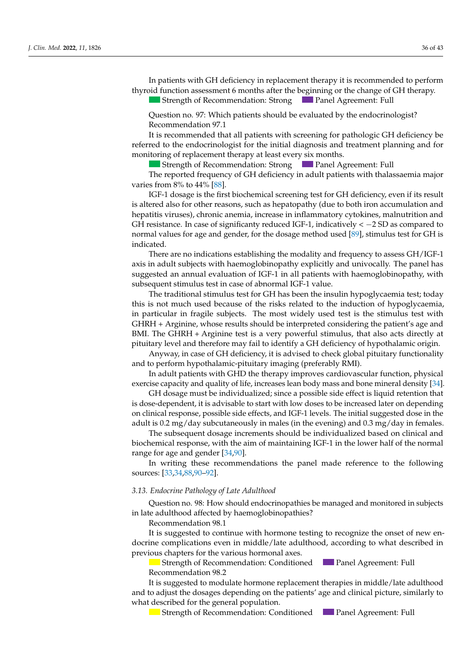In patients with GH deficiency in replacement therapy it is recommended to perform thyroid function assessment 6 months after the beginning or the change of GH therapy.

and 14 in males, a short 3–6-month cycle of low-dose hormone therapy (oestern in the low-dose hormone therapy (

Strength of Recommendation: Strong Panel Agreement: Full

Recommendation 2.1

Question no. 97: Which patients should be evaluated by the endocrinologist? Recommendation 97.1 Question no. 97: Which patients should be evaluated by the endocrinologist?<br>Recommendation 97.1

It is recommended that all patients with screening for pathologic GH deficiency be referred to the endocrinologist for the initial diagnosis and treatment planning and for monitoring of replacement therapy at least every six months.

Strength of Recommendation: Strong Panel Agreement: Full **Panel Agreement: Full** 

The reported frequency of GH deficiency in adult patients with thalassaemia major<br>s from 8% to 44% [88] varies from 8% to 44% [88].

IGF-1 dosage is the first biochemical screening test for GH deficiency, even if its result is altered also for other reasons, such as hepatopathy (due to both iron accumulation and hepatitis viruses), chronic anemia, increase in inflammatory cytokines, malnutrition and H resistance. In case of significanty reduced IGF-1, indicatively  $\lt -2$  SD as compared to ormal values for age and gender, for the dosage method used [89], stimulus test for GH is<br>District and growth rate (GR) stimulation of the family of the family of the family of the family of the famil  $\mathbf{R}$  and  $\mathbf{R}$  consecutive  $\mathbf{R}$  consecutive  $\mathbf{R}$  $p_{\text{normal values}}$  for age and gender for the dosage method used  $[89]$  stimulus test for  $GH$ Strength of Recommendation: StrongPanel Agreement: Full GH resistance. In case of significanty reduced IGF-1, indicatively  $\lt -2$  SD as compared to normal values for age and gender, for the dosage method used [\[89\]](#page-41-11), stimulus test for GH is<br>indicated indicated.

- Stature are no indications establishing the modality and frequency to assess GH/IGF-1 tion of 0.5 Superior of 0.5 Species with none of 0.5 Species explicitly one - If no short stature is consecutive in the status of two consecutives in the security, with status in two consecutives in two consecutives in two consecutives in two consecutives in two consecutives in two consecutives i  $\frac{1}{1}$ ated.<br>There are no indications establishing the modality and frequency to assess GH/IGF-1 axis in adult subjects with haemoglobinopathy explicitly and univocally. The panel has suggested an annual evaluation of IGF-1 in all patients with haemoglobinopathy, with quent stimulus test in case of abnormal  $I\mathsf{G}\mathrm{F}\text{-}1$  value. subsequent stimulus test in case of abnormal IGF-1 value.

this is not much used because of the risks related to the induction of hypoglycaemia, in particular in fragile subjects. The most widely used test is the stimulus test with height growth, whose DIME THE STIMET TEGRIL COLLS AT VELY POWER IN SIMILARIS, ARE ALSO ACLS CHECHY AT PITULARY LEVELY THE POLITICAL TEGRIL OF THE POLITICAL TEGRIL OF THE POLITICAL TEGRIL OF THE POLITICAL TEGRIL OF THE POLITICAL TEGRIL OF THE The traditional stimulus test for GH has been the insulin hypoglycaemia test; today GHRH + Arginine, whose results should be interpreted considering the patient's age and BMI. The GHRH + Arginine test is a very powerful stimulus, that also acts directly at

Anyway, in case of GH deficiency, it is advised to check global pituitary functionality rify way, in case of STT acheency, it is advised to check globe<br>and to perform hypothalamic-pituitary imaging (preferably RMI) and to perform hypothalamic-pituitary imaging (preferably RMI).

In adult patients with GHD the therapy improves cardiovascular function, physical exercise capacity and quality of life, increases lean body mass and bone mineral density [34].

GH dosage must be individualized; since a possible side effect is liquid retention that is dose-dependent, it is advisable to start with low doses to be increased later on depending on clinical response, possible side effects, and IGF-1 levels. The initial suggested dose in the adult is 0.2 mg/day subcutaneously in males (in the evening) and 0.3 mg/day in females.

The subsequent dosage increments should be individualized based on clinical and biochemical response, with the aim of maintaining IGF-1 in the lower half of the normal range for age and gender  $[34,90]$  $[34,90]$ .

In writing these recommendations the panel made reference to the following sources:  $[33,34,88,90-92]$  $[33,34,88,90-92]$  $[33,34,88,90-92]$  $[33,34,88,90-92]$  $[33,34,88,90-92]$ .

#### $I_1$  the case that the above of Late additioned tests are not the growth and the growth and the growth anomaly per- $\mathcal{L}$ sistem IGF1 dosing and a dynamic test form IGF1 dosing and a dynamic test for the evaluation of the evaluation of the evaluation of the evaluation of the evaluation of the evaluation of the evaluation of the evalu Endocrine Pathology of Late Adulthood  $\frac{1}{2}$   $\frac{1}{4}$ ,  $\frac{1}{4}$ 3.13. Endocrine Pathology of Late Adulthood

Question no. 98: How should endocrinopathies be managed and monitored in subjects e adulthood affected by haemoglobinopathies?<br>Passaures with the <sup>00-1</sup> Question no. 98: How should endocrinopathies be managed and monitored in subjects in late adulthood affected by haemoglobinopathies?

Recommendation 98.1

Recommendation 14.2

It is suggested to continue with hormone testing to recognize the onset of new endocrine complications even in middle/late adulthood, according to what described in  $\frac{1}{2}$  characters for the various hormonal axes previous chapters for the various hormonal axes.

Strength of Recommendation: Conditioned **Panel Agreement: Full** Recommendation 98.2 Strength of Recommendation: Conditioned Panel Agreement: Full ecommendation 98.2

Recommendation 50.2<br>It is suggested to modulate hormone replacement therapies in middle/late adulthood adjust the dosages de what described for the general population. to the dispersion of the depoted with  $\mu$  and  $\mu$  and  $\mu$  and  $\mu$  and  $\mu$  and  $\mu$  and  $\mu$  and  $\mu$  and  $\mu$  and  $\mu$  and  $\mu$  and  $\mu$  and  $\mu$  and  $\mu$  and  $\mu$  and  $\mu$  and  $\mu$  and  $\mu$  and  $\mu$  and  $\mu$  and  $\mu$ and to adjust the dosages depending on the patients' age and clinical picture, similarly to It is suggested to modulate hormone replacement therapies in middle/late adulthood

Strength of Recommendation: Conditioned Panel Agreement: Full Panel Agreement: Full Panel Agreement: Full Panel Agreement: Full Panel Agreement: Full Panel Agreement: Full Panel Agreement: Full Panel Agreement: Full Panel Strength of Recommendation: Conditioned Panel Agreement: Full **Strength of Recommendation: Conditioned First dose. Panel Agreement: Full Strength of Recommendation: Conditioned Figure 2014**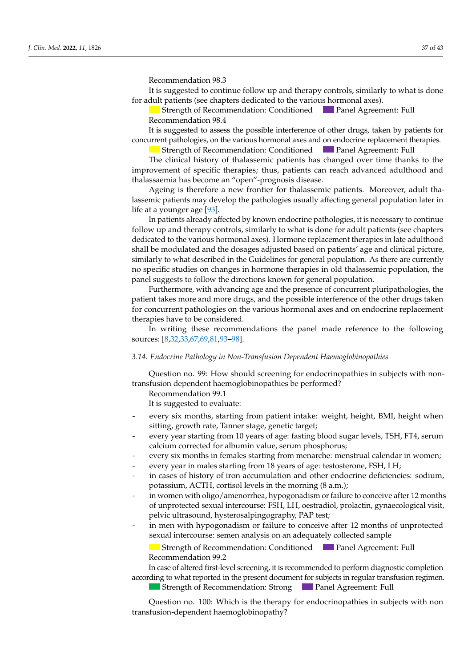Recommendation 98.3 *Recommendation 98.3 J. Clin. Med.* **2022**, *11*, x FOR PEER REVIEW 11 of 46

It is suggested to continue follow up and therapy controls, similarly to what is done for adult patients (see chapters dedicated to the various hormonal axes).

In all patients who did not begin pubertal development, by the age of 13 in females

Strength of Recommendation: Conditioned Panel Agreement: Full Recommendation 98.4

It is suggested to assess the possible interference of other drugs, taken by patients for concurrent pathologies, on the various hormonal axes and on endocrine replacement therapies.

Strength of Recommendation: Conditioned Panel Agreement: Full

Strength of Recommendation: Conditioned<br>The clinical history of thalassemic patients has changed over time thanks to the improvement of specific therapies; thus, patients can reach advanced adulthood and<br>thelecommic has been assessed was applicational discose to consider the use of gona do use of gonal consideration and the use of going is the use of the inducthalassaemia has become an "open"-prognosis disease.

 $t_1$  is the starting to the contract of  $t_1$ . The age of  $t_2$  is the starting from the age of  $t_2$  is the second of  $t_1$  is the second of  $t_2$  is the second of  $t_1$  is the second of  $t_2$  is the second of  $t_1$  is  $\frac{1}{2}$ life at a younger age [\[93\]](#page-41-14). lassemic patients may develop the pathologies usually affecting general population later in<br>life at a vey near age [92] a younger age [90].<br>Intimite already affected by known endocrine pathologies, it is necessary to continue. Ageing is therefore a new frontier for thalassemic patients. Moreover, adult tha-

i patients alleaux allected by Khown endocrine pathologies, it is hecessary to con ap and therapy contro dedicated to the various hormonal axes). Hormone replacement therapies in late adulthood shall be modulated and the dosages adjusted based on patients' age and clinical picture, Strength of Recommendation: Strong Panel Agreement: Full carry out a pituitary MRI to complete the diagnosis. Recommendation 15.1 panel suggests to follow the directions known for general population. follow up and therapy controls, similarly to what is done for adult patients (see chapters rly to what described in the Guidelines for general population. As there are currently similarly to what described in the Guidelines for general population. As there are currently similarly to what described in the Guidelines for general population. As there are currently elocation-dose hormones in the contractive term of general performance the three incomediation, the properties studies on changes in hormone therapies in old thalassemic population, the In patients already affected by known endocrine pathologies, it is necessary to continue

 $\mu$  is recommended to a produced the appearance of  $\mu$  concurrent pluripathologies the patient takes more and more drugs, and the possible interference of the other drugs taken for concurrent pathologies on the various hormonal axes and on endocrine replacement therapies have to be considered. Furthermore, with advancing age and the presence of concurrent pluripathologies, the

In writing these recommendations the panel made reference to the following  $\frac{11}{18.32}$  $\frac{1}{2}$ .  $\frac{1}{2}$ .  $\frac{1}{2}$ .  $\frac{1}{2}$ .  $\frac{1}{2}$ .  $\frac{1}{2}$ .  $\frac{1}{2}$ .  $\frac{1}{2}$ .  $\frac{1}{2}$ .  $\frac{1}{2}$ .  $\frac{1}{2}$ .  $\frac{1}{2}$ .  $\frac{1}{2}$ .  $\frac{1}{2}$ .  $\frac{1}{2}$ .  $\frac{1}{2}$ .  $\frac{1}{2}$ .  $\frac{1}{2}$ .  $\frac{1}{2}$ .  $\frac{1}{2}$ . sources:  $[8,32,33,67,69,81,93-98]$  $[8,32,33,67,69,81,93-98]$  $[8,32,33,67,69,81,93-98]$  $[8,32,33,67,69,81,93-98]$  $[8,32,33,67,69,81,93-98]$  $[8,32,33,67,69,81,93-98]$  $[8,32,33,67,69,81,93-98]$  $[8,32,33,67,69,81,93-98]$ .

## 3.14. Endocrine Pathology in Non-Transfusion Dependent Haemoglobinopathies Question no. 16: How should male patients with puberty delay under treatment be

Question no. 99: How should scre on dependent naemoglobinopathies be performed: transfusion dependent haemoglobinopathies be performed? ning of puberty, it is suggested to reassure and remain in watchful waiting, in concert Question no. 99: How should screening for endocrinopathies in subjects with non-

Recommendation 99.1  $\Omega$ 

It is suggested to evaluate:

- oo<br>every six months, starting from patient intake: weight, height, BMI, height when overy *one morthers, statting from panelic target, recomments*, *panel*, sitting, growth rate, Tanner stage, genetic target; - every six months, starting from patient intake: weight, height, BMI, height when
- long, grow in face, fanner slage, genene larger,<br>verv vear starting from 10 vears of age: fasting blood sugar levels. TSH. FT4. serum calcium corrected for albumin value, serum phosphorus; - every year starting from 10 years of age: fasting blood sugar levels, TSH, FT4, serum<br>- exhitive servation for allowing value, server rhaspharus.
- every six months in females starting from menarche: menstrual calendar in women;
	- every sex months in tending starting from incriments. Increased an electronic in women,<br>every year in males starting from 18 years of age: testosterone, FSH, LH;
- in cases of history of iron accumulation and other endocrine deficiencies: sodium, potassium, ACTH, cortisol levels in the morning (8 a.m.);
- in women with oligo/amenorrhea, hypogonadism or failure to conceive after 12 months pelvic ultrasound, hysterosalpingography, PAP test; of unprotected sexual intercourse: FSH, LH, oestradiol, prolactin, gynaecological visit, in women with oligo/amenorrhea, hypogonadism or failure to conceive after 12 months<br>of unprotected sexual intercourse: FSH, LH, oestradiol, prolactin, gynaecological visit,<br>pelvic ultrasound, hysterosalpingography, PAP tes
	- in men with hypogonadism or failure to conceive after 12 months of unprotected sexual intercourse: semen analysis on an adequately collected sample

 $\blacksquare$  Strength of Recommendation: Conditioned  $\blacksquare$  Panel Agreement: Full Recommendation 99.2 Strength of Recommendation: Conditioned Panel Agreement: Full Recommendation 99.2

In case of altered first-level screening, it is recommended to perform diagnostic completion according to what reported in the present document for subjects in regular transfusion regimen.

Strength of Recommendation: Strong **Panel Agreement:** Full Strength of Recommendation: Strong Panel Agreement: Full

p<br>Chiestion po 100: Which is the therapy for endocripopathies in subjects with pop  $\frac{1}{1}$   $\frac{1}{2}$   $\frac{1}{2}$   $\frac{1}{2}$   $\frac{1}{2}$   $\frac{1}{2}$   $\frac{1}{2}$   $\frac{1}{2}$   $\frac{1}{2}$   $\frac{1}{2}$   $\frac{1}{2}$   $\frac{1}{2}$   $\frac{1}{2}$   $\frac{1}{2}$   $\frac{1}{2}$   $\frac{1}{2}$   $\frac{1}{2}$   $\frac{1}{2}$   $\frac{1}{2}$   $\frac{1}{2}$   $\frac{1}{2}$   $\frac{1}{2}$   $p = \frac{1}{2}$  on  $\frac{1}{2}$  development of further complications, is of greater complications, is of greater complications, is of greater complications, is of greater complications, is of greater complications, is of greater  $S$  and  $R$  agreement of  $R$  and  $R$  and  $P$  are  $R$  .  $S$  $\mathbf{P}_{\text{intra}}$ Strength of Recommendation: Strong Panel Agreement: Full Question no. 100: Which is the therapy for endocrinopathies in subjects with non transfusion-dependent haemoglobinopathy?  $\frac{1}{1}$ , FSH, FSH, 17 $\frac{1}{2}$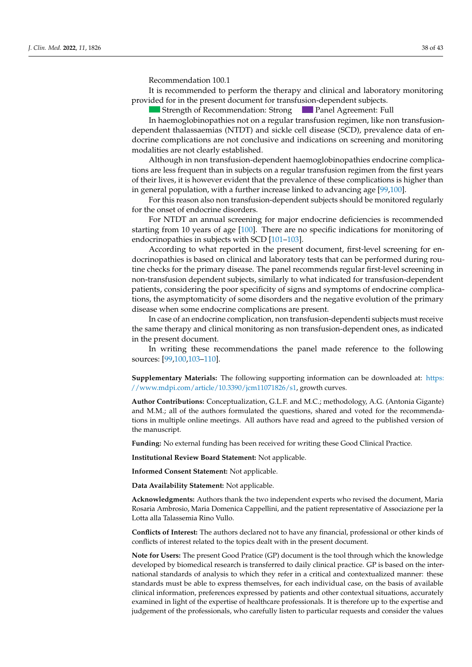Recommendation 100.1

der indicated? In the second control of the second control of the second control of the second control of the

It is recommended to perform the therapy and clinical and laboratory monitoring provided for in the present document for transfusion-dependent subjects.

In all patients who did not begin pubertal development, by the age of 13 in females

Strength of Recommendation: Strong **Panel Agreement: Full** 

dependent thalassaemias (NTDT) and sickle cell disease (SCD), prevalence data of endocrine complications are not conclusive and indications on screening and monitoring modalities are not clearly established. In haemoglobinopathies not on a regular transfusion regimen, like non transfusion-

Although in non transfusion-dependent haemoglobinopathies endocrine complica- $\frac{1}{2}$  are less frequent than in subjects on a regular transfusion regimen from the first vears of their lives, it is however evident that the prevalence of these complications is higher than of their lives, it is nowever evident that the prevalence of these compiled to is replacitions in the general population, with a further increase linked to advancing age [99[,100\]](#page-42-2). tions are less frequent than in subjects on a regular transfusion regimen from the first years  $\mathbf{F}_{\text{eff}}$  given the disorder of public development, as previously development, as  $\mathbf{F}_{\text{eff}}$  and  $\mathbf{F}_{\text{eff}}$  and  $\mathbf{F}_{\text{eff}}$  and  $\mathbf{F}_{\text{eff}}$  and  $\mathbf{F}_{\text{eff}}$  and  $\mathbf{F}_{\text{eff}}$  and  $\mathbf{F}_{\text{eff}}$  and  $\mathbf{F}_{\text$ 

or and reader also have a height dispersed a height growth growth disorder For this reason also non transfusion-dependent subjects should be monitored regularly<br>at the ence of endeavine disorders for the onset of endocrine disorders.

For NTDT an annual screening for major endocrine deficiencies is recommended starting from 10 years of age [\[100\]](#page-42-2). There are no specific indications for monitoring of endocrinopathies in subjects with SCD [\[101](#page-42-3)[–103\]](#page-42-4).

According to what reported in the present document, first-level screening for endocrinopathies is based on clinical and laboratory tests that can be performed during routine checks for the primary disease. The panel recommends regular first-level screening in non-transfusion dependent subjects, similarly to what indicated for transfusion-dependent patients, considering the poor specificity of signs and symptoms of endocrine complications, the asymptomaticity of some disorders and the negative evolution of the primary disease when some endocrine complications are present.

the same therapy and clinical monitoring as non transfusion-dependent ones, as indicated in the present document. With periodic clinical laboratory checks to be carried to be carried to be carried to be carried to be carried to be carried to be carried to be carried to be carried to be carried to be carried to In case of an endocrine complication, non transfusion-dependenti subjects must receive

In writing these recommendations the panel made reference to the following  $\text{sources: } [99,100,103-110].$ 

**Supplementary Materials:** The following supporting information can be downloaded at: [https:](https://www.mdpi.com/article/10.3390/jcm11071826/s1) //www.mdpi.com/article/10.3390/jcm11071826/s1**, growth curves.** 

Author Contributions: Conceptualization, G.L.F. and M.C.; methodology, A.G. (Antonia Gigante) and M.M.; all of the authors formulated the questions, shared and voted for the recommendations in multiple online meetings. All authors have read and agreed to the published version of the manuscript.  $S$ trengthe of  $R$ 

Funding: No external funding has been received for writing these Good Clinical Practice.

- Phosphorus-calcium metabolism (calcium, phosphorus, alkaline phosphatase, PTH **Institutional Review Board Statement:** Not applicable.

**Informed Consent Statement:** Not applicable. therapy no earlier than the chronological age of 14 or the bone age of 14 or the bone age of 12 in males; no earlier than  $\mathcal{L}$ 

Data Availability Statement: Not applicable.

 $\mu$  dedoments: Authors thank the two independent experts who revised the document. Maria sists as a determinist in the performance of a deterministic form IGF and the evaluation of the evaluation of the evaluation of the evaluation of the evaluation of the evaluation of the evaluation of the evaluation of the Lotta alla Talassemia Rino Vullo. **Acknowledgments:** Authors thank the two independent experts who revised the document, Maria<br> Rosaria Ambrosio, Maria Domenica Cappellini, and the patient representative of Associazione per la<br>Lucalita El  $\overline{\text{max}}$  recommended in  $\overline{\text{max}}$ .

Conflicts of Interest: The authors declared not to have any financial, professional or other kinds of conflicts of interest related to the topics dealt with in the present document.

Note for Users: The present Good Pratice (GP) document is the tool through which the knowledge ore for Oscis. The present Good France (Gr ) document is the tool modifier with national standards of analysis to which they refer in a critical and contextualized manner: these developed by biomedical research is transferred to daily clinical practice. GP is based on the interstandards must be able to express themselves, for each individual case, on the basis of available<br>in the comparison of a vailable clinical information, preferences expressed by patients and other contextual situations, accurately examined in light of the expertise of healthcare professionals. It is therefore up to the expertise and judgement of the professionals, who carefully listen to particular requests and consider the values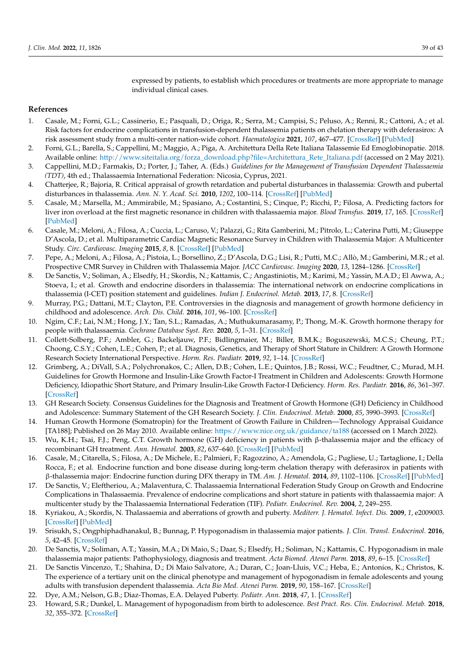expressed by patients, to establish which procedures or treatments are more appropriate to manage individual clinical cases.

### **References**

- <span id="page-38-0"></span>1. Casale, M.; Forni, G.L.; Cassinerio, E.; Pasquali, D.; Origa, R.; Serra, M.; Campisi, S.; Peluso, A.; Renni, R.; Cattoni, A.; et al. Risk factors for endocrine complications in transfusion-dependent thalassemia patients on chelation therapy with deferasirox: A risk assessment study from a multi-center nation-wide cohort. *Haematologica* **2021**, *107*, 467–477. [\[CrossRef\]](http://doi.org/10.3324/haematol.2020.272419) [\[PubMed\]](http://www.ncbi.nlm.nih.gov/pubmed/33406815)
- <span id="page-38-1"></span>2. Forni, G.L.; Barella, S.; Cappellini, M.; Maggio, A.; Piga, A. Architettura Della Rete Italiana Talassemie Ed Emoglobinopatie. 2018. Available online: [http://www.siteitalia.org/forza\\_download.php?file=Architettura\\_Rete\\_Italiana.pdf](http://www.siteitalia.org/forza_download.php?file=Architettura_Rete_Italiana.pdf) (accessed on 2 May 2021).
- <span id="page-38-2"></span>3. Cappellini, M.D.; Farmakis, D.; Porter, J.; Taher, A. (Eds.) *Guidelines for the Management of Transfusion Dependent Thalassaemia (TDT)*, 4th ed.; Thalassaemia International Federation: Nicosia, Cyprus, 2021.
- <span id="page-38-3"></span>4. Chatterjee, R.; Bajoria, R. Critical appraisal of growth retardation and pubertal disturbances in thalassemia: Growth and pubertal disturbances in thalassemia. *Ann. N. Y. Acad. Sci.* **2010**, *1202*, 100–114. [\[CrossRef\]](http://doi.org/10.1111/j.1749-6632.2010.05589.x) [\[PubMed\]](http://www.ncbi.nlm.nih.gov/pubmed/20712780)
- <span id="page-38-4"></span>5. Casale, M.; Marsella, M.; Ammirabile, M.; Spasiano, A.; Costantini, S.; Cinque, P.; Ricchi, P.; Filosa, A. Predicting factors for liver iron overload at the first magnetic resonance in children with thalassaemia major. *Blood Transfus.* **2019**, *17*, 165. [\[CrossRef\]](http://doi.org/10.2450/2018.0092-18) [\[PubMed\]](http://www.ncbi.nlm.nih.gov/pubmed/30036179)
- <span id="page-38-5"></span>6. Casale, M.; Meloni, A.; Filosa, A.; Cuccia, L.; Caruso, V.; Palazzi, G.; Rita Gamberini, M.; Pitrolo, L.; Caterina Putti, M.; Giuseppe D'Ascola, D.; et al. Multiparametric Cardiac Magnetic Resonance Survey in Children with Thalassemia Major: A Multicenter Study. *Circ. Cardiovasc. Imaging* **2015**, *8*, 8. [\[CrossRef\]](http://doi.org/10.1161/CIRCIMAGING.115.003230) [\[PubMed\]](http://www.ncbi.nlm.nih.gov/pubmed/26253625)
- <span id="page-38-6"></span>7. Pepe, A.; Meloni, A.; Filosa, A.; Pistoia, L.; Borsellino, Z.; D'Ascola, D.G.; Lisi, R.; Putti, M.C.; Allò, M.; Gamberini, M.R.; et al. Prospective CMR Survey in Children with Thalassemia Major. *JACC Cardiovasc. Imaging* **2020**, *13*, 1284–1286. [\[CrossRef\]](http://doi.org/10.1016/j.jcmg.2019.12.015)
- <span id="page-38-7"></span>8. De Sanctis, V.; Soliman, A.; Elsedfy, H.; Skordis, N.; Kattamis, C.; Angastiniotis, M.; Karimi, M.; Yassin, M.A.D.; El Awwa, A.; Stoeva, I.; et al. Growth and endocrine disorders in thalassemia: The international network on endocrine complications in thalassemia (I-CET) position statement and guidelines. *Indian J. Endocrinol. Metab.* **2013**, *17*, 8. [\[CrossRef\]](http://doi.org/10.4103/2230-8210.107808)
- 9. Murray, P.G.; Dattani, M.T.; Clayton, P.E. Controversies in the diagnosis and management of growth hormone deficiency in childhood and adolescence. *Arch. Dis. Child.* **2016**, *101*, 96–100. [\[CrossRef\]](http://doi.org/10.1136/archdischild-2014-307228)
- 10. Ngim, C.F.; Lai, N.M.; Hong, J.Y.; Tan, S.L.; Ramadas, A.; Muthukumarasamy, P.; Thong, M.-K. Growth hormone therapy for people with thalassaemia. *Cochrane Database Syst. Rev.* **2020**, *5*, 1–31. [\[CrossRef\]](http://doi.org/10.1002/14651858.CD012284.pub3)
- <span id="page-38-8"></span>11. Collett-Solberg, P.F.; Ambler, G.; Backeljauw, P.F.; Bidlingmaier, M.; Biller, B.M.K.; Boguszewski, M.C.S.; Cheung, P.T.; Choong, C.S.Y.; Cohen, L.E.; Cohen, P.; et al. Diagnosis, Genetics, and Therapy of Short Stature in Children: A Growth Hormone Research Society International Perspective. *Horm. Res. Paediatr.* **2019**, *92*, 1–14. [\[CrossRef\]](http://doi.org/10.1159/000502231)
- 12. Grimberg, A.; DiVall, S.A.; Polychronakos, C.; Allen, D.B.; Cohen, L.E.; Quintos, J.B.; Rossi, W.C.; Feudtner, C.; Murad, M.H. Guidelines for Growth Hormone and Insulin-Like Growth Factor-I Treatment in Children and Adolescents: Growth Hormone Deficiency, Idiopathic Short Stature, and Primary Insulin-Like Growth Factor-I Deficiency. *Horm. Res. Paediatr.* **2016**, *86*, 361–397. [\[CrossRef\]](http://doi.org/10.1159/000452150)
- 13. GH Research Society. Consensus Guidelines for the Diagnosis and Treatment of Growth Hormone (GH) Deficiency in Childhood and Adolescence: Summary Statement of the GH Research Society. *J. Clin. Endocrinol. Metab.* **2000**, *85*, 3990–3993. [\[CrossRef\]](http://doi.org/10.1210/jcem.85.11.6984)
- 14. Human Growth Hormone (Somatropin) for the Treatment of Growth Failure in Children—Technology Appraisal Guidance [TA188]; Published on 26 May 2010. Available online: <https://www.nice.org.uk/guidance/ta188> (accessed on 1 March 2022).
- <span id="page-38-9"></span>15. Wu, K.H.; Tsai, F.J.; Peng, C.T. Growth hormone (GH) deficiency in patients with β-thalassemia major and the efficacy of recombinant GH treatment. *Ann. Hematol.* **2003**, *82*, 637–640. [\[CrossRef\]](http://doi.org/10.1007/s00277-003-0712-3) [\[PubMed\]](http://www.ncbi.nlm.nih.gov/pubmed/12898188)
- <span id="page-38-10"></span>16. Casale, M.; Citarella, S.; Filosa, A.; De Michele, E.; Palmieri, F.; Ragozzino, A.; Amendola, G.; Pugliese, U.; Tartaglione, I.; Della Rocca, F.; et al. Endocrine function and bone disease during long-term chelation therapy with deferasirox in patients with β-thalassemia major: Endocrine function during DFX therapy in TM. *Am. J. Hematol.* **2014**, *89*, 1102–1106. [\[CrossRef\]](http://doi.org/10.1002/ajh.23844) [\[PubMed\]](http://www.ncbi.nlm.nih.gov/pubmed/25197009)
- <span id="page-38-11"></span>17. De Sanctis, V.; Eleftheriou, A.; Malaventura, C. Thalassaemia International Federation Study Group on Growth and Endocrine Complications in Thalassaemia. Prevalence of endocrine complications and short stature in patients with thalassaemia major: A multicenter study by the Thalassaemia International Federation (TIF). *Pediatr. Endocrinol. Rev.* **2004**, *2*, 249–255.
- <span id="page-38-12"></span>18. Kyriakou, A.; Skordis, N. Thalassaemia and aberrations of growth and puberty. *Mediterr. J. Hematol. Infect. Dis.* **2009**, *1*, e2009003. [\[CrossRef\]](http://doi.org/10.4084/MJHID.2009.003) [\[PubMed\]](http://www.ncbi.nlm.nih.gov/pubmed/21415985)
- <span id="page-38-13"></span>19. Srisukh, S.; Ongphiphadhanakul, B.; Bunnag, P. Hypogonadism in thalassemia major patients. *J. Clin. Transl. Endocrinol.* **2016**, *5*, 42–45. [\[CrossRef\]](http://doi.org/10.1016/j.jcte.2016.08.001)
- <span id="page-38-14"></span>20. De Sanctis, V.; Soliman, A.T.; Yassin, M.A.; Di Maio, S.; Daar, S.; Elsedfy, H.; Soliman, N.; Kattamis, C. Hypogonadism in male thalassemia major patients: Pathophysiology, diagnosis and treatment. *Acta Biomed. Atenei Parm.* **2018**, *89*, 6–15. [\[CrossRef\]](http://doi.org/10.23750/abm.v89i2-S.7082)
- 21. De Sanctis Vincenzo, T.; Shahina, D.; Di Maio Salvatore, A.; Duran, C.; Joan-Lluis, V.C.; Heba, E.; Antonios, K.; Christos, K. The experience of a tertiary unit on the clinical phenotype and management of hypogonadism in female adolescents and young adults with transfusion dependent thalassemia. *Acta Bio Med. Atenei Parm.* **2019**, *90*, 158–167. [\[CrossRef\]](http://doi.org/10.23750/abm.v90i1.8143)
- 22. Dye, A.M.; Nelson, G.B.; Diaz-Thomas, E.A. Delayed Puberty. *Pediatr. Ann.* **2018**, *47*, 1. [\[CrossRef\]](http://doi.org/10.3928/19382359-20171215-01)
- 23. Howard, S.R.; Dunkel, L. Management of hypogonadism from birth to adolescence. *Best Pract. Res. Clin. Endocrinol. Metab.* **2018**, *32*, 355–372. [\[CrossRef\]](http://doi.org/10.1016/j.beem.2018.05.011)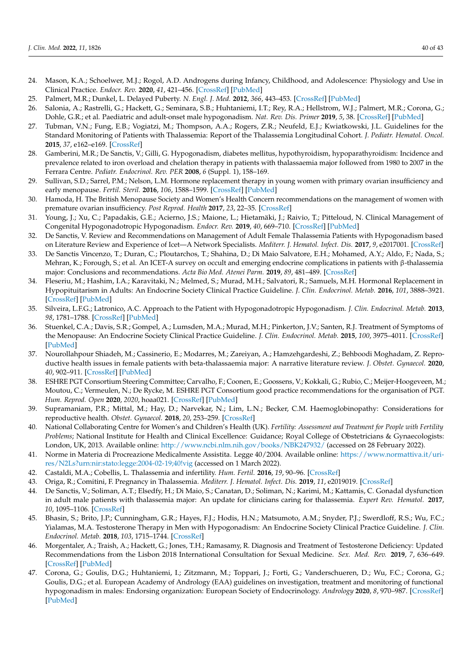- 24. Mason, K.A.; Schoelwer, M.J.; Rogol, A.D. Androgens during Infancy, Childhood, and Adolescence: Physiology and Use in Clinical Practice. *Endocr. Rev.* **2020**, *41*, 421–456. [\[CrossRef\]](http://doi.org/10.1210/endrev/bnaa003) [\[PubMed\]](http://www.ncbi.nlm.nih.gov/pubmed/32115641)
- 25. Palmert, M.R.; Dunkel, L. Delayed Puberty. *N. Engl. J. Med.* **2012**, *366*, 443–453. [\[CrossRef\]](http://doi.org/10.1056/NEJMcp1109290) [\[PubMed\]](http://www.ncbi.nlm.nih.gov/pubmed/22296078)
- <span id="page-39-16"></span>26. Salonia, A.; Rastrelli, G.; Hackett, G.; Seminara, S.B.; Huhtaniemi, I.T.; Rey, R.A.; Hellstrom, W.J.; Palmert, M.R.; Corona, G.; Dohle, G.R.; et al. Paediatric and adult-onset male hypogonadism. *Nat. Rev. Dis. Primer* **2019**, *5*, 38. [\[CrossRef\]](http://doi.org/10.1038/s41572-019-0087-y) [\[PubMed\]](http://www.ncbi.nlm.nih.gov/pubmed/31147553)
- <span id="page-39-0"></span>27. Tubman, V.N.; Fung, E.B.; Vogiatzi, M.; Thompson, A.A.; Rogers, Z.R.; Neufeld, E.J.; Kwiatkowski, J.L. Guidelines for the Standard Monitoring of Patients with Thalassemia: Report of the Thalassemia Longitudinal Cohort. *J. Pediatr. Hematol. Oncol.* **2015**, *37*, e162–e169. [\[CrossRef\]](http://doi.org/10.1097/MPH.0000000000000307)
- <span id="page-39-1"></span>28. Gamberini, M.R.; De Sanctis, V.; Gilli, G. Hypogonadism, diabetes mellitus, hypothyroidism, hypoparathyroidism: Incidence and prevalence related to iron overload and chelation therapy in patients with thalassaemia major followed from 1980 to 2007 in the Ferrara Centre. *Pediatr. Endocrinol. Rev. PER* **2008**, *6* (Suppl. 1), 158–169.
- <span id="page-39-2"></span>29. Sullivan, S.D.; Sarrel, P.M.; Nelson, L.M. Hormone replacement therapy in young women with primary ovarian insufficiency and early menopause. *Fertil. Steril.* **2016**, *106*, 1588–1599. [\[CrossRef\]](http://doi.org/10.1016/j.fertnstert.2016.09.046) [\[PubMed\]](http://www.ncbi.nlm.nih.gov/pubmed/27912889)
- <span id="page-39-3"></span>30. Hamoda, H. The British Menopause Society and Women's Health Concern recommendations on the management of women with premature ovarian insufficiency. *Post Reprod. Health* **2017**, *23*, 22–35. [\[CrossRef\]](http://doi.org/10.1177/2053369117699358)
- 31. Young, J.; Xu, C.; Papadakis, G.E.; Acierno, J.S.; Maione, L.; Hietamäki, J.; Raivio, T.; Pitteloud, N. Clinical Management of Congenital Hypogonadotropic Hypogonadism. *Endocr. Rev.* **2019**, *40*, 669–710. [\[CrossRef\]](http://doi.org/10.1210/er.2018-00116) [\[PubMed\]](http://www.ncbi.nlm.nih.gov/pubmed/30698671)
- <span id="page-39-4"></span>32. De Sanctis, V. Review and Recommendations on Management of Adult Female Thalassemia Patients with Hypogonadism based on Literature Review and Experience of Icet—A Network Specialists. *Mediterr. J. Hematol. Infect. Dis.* **2017**, *9*, e2017001. [\[CrossRef\]](http://doi.org/10.4084/mjhid.2017.001)
- <span id="page-39-18"></span>33. De Sanctis Vincenzo, T.; Duran, C.; Ploutarchos, T.; Shahina, D.; Di Maio Salvatore, E.H.; Mohamed, A.Y.; Aldo, F.; Nada, S.; Mehran, K.; Forough, S.; et al. An ICET-A survey on occult and emerging endocrine complications in patients with β-thalassemia major: Conclusions and recommendations. *Acta Bio Med. Atenei Parm.* **2019**, *89*, 481–489. [\[CrossRef\]](http://doi.org/10.23750/abm.v89i4.7774)
- <span id="page-39-17"></span>34. Fleseriu, M.; Hashim, I.A.; Karavitaki, N.; Melmed, S.; Murad, M.H.; Salvatori, R.; Samuels, M.H. Hormonal Replacement in Hypopituitarism in Adults: An Endocrine Society Clinical Practice Guideline. *J. Clin. Endocrinol. Metab.* **2016**, *101*, 3888–3921. [\[CrossRef\]](http://doi.org/10.1210/jc.2016-2118) [\[PubMed\]](http://www.ncbi.nlm.nih.gov/pubmed/27736313)
- 35. Silveira, L.F.G.; Latronico, A.C. Approach to the Patient with Hypogonadotropic Hypogonadism. *J. Clin. Endocrinol. Metab.* **2013**, *98*, 1781–1788. [\[CrossRef\]](http://doi.org/10.1210/jc.2012-3550) [\[PubMed\]](http://www.ncbi.nlm.nih.gov/pubmed/23650335)
- <span id="page-39-5"></span>36. Stuenkel, C.A.; Davis, S.R.; Gompel, A.; Lumsden, M.A.; Murad, M.H.; Pinkerton, J.V.; Santen, R.J. Treatment of Symptoms of the Menopause: An Endocrine Society Clinical Practice Guideline. *J. Clin. Endocrinol. Metab.* **2015**, *100*, 3975–4011. [\[CrossRef\]](http://doi.org/10.1210/jc.2015-2236) [\[PubMed\]](http://www.ncbi.nlm.nih.gov/pubmed/26444994)
- <span id="page-39-6"></span>37. Nourollahpour Shiadeh, M.; Cassinerio, E.; Modarres, M.; Zareiyan, A.; Hamzehgardeshi, Z.; Behboodi Moghadam, Z. Reproductive health issues in female patients with beta-thalassaemia major: A narrative literature review. *J. Obstet. Gynaecol.* **2020**, *40*, 902–911. [\[CrossRef\]](http://doi.org/10.1080/01443615.2019.1692802) [\[PubMed\]](http://www.ncbi.nlm.nih.gov/pubmed/31999213)
- <span id="page-39-8"></span>38. ESHRE PGT Consortium Steering Committee; Carvalho, F.; Coonen, E.; Goossens, V.; Kokkali, G.; Rubio, C.; Meijer-Hoogeveen, M.; Moutou, C.; Vermeulen, N.; De Rycke, M. ESHRE PGT Consortium good practice recommendations for the organisation of PGT. *Hum. Reprod. Open* **2020**, *2020*, hoaa021. [\[CrossRef\]](http://doi.org/10.1093/hropen/hoaa021) [\[PubMed\]](http://www.ncbi.nlm.nih.gov/pubmed/32524036)
- 39. Supramaniam, P.R.; Mittal, M.; Hay, D.; Narvekar, N.; Lim, L.N.; Becker, C.M. Haemoglobinopathy: Considerations for reproductive health. *Obstet. Gynaecol.* **2018**, *20*, 253–259. [\[CrossRef\]](http://doi.org/10.1111/tog.12513)
- <span id="page-39-9"></span>40. National Collaborating Centre for Women's and Children's Health (UK). *Fertility: Assessment and Treatment for People with Fertility Problems*; National Institute for Health and Clinical Excellence: Guidance; Royal College of Obstetricians & Gynaecologists: London, UK, 2013. Available online: <http://www.ncbi.nlm.nih.gov/books/NBK247932/> (accessed on 28 February 2022).
- <span id="page-39-7"></span>41. Norme in Materia di Procreazione Medicalmente Assistita. Legge 40/2004. Available online: [https://www.normattiva.it/uri](https://www.normattiva.it/uri-res/N2Ls?urn:nir:stato:legge:2004-02-19;40!vig)[res/N2Ls?urn:nir:stato:legge:2004-02-19;40!vig](https://www.normattiva.it/uri-res/N2Ls?urn:nir:stato:legge:2004-02-19;40!vig) (accessed on 1 March 2022).
- <span id="page-39-10"></span>42. Castaldi, M.A.; Cobellis, L. Thalassemia and infertility. *Hum. Fertil.* **2016**, *19*, 90–96. [\[CrossRef\]](http://doi.org/10.1080/14647273.2016.1190869)
- <span id="page-39-11"></span>43. Origa, R.; Comitini, F. Pregnancy in Thalassemia. *Mediterr. J. Hematol. Infect. Dis.* **2019**, *11*, e2019019. [\[CrossRef\]](http://doi.org/10.4084/mjhid.2019.019)
- <span id="page-39-12"></span>44. De Sanctis, V.; Soliman, A.T.; Elsedfy, H.; Di Maio, S.; Canatan, D.; Soliman, N.; Karimi, M.; Kattamis, C. Gonadal dysfunction in adult male patients with thalassemia major: An update for clinicians caring for thalassemia. *Expert Rev. Hematol.* **2017**, *10*, 1095–1106. [\[CrossRef\]](http://doi.org/10.1080/17474086.2017.1398080)
- <span id="page-39-13"></span>45. Bhasin, S.; Brito, J.P.; Cunningham, G.R.; Hayes, F.J.; Hodis, H.N.; Matsumoto, A.M.; Snyder, P.J.; Swerdloff, R.S.; Wu, F.C.; Yialamas, M.A. Testosterone Therapy in Men with Hypogonadism: An Endocrine Society Clinical Practice Guideline. *J. Clin. Endocrinol. Metab.* **2018**, *103*, 1715–1744. [\[CrossRef\]](http://doi.org/10.1210/jc.2018-00229)
- <span id="page-39-14"></span>46. Morgentaler, A.; Traish, A.; Hackett, G.; Jones, T.H.; Ramasamy, R. Diagnosis and Treatment of Testosterone Deficiency: Updated Recommendations from the Lisbon 2018 International Consultation for Sexual Medicine. *Sex. Med. Rev.* **2019**, *7*, 636–649. [\[CrossRef\]](http://doi.org/10.1016/j.sxmr.2019.06.003) [\[PubMed\]](http://www.ncbi.nlm.nih.gov/pubmed/31351915)
- <span id="page-39-15"></span>47. Corona, G.; Goulis, D.G.; Huhtaniemi, I.; Zitzmann, M.; Toppari, J.; Forti, G.; Vanderschueren, D.; Wu, F.C.; Corona, G.; Goulis, D.G.; et al. European Academy of Andrology (EAA) guidelines on investigation, treatment and monitoring of functional hypogonadism in males: Endorsing organization: European Society of Endocrinology. *Andrology* **2020**, *8*, 970–987. [\[CrossRef\]](http://doi.org/10.1111/andr.12770) [\[PubMed\]](http://www.ncbi.nlm.nih.gov/pubmed/32026626)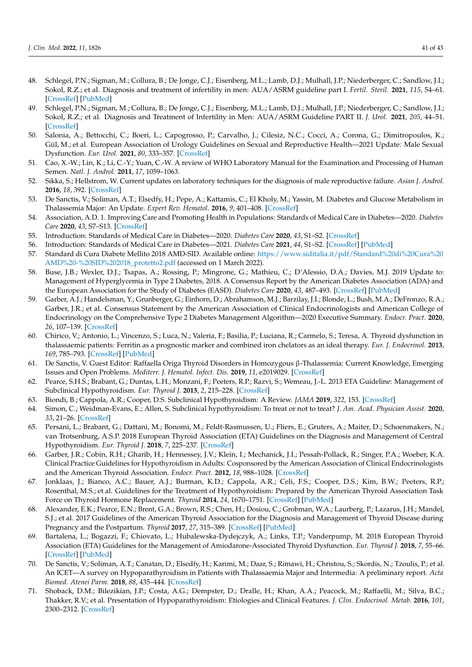- <span id="page-40-1"></span>48. Schlegel, P.N.; Sigman, M.; Collura, B.; De Jonge, C.J.; Eisenberg, M.L.; Lamb, D.J.; Mulhall, J.P.; Niederberger, C.; Sandlow, J.I.; Sokol, R.Z.; et al. Diagnosis and treatment of infertility in men: AUA/ASRM guideline part I. *Fertil. Steril.* **2021**, *115*, 54–61. [\[CrossRef\]](http://doi.org/10.1016/j.fertnstert.2020.11.015) [\[PubMed\]](http://www.ncbi.nlm.nih.gov/pubmed/33309062)
- <span id="page-40-2"></span>49. Schlegel, P.N.; Sigman, M.; Collura, B.; De Jonge, C.J.; Eisenberg, M.L.; Lamb, D.J.; Mulhall, J.P.; Niederberger, C.; Sandlow, J.I.; Sokol, R.Z.; et al. Diagnosis and Treatment of Infertility in Men: AUA/ASRM Guideline PART II. *J. Urol.* **2021**, *205*, 44–51. [\[CrossRef\]](http://doi.org/10.1097/JU.0000000000001520)
- <span id="page-40-3"></span>50. Salonia, A.; Bettocchi, C.; Boeri, L.; Capogrosso, P.; Carvalho, J.; Cilesiz, N.C.; Cocci, A.; Corona, G.; Dimitropoulos, K.; Gül, M.; et al. European Association of Urology Guidelines on Sexual and Reproductive Health—2021 Update: Male Sexual Dysfunction. *Eur. Urol.* **2021**, *80*, 333–357. [\[CrossRef\]](http://doi.org/10.1016/j.eururo.2021.06.007)
- <span id="page-40-4"></span>51. Cao, X.-W.; Lin, K.; Li, C.-Y.; Yuan, C.-W. A review of WHO Laboratory Manual for the Examination and Processing of Human Semen. *Natl. J. Androl.* **2011**, *17*, 1059–1063.
- <span id="page-40-5"></span>52. Sikka, S.; Hellstrom, W. Current updates on laboratory techniques for the diagnosis of male reproductive failure. *Asian J. Androl.* **2016**, *18*, 392. [\[CrossRef\]](http://doi.org/10.4103/1008-682X.179161)
- <span id="page-40-0"></span>53. De Sanctis, V.; Soliman, A.T.; Elsedfy, H.; Pepe, A.; Kattamis, C.; El Kholy, M.; Yassin, M. Diabetes and Glucose Metabolism in Thalassemia Major: An Update. *Expert Rev. Hematol.* **2016**, *9*, 401–408. [\[CrossRef\]](http://doi.org/10.1586/17474086.2016.1136209)
- <span id="page-40-6"></span>54. Association, A.D. 1. Improving Care and Promoting Health in Populations: Standards of Medical Care in Diabetes—2020. *Diabetes Care* **2020**, *43*, S7–S13. [\[CrossRef\]](http://doi.org/10.2337/dc20-S001)
- <span id="page-40-7"></span>55. Introduction: Standards of Medical Care in Diabetes—2020. *Diabetes Care* **2020**, *43*, S1–S2. [\[CrossRef\]](http://doi.org/10.2337/dc20-Sint)
- 56. Introduction: Standards of Medical Care in Diabetes—2021. *Diabetes Care* **2021**, *44*, S1–S2. [\[CrossRef\]](http://doi.org/10.2337/dc21-Sint) [\[PubMed\]](http://www.ncbi.nlm.nih.gov/pubmed/33298409)
- 57. Standard di Cura Diabete Mellito 2018 AMD-SID. Available online: [https://www.siditalia.it/pdf/Standard%20di%20Cura%20](https://www.siditalia.it/pdf/Standard%20di%20Cura%20AMD%20-%20SID%202018_protetto2.pdf) [AMD%20-%20SID%202018\\_protetto2.pdf](https://www.siditalia.it/pdf/Standard%20di%20Cura%20AMD%20-%20SID%202018_protetto2.pdf) (accessed on 1 March 2022).
- 58. Buse, J.B.; Wexler, D.J.; Tsapas, A.; Rossing, P.; Mingrone, G.; Mathieu, C.; D'Alessio, D.A.; Davies, M.J. 2019 Update to: Management of Hyperglycemia in Type 2 Diabetes, 2018. A Consensus Report by the American Diabetes Association (ADA) and the European Association for the Study of Diabetes (EASD). *Diabetes Care* **2020**, *43*, 487–493. [\[CrossRef\]](http://doi.org/10.2337/dci19-0066) [\[PubMed\]](http://www.ncbi.nlm.nih.gov/pubmed/31857443)
- <span id="page-40-8"></span>59. Garber, A.J.; Handelsman, Y.; Grunberger, G.; Einhorn, D.; Abrahamson, M.J.; Barzilay, J.I.; Blonde, L.; Bush, M.A.; DeFronzo, R.A.; Garber, J.R.; et al. Consensus Statement by the American Association of Clinical Endocrinologists and American College of Endocrinology on the Comprehensive Type 2 Diabetes Management Algorithm—2020 Executive Summary. *Endocr. Pract.* **2020**, *26*, 107–139. [\[CrossRef\]](http://doi.org/10.4158/CS-2019-0472)
- <span id="page-40-9"></span>60. Chirico, V.; Antonio, L.; Vincenzo, S.; Luca, N.; Valeria, F.; Basilia, P.; Luciana, R.; Carmelo, S.; Teresa, A. Thyroid dysfunction in thalassaemic patients: Ferritin as a prognostic marker and combined iron chelators as an ideal therapy. *Eur. J. Endocrinol.* **2013**, *169*, 785–793. [\[CrossRef\]](http://doi.org/10.1530/EJE-13-0627) [\[PubMed\]](http://www.ncbi.nlm.nih.gov/pubmed/24014554)
- <span id="page-40-10"></span>61. De Sanctis, V. Guest Editor: Raffaella Origa Thyroid Disorders in Homozygous β-Thalassemia: Current Knowledge, Emerging Issues and Open Problems. *Mediterr. J. Hematol. Infect. Dis.* **2019**, *11*, e2019029. [\[CrossRef\]](http://doi.org/10.4084/mjhid.2019.029)
- <span id="page-40-11"></span>62. Pearce, S.H.S.; Brabant, G.; Duntas, L.H.; Monzani, F.; Peeters, R.P.; Razvi, S.; Wemeau, J.-L. 2013 ETA Guideline: Management of Subclinical Hypothyroidism. *Eur. Thyroid J.* **2013**, *2*, 215–228. [\[CrossRef\]](http://doi.org/10.1159/000356507)
- <span id="page-40-17"></span>63. Biondi, B.; Cappola, A.R.; Cooper, D.S. Subclinical Hypothyroidism: A Review. *JAMA* **2019**, *322*, 153. [\[CrossRef\]](http://doi.org/10.1001/jama.2019.9052)
- <span id="page-40-12"></span>64. Simon, C.; Weidman-Evans, E.; Allen, S. Subclinical hypothyroidism: To treat or not to treat? *J. Am. Acad. Physician Assist.* **2020**, *33*, 21–26. [\[CrossRef\]](http://doi.org/10.1097/01.JAA.0000660120.03250.55)
- <span id="page-40-13"></span>65. Persani, L.; Brabant, G.; Dattani, M.; Bonomi, M.; Feldt-Rasmussen, U.; Fliers, E.; Gruters, A.; Maiter, D.; Schoenmakers, N.; van Trotsenburg, A.S.P. 2018 European Thyroid Association (ETA) Guidelines on the Diagnosis and Management of Central Hypothyroidism. *Eur. Thyroid J.* **2018**, *7*, 225–237. [\[CrossRef\]](http://doi.org/10.1159/000491388)
- <span id="page-40-14"></span>66. Garber, J.R.; Cobin, R.H.; Gharib, H.; Hennessey, J.V.; Klein, I.; Mechanick, J.I.; Pessah-Pollack, R.; Singer, P.A.; Woeber, K.A. Clinical Practice Guidelines for Hypothyroidism in Adults: Cosponsored by the American Association of Clinical Endocrinologists and the American Thyroid Association. *Endocr. Pract.* **2012**, *18*, 988–1028. [\[CrossRef\]](http://doi.org/10.4158/EP12280.GL)
- <span id="page-40-15"></span>67. Jonklaas, J.; Bianco, A.C.; Bauer, A.J.; Burman, K.D.; Cappola, A.R.; Celi, F.S.; Cooper, D.S.; Kim, B.W.; Peeters, R.P.; Rosenthal, M.S.; et al. Guidelines for the Treatment of Hypothyroidism: Prepared by the American Thyroid Association Task Force on Thyroid Hormone Replacement. *Thyroid* **2014**, *24*, 1670–1751. [\[CrossRef\]](http://doi.org/10.1089/thy.2014.0028) [\[PubMed\]](http://www.ncbi.nlm.nih.gov/pubmed/25266247)
- <span id="page-40-16"></span>68. Alexander, E.K.; Pearce, E.N.; Brent, G.A.; Brown, R.S.; Chen, H.; Dosiou, C.; Grobman, W.A.; Laurberg, P.; Lazarus, J.H.; Mandel, S.J.; et al. 2017 Guidelines of the American Thyroid Association for the Diagnosis and Management of Thyroid Disease during Pregnancy and the Postpartum. *Thyroid* **2017**, *27*, 315–389. [\[CrossRef\]](http://doi.org/10.1089/thy.2016.0457) [\[PubMed\]](http://www.ncbi.nlm.nih.gov/pubmed/28056690)
- <span id="page-40-18"></span>69. Bartalena, L.; Bogazzi, F.; Chiovato, L.; Hubalewska-Dydejczyk, A.; Links, T.P.; Vanderpump, M. 2018 European Thyroid Association (ETA) Guidelines for the Management of Amiodarone-Associated Thyroid Dysfunction. *Eur. Thyroid J.* **2018**, *7*, 55–66. [\[CrossRef\]](http://doi.org/10.1159/000486957) [\[PubMed\]](http://www.ncbi.nlm.nih.gov/pubmed/29594056)
- <span id="page-40-19"></span>70. De Sanctis, V.; Soliman, A.T.; Canatan, D.; Elsedfy, H.; Karimi, M.; Daar, S.; Rimawi, H.; Christou, S.; Skordis, N.; Tzoulis, P.; et al. An ICET—A survey on Hypoparathyroidism in Patients with Thalassaemia Major and Intermedia: A preliminary report. *Acta Biomed. Atenei Parm.* **2018**, *88*, 435–444. [\[CrossRef\]](http://doi.org/10.23750/abm.v88i4.6837)
- <span id="page-40-20"></span>71. Shoback, D.M.; Bilezikian, J.P.; Costa, A.G.; Dempster, D.; Dralle, H.; Khan, A.A.; Peacock, M.; Raffaelli, M.; Silva, B.C.; Thakker, R.V.; et al. Presentation of Hypoparathyroidism: Etiologies and Clinical Features. *J. Clin. Endocrinol. Metab.* **2016**, *101*, 2300–2312. [\[CrossRef\]](http://doi.org/10.1210/jc.2015-3909)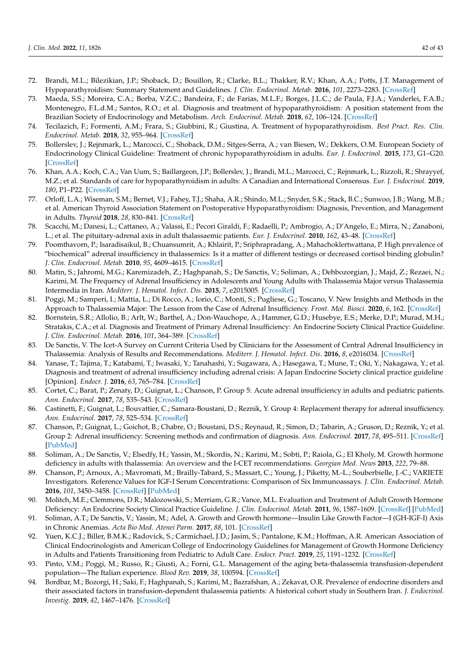- <span id="page-41-0"></span>72. Brandi, M.L.; Bilezikian, J.P.; Shoback, D.; Bouillon, R.; Clarke, B.L.; Thakker, R.V.; Khan, A.A.; Potts, J.T. Management of Hypoparathyroidism: Summary Statement and Guidelines. *J. Clin. Endocrinol. Metab.* **2016**, *101*, 2273–2283. [\[CrossRef\]](http://doi.org/10.1210/jc.2015-3907)
- <span id="page-41-1"></span>73. Maeda, S.S.; Moreira, C.A.; Borba, V.Z.C.; Bandeira, F.; de Farias, M.L.F.; Borges, J.L.C.; de Paula, F.J.A.; Vanderlei, F.A.B.; Montenegro, F.L.d.M.; Santos, R.O.; et al. Diagnosis and treatment of hypoparathyroidism: A position statement from the Brazilian Society of Endocrinology and Metabolism. *Arch. Endocrinol. Metab.* **2018**, *62*, 106–124. [\[CrossRef\]](http://doi.org/10.20945/2359-3997000000015)
- <span id="page-41-2"></span>74. Tecilazich, F.; Formenti, A.M.; Frara, S.; Giubbini, R.; Giustina, A. Treatment of hypoparathyroidism. *Best Pract. Res. Clin. Endocrinol. Metab.* **2018**, *32*, 955–964. [\[CrossRef\]](http://doi.org/10.1016/j.beem.2018.12.002)
- <span id="page-41-3"></span>75. Bollerslev, J.; Rejnmark, L.; Marcocci, C.; Shoback, D.M.; Sitges-Serra, A.; van Biesen, W.; Dekkers, O.M. European Society of Endocrinology Clinical Guideline: Treatment of chronic hypoparathyroidism in adults. *Eur. J. Endocrinol.* **2015**, *173*, G1–G20. [\[CrossRef\]](http://doi.org/10.1530/EJE-15-0628)
- 76. Khan, A.A.; Koch, C.A.; Van Uum, S.; Baillargeon, J.P.; Bollerslev, J.; Brandi, M.L.; Marcocci, C.; Rejnmark, L.; Rizzoli, R.; Shrayyef, M.Z.; et al. Standards of care for hypoparathyroidism in adults: A Canadian and International Consensus. *Eur. J. Endocrinol.* **2019**, *180*, P1–P22. [\[CrossRef\]](http://doi.org/10.1530/EJE-18-0609)
- <span id="page-41-4"></span>77. Orloff, L.A.; Wiseman, S.M.; Bernet, V.J.; Fahey, T.J.; Shaha, A.R.; Shindo, M.L.; Snyder, S.K.; Stack, B.C.; Sunwoo, J.B.; Wang, M.B.; et al. American Thyroid Association Statement on Postoperative Hypoparathyroidism: Diagnosis, Prevention, and Management in Adults. *Thyroid* **2018**, *28*, 830–841. [\[CrossRef\]](http://doi.org/10.1089/thy.2017.0309)
- <span id="page-41-5"></span>78. Scacchi, M.; Danesi, L.; Cattaneo, A.; Valassi, E.; Pecori Giraldi, F.; Radaelli, P.; Ambrogio, A.; D'Angelo, E.; Mirra, N.; Zanaboni, L.; et al. The pituitary-adrenal axis in adult thalassaemic patients. *Eur. J. Endocrinol.* **2010**, *162*, 43–48. [\[CrossRef\]](http://doi.org/10.1530/EJE-09-0646)
- <span id="page-41-6"></span>79. Poomthavorn, P.; Isaradisaikul, B.; Chuansumrit, A.; Khlairit, P.; Sriphrapradang, A.; Mahachoklertwattana, P. High prevalence of "biochemical" adrenal insufficiency in thalassemics: Is it a matter of different testings or decreased cortisol binding globulin? *J. Clin. Endocrinol. Metab.* **2010**, *95*, 4609–4615. [\[CrossRef\]](http://doi.org/10.1210/jc.2010-0205)
- 80. Matin, S.; Jahromi, M.G.; Karemizadeh, Z.; Haghpanah, S.; De Sanctis, V.; Soliman, A.; Dehbozorgian, J.; Majd, Z.; Rezaei, N.; Karimi, M. The Frequency of Adrenal Insufficiency in Adolescents and Young Adults with Thalassemia Major versus Thalassemia Intermedia in Iran. *Mediterr. J. Hematol. Infect. Dis.* **2015**, *7*, e2015005. [\[CrossRef\]](http://doi.org/10.4084/mjhid.2015.005)
- <span id="page-41-7"></span>81. Poggi, M.; Samperi, I.; Mattia, L.; Di Rocco, A.; Iorio, C.; Monti, S.; Pugliese, G.; Toscano, V. New Insights and Methods in the Approach to Thalassemia Major: The Lesson from the Case of Adrenal Insufficiency. *Front. Mol. Biosci.* **2020**, *6*, 162. [\[CrossRef\]](http://doi.org/10.3389/fmolb.2019.00162)
- <span id="page-41-8"></span>82. Bornstein, S.R.; Allolio, B.; Arlt, W.; Barthel, A.; Don-Wauchope, A.; Hammer, G.D.; Husebye, E.S.; Merke, D.P.; Murad, M.H.; Stratakis, C.A.; et al. Diagnosis and Treatment of Primary Adrenal Insufficiency: An Endocrine Society Clinical Practice Guideline. *J. Clin. Endocrinol. Metab.* **2016**, *101*, 364–389. [\[CrossRef\]](http://doi.org/10.1210/jc.2015-1710)
- 83. De Sanctis, V. The Icet-A Survey on Current Criteria Used by Clinicians for the Assessment of Central Adrenal Insufficiency in Thalassemia: Analysis of Results and Recommendations. *Mediterr. J. Hematol. Infect. Dis.* **2016**, *8*, e2016034. [\[CrossRef\]](http://doi.org/10.4084/mjhid.2016.034)
- 84. Yanase, T.; Tajima, T.; Katabami, T.; Iwasaki, Y.; Tanahashi, Y.; Sugawara, A.; Hasegawa, T.; Mune, T.; Oki, Y.; Nakagawa, Y.; et al. Diagnosis and treatment of adrenal insufficiency including adrenal crisis: A Japan Endocrine Society clinical practice guideline [Opinion]. *Endocr. J.* **2016**, *63*, 765–784. [\[CrossRef\]](http://doi.org/10.1507/endocrj.EJ16-0242)
- 85. Cortet, C.; Barat, P.; Zenaty, D.; Guignat, L.; Chanson, P. Group 5: Acute adrenal insufficiency in adults and pediatric patients. *Ann. Endocrinol.* **2017**, *78*, 535–543. [\[CrossRef\]](http://doi.org/10.1016/j.ando.2017.10.008)
- 86. Castinetti, F.; Guignat, L.; Bouvattier, C.; Samara-Boustani, D.; Reznik, Y. Group 4: Replacement therapy for adrenal insufficiency. *Ann. Endocrinol.* **2017**, *78*, 525–534. [\[CrossRef\]](http://doi.org/10.1016/j.ando.2017.10.007)
- <span id="page-41-9"></span>87. Chanson, P.; Guignat, L.; Goichot, B.; Chabre, O.; Boustani, D.S.; Reynaud, R.; Simon, D.; Tabarin, A.; Gruson, D.; Reznik, Y.; et al. Group 2: Adrenal insufficiency: Screening methods and confirmation of diagnosis. *Ann. Endocrinol.* **2017**, *78*, 495–511. [\[CrossRef\]](http://doi.org/10.1016/j.ando.2017.10.005) [\[PubMed\]](http://www.ncbi.nlm.nih.gov/pubmed/29174200)
- <span id="page-41-10"></span>88. Soliman, A.; De Sanctis, V.; Elsedfy, H.; Yassin, M.; Skordis, N.; Karimi, M.; Sobti, P.; Raiola, G.; El Kholy, M. Growth hormone deficiency in adults with thalassemia: An overview and the I-CET recommendations. *Georgian Med. News* **2013**, *222*, 79–88.
- <span id="page-41-11"></span>89. Chanson, P.; Arnoux, A.; Mavromati, M.; Brailly-Tabard, S.; Massart, C.; Young, J.; Piketty, M.-L.; Souberbielle, J.-C.; VARIETE Investigators. Reference Values for IGF-I Serum Concentrations: Comparison of Six Immunoassays. *J. Clin. Endocrinol. Metab.* **2016**, *101*, 3450–3458. [\[CrossRef\]](http://doi.org/10.1210/jc.2016-1257) [\[PubMed\]](http://www.ncbi.nlm.nih.gov/pubmed/27167056)
- <span id="page-41-12"></span>90. Molitch, M.E.; Clemmons, D.R.; Malozowski, S.; Merriam, G.R.; Vance, M.L. Evaluation and Treatment of Adult Growth Hormone Deficiency: An Endocrine Society Clinical Practice Guideline. *J. Clin. Endocrinol. Metab.* **2011**, *96*, 1587–1609. [\[CrossRef\]](http://doi.org/10.1210/jc.2011-0179) [\[PubMed\]](http://www.ncbi.nlm.nih.gov/pubmed/21602453)
- 91. Soliman, A.T.; De Sanctis, V.; Yassin, M.; Adel, A. Growth and Growth hormone—Insulin Like Growth Factor—I (GH-IGF-I) Axis in Chronic Anemias. *Acta Bio Med. Atenei Parm.* **2017**, *88*, 101. [\[CrossRef\]](http://doi.org/10.23750/abm.v88i1.5744)
- <span id="page-41-13"></span>92. Yuen, K.C.J.; Biller, B.M.K.; Radovick, S.; Carmichael, J.D.; Jasim, S.; Pantalone, K.M.; Hoffman, A.R. American Association of Clinical Endocrinologists and American College of Endocrinology Guidelines for Management of Growth Hormone Deficiency in Adults and Patients Transitioning from Pediatric to Adult Care. *Endocr. Pract.* **2019**, *25*, 1191–1232. [\[CrossRef\]](http://doi.org/10.4158/GL-2019-0405)
- <span id="page-41-14"></span>93. Pinto, V.M.; Poggi, M.; Russo, R.; Giusti, A.; Forni, G.L. Management of the aging beta-thalassemia transfusion-dependent population—The Italian experience. *Blood Rev.* **2019**, *38*, 100594. [\[CrossRef\]](http://doi.org/10.1016/j.blre.2019.100594)
- 94. Bordbar, M.; Bozorgi, H.; Saki, F.; Haghpanah, S.; Karimi, M.; Bazrafshan, A.; Zekavat, O.R. Prevalence of endocrine disorders and their associated factors in transfusion-dependent thalassemia patients: A historical cohort study in Southern Iran. *J. Endocrinol. Investig.* **2019**, *42*, 1467–1476. [\[CrossRef\]](http://doi.org/10.1007/s40618-019-01072-z)